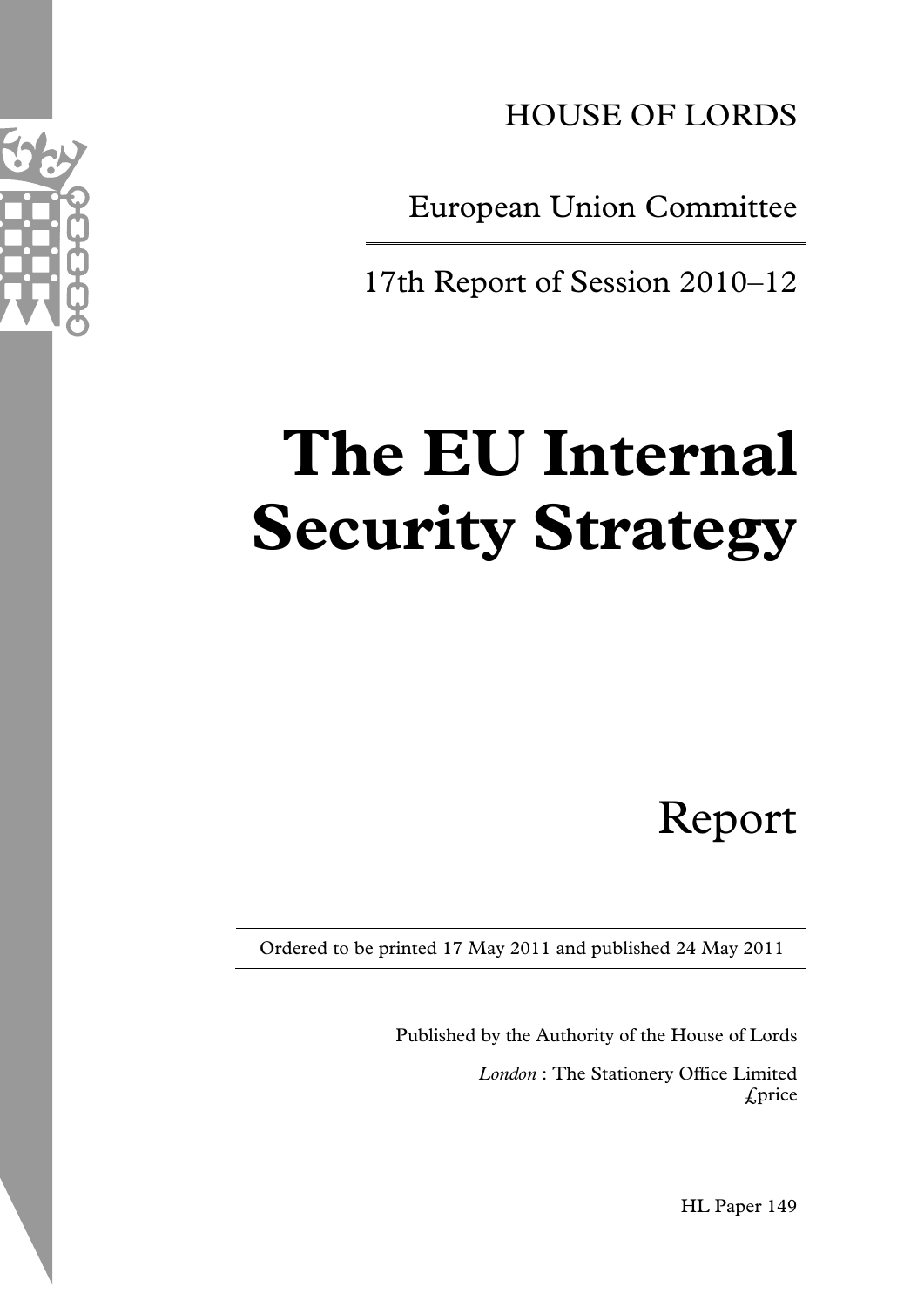

HOUSE OF LORDS

European Union Committee

17th Report of Session 2010–12

# **The EU Internal Security Strategy**

Report

Ordered to be printed 17 May 2011 and published 24 May 2011

Published by the Authority of the House of Lords *London* : The Stationery Office Limited £price

HL Paper 149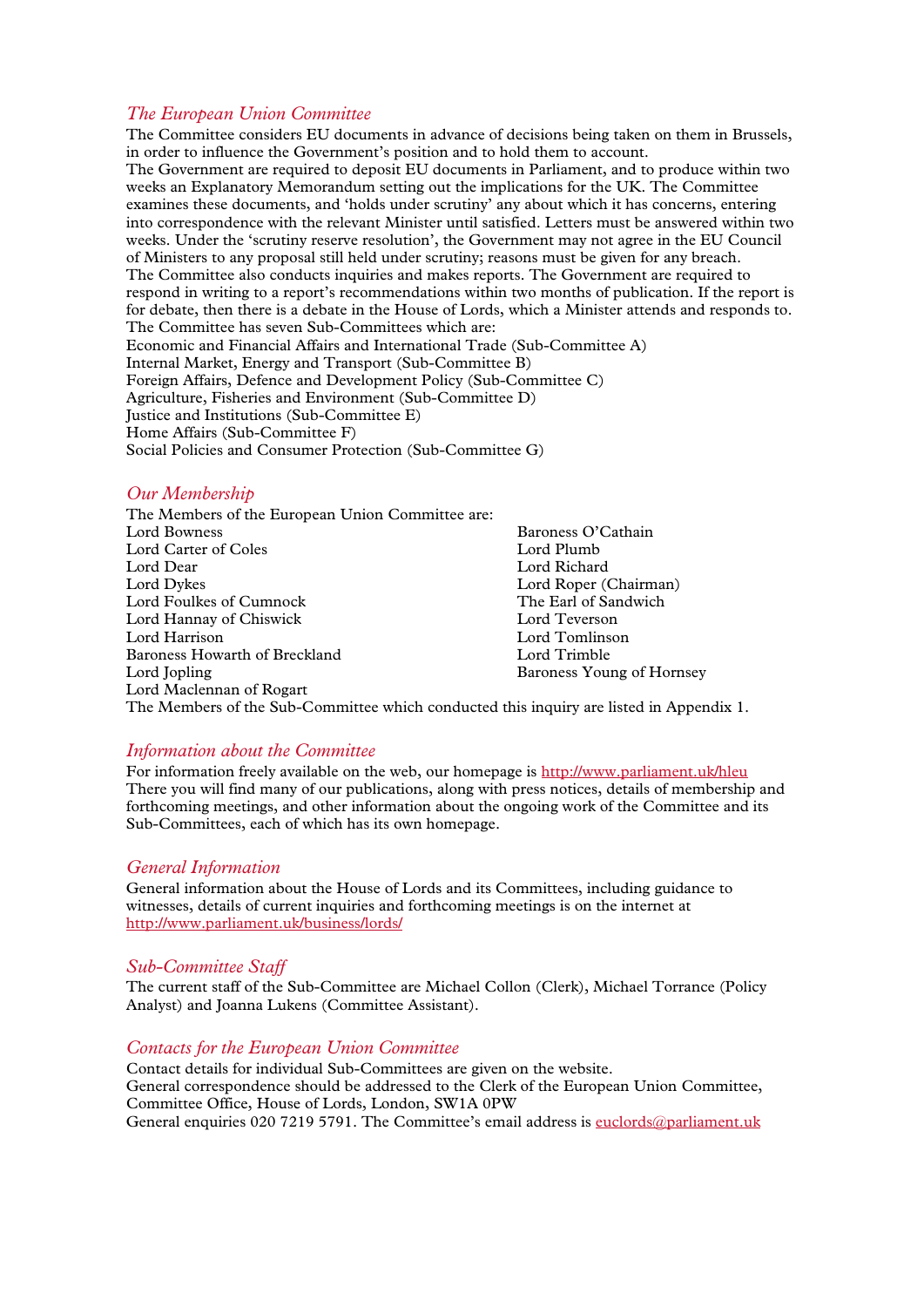# *The European Union Committee*

The Committee considers EU documents in advance of decisions being taken on them in Brussels, in order to influence the Government's position and to hold them to account. The Government are required to deposit EU documents in Parliament, and to produce within two weeks an Explanatory Memorandum setting out the implications for the UK. The Committee examines these documents, and 'holds under scrutiny' any about which it has concerns, entering into correspondence with the relevant Minister until satisfied. Letters must be answered within two weeks. Under the 'scrutiny reserve resolution', the Government may not agree in the EU Council of Ministers to any proposal still held under scrutiny; reasons must be given for any breach. The Committee also conducts inquiries and makes reports. The Government are required to respond in writing to a report's recommendations within two months of publication. If the report is for debate, then there is a debate in the House of Lords, which a Minister attends and responds to. The Committee has seven Sub-Committees which are: Economic and Financial Affairs and International Trade (Sub-Committee A) Internal Market, Energy and Transport (Sub-Committee B) Foreign Affairs, Defence and Development Policy (Sub-Committee C) Agriculture, Fisheries and Environment (Sub-Committee D) Justice and Institutions (Sub-Committee E) Home Affairs (Sub-Committee F) Social Policies and Consumer Protection (Sub-Committee G)

#### *Our Membership*

The Members of the European Union Committee are: Baroness O'Cathain<br>Lord Plumb Lord Carter of Coles<br>Lord Dear Lord Dear Lord Richard<br>
Lord Dykes Lord Rober ( Lord Roper (Chairman)<br>The Earl of Sandwich Lord Foulkes of Cumnock<br>
Lord Hannav of Chiswick<br>
The Earl of Sandwich Sandwich Sandwich Sandwich Sandwich Sandwich Sandwich Sandwich Sandwich Sandwich Sandwich Lord Hannay of Chiswick<br>Lord Harrison Lord Tomlinson<br>Lord Trimble Baroness Howarth of Breckland<br>Lord Jopling Baroness Young of Hornsey Lord Maclennan of Rogart

The Members of the Sub-Committee which conducted this inquiry are listed in Appendix 1.

#### *Information about the Committee*

For information freely available on the web, our homepage i[s http://www.parliament.uk/hleu](http://www.parliament.uk/hleu) There you will find many of our publications, along with press notices, details of membership and forthcoming meetings, and other information about the ongoing work of the Committee and its Sub-Committees, each of which has its own homepage.

#### *General Information*

General information about the House of Lords and its Committees, including guidance to witnesses, details of current inquiries and forthcoming meetings is on the internet at <http://www.parliament.uk/business/lords/>

#### *Sub-Committee Staff*

The current staff of the Sub-Committee are Michael Collon (Clerk), Michael Torrance (Policy Analyst) and Joanna Lukens (Committee Assistant).

#### *Contacts for the European Union Committee*

Contact details for individual Sub-Committees are given on the website. General correspondence should be addressed to the Clerk of the European Union Committee, Committee Office, House of Lords, London, SW1A 0PW General enquiries 020 7219 5791. The Committee's email address is [euclords@parliament.uk](mailto:euclords@parliament.uk)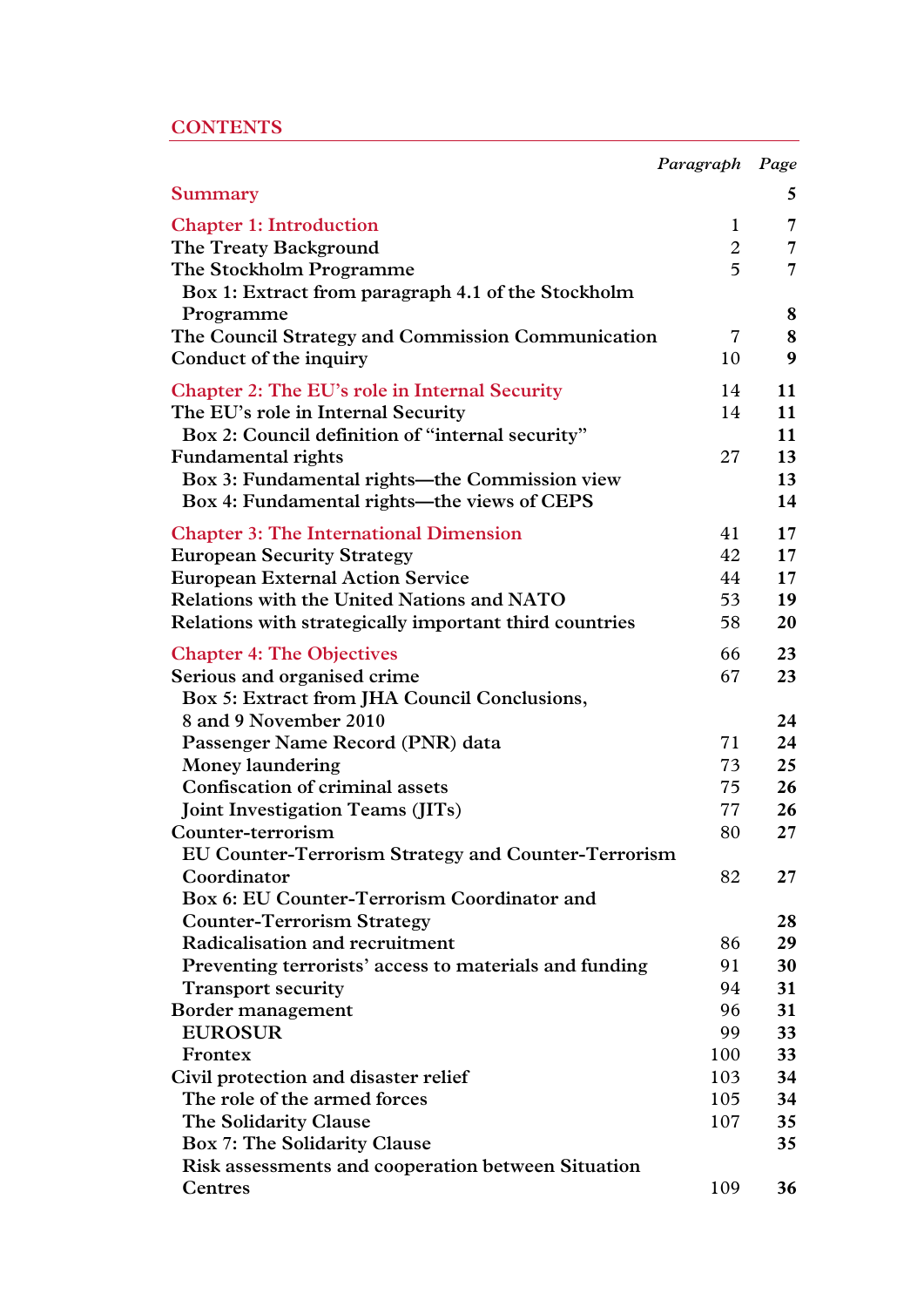# **CONTENTS**

|                                                        | Paragraph Page |                 |
|--------------------------------------------------------|----------------|-----------------|
| <b>Summary</b>                                         |                | 5               |
| <b>Chapter 1: Introduction</b>                         | 1              | 7               |
| The Treaty Background                                  | $\overline{2}$ | $\overline{7}$  |
| The Stockholm Programme                                | 5              | $\overline{7}$  |
| Box 1: Extract from paragraph 4.1 of the Stockholm     |                |                 |
| Programme                                              |                | 8               |
| The Council Strategy and Commission Communication      | $\overline{7}$ | 8               |
| Conduct of the inquiry                                 | 10             | 9               |
| <b>Chapter 2: The EU's role in Internal Security</b>   | 14             | 11              |
| The EU's role in Internal Security                     | 14             | 11              |
| Box 2: Council definition of "internal security"       |                | 11              |
| <b>Fundamental rights</b>                              | 27             | 13              |
| Box 3: Fundamental rights—the Commission view          |                | 13              |
| Box 4: Fundamental rights—the views of CEPS            |                | 14              |
| <b>Chapter 3: The International Dimension</b>          | 41             | 17              |
| <b>European Security Strategy</b>                      | 42             | 17              |
| <b>European External Action Service</b>                | 44             | 17 <sup>7</sup> |
| Relations with the United Nations and NATO             | 53             | 19              |
| Relations with strategically important third countries | 58             | 20              |
| <b>Chapter 4: The Objectives</b>                       | 66             | 23              |
| Serious and organised crime                            | 67             | 23              |
| Box 5: Extract from JHA Council Conclusions,           |                |                 |
| 8 and 9 November 2010                                  |                | 24              |
| Passenger Name Record (PNR) data                       | 71             | 24              |
| <b>Money laundering</b>                                | 73             | 25              |
| Confiscation of criminal assets                        | 75             | 26              |
| <b>Joint Investigation Teams (JITs)</b>                | 77             | 26              |
| Counter-terrorism                                      | 80             | 27              |
| EU Counter-Terrorism Strategy and Counter-Terrorism    |                |                 |
| Coordinator                                            | 82             | $27\,$          |
| Box 6: EU Counter-Terrorism Coordinator and            |                |                 |
| <b>Counter-Terrorism Strategy</b>                      |                | 28              |
| Radicalisation and recruitment                         | 86             | 29              |
| Preventing terrorists' access to materials and funding | 91             | 30              |
| <b>Transport security</b>                              | 94             | 31              |
| Border management                                      | 96             | 31              |
| <b>EUROSUR</b>                                         | 99             | 33              |
| Frontex                                                | 100            | 33              |
| Civil protection and disaster relief                   | 103            | 34              |
| The role of the armed forces                           | 105            | 34              |
| The Solidarity Clause                                  | 107            | 35              |
| Box 7: The Solidarity Clause                           |                | 35              |
| Risk assessments and cooperation between Situation     |                |                 |
| Centres                                                | 109            | 36              |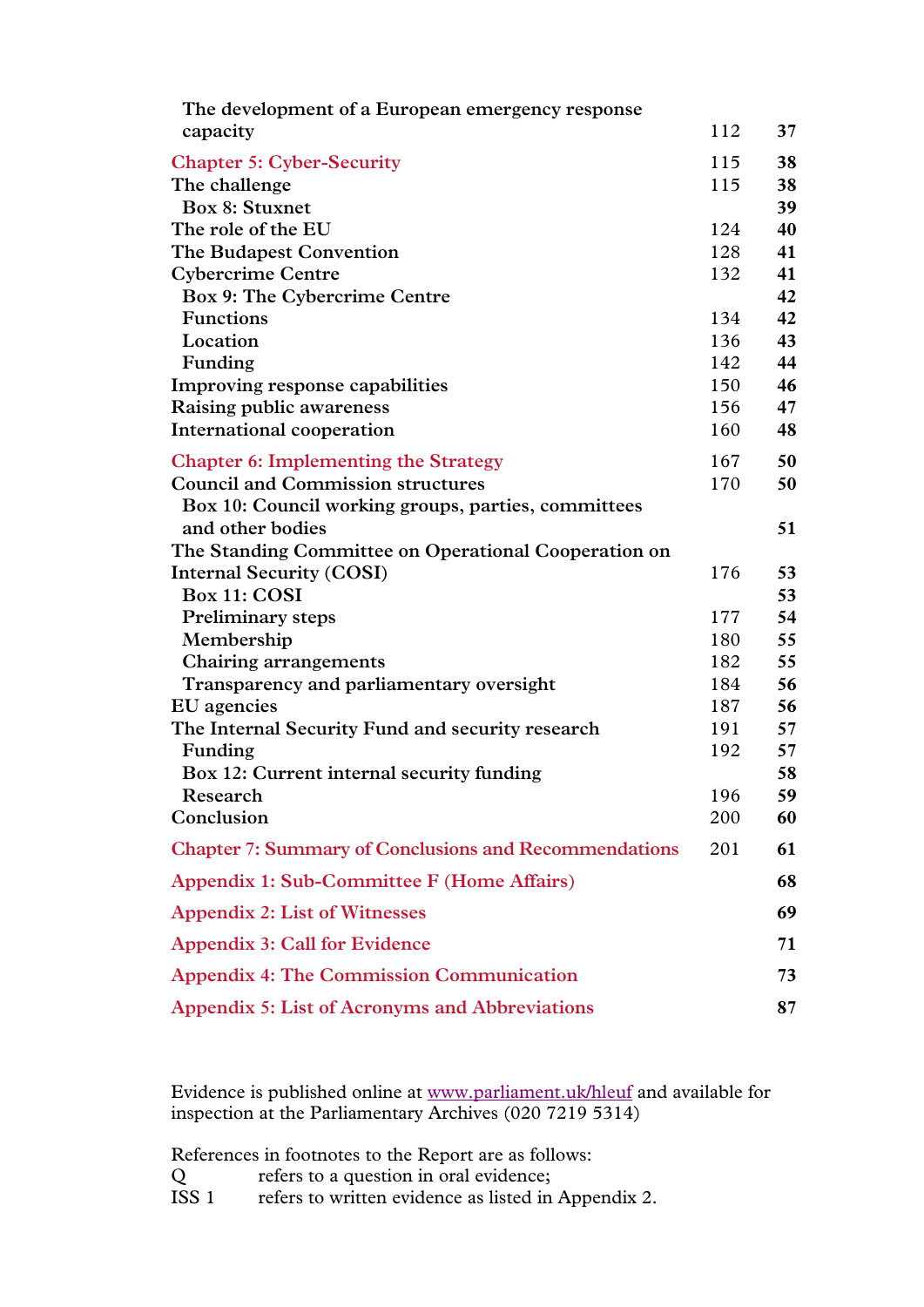| The development of a European emergency response                        |     |    |
|-------------------------------------------------------------------------|-----|----|
| capacity                                                                | 112 | 37 |
| <b>Chapter 5: Cyber-Security</b>                                        | 115 | 38 |
| The challenge                                                           | 115 | 38 |
| <b>Box 8: Stuxnet</b>                                                   |     | 39 |
| The role of the EU                                                      | 124 | 40 |
| The Budapest Convention                                                 | 128 | 41 |
| <b>Cybercrime Centre</b>                                                | 132 | 41 |
| Box 9: The Cybercrime Centre                                            |     | 42 |
| <b>Functions</b>                                                        | 134 | 42 |
| Location                                                                | 136 | 43 |
| Funding                                                                 | 142 | 44 |
| Improving response capabilities                                         | 150 | 46 |
| Raising public awareness                                                | 156 | 47 |
| International cooperation                                               | 160 | 48 |
| <b>Chapter 6: Implementing the Strategy</b>                             | 167 | 50 |
| <b>Council and Commission structures</b>                                | 170 | 50 |
| Box 10: Council working groups, parties, committees<br>and other bodies |     | 51 |
| The Standing Committee on Operational Cooperation on                    |     |    |
| <b>Internal Security (COSI)</b>                                         | 176 | 53 |
| Box 11: COSI                                                            |     | 53 |
| Preliminary steps                                                       | 177 | 54 |
| Membership                                                              | 180 | 55 |
| Chairing arrangements                                                   | 182 | 55 |
| Transparency and parliamentary oversight                                | 184 | 56 |
| EU agencies                                                             | 187 | 56 |
| The Internal Security Fund and security research                        | 191 | 57 |
| Funding                                                                 | 192 | 57 |
| Box 12: Current internal security funding                               |     | 58 |
| Research                                                                | 196 | 59 |
| Conclusion                                                              | 200 | 60 |
| <b>Chapter 7: Summary of Conclusions and Recommendations</b>            | 201 | 61 |
| Appendix 1: Sub-Committee F (Home Affairs)                              |     | 68 |
| <b>Appendix 2: List of Witnesses</b>                                    |     | 69 |
| <b>Appendix 3: Call for Evidence</b>                                    |     | 71 |
| <b>Appendix 4: The Commission Communication</b>                         |     | 73 |
| <b>Appendix 5: List of Acronyms and Abbreviations</b>                   |     | 87 |

Evidence is published online at [www.parliament.uk/hleuf](http://www.parliament.uk/hleuf) and available for inspection at the Parliamentary Archives (020 7219 5314)

References in footnotes to the Report are as follows:<br>Q refers to a question in oral evidence;<br>ISS 1 refers to written evidence as listed in Appe

Q refers to a question in oral evidence;

ISS 1 refers to written evidence as listed in Appendix 2.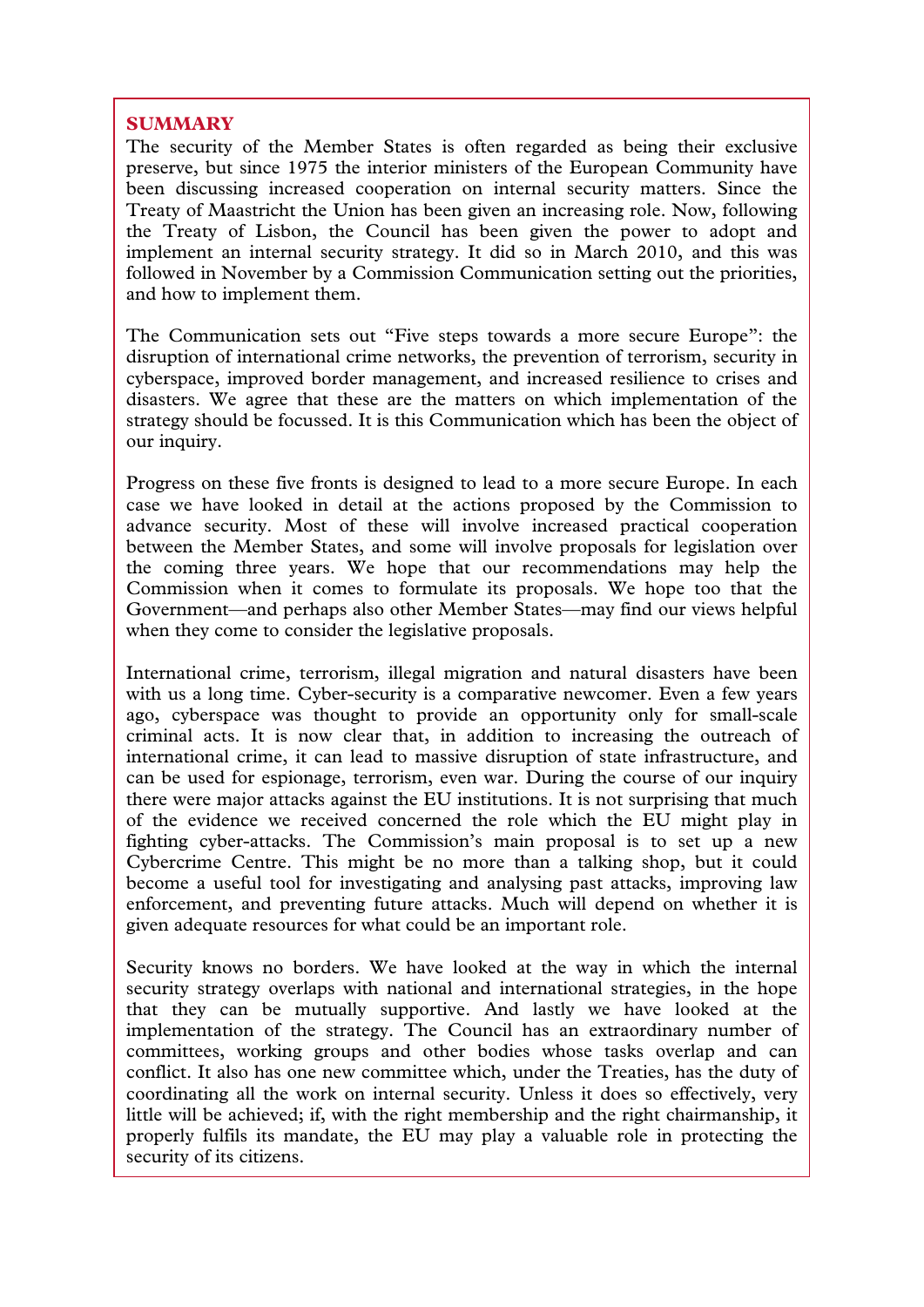# **SUMMARY**

The security of the Member States is often regarded as being their exclusive preserve, but since 1975 the interior ministers of the European Community have been discussing increased cooperation on internal security matters. Since the Treaty of Maastricht the Union has been given an increasing role. Now, following the Treaty of Lisbon, the Council has been given the power to adopt and implement an internal security strategy. It did so in March 2010, and this was followed in November by a Commission Communication setting out the priorities, and how to implement them.

The Communication sets out "Five steps towards a more secure Europe": the disruption of international crime networks, the prevention of terrorism, security in cyberspace, improved border management, and increased resilience to crises and disasters. We agree that these are the matters on which implementation of the strategy should be focussed. It is this Communication which has been the object of our inquiry.

Progress on these five fronts is designed to lead to a more secure Europe. In each case we have looked in detail at the actions proposed by the Commission to advance security. Most of these will involve increased practical cooperation between the Member States, and some will involve proposals for legislation over the coming three years. We hope that our recommendations may help the Commission when it comes to formulate its proposals. We hope too that the Government—and perhaps also other Member States—may find our views helpful when they come to consider the legislative proposals.

International crime, terrorism, illegal migration and natural disasters have been with us a long time. Cyber-security is a comparative newcomer. Even a few years ago, cyberspace was thought to provide an opportunity only for small-scale criminal acts. It is now clear that, in addition to increasing the outreach of international crime, it can lead to massive disruption of state infrastructure, and can be used for espionage, terrorism, even war. During the course of our inquiry there were major attacks against the EU institutions. It is not surprising that much of the evidence we received concerned the role which the EU might play in fighting cyber-attacks. The Commission's main proposal is to set up a new Cybercrime Centre. This might be no more than a talking shop, but it could become a useful tool for investigating and analysing past attacks, improving law enforcement, and preventing future attacks. Much will depend on whether it is given adequate resources for what could be an important role.

Security knows no borders. We have looked at the way in which the internal security strategy overlaps with national and international strategies, in the hope that they can be mutually supportive. And lastly we have looked at the implementation of the strategy. The Council has an extraordinary number of committees, working groups and other bodies whose tasks overlap and can conflict. It also has one new committee which, under the Treaties, has the duty of coordinating all the work on internal security. Unless it does so effectively, very little will be achieved; if, with the right membership and the right chairmanship, it properly fulfils its mandate, the EU may play a valuable role in protecting the security of its citizens.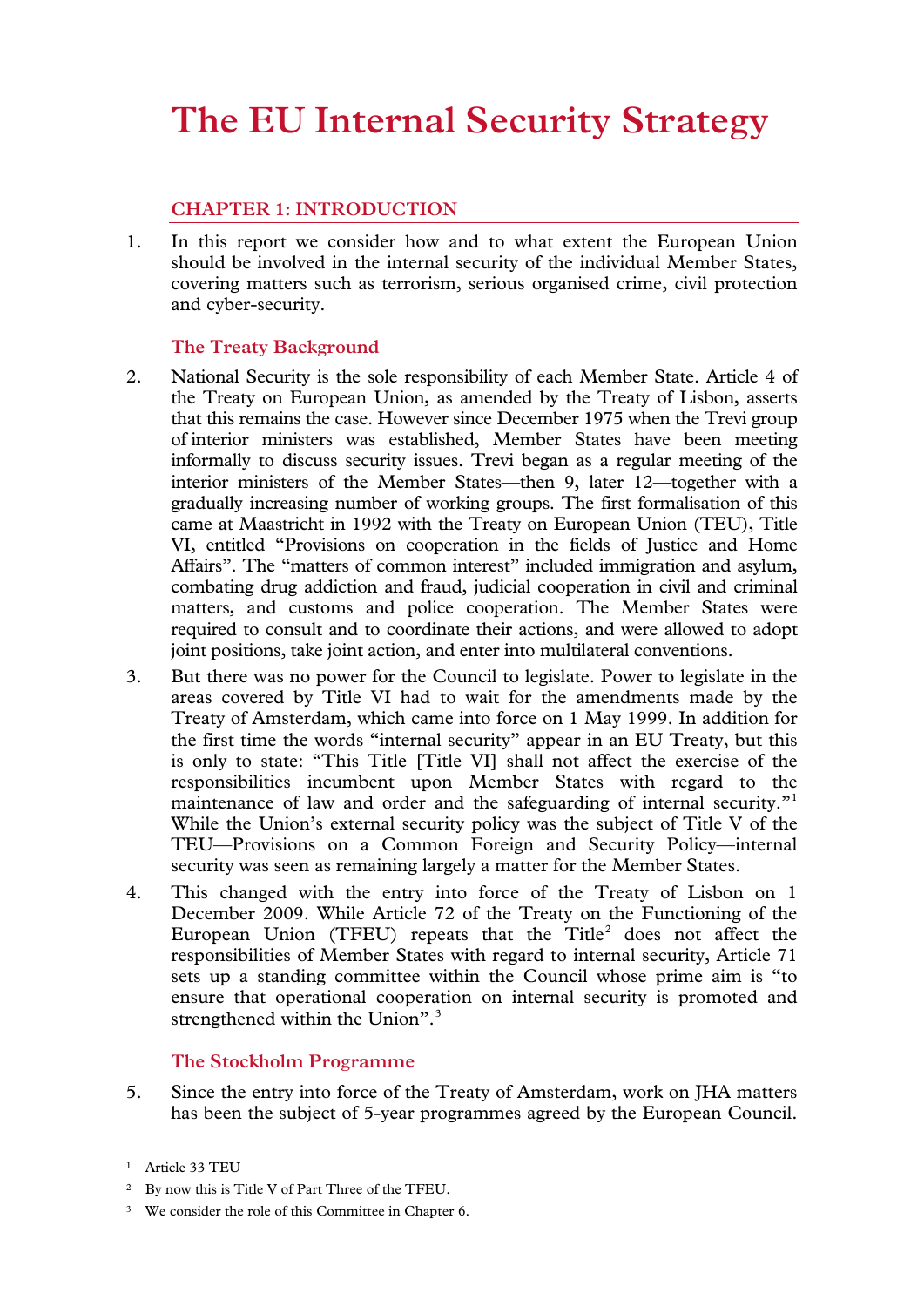# **The EU Internal Security Strategy**

# **CHAPTER 1: INTRODUCTION**

1. In this report we consider how and to what extent the European Union should be involved in the internal security of the individual Member States, covering matters such as terrorism, serious organised crime, civil protection and cyber-security.

# **The Treaty Background**

- 2. National Security is the sole responsibility of each Member State. Article 4 of the Treaty on European Union, as amended by the Treaty of Lisbon, asserts that this remains the case. However since December 1975 when the Trevi group of interior ministers was established, Member States have been meeting informally to discuss security issues. Trevi began as a regular meeting of the interior ministers of the Member States—then 9, later 12—together with a gradually increasing number of working groups. The first formalisation of this came at Maastricht in 1992 with the Treaty on European Union (TEU), Title VI, entitled "Provisions on cooperation in the fields of Justice and Home Affairs". The "matters of common interest" included immigration and asylum, combating drug addiction and fraud, judicial cooperation in civil and criminal matters, and customs and police cooperation. The Member States were required to consult and to coordinate their actions, and were allowed to adopt joint positions, take joint action, and enter into multilateral conventions.
- 3. But there was no power for the Council to legislate. Power to legislate in the areas covered by Title VI had to wait for the amendments made by the Treaty of Amsterdam, which came into force on 1 May 1999. In addition for the first time the words "internal security" appear in an EU Treaty, but this is only to state: "This Title [Title VI] shall not affect the exercise of the responsibilities incumbent upon Member States with regard to the maintenance of law and order and the safeguarding of internal security."<sup>[1](#page-6-0)</sup> While the Union's external security policy was the subject of Title V of the TEU—Provisions on a Common Foreign and Security Policy—internal security was seen as remaining largely a matter for the Member States.
- <span id="page-6-3"></span>4. This changed with the entry into force of the Treaty of Lisbon on 1 December 2009. While Article 72 of the Treaty on the Functioning of the European Union (TFEU) repeats that the Title<sup>[2](#page-6-1)</sup> does not affect the responsibilities of Member States with regard to internal security, Article 71 sets up a standing committee within the Council whose prime aim is "to ensure that operational cooperation on internal security is promoted and strengthened within the Union".<sup>[3](#page-6-2)</sup>

# **The Stockholm Programme**

5. Since the entry into force of the Treaty of Amsterdam, work on JHA matters has been the subject of 5-year programmes agreed by the European Council.

<span id="page-6-0"></span><sup>1</sup> Article 33 TEU

<span id="page-6-1"></span><sup>2</sup> By now this is Title V of Part Three of the TFEU.

<span id="page-6-2"></span><sup>&</sup>lt;sup>3</sup> We consider the role of this Committee in Chapter 6.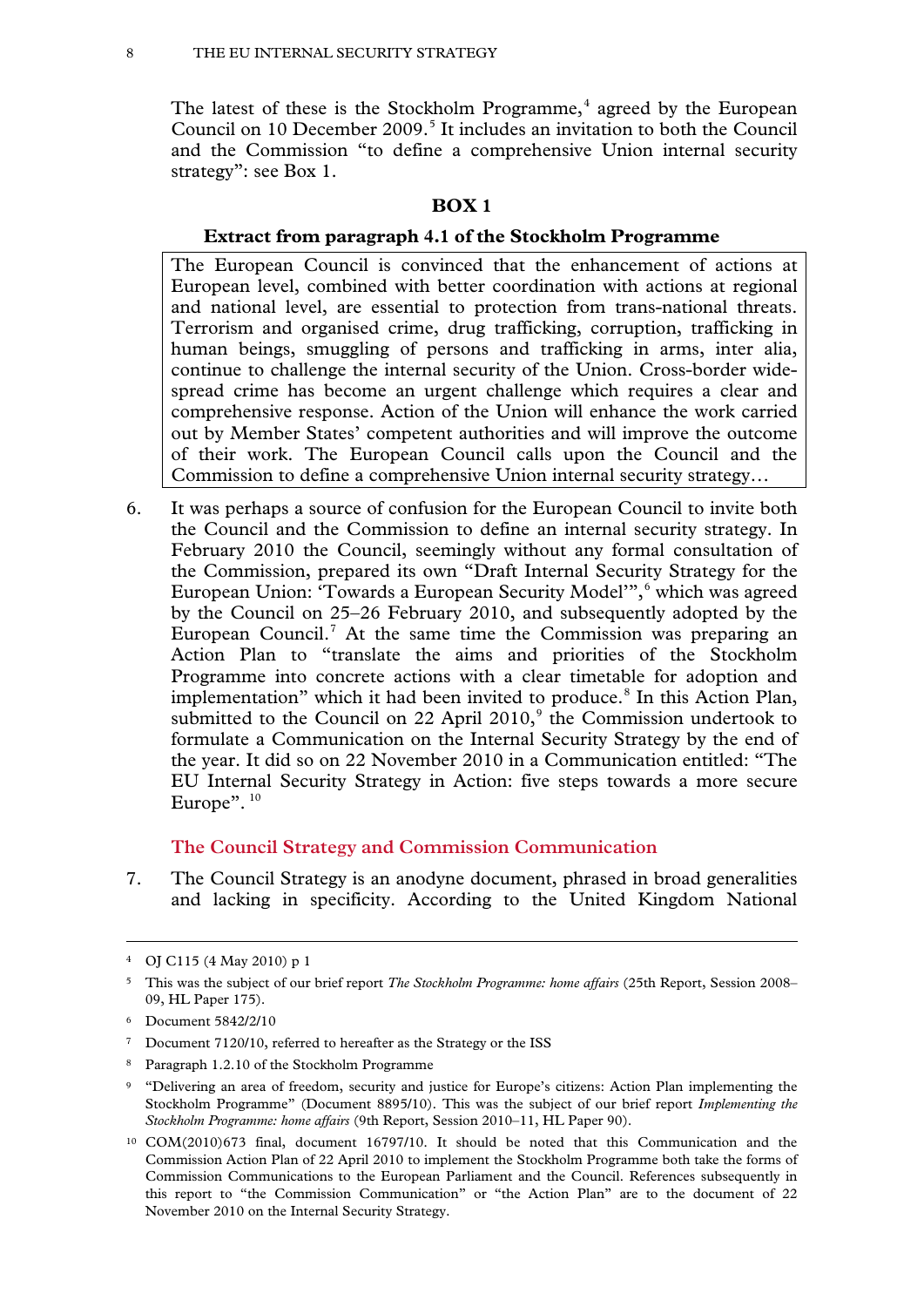The latest of these is the Stockholm Programme, $4$  agreed by the European Council on 10 December 2009.<sup>[5](#page-7-0)</sup> It includes an invitation to both the Council and the Commission "to define a comprehensive Union internal security strategy": see Box 1.

#### **BOX 1**

#### **Extract from paragraph 4.1 of the Stockholm Programme**

The European Council is convinced that the enhancement of actions at European level, combined with better coordination with actions at regional and national level, are essential to protection from trans-national threats. Terrorism and organised crime, drug trafficking, corruption, trafficking in human beings, smuggling of persons and trafficking in arms, inter alia, continue to challenge the internal security of the Union. Cross-border widespread crime has become an urgent challenge which requires a clear and comprehensive response. Action of the Union will enhance the work carried out by Member States' competent authorities and will improve the outcome of their work. The European Council calls upon the Council and the Commission to define a comprehensive Union internal security strategy…

6. It was perhaps a source of confusion for the European Council to invite both the Council and the Commission to define an internal security strategy. In February 2010 the Council, seemingly without any formal consultation of the Commission, prepared its own "Draft Internal Security Strategy for the European Union: 'Towards a European Security Model'", [6](#page-7-1) which was agreed by the Council on 25–26 February 2010, and subsequently adopted by the European Council.<sup>[7](#page-7-2)</sup> At the same time the Commission was preparing an Action Plan to "translate the aims and priorities of the Stockholm Programme into concrete actions with a clear timetable for adoption and implementation" which it had been invited to produce.<sup>[8](#page-7-3)</sup> In this Action Plan, submitted to the Council on 22 April  $2010$ ,  $\degree$  the Commission undertook to formulate a Communication on the Internal Security Strategy by the end of the year. It did so on 22 November 2010 in a Communication entitled: "The EU Internal Security Strategy in Action: five steps towards a more secure Europe".<sup>[10](#page-7-5)</sup>

#### **The Council Strategy and Commission Communication**

7. The Council Strategy is an anodyne document, phrased in broad generalities and lacking in specificity. According to the United Kingdom National

- <span id="page-7-2"></span><sup>7</sup> Document 7120/10, referred to hereafter as the Strategy or the ISS
- <span id="page-7-3"></span><sup>8</sup> Paragraph 1.2.10 of the Stockholm Programme
- <span id="page-7-4"></span><sup>9</sup> "Delivering an area of freedom, security and justice for Europe's citizens: Action Plan implementing the Stockholm Programme" (Document 8895/10). This was the subject of our brief report *Implementing the Stockholm Programme: home affairs* (9th Report, Session 2010–11, HL Paper 90).

<sup>4</sup> OJ C115 (4 May 2010) p 1

<span id="page-7-0"></span><sup>5</sup> This was the subject of our brief report *The Stockholm Programme: home affairs* (25th Report, Session 2008– 09, HL Paper 175).

<span id="page-7-1"></span><sup>6</sup> Document 5842/2/10

<span id="page-7-5"></span><sup>10</sup> COM(2010)673 final, document 16797/10. It should be noted that this Communication and the Commission Action Plan of 22 April 2010 to implement the Stockholm Programme both take the forms of Commission Communications to the European Parliament and the Council. References subsequently in this report to "the Commission Communication" or "the Action Plan" are to the document of 22 November 2010 on the Internal Security Strategy.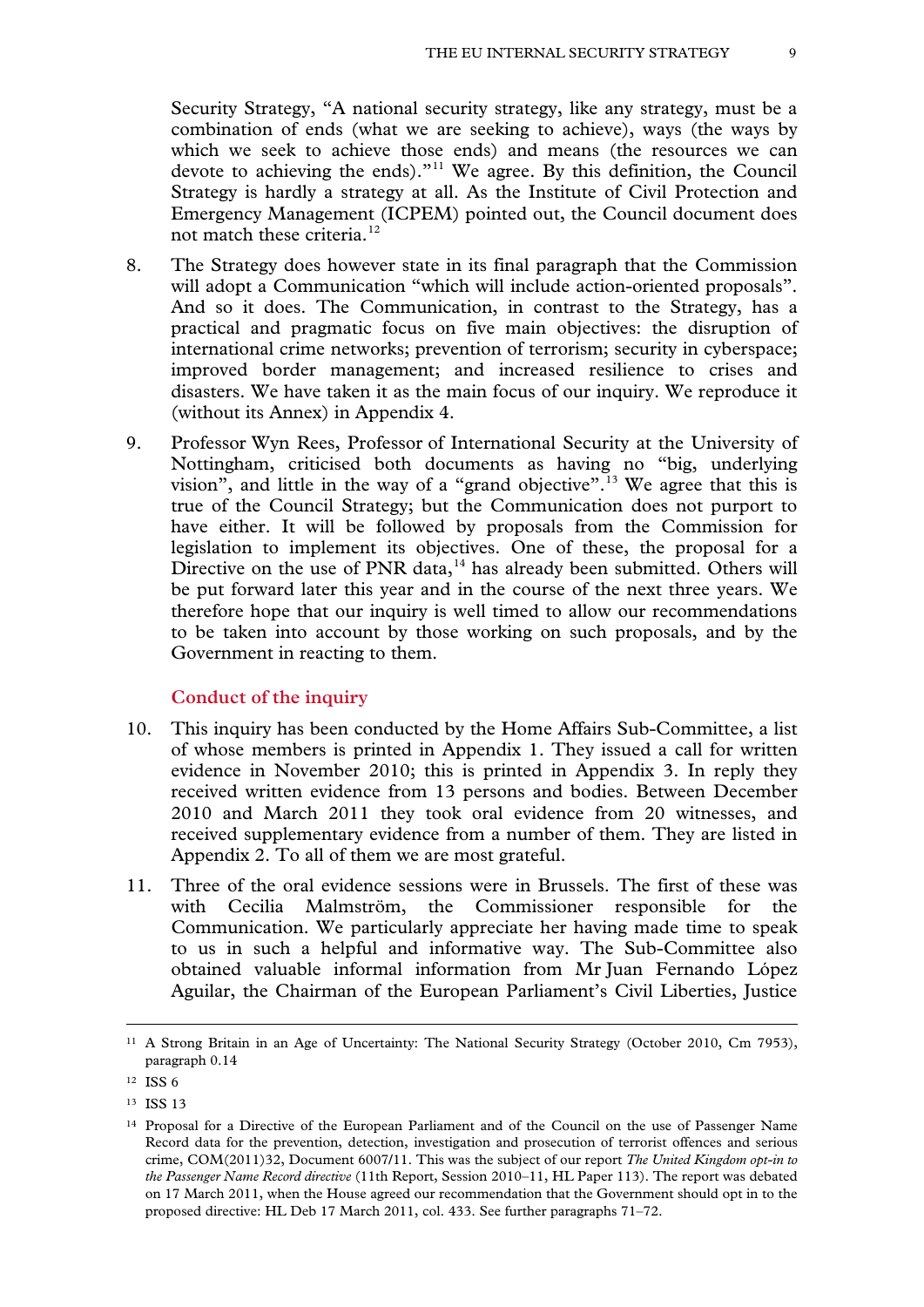Security Strategy, "A national security strategy, like any strategy, must be a combination of ends (what we are seeking to achieve), ways (the ways by which we seek to achieve those ends) and means (the resources we can devote to achieving the ends)."[11](#page-7-2) We agree. By this definition, the Council Strategy is hardly a strategy at all. As the Institute of Civil Protection and Emergency Management (ICPEM) pointed out, the Council document does not match these criteria.<sup>[12](#page-8-0)</sup>

- 8. The Strategy does however state in its final paragraph that the Commission will adopt a Communication "which will include action-oriented proposals". And so it does. The Communication, in contrast to the Strategy, has a practical and pragmatic focus on five main objectives: the disruption of international crime networks; prevention of terrorism; security in cyberspace; improved border management; and increased resilience to crises and disasters. We have taken it as the main focus of our inquiry. We reproduce it (without its Annex) in Appendix 4.
- 9. Professor Wyn Rees, Professor of International Security at the University of Nottingham, criticised both documents as having no "big, underlying vision", and little in the way of a "grand objective".<sup>[13](#page-8-1)</sup> We agree that this is true of the Council Strategy; but the Communication does not purport to have either. It will be followed by proposals from the Commission for legislation to implement its objectives. One of these, the proposal for a Directive on the use of PNR data, $14$  has already been submitted. Others will be put forward later this year and in the course of the next three years. We therefore hope that our inquiry is well timed to allow our recommendations to be taken into account by those working on such proposals, and by the Government in reacting to them.

# **Conduct of the inquiry**

- 10. This inquiry has been conducted by the Home Affairs Sub-Committee, a list of whose members is printed in Appendix 1. They issued a call for written evidence in November 2010; this is printed in Appendix 3. In reply they received written evidence from 13 persons and bodies. Between December 2010 and March 2011 they took oral evidence from 20 witnesses, and received supplementary evidence from a number of them. They are listed in Appendix 2. To all of them we are most grateful.
- 11. Three of the oral evidence sessions were in Brussels. The first of these was with Cecilia Malmström, the Commissioner responsible for the Communication. We particularly appreciate her having made time to speak to us in such a helpful and informative way. The Sub-Committee also obtained valuable informal information from Mr Juan Fernando López Aguilar, the Chairman of the European Parliament's Civil Liberties, Justice

-

<span id="page-8-1"></span><sup>13</sup> ISS 13

<sup>11</sup> A Strong Britain in an Age of Uncertainty: The National Security Strategy (October 2010, Cm 7953), paragraph 0.14

<span id="page-8-0"></span><sup>12</sup> ISS 6

<span id="page-8-3"></span><span id="page-8-2"></span><sup>14</sup> Proposal for a Directive of the European Parliament and of the Council on the use of Passenger Name Record data for the prevention, detection, investigation and prosecution of terrorist offences and serious crime, COM(2011)32, Document 6007/11. This was the subject of our report *The United Kingdom opt-in to the Passenger Name Record directive* (11th Report, Session 2010–11, HL Paper 113). The report was debated on 17 March 2011, when the House agreed our recommendation that the Government should opt in to the proposed directive: HL Deb 17 March 2011, col. 433. See further paragraphs 71–72.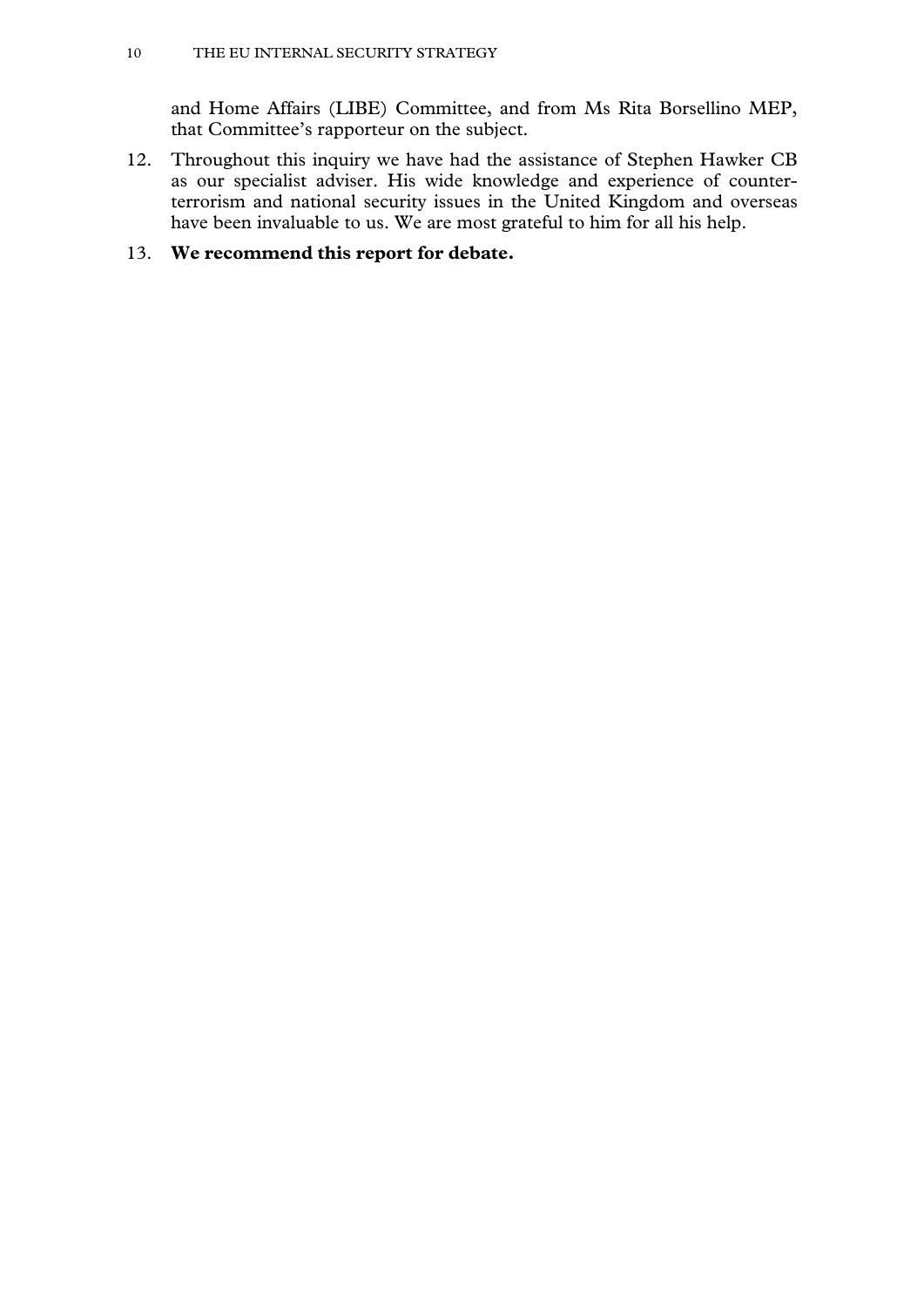and Home Affairs (LIBE) Committee, and from Ms Rita Borsellino MEP, that Committee's rapporteur on the subject.

12. Throughout this inquiry we have had the assistance of Stephen Hawker CB as our specialist adviser. His wide knowledge and experience of counterterrorism and national security issues in the United Kingdom and overseas have been invaluable to us. We are most grateful to him for all his help.

# 13. **We recommend this report for debate.**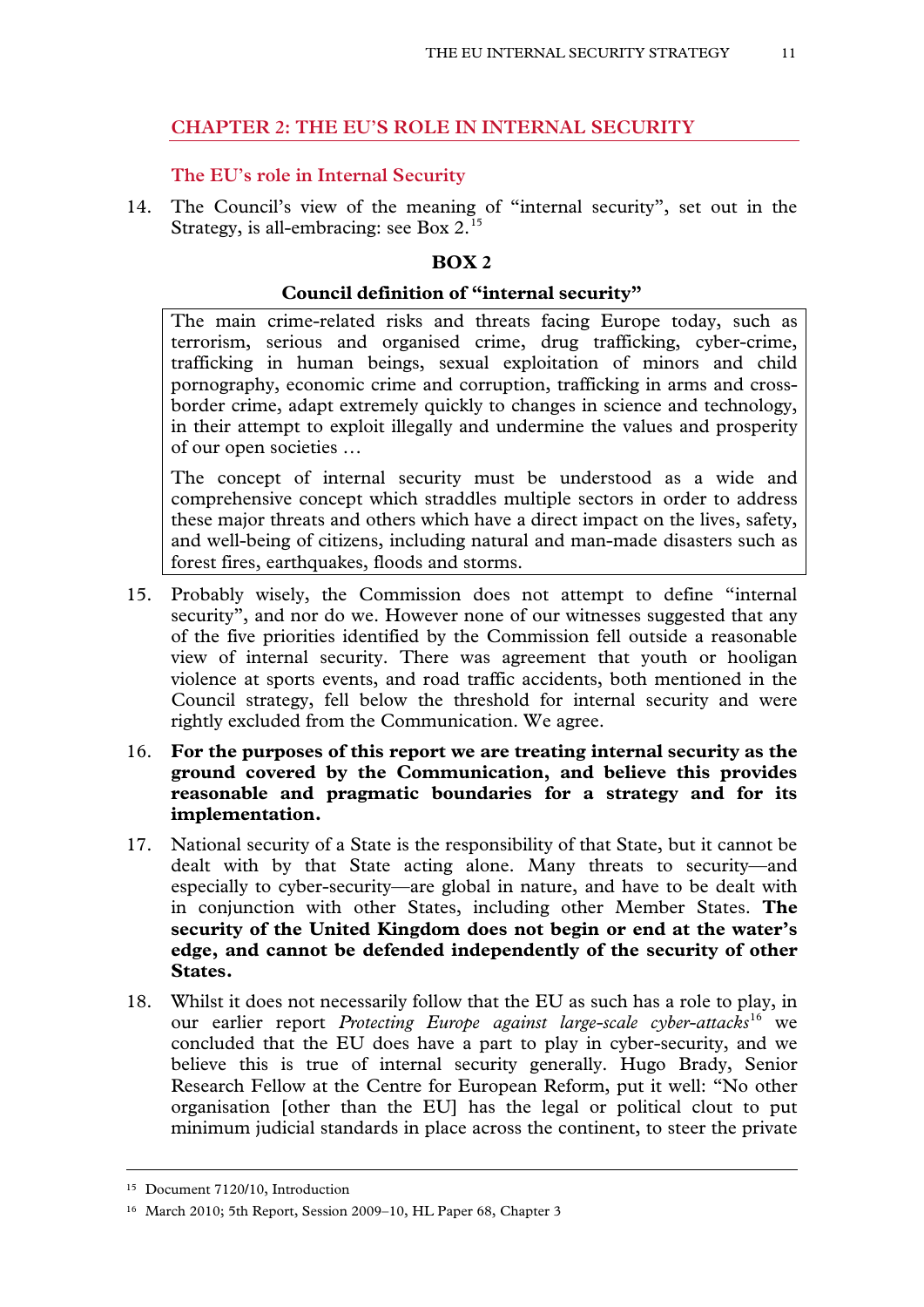# **CHAPTER 2: THE EU'S ROLE IN INTERNAL SECURITY**

# **The EU's role in Internal Security**

14. The Council's view of the meaning of "internal security", set out in the Strategy, is all-embracing: see Box 2.<sup>[15](#page-8-3)</sup>

# **BOX 2**

# **Council definition of "internal security"**

The main crime-related risks and threats facing Europe today, such as terrorism, serious and organised crime, drug trafficking, cyber-crime, trafficking in human beings, sexual exploitation of minors and child pornography, economic crime and corruption, trafficking in arms and crossborder crime, adapt extremely quickly to changes in science and technology, in their attempt to exploit illegally and undermine the values and prosperity of our open societies …

The concept of internal security must be understood as a wide and comprehensive concept which straddles multiple sectors in order to address these major threats and others which have a direct impact on the lives, safety, and well-being of citizens, including natural and man-made disasters such as forest fires, earthquakes, floods and storms.

- 15. Probably wisely, the Commission does not attempt to define "internal security", and nor do we. However none of our witnesses suggested that any of the five priorities identified by the Commission fell outside a reasonable view of internal security. There was agreement that youth or hooligan violence at sports events, and road traffic accidents, both mentioned in the Council strategy, fell below the threshold for internal security and were rightly excluded from the Communication. We agree.
- 16. **For the purposes of this report we are treating internal security as the ground covered by the Communication, and believe this provides reasonable and pragmatic boundaries for a strategy and for its implementation.**
- 17. National security of a State is the responsibility of that State, but it cannot be dealt with by that State acting alone. Many threats to security—and especially to cyber-security—are global in nature, and have to be dealt with in conjunction with other States, including other Member States. **The security of the United Kingdom does not begin or end at the water's edge, and cannot be defended independently of the security of other States.**
- 18. Whilst it does not necessarily follow that the EU as such has a role to play, in our earlier report *Protecting Europe against large-scale cyber-attacks*[16](#page-10-0) we concluded that the EU does have a part to play in cyber-security, and we believe this is true of internal security generally. Hugo Brady, Senior Research Fellow at the Centre for European Reform, put it well: "No other organisation [other than the EU] has the legal or political clout to put minimum judicial standards in place across the continent, to steer the private

<span id="page-10-1"></span><sup>15</sup> Document 7120/10, Introduction

<span id="page-10-0"></span><sup>16</sup> March 2010; 5th Report, Session 2009–10, HL Paper 68, Chapter 3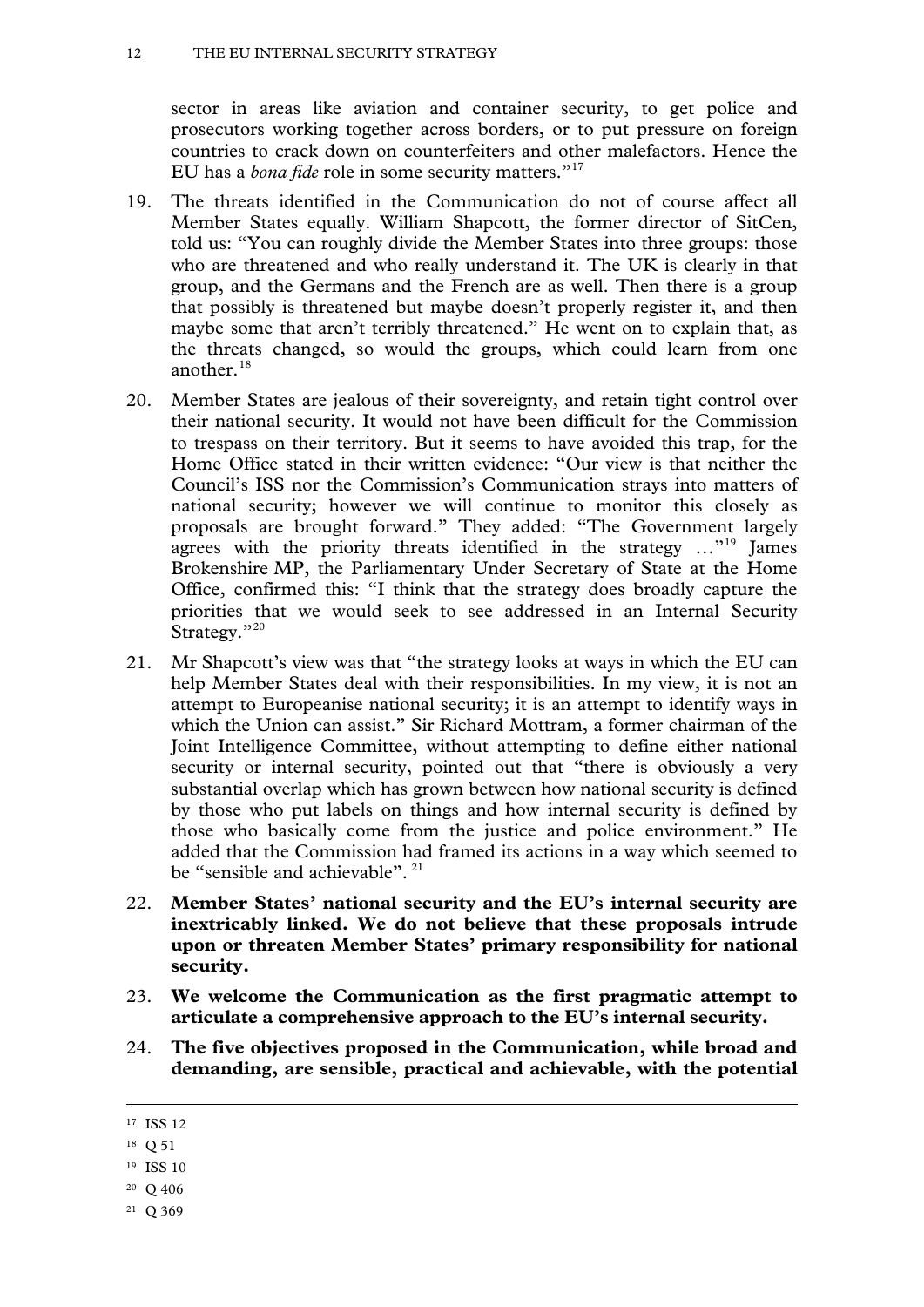sector in areas like aviation and container security, to get police and prosecutors working together across borders, or to put pressure on foreign countries to crack down on counterfeiters and other malefactors. Hence the EU has a *bona fide* role in some security matters."<sup>[17](#page-10-1)</sup>

- 19. The threats identified in the Communication do not of course affect all Member States equally. William Shapcott, the former director of SitCen, told us: "You can roughly divide the Member States into three groups: those who are threatened and who really understand it. The UK is clearly in that group, and the Germans and the French are as well. Then there is a group that possibly is threatened but maybe doesn't properly register it, and then maybe some that aren't terribly threatened." He went on to explain that, as the threats changed, so would the groups, which could learn from one another. $18$
- 20. Member States are jealous of their sovereignty, and retain tight control over their national security. It would not have been difficult for the Commission to trespass on their territory. But it seems to have avoided this trap, for the Home Office stated in their written evidence: "Our view is that neither the Council's ISS nor the Commission's Communication strays into matters of national security; however we will continue to monitor this closely as proposals are brought forward." They added: "The Government largely agrees with the priority threats identified in the strategy ..."<sup>[19](#page-11-1)</sup> James Brokenshire MP, the Parliamentary Under Secretary of State at the Home Office, confirmed this: "I think that the strategy does broadly capture the priorities that we would seek to see addressed in an Internal Security Strategy."<sup>[20](#page-11-2)</sup>
- 21. Mr Shapcott's view was that "the strategy looks at ways in which the EU can help Member States deal with their responsibilities. In my view, it is not an attempt to Europeanise national security; it is an attempt to identify ways in which the Union can assist." Sir Richard Mottram, a former chairman of the Joint Intelligence Committee, without attempting to define either national security or internal security, pointed out that "there is obviously a very substantial overlap which has grown between how national security is defined by those who put labels on things and how internal security is defined by those who basically come from the justice and police environment." He added that the Commission had framed its actions in a way which seemed to be "sensible and achievable".<sup>[21](#page-11-3)</sup>
- 22. **Member States' national security and the EU's internal security are inextricably linked. We do not believe that these proposals intrude upon or threaten Member States' primary responsibility for national security.**
- 23. **We welcome the Communication as the first pragmatic attempt to articulate a comprehensive approach to the EU's internal security.**
- 24. **The five objectives proposed in the Communication, while broad and demanding, are sensible, practical and achievable, with the potential**

<span id="page-11-4"></span><sup>17</sup> ISS 12

<span id="page-11-0"></span><sup>18</sup> Q 51

<span id="page-11-1"></span><sup>19</sup> ISS 10

<span id="page-11-2"></span><sup>20</sup> Q 406

<span id="page-11-3"></span><sup>21</sup> Q 369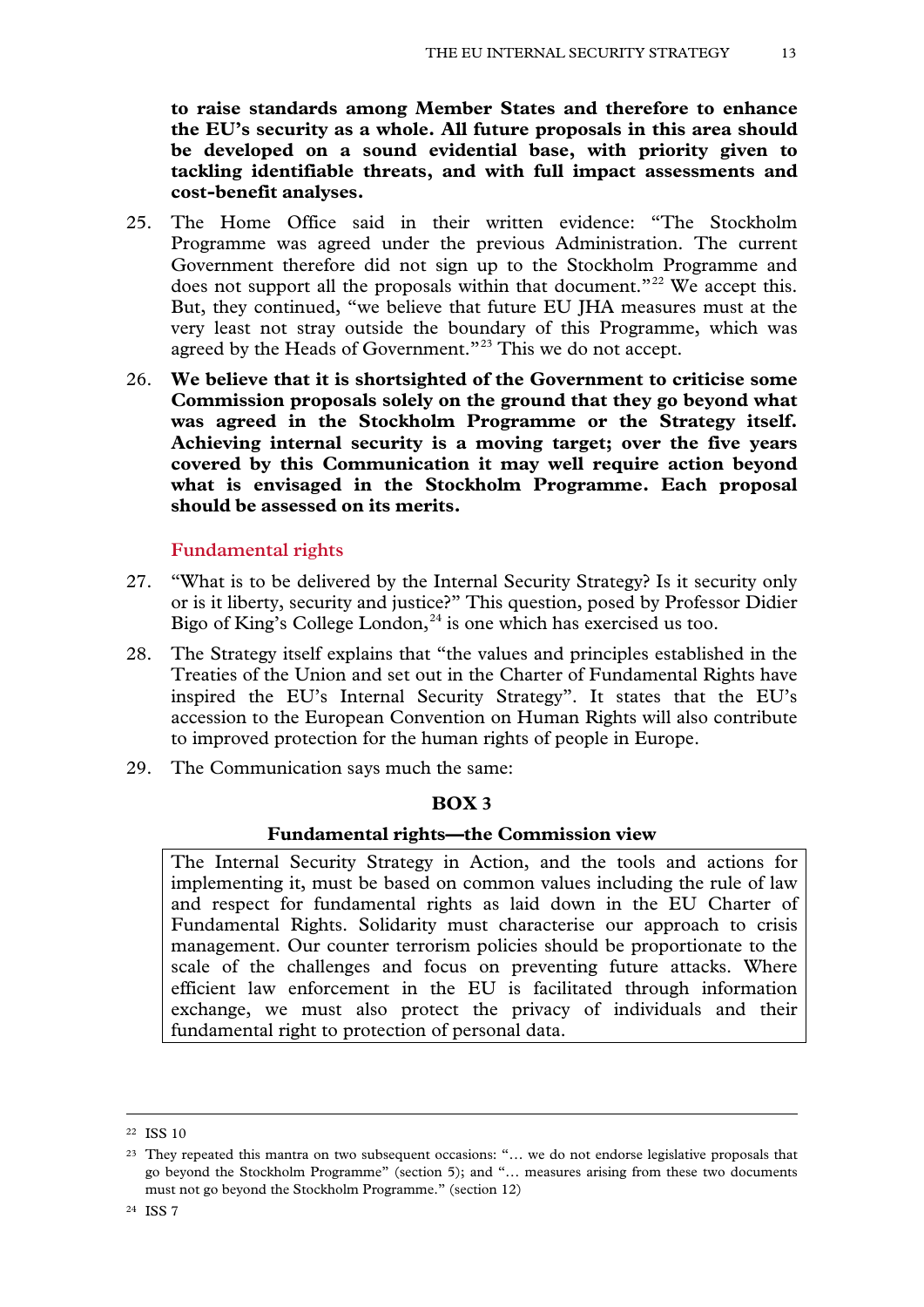**to raise standards among Member States and therefore to enhance the EU's security as a whole. All future proposals in this area should be developed on a sound evidential base, with priority given to tackling identifiable threats, and with full impact assessments and cost-benefit analyses.**

- 25. The Home Office said in their written evidence: "The Stockholm Programme was agreed under the previous Administration. The current Government therefore did not sign up to the Stockholm Programme and does not support all the proposals within that document."<sup>[22](#page-11-4)</sup> We accept this. But, they continued, "we believe that future EU JHA measures must at the very least not stray outside the boundary of this Programme, which was agreed by the Heads of Government."<sup>[23](#page-12-0)</sup> This we do not accept.
- 26. **We believe that it is shortsighted of the Government to criticise some Commission proposals solely on the ground that they go beyond what was agreed in the Stockholm Programme or the Strategy itself. Achieving internal security is a moving target; over the five years covered by this Communication it may well require action beyond what is envisaged in the Stockholm Programme. Each proposal should be assessed on its merits.**

#### **Fundamental rights**

- 27. "What is to be delivered by the Internal Security Strategy? Is it security only or is it liberty, security and justice?" This question, posed by Professor Didier Bigo of King's College London,  $24$  is one which has exercised us too.
- 28. The Strategy itself explains that "the values and principles established in the Treaties of the Union and set out in the Charter of Fundamental Rights have inspired the EU's Internal Security Strategy". It states that the EU's accession to the European Convention on Human Rights will also contribute to improved protection for the human rights of people in Europe.
- 29. The Communication says much the same:

#### **BOX 3**

#### **Fundamental rights—the Commission view**

<span id="page-12-2"></span>The Internal Security Strategy in Action, and the tools and actions for implementing it, must be based on common values including the rule of law and respect for fundamental rights as laid down in the EU Charter of Fundamental Rights. Solidarity must characterise our approach to crisis management. Our counter terrorism policies should be proportionate to the scale of the challenges and focus on preventing future attacks. Where efficient law enforcement in the EU is facilitated through information exchange, we must also protect the privacy of individuals and their fundamental right to protection of personal data.

<sup>22</sup> ISS 10

<span id="page-12-1"></span><span id="page-12-0"></span><sup>23</sup> They repeated this mantra on two subsequent occasions: "… we do not endorse legislative proposals that go beyond the Stockholm Programme" (section 5); and "… measures arising from these two documents must not go beyond the Stockholm Programme." (section 12)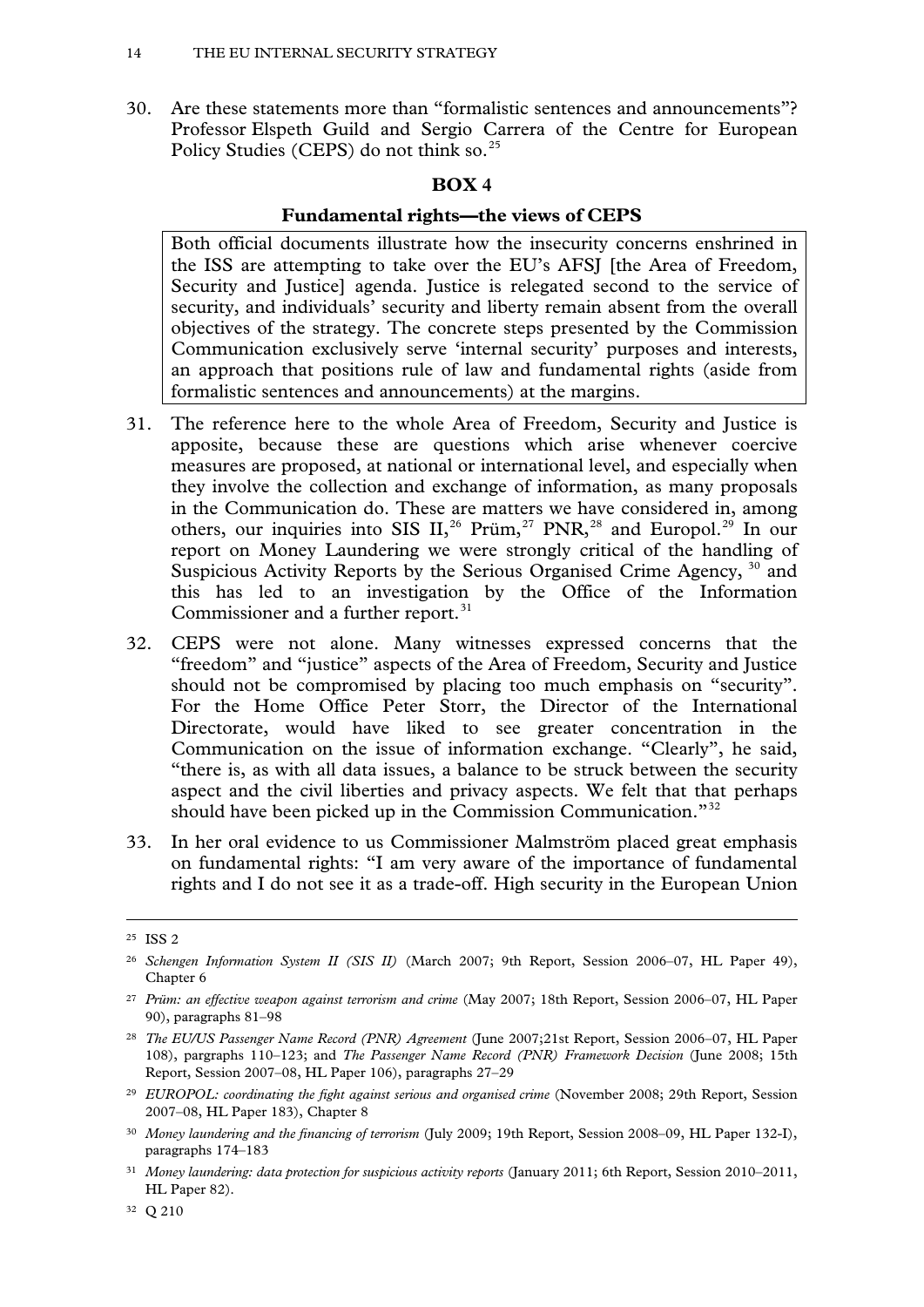30. Are these statements more than "formalistic sentences and announcements"? Professor Elspeth Guild and Sergio Carrera of the Centre for European Policy Studies (CEPS) do not think so.<sup>[25](#page-12-2)</sup>

# **BOX 4**

# **Fundamental rights—the views of CEPS**

Both official documents illustrate how the insecurity concerns enshrined in the ISS are attempting to take over the EU's AFSJ [the Area of Freedom, Security and Justice] agenda. Justice is relegated second to the service of security, and individuals' security and liberty remain absent from the overall objectives of the strategy. The concrete steps presented by the Commission Communication exclusively serve 'internal security' purposes and interests, an approach that positions rule of law and fundamental rights (aside from formalistic sentences and announcements) at the margins.

- 31. The reference here to the whole Area of Freedom, Security and Justice is apposite, because these are questions which arise whenever coercive measures are proposed, at national or international level, and especially when they involve the collection and exchange of information, as many proposals in the Communication do. These are matters we have considered in, among others, our inquiries into SIS II,<sup>[26](#page-13-0)</sup> Prüm,<sup>[27](#page-13-1)</sup> PNR,<sup>[28](#page-13-2)</sup> and Europol.<sup>[29](#page-13-3)</sup> In our report on Money Laundering we were strongly critical of the handling of Suspicious Activity Reports by the Serious Organised Crime Agency, <sup>[30](#page-13-4)</sup> and this has led to an investigation by the Office of the Information Commissioner and a further report.<sup>[31](#page-13-5)</sup>
- 32. CEPS were not alone. Many witnesses expressed concerns that the "freedom" and "justice" aspects of the Area of Freedom, Security and Justice should not be compromised by placing too much emphasis on "security". For the Home Office Peter Storr, the Director of the International Directorate, would have liked to see greater concentration in the Communication on the issue of information exchange. "Clearly", he said, "there is, as with all data issues, a balance to be struck between the security aspect and the civil liberties and privacy aspects. We felt that that perhaps should have been picked up in the Commission Communication."<sup>[32](#page-13-6)</sup>
- 33. In her oral evidence to us Commissioner Malmström placed great emphasis on fundamental rights: "I am very aware of the importance of fundamental rights and I do not see it as a trade-off. High security in the European Union

-

<span id="page-13-6"></span><sup>32</sup> Q 210

<sup>25</sup> ISS 2

<span id="page-13-0"></span><sup>26</sup> *Schengen Information System II (SIS II)* (March 2007; 9th Report, Session 2006–07, HL Paper 49), Chapter 6

<span id="page-13-1"></span><sup>27</sup> *Prüm: an effective weapon against terrorism and crime* (May 2007; 18th Report, Session 2006–07, HL Paper 90), paragraphs 81–98

<span id="page-13-7"></span><span id="page-13-2"></span><sup>28</sup> *The EU/US Passenger Name Record (PNR) Agreement* (June 2007;21st Report, Session 2006–07, HL Paper 108), pargraphs 110–123; and *The Passenger Name Record (PNR) Framework Decision* (June 2008; 15th Report, Session 2007–08, HL Paper 106), paragraphs 27–29

<span id="page-13-3"></span><sup>&</sup>lt;sup>29</sup> *EUROPOL: coordinating the fight against serious and organised crime* (November 2008; 29th Report, Session 2007–08, HL Paper 183), Chapter 8

<span id="page-13-4"></span><sup>30</sup> *Money laundering and the financing of terrorism* (July 2009; 19th Report, Session 2008–09, HL Paper 132-I), paragraphs 174–183

<span id="page-13-5"></span><sup>31</sup> *Money laundering: data protection for suspicious activity reports* (January 2011; 6th Report, Session 2010–2011, HL Paper 82).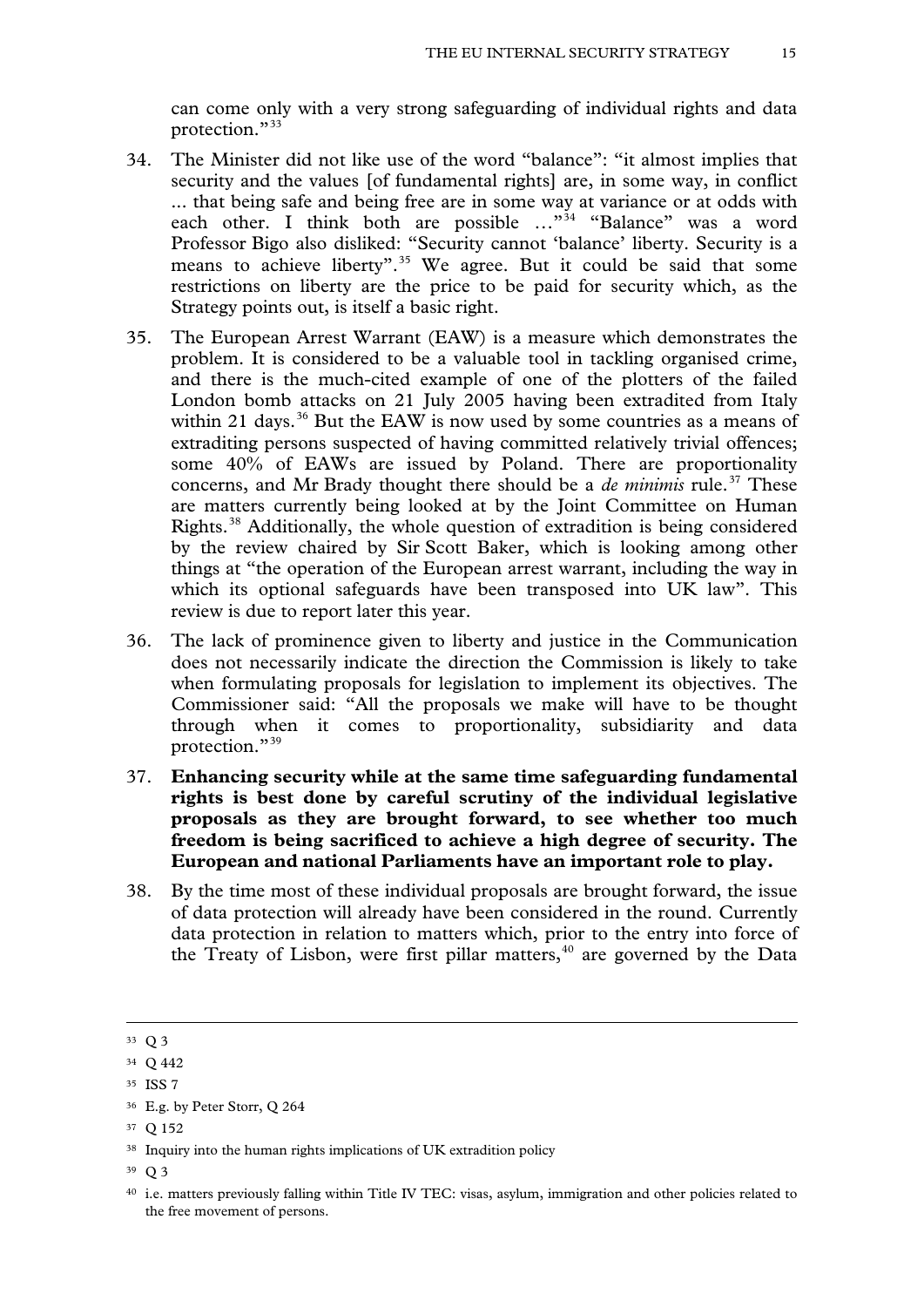can come only with a very strong safeguarding of individual rights and data protection."[33](#page-13-7)

- 34. The Minister did not like use of the word "balance": "it almost implies that security and the values [of fundamental rights] are, in some way, in conflict ... that being safe and being free are in some way at variance or at odds with each other. I think both are possible ..."<sup>34</sup> "Balance" was a word Professor Bigo also disliked: "Security cannot 'balance' liberty. Security is a means to achieve liberty".<sup>[35](#page-14-1)</sup> We agree. But it could be said that some restrictions on liberty are the price to be paid for security which, as the Strategy points out, is itself a basic right.
- 35. The European Arrest Warrant (EAW) is a measure which demonstrates the problem. It is considered to be a valuable tool in tackling organised crime, and there is the much-cited example of one of the plotters of the failed London bomb attacks on 21 July 2005 having been extradited from Italy within 21 days.<sup>[36](#page-14-2)</sup> But the EAW is now used by some countries as a means of extraditing persons suspected of having committed relatively trivial offences; some 40% of EAWs are issued by Poland. There are proportionality concerns, and Mr Brady thought there should be a *de minimis* rule.<sup>[37](#page-14-3)</sup> These are matters currently being looked at by the Joint Committee on Human Rights.[38](#page-14-4) Additionally, the whole question of extradition is being considered by the review chaired by Sir Scott Baker, which is looking among other things at "the operation of the European arrest warrant, including the way in which its optional safeguards have been transposed into UK law". This review is due to report later this year.
- 36. The lack of prominence given to liberty and justice in the Communication does not necessarily indicate the direction the Commission is likely to take when formulating proposals for legislation to implement its objectives. The Commissioner said: "All the proposals we make will have to be thought through when it comes to proportionality, subsidiarity and data protection."[39](#page-14-5)
- 37. **Enhancing security while at the same time safeguarding fundamental rights is best done by careful scrutiny of the individual legislative proposals as they are brought forward, to see whether too much freedom is being sacrificed to achieve a high degree of security. The European and national Parliaments have an important role to play.**
- 38. By the time most of these individual proposals are brought forward, the issue of data protection will already have been considered in the round. Currently data protection in relation to matters which, prior to the entry into force of the Treaty of Lisbon, were first pillar matters, $40$  are governed by the Data

<span id="page-14-7"></span><sup>33</sup> Q 3

<span id="page-14-0"></span><sup>34</sup> Q 442

<span id="page-14-1"></span><sup>35</sup> ISS 7

<span id="page-14-2"></span><sup>36</sup> E.g. by Peter Storr, Q 264

<span id="page-14-3"></span><sup>37</sup> Q 152

<span id="page-14-4"></span><sup>&</sup>lt;sup>38</sup> Inquiry into the human rights implications of UK extradition policy

<span id="page-14-5"></span><sup>39</sup> Q 3

<span id="page-14-6"></span><sup>40</sup> i.e. matters previously falling within Title IV TEC: visas, asylum, immigration and other policies related to the free movement of persons.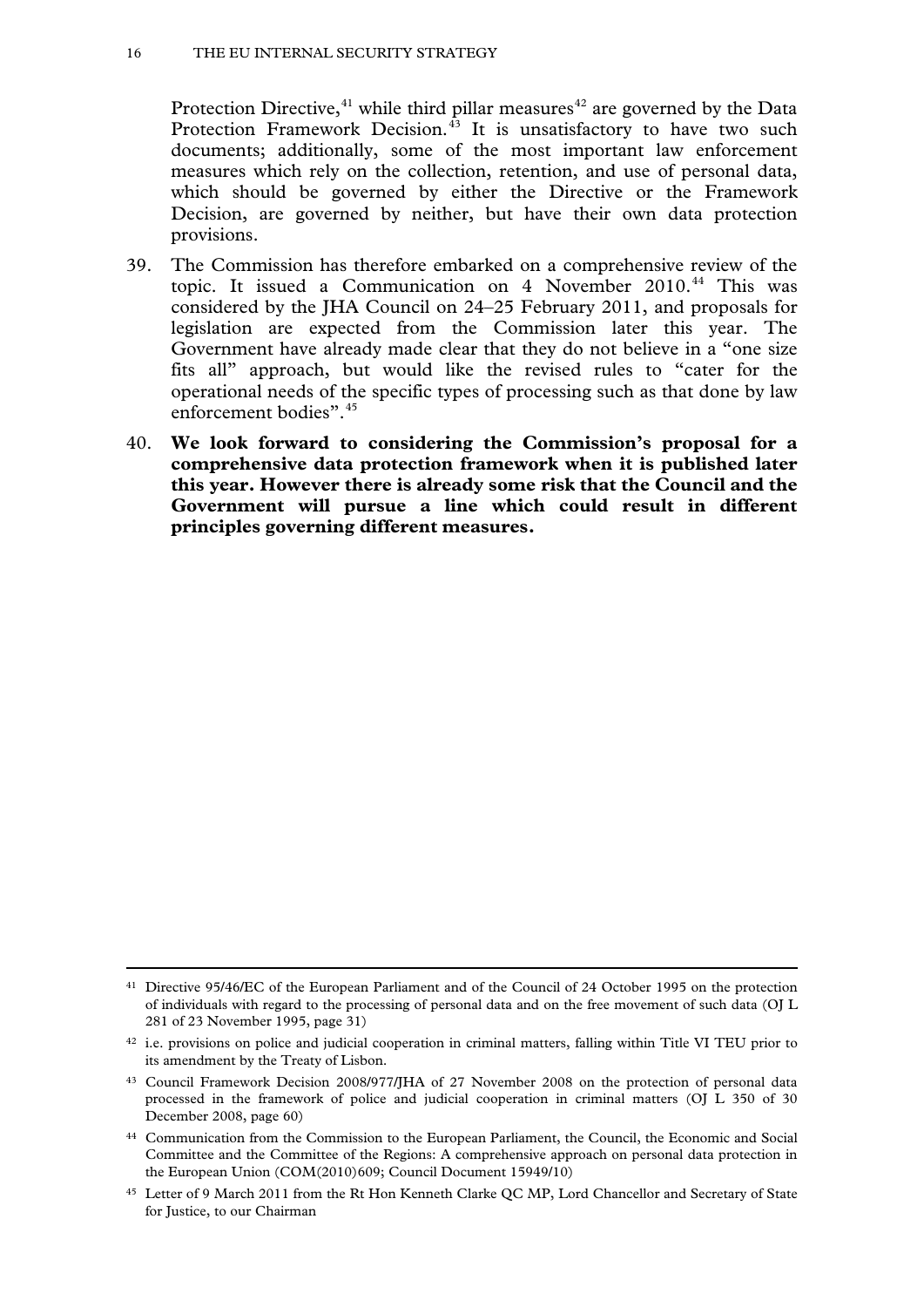Protection Directive, $41$  while third pillar measures $42$  are governed by the Data Protection Framework Decision. $^{43}$  $^{43}$  $^{43}$  It is unsatisfactory to have two such documents; additionally, some of the most important law enforcement measures which rely on the collection, retention, and use of personal data, which should be governed by either the Directive or the Framework Decision, are governed by neither, but have their own data protection provisions.

- 39. The Commission has therefore embarked on a comprehensive review of the topic. It issued a Communication on 4 November 2010.<sup>[44](#page-15-2)</sup> This was considered by the JHA Council on 24–25 February 2011, and proposals for legislation are expected from the Commission later this year. The Government have already made clear that they do not believe in a "one size fits all" approach, but would like the revised rules to "cater for the operational needs of the specific types of processing such as that done by law enforcement bodies".<sup>[45](#page-15-3)</sup>
- 40. **We look forward to considering the Commission's proposal for a comprehensive data protection framework when it is published later this year. However there is already some risk that the Council and the Government will pursue a line which could result in different principles governing different measures.**

<sup>41</sup> Directive 95/46/EC of the European Parliament and of the Council of 24 October 1995 on the protection of individuals with regard to the processing of personal data and on the free movement of such data (OJ L 281 of 23 November 1995, page 31)

<span id="page-15-0"></span><sup>&</sup>lt;sup>42</sup> i.e. provisions on police and judicial cooperation in criminal matters, falling within Title VI TEU prior to its amendment by the Treaty of Lisbon.

<span id="page-15-4"></span><span id="page-15-1"></span><sup>43</sup> Council Framework Decision 2008/977/JHA of 27 November 2008 on the protection of personal data processed in the framework of police and judicial cooperation in criminal matters (OJ L 350 of 30 December 2008, page 60)

<span id="page-15-2"></span><sup>44</sup> Communication from the Commission to the European Parliament, the Council, the Economic and Social Committee and the Committee of the Regions: A comprehensive approach on personal data protection in the European Union (COM(2010)609; Council Document 15949/10)

<span id="page-15-3"></span><sup>45</sup> Letter of 9 March 2011 from the Rt Hon Kenneth Clarke QC MP, Lord Chancellor and Secretary of State for Justice, to our Chairman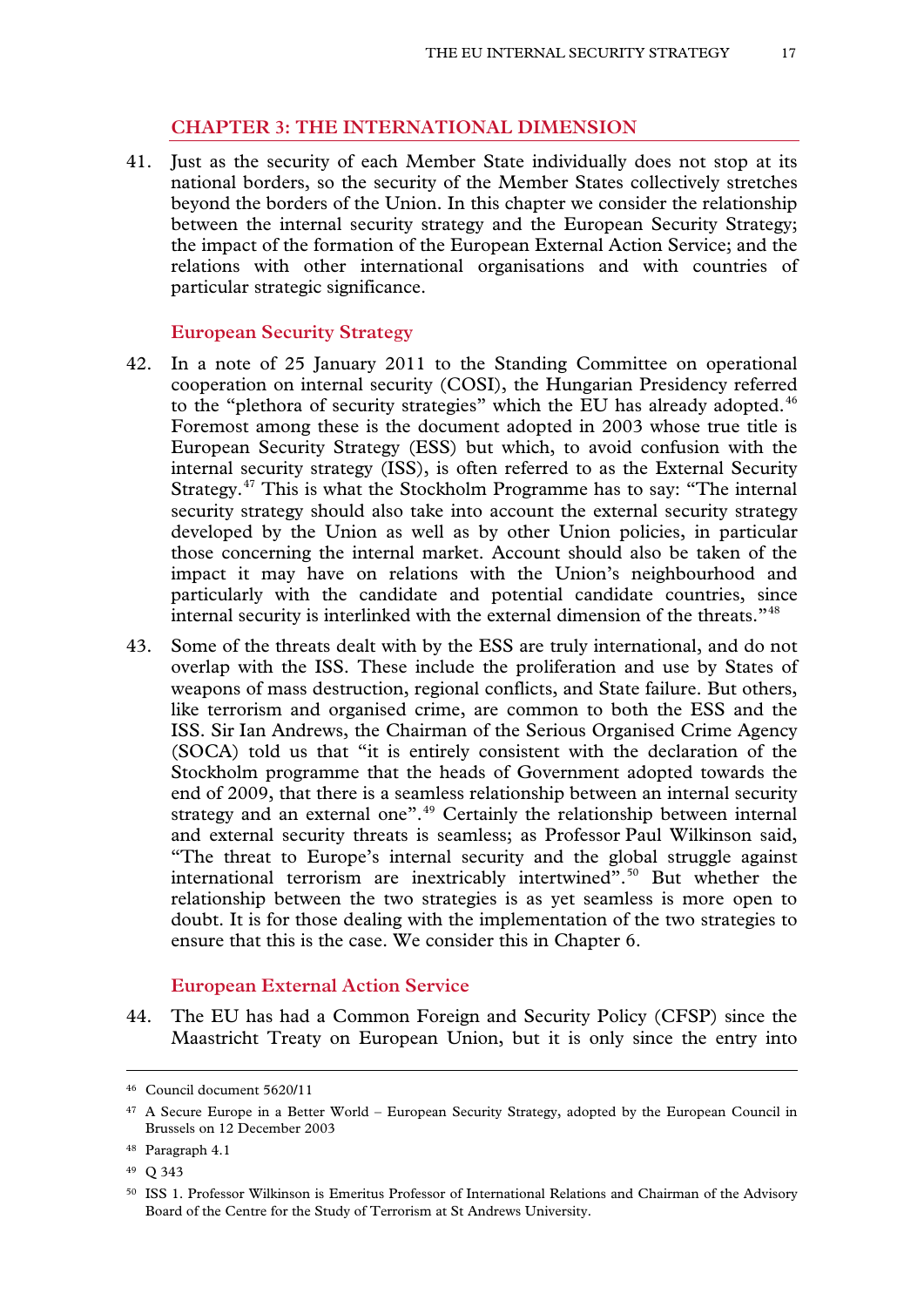# **CHAPTER 3: THE INTERNATIONAL DIMENSION**

41. Just as the security of each Member State individually does not stop at its national borders, so the security of the Member States collectively stretches beyond the borders of the Union. In this chapter we consider the relationship between the internal security strategy and the European Security Strategy; the impact of the formation of the European External Action Service; and the relations with other international organisations and with countries of particular strategic significance.

#### **European Security Strategy**

- 42. In a note of 25 January 2011 to the Standing Committee on operational cooperation on internal security (COSI), the Hungarian Presidency referred to the "plethora of security strategies" which the EU has already adopted.<sup>[46](#page-15-4)</sup> Foremost among these is the document adopted in 2003 whose true title is European Security Strategy (ESS) but which, to avoid confusion with the internal security strategy (ISS), is often referred to as the External Security Strategy.[47](#page-16-0) This is what the Stockholm Programme has to say: "The internal security strategy should also take into account the external security strategy developed by the Union as well as by other Union policies, in particular those concerning the internal market. Account should also be taken of the impact it may have on relations with the Union's neighbourhood and particularly with the candidate and potential candidate countries, since internal security is interlinked with the external dimension of the threats."<sup>[48](#page-16-1)</sup>
- 43. Some of the threats dealt with by the ESS are truly international, and do not overlap with the ISS. These include the proliferation and use by States of weapons of mass destruction, regional conflicts, and State failure. But others, like terrorism and organised crime, are common to both the ESS and the ISS. Sir Ian Andrews, the Chairman of the Serious Organised Crime Agency (SOCA) told us that "it is entirely consistent with the declaration of the Stockholm programme that the heads of Government adopted towards the end of 2009, that there is a seamless relationship between an internal security strategy and an external one".<sup>[49](#page-16-2)</sup> Certainly the relationship between internal and external security threats is seamless; as Professor Paul Wilkinson said, "The threat to Europe's internal security and the global struggle against international terrorism are inextricably intertwined".<sup>[50](#page-16-3)</sup> But whether the relationship between the two strategies is as yet seamless is more open to doubt. It is for those dealing with the implementation of the two strategies to ensure that this is the case. We consider this in Chapter 6.

#### **European External Action Service**

44. The EU has had a Common Foreign and Security Policy (CFSP) since the Maastricht Treaty on European Union, but it is only since the entry into

<span id="page-16-4"></span><sup>46</sup> Council document 5620/11

<span id="page-16-0"></span><sup>47</sup> A Secure Europe in a Better World – European Security Strategy, adopted by the European Council in Brussels on 12 December 2003

<span id="page-16-1"></span><sup>48</sup> Paragraph 4.1

<span id="page-16-2"></span><sup>49</sup> Q 343

<span id="page-16-3"></span><sup>50</sup> ISS 1. Professor Wilkinson is Emeritus Professor of International Relations and Chairman of the Advisory Board of the Centre for the Study of Terrorism at St Andrews University.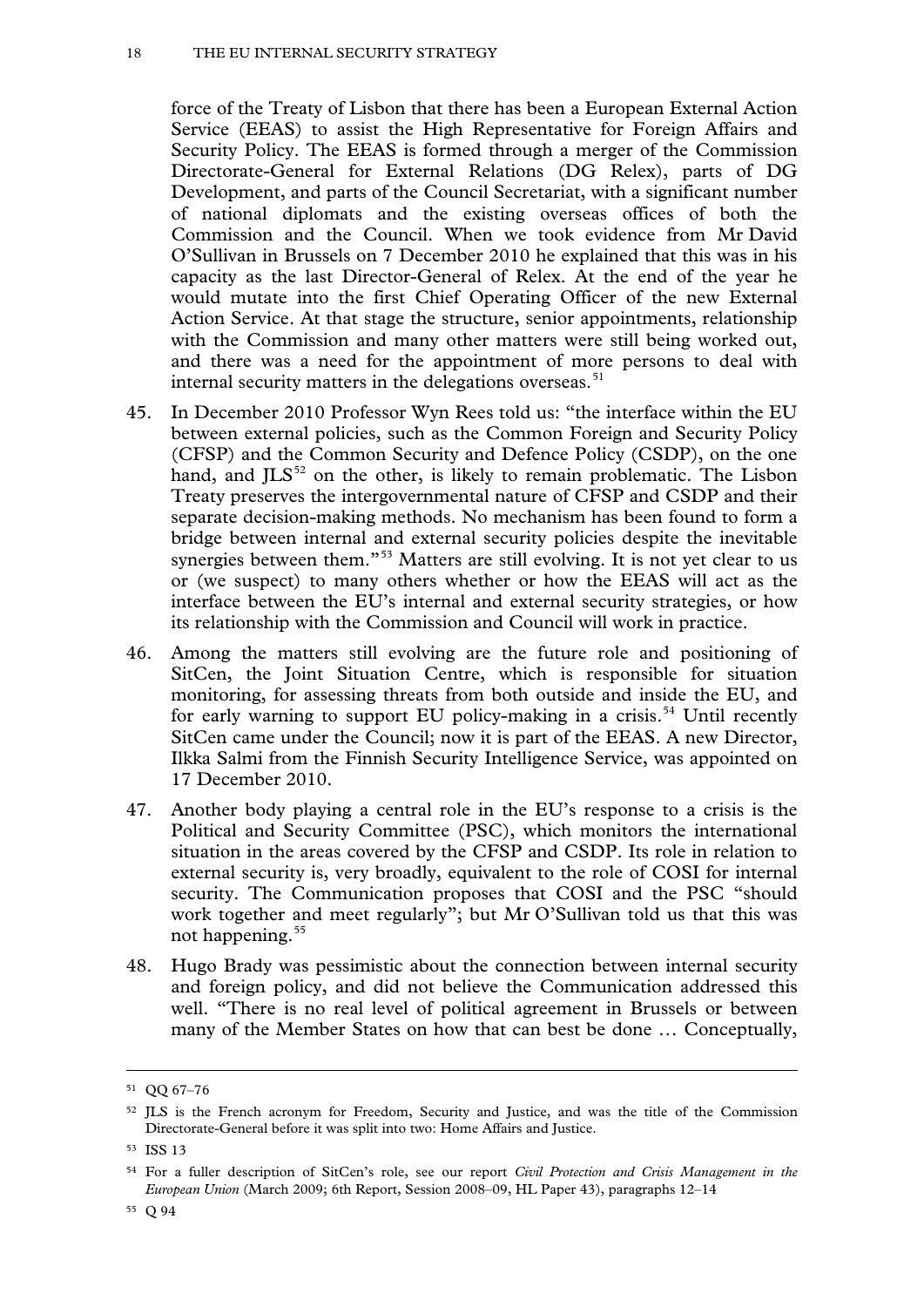force of the Treaty of Lisbon that there has been a European External Action Service (EEAS) to assist the High Representative for Foreign Affairs and Security Policy. The EEAS is formed through a merger of the Commission Directorate-General for External Relations (DG Relex), parts of DG Development, and parts of the Council Secretariat, with a significant number of national diplomats and the existing overseas offices of both the Commission and the Council. When we took evidence from Mr David O'Sullivan in Brussels on 7 December 2010 he explained that this was in his capacity as the last Director-General of Relex. At the end of the year he would mutate into the first Chief Operating Officer of the new External Action Service. At that stage the structure, senior appointments, relationship with the Commission and many other matters were still being worked out, and there was a need for the appointment of more persons to deal with internal security matters in the delegations overseas.<sup>[51](#page-16-4)</sup>

- 45. In December 2010 Professor Wyn Rees told us: "the interface within the EU between external policies, such as the Common Foreign and Security Policy (CFSP) and the Common Security and Defence Policy (CSDP), on the one hand, and  $JLS^{52}$  $JLS^{52}$  $JLS^{52}$  on the other, is likely to remain problematic. The Lisbon Treaty preserves the intergovernmental nature of CFSP and CSDP and their separate decision-making methods. No mechanism has been found to form a bridge between internal and external security policies despite the inevitable synergies between them."<sup>[53](#page-17-1)</sup> Matters are still evolving. It is not yet clear to us or (we suspect) to many others whether or how the EEAS will act as the interface between the EU's internal and external security strategies, or how its relationship with the Commission and Council will work in practice.
- 46. Among the matters still evolving are the future role and positioning of SitCen, the Joint Situation Centre, which is responsible for situation monitoring, for assessing threats from both outside and inside the EU, and for early warning to support EU policy-making in a crisis.<sup>[54](#page-17-2)</sup> Until recently SitCen came under the Council; now it is part of the EEAS. A new Director, Ilkka Salmi from the Finnish Security Intelligence Service, was appointed on 17 December 2010.
- 47. Another body playing a central role in the EU's response to a crisis is the Political and Security Committee (PSC), which monitors the international situation in the areas covered by the CFSP and CSDP. Its role in relation to external security is, very broadly, equivalent to the role of COSI for internal security. The Communication proposes that COSI and the PSC "should work together and meet regularly"; but Mr O'Sullivan told us that this was not happening.<sup>[55](#page-17-3)</sup>
- 48. Hugo Brady was pessimistic about the connection between internal security and foreign policy, and did not believe the Communication addressed this well. "There is no real level of political agreement in Brussels or between many of the Member States on how that can best be done … Conceptually,

<sup>51</sup> QQ 67–76

<span id="page-17-0"></span><sup>52</sup> JLS is the French acronym for Freedom, Security and Justice, and was the title of the Commission Directorate-General before it was split into two: Home Affairs and Justice.

<span id="page-17-4"></span><span id="page-17-1"></span><sup>53</sup> ISS 13

<span id="page-17-3"></span><span id="page-17-2"></span><sup>54</sup> For a fuller description of SitCen's role, see our report *Civil Protection and Crisis Management in the European Union* (March 2009; 6th Report, Session 2008–09, HL Paper 43), paragraphs 12–14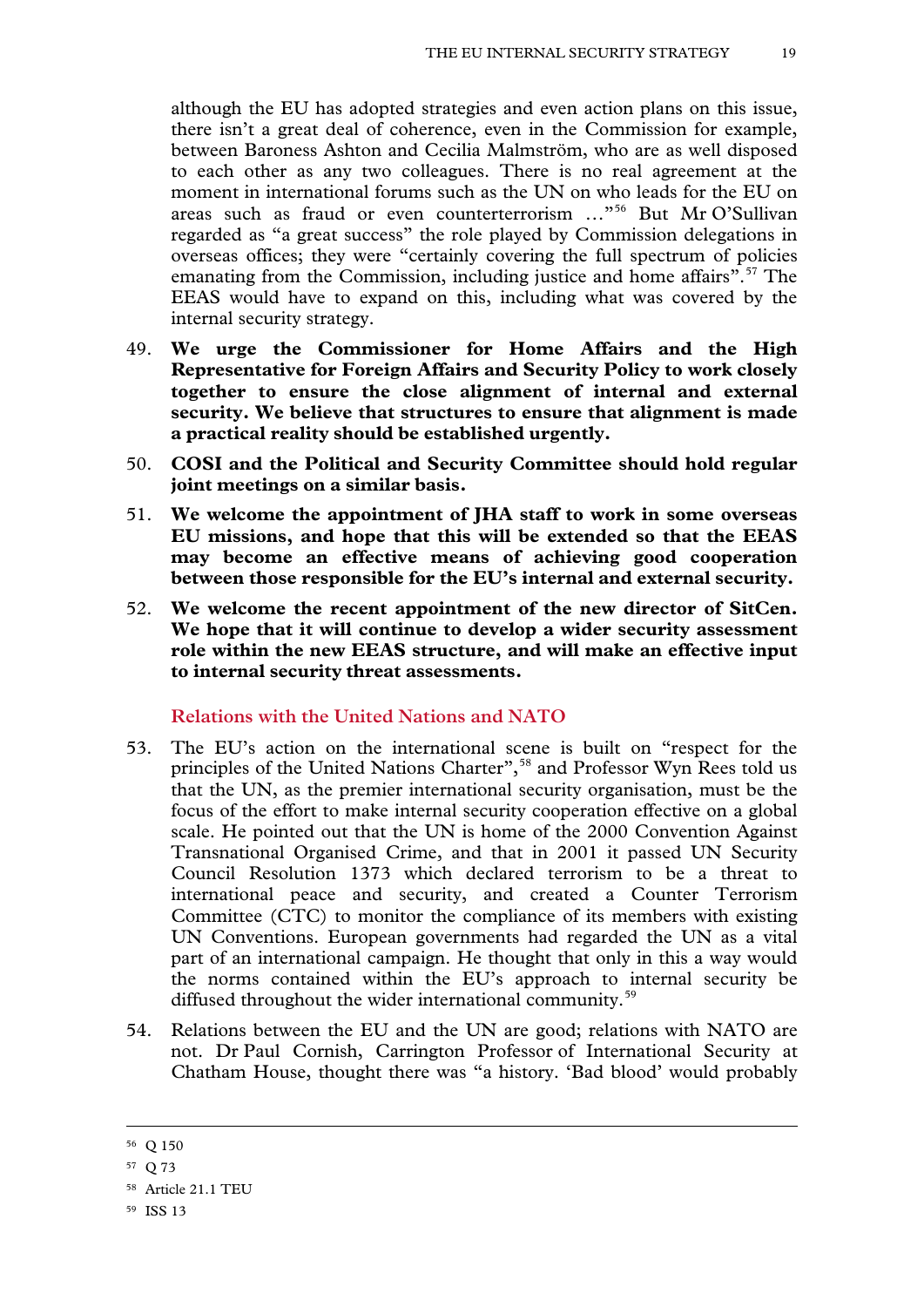although the EU has adopted strategies and even action plans on this issue, there isn't a great deal of coherence, even in the Commission for example, between Baroness Ashton and Cecilia Malmström, who are as well disposed to each other as any two colleagues. There is no real agreement at the moment in international forums such as the UN on who leads for the EU on areas such as fraud or even counterterrorism …"[56](#page-17-4) But Mr O'Sullivan regarded as "a great success" the role played by Commission delegations in overseas offices; they were "certainly covering the full spectrum of policies emanating from the Commission, including justice and home affairs".<sup>[57](#page-18-0)</sup> The EEAS would have to expand on this, including what was covered by the internal security strategy.

- 49. **We urge the Commissioner for Home Affairs and the High Representative for Foreign Affairs and Security Policy to work closely together to ensure the close alignment of internal and external security. We believe that structures to ensure that alignment is made a practical reality should be established urgently.**
- 50. **COSI and the Political and Security Committee should hold regular joint meetings on a similar basis.**
- 51. **We welcome the appointment of JHA staff to work in some overseas EU missions, and hope that this will be extended so that the EEAS may become an effective means of achieving good cooperation between those responsible for the EU's internal and external security.**
- 52. **We welcome the recent appointment of the new director of SitCen. We hope that it will continue to develop a wider security assessment role within the new EEAS structure, and will make an effective input to internal security threat assessments.**

**Relations with the United Nations and NATO**

- 53. The EU's action on the international scene is built on "respect for the principles of the United Nations Charter",<sup>[58](#page-18-1)</sup> and Professor Wyn Rees told us that the UN, as the premier international security organisation, must be the focus of the effort to make internal security cooperation effective on a global scale. He pointed out that the UN is home of the 2000 Convention Against Transnational Organised Crime, and that in 2001 it passed UN Security Council Resolution 1373 which declared terrorism to be a threat to international peace and security, and created a Counter Terrorism Committee (CTC) to monitor the compliance of its members with existing UN Conventions. European governments had regarded the UN as a vital part of an international campaign. He thought that only in this a way would the norms contained within the EU's approach to internal security be diffused throughout the wider international community.<sup>[59](#page-18-2)</sup>
- <span id="page-18-3"></span>54. Relations between the EU and the UN are good; relations with NATO are not. Dr Paul Cornish, Carrington Professor of International Security at Chatham House, thought there was "a history. 'Bad blood' would probably

<sup>56</sup> Q 150

<span id="page-18-0"></span><sup>57</sup> Q 73

<span id="page-18-1"></span><sup>58</sup> Article 21.1 TEU

<span id="page-18-2"></span><sup>59</sup> ISS 13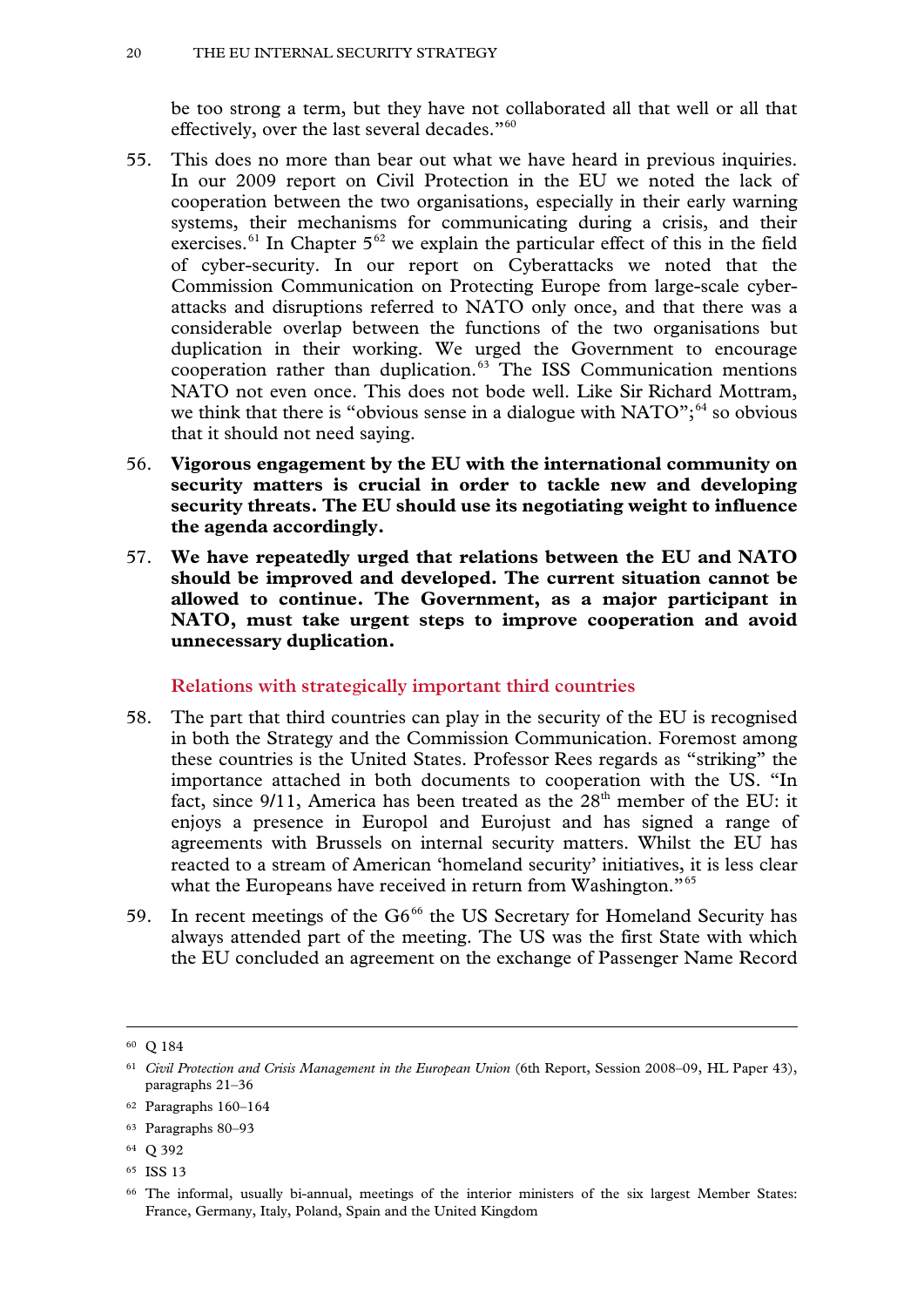be too strong a term, but they have not collaborated all that well or all that effectively, over the last several decades."[60](#page-18-3)

- 55. This does no more than bear out what we have heard in previous inquiries. In our 2009 report on Civil Protection in the EU we noted the lack of cooperation between the two organisations, especially in their early warning systems, their mechanisms for communicating during a crisis, and their exercises. $61$  In Chapter  $5^{62}$  $5^{62}$  $5^{62}$  we explain the particular effect of this in the field of cyber-security. In our report on Cyberattacks we noted that the Commission Communication on Protecting Europe from large-scale cyberattacks and disruptions referred to NATO only once, and that there was a considerable overlap between the functions of the two organisations but duplication in their working. We urged the Government to encourage cooperation rather than duplication.[63](#page-19-2) The ISS Communication mentions NATO not even once. This does not bode well. Like Sir Richard Mottram, we think that there is "obvious sense in a dialogue with  $NATO$ ";<sup>[64](#page-19-3)</sup> so obvious that it should not need saying.
- 56. **Vigorous engagement by the EU with the international community on security matters is crucial in order to tackle new and developing security threats. The EU should use its negotiating weight to influence the agenda accordingly.**
- 57. **We have repeatedly urged that relations between the EU and NATO should be improved and developed. The current situation cannot be allowed to continue. The Government, as a major participant in NATO, must take urgent steps to improve cooperation and avoid unnecessary duplication.**

**Relations with strategically important third countries**

- 58. The part that third countries can play in the security of the EU is recognised in both the Strategy and the Commission Communication. Foremost among these countries is the United States. Professor Rees regards as "striking" the importance attached in both documents to cooperation with the US. "In fact, since 9/11, America has been treated as the 28<sup>th</sup> member of the EU: it enjoys a presence in Europol and Eurojust and has signed a range of agreements with Brussels on internal security matters. Whilst the EU has reacted to a stream of American 'homeland security' initiatives, it is less clear what the Europeans have received in return from Washington."<sup>[65](#page-19-4)</sup>
- <span id="page-19-6"></span>59. In recent meetings of the  $G6^{66}$  $G6^{66}$  $G6^{66}$  the US Secretary for Homeland Security has always attended part of the meeting. The US was the first State with which the EU concluded an agreement on the exchange of Passenger Name Record

<sup>60</sup> Q 184

<span id="page-19-0"></span><sup>61</sup> *Civil Protection and Crisis Management in the European Union* (6th Report, Session 2008–09, HL Paper 43), paragraphs 21–36

<span id="page-19-1"></span><sup>62</sup> Paragraphs 160–164

<span id="page-19-2"></span><sup>63</sup> Paragraphs 80–93

<span id="page-19-3"></span><sup>64</sup> Q 392

<span id="page-19-4"></span><sup>65</sup> ISS 13

<span id="page-19-5"></span><sup>66</sup> The informal, usually bi-annual, meetings of the interior ministers of the six largest Member States: France, Germany, Italy, Poland, Spain and the United Kingdom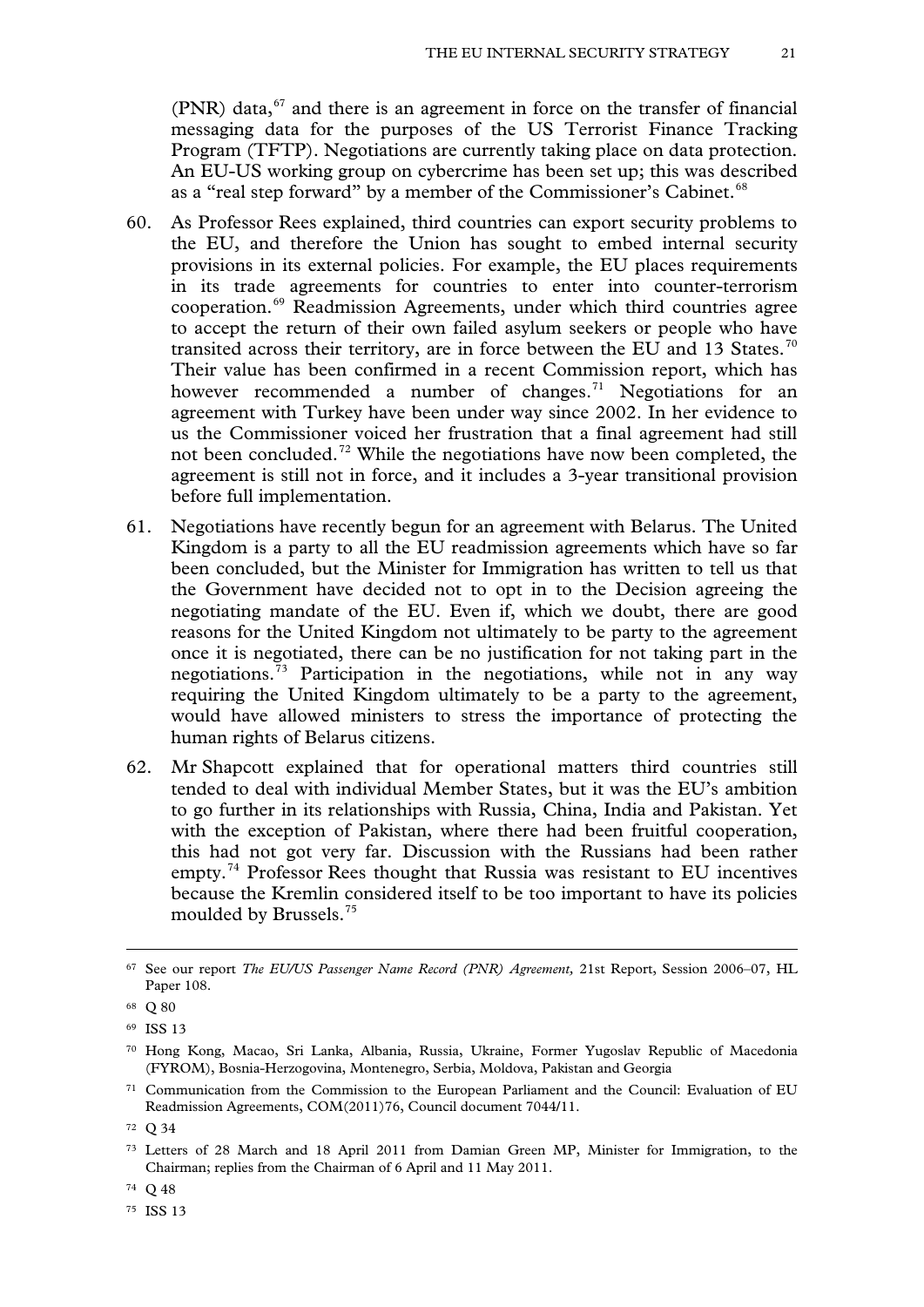$(PNR)$  data,<sup>[67](#page-19-6)</sup> and there is an agreement in force on the transfer of financial messaging data for the purposes of the US Terrorist Finance Tracking Program (TFTP). Negotiations are currently taking place on data protection. An EU-US working group on cybercrime has been set up; this was described as a "real step forward" by a member of the Commissioner's Cabinet.<sup>[68](#page-20-0)</sup>

- 60. As Professor Rees explained, third countries can export security problems to the EU, and therefore the Union has sought to embed internal security provisions in its external policies. For example, the EU places requirements in its trade agreements for countries to enter into counter-terrorism cooperation.[69](#page-20-1) Readmission Agreements, under which third countries agree to accept the return of their own failed asylum seekers or people who have transited across their territory, are in force between the EU and 13 States.<sup>[70](#page-20-2)</sup> Their value has been confirmed in a recent Commission report, which has however recommended a number of changes.<sup>[71](#page-20-3)</sup> Negotiations for an agreement with Turkey have been under way since 2002. In her evidence to us the Commissioner voiced her frustration that a final agreement had still not been concluded.[72](#page-20-4) While the negotiations have now been completed, the agreement is still not in force, and it includes a 3-year transitional provision before full implementation.
- 61. Negotiations have recently begun for an agreement with Belarus. The United Kingdom is a party to all the EU readmission agreements which have so far been concluded, but the Minister for Immigration has written to tell us that the Government have decided not to opt in to the Decision agreeing the negotiating mandate of the EU. Even if, which we doubt, there are good reasons for the United Kingdom not ultimately to be party to the agreement once it is negotiated, there can be no justification for not taking part in the negotiations.<sup> $73$ </sup> Participation in the negotiations, while not in any way requiring the United Kingdom ultimately to be a party to the agreement, would have allowed ministers to stress the importance of protecting the human rights of Belarus citizens.
- 62. Mr Shapcott explained that for operational matters third countries still tended to deal with individual Member States, but it was the EU's ambition to go further in its relationships with Russia, China, India and Pakistan. Yet with the exception of Pakistan, where there had been fruitful cooperation, this had not got very far. Discussion with the Russians had been rather empty.<sup>[74](#page-20-6)</sup> Professor Rees thought that Russia was resistant to EU incentives because the Kremlin considered itself to be too important to have its policies moulded by Brussels.[75](#page-20-7)

<sup>67</sup> See our report *The EU/US Passenger Name Record (PNR) Agreement,* 21st Report, Session 2006–07, HL Paper 108.

<span id="page-20-0"></span><sup>68</sup> Q 80

<span id="page-20-1"></span><sup>69</sup> ISS 13

<span id="page-20-2"></span><sup>70</sup> Hong Kong, Macao, Sri Lanka, Albania, Russia, Ukraine, Former Yugoslav Republic of Macedonia (FYROM), Bosnia-Herzogovina, Montenegro, Serbia, Moldova, Pakistan and Georgia

<span id="page-20-3"></span><sup>71</sup> Communication from the Commission to the European Parliament and the Council: Evaluation of EU Readmission Agreements, COM(2011)76, Council document 7044/11.

<span id="page-20-4"></span><sup>72</sup> Q 34

<span id="page-20-5"></span><sup>73</sup> Letters of 28 March and 18 April 2011 from Damian Green MP, Minister for Immigration, to the Chairman; replies from the Chairman of 6 April and 11 May 2011.

<span id="page-20-8"></span><span id="page-20-6"></span><sup>74</sup> Q 48

<span id="page-20-7"></span><sup>75</sup> ISS 13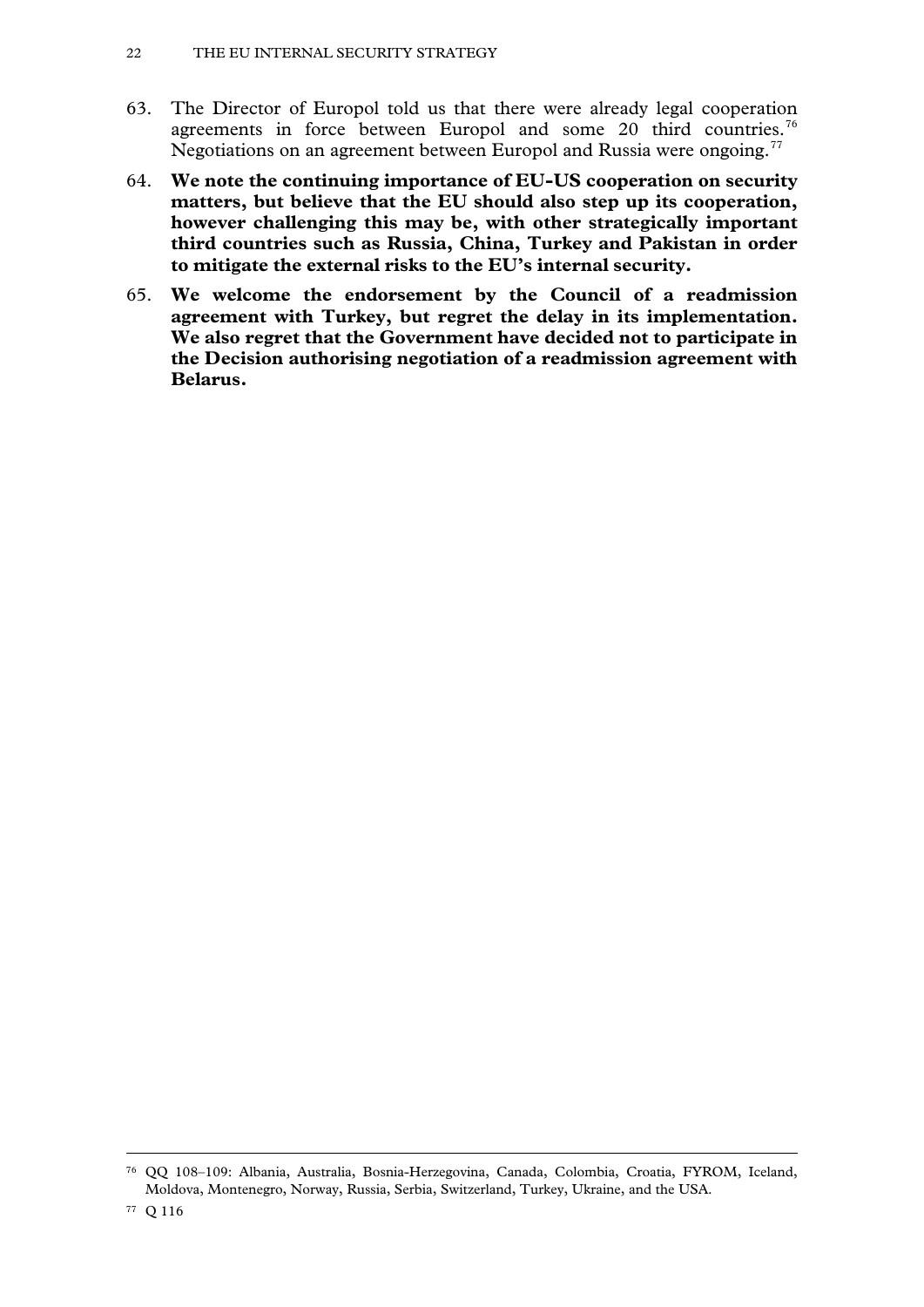- 63. The Director of Europol told us that there were already legal cooperation agreements in force between Europol and some 20 third countries.<sup>[76](#page-20-8)</sup> Negotiations on an agreement between Europol and Russia were ongoing.<sup>[77](#page-21-0)</sup>
- 64. **We note the continuing importance of EU-US cooperation on security matters, but believe that the EU should also step up its cooperation, however challenging this may be, with other strategically important third countries such as Russia, China, Turkey and Pakistan in order to mitigate the external risks to the EU's internal security.**
- 65. **We welcome the endorsement by the Council of a readmission agreement with Turkey, but regret the delay in its implementation. We also regret that the Government have decided not to participate in the Decision authorising negotiation of a readmission agreement with Belarus.**

<span id="page-21-1"></span><span id="page-21-0"></span><sup>76</sup> QQ 108–109: Albania, Australia, Bosnia-Herzegovina, Canada, Colombia, Croatia, FYROM, Iceland, Moldova, Montenegro, Norway, Russia, Serbia, Switzerland, Turkey, Ukraine, and the USA.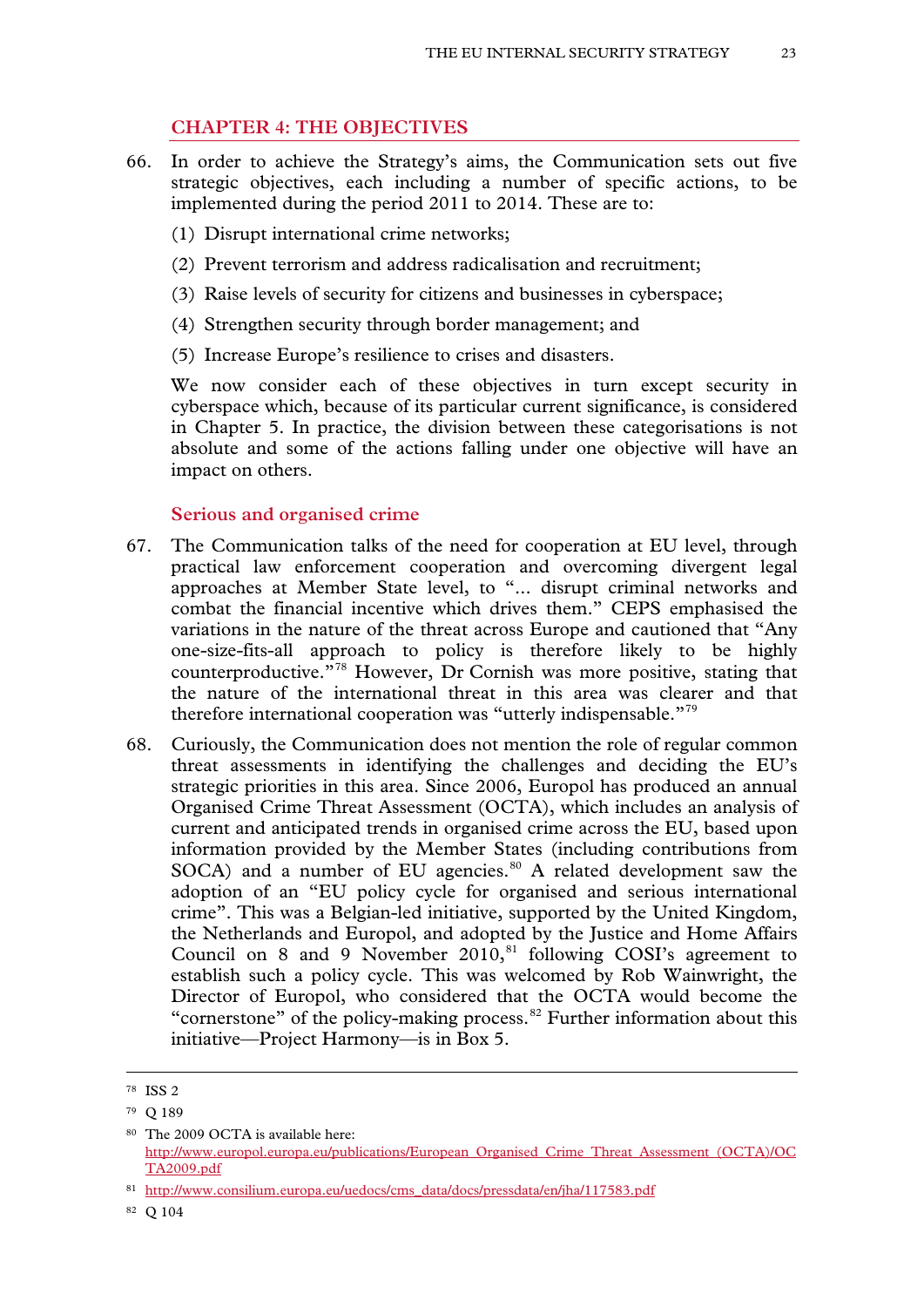# **CHAPTER 4: THE OBJECTIVES**

- 66. In order to achieve the Strategy's aims, the Communication sets out five strategic objectives, each including a number of specific actions, to be implemented during the period 2011 to 2014. These are to:
	- (1) Disrupt international crime networks;
	- (2) Prevent terrorism and address radicalisation and recruitment;
	- (3) Raise levels of security for citizens and businesses in cyberspace;
	- (4) Strengthen security through border management; and
	- (5) Increase Europe's resilience to crises and disasters.

We now consider each of these objectives in turn except security in cyberspace which, because of its particular current significance, is considered in Chapter 5. In practice, the division between these categorisations is not absolute and some of the actions falling under one objective will have an impact on others.

#### **Serious and organised crime**

- 67. The Communication talks of the need for cooperation at EU level, through practical law enforcement cooperation and overcoming divergent legal approaches at Member State level, to "... disrupt criminal networks and combat the financial incentive which drives them." CEPS emphasised the variations in the nature of the threat across Europe and cautioned that "Any one-size-fits-all approach to policy is therefore likely to be highly counterproductive."[78](#page-21-1) However, Dr Cornish was more positive, stating that the nature of the international threat in this area was clearer and that therefore international cooperation was "utterly indispensable."[79](#page-22-0)
- 68. Curiously, the Communication does not mention the role of regular common threat assessments in identifying the challenges and deciding the EU's strategic priorities in this area. Since 2006, Europol has produced an annual Organised Crime Threat Assessment (OCTA), which includes an analysis of current and anticipated trends in organised crime across the EU, based upon information provided by the Member States (including contributions from SOCA) and a number of EU agencies. $80$  A related development saw the adoption of an "EU policy cycle for organised and serious international crime". This was a Belgian-led initiative, supported by the United Kingdom, the Netherlands and Europol, and adopted by the Justice and Home Affairs Council on 8 and 9 November  $2010$ , <sup>[81](#page-22-2)</sup> following COSI's agreement to establish such a policy cycle. This was welcomed by Rob Wainwright, the Director of Europol, who considered that the OCTA would become the "cornerstone" of the policy-making process.<sup>[82](#page-22-3)</sup> Further information about this initiative—Project Harmony—is in Box 5.

<sup>78</sup> ISS 2

<span id="page-22-0"></span><sup>79</sup> Q 189

<span id="page-22-1"></span><sup>80</sup> The 2009 OCTA is available here: [http://www.europol.europa.eu/publications/European\\_Organised\\_Crime\\_Threat\\_Assessment\\_\(OCTA\)/OC](http://www.europol.europa.eu/publications/European_Organised_Crime_Threat_Assessment_(OCTA)/OCTA2009.pdf) [TA2009.pdf](http://www.europol.europa.eu/publications/European_Organised_Crime_Threat_Assessment_(OCTA)/OCTA2009.pdf) 

<span id="page-22-4"></span><span id="page-22-2"></span><sup>81</sup> http://www.consilium.europa.eu/uedocs/cms\_data/docs/pressdata/en/jha/117583.pdf

<span id="page-22-3"></span><sup>82</sup> Q 104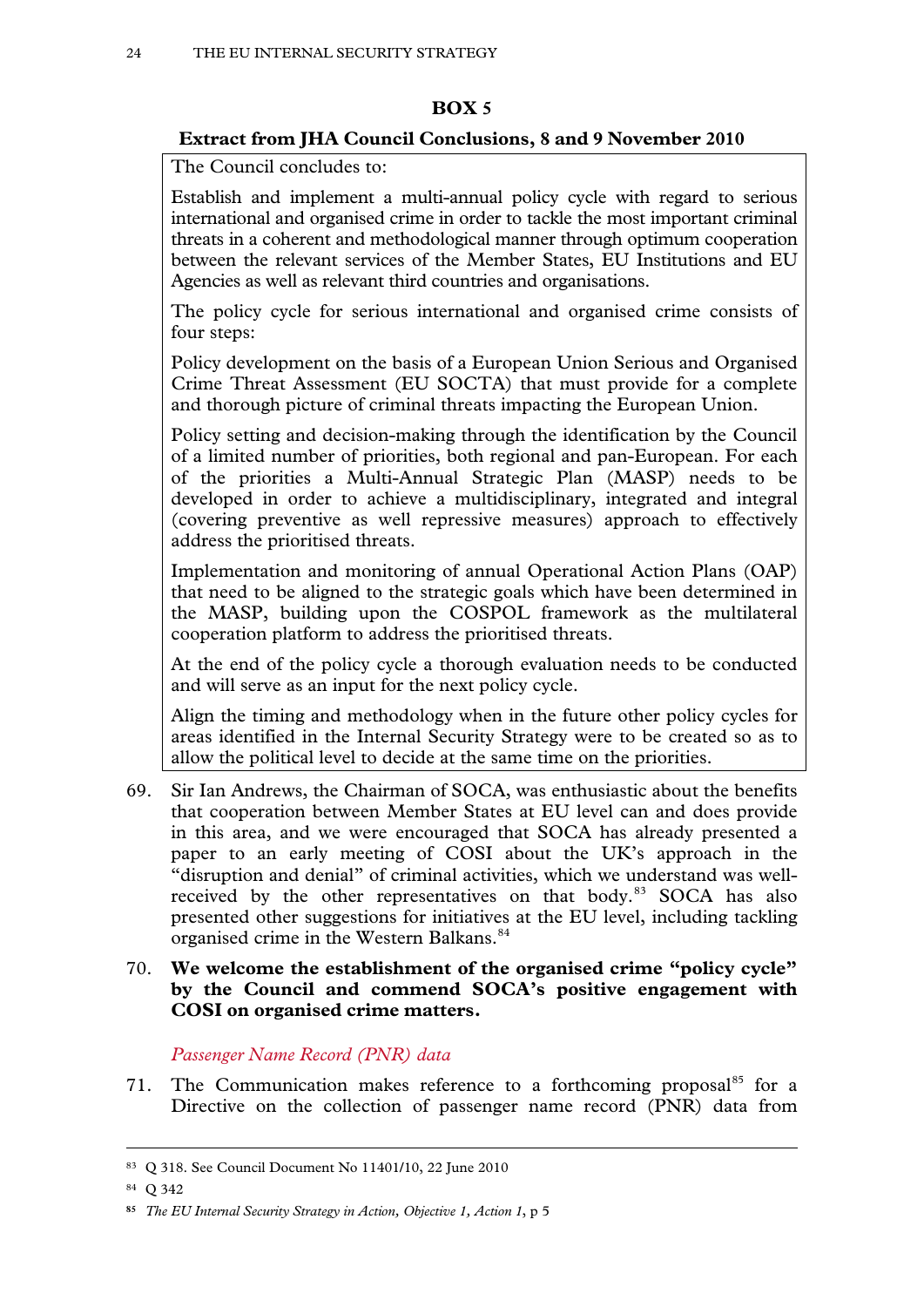# **BOX 5**

# **Extract from JHA Council Conclusions, 8 and 9 November 2010**

The Council concludes to:

Establish and implement a multi-annual policy cycle with regard to serious international and organised crime in order to tackle the most important criminal threats in a coherent and methodological manner through optimum cooperation between the relevant services of the Member States, EU Institutions and EU Agencies as well as relevant third countries and organisations.

The policy cycle for serious international and organised crime consists of four steps:

Policy development on the basis of a European Union Serious and Organised Crime Threat Assessment (EU SOCTA) that must provide for a complete and thorough picture of criminal threats impacting the European Union.

Policy setting and decision-making through the identification by the Council of a limited number of priorities, both regional and pan-European. For each of the priorities a Multi-Annual Strategic Plan (MASP) needs to be developed in order to achieve a multidisciplinary, integrated and integral (covering preventive as well repressive measures) approach to effectively address the prioritised threats.

Implementation and monitoring of annual Operational Action Plans (OAP) that need to be aligned to the strategic goals which have been determined in the MASP, building upon the COSPOL framework as the multilateral cooperation platform to address the prioritised threats.

At the end of the policy cycle a thorough evaluation needs to be conducted and will serve as an input for the next policy cycle.

Align the timing and methodology when in the future other policy cycles for areas identified in the Internal Security Strategy were to be created so as to allow the political level to decide at the same time on the priorities.

69. Sir Ian Andrews, the Chairman of SOCA, was enthusiastic about the benefits that cooperation between Member States at EU level can and does provide in this area, and we were encouraged that SOCA has already presented a paper to an early meeting of COSI about the UK's approach in the "disruption and denial" of criminal activities, which we understand was well-received by the other representatives on that body.<sup>[83](#page-22-4)</sup> SOCA has also presented other suggestions for initiatives at the EU level, including tackling organised crime in the Western Balkans.<sup>[84](#page-23-0)</sup>

# <span id="page-23-2"></span>70. **We welcome the establishment of the organised crime "policy cycle" by the Council and commend SOCA's positive engagement with COSI on organised crime matters.**

# *Passenger Name Record (PNR) data*

71. The Communication makes reference to a forthcoming proposal<sup>[85](#page-23-1)</sup> for a Directive on the collection of passenger name record (PNR) data from

<sup>83</sup> Q 318. See Council Document No 11401/10, 22 June 2010

<span id="page-23-0"></span><sup>84</sup> Q 342

<span id="page-23-1"></span>**<sup>85</sup>** *The EU Internal Security Strategy in Action, Objective 1, Action 1*, p 5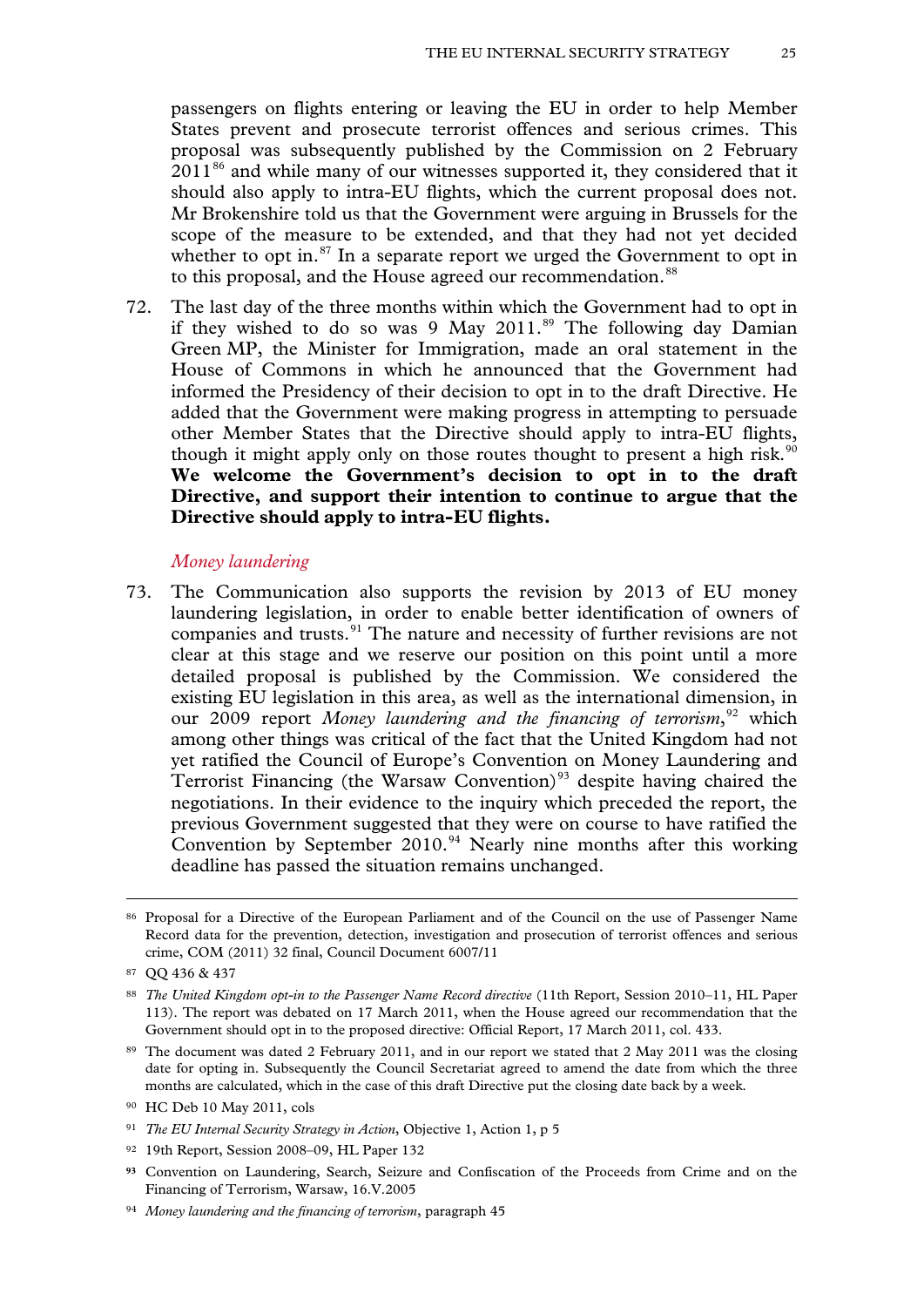passengers on flights entering or leaving the EU in order to help Member States prevent and prosecute terrorist offences and serious crimes. This proposal was subsequently published by the Commission on 2 February  $2011<sup>86</sup>$  $2011<sup>86</sup>$  $2011<sup>86</sup>$  and while many of our witnesses supported it, they considered that it should also apply to intra-EU flights, which the current proposal does not. Mr Brokenshire told us that the Government were arguing in Brussels for the scope of the measure to be extended, and that they had not yet decided whether to opt in. $87$  In a separate report we urged the Government to opt in to this proposal, and the House agreed our recommendation.<sup>[88](#page-24-1)</sup>

72. The last day of the three months within which the Government had to opt in if they wished to do so was 9 May 2011.<sup>[89](#page-24-2)</sup> The following day Damian Green MP, the Minister for Immigration, made an oral statement in the House of Commons in which he announced that the Government had informed the Presidency of their decision to opt in to the draft Directive. He added that the Government were making progress in attempting to persuade other Member States that the Directive should apply to intra-EU flights, though it might apply only on those routes thought to present a high risk.<sup>[90](#page-24-3)</sup> **We welcome the Government's decision to opt in to the draft Directive, and support their intention to continue to argue that the Directive should apply to intra-EU flights.**

#### *Money laundering*

73. The Communication also supports the revision by 2013 of EU money laundering legislation, in order to enable better identification of owners of companies and trusts.<sup>[91](#page-24-4)</sup> The nature and necessity of further revisions are not clear at this stage and we reserve our position on this point until a more detailed proposal is published by the Commission. We considered the existing EU legislation in this area, as well as the international dimension, in our 2009 report Money laundering and the financing of terrorism,<sup>[92](#page-24-5)</sup> which among other things was critical of the fact that the United Kingdom had not yet ratified the Council of Europe's Convention on Money Laundering and Terrorist Financing (the Warsaw Convention)<sup>[93](#page-24-6)</sup> despite having chaired the negotiations. In their evidence to the inquiry which preceded the report, the previous Government suggested that they were on course to have ratified the Convention by September 2010.<sup>[94](#page-24-7)</sup> Nearly nine months after this working deadline has passed the situation remains unchanged.

<sup>86</sup> Proposal for a Directive of the European Parliament and of the Council on the use of Passenger Name Record data for the prevention, detection, investigation and prosecution of terrorist offences and serious crime, COM (2011) 32 final, Council Document 6007/11

<span id="page-24-0"></span><sup>87</sup> QQ 436 & 437

<span id="page-24-1"></span><sup>88</sup> *The United Kingdom opt-in to the Passenger Name Record directive* (11th Report, Session 2010–11, HL Paper 113). The report was debated on 17 March 2011, when the House agreed our recommendation that the Government should opt in to the proposed directive: Official Report, 17 March 2011, col. 433.

<span id="page-24-2"></span><sup>89</sup> The document was dated 2 February 2011, and in our report we stated that 2 May 2011 was the closing date for opting in. Subsequently the Council Secretariat agreed to amend the date from which the three months are calculated, which in the case of this draft Directive put the closing date back by a week.

<span id="page-24-3"></span><sup>90</sup> HC Deb 10 May 2011, cols

<span id="page-24-4"></span><sup>91</sup> *The EU Internal Security Strategy in Action*, Objective 1, Action 1, p 5

<span id="page-24-5"></span><sup>92</sup> 19th Report, Session 2008–09, HL Paper 132

<span id="page-24-6"></span>**<sup>93</sup>** Convention on Laundering, Search, Seizure and Confiscation of the Proceeds from Crime and on the Financing of Terrorism, Warsaw, 16.V.2005

<span id="page-24-7"></span><sup>94</sup> *Money laundering and the financing of terrorism*, paragraph 45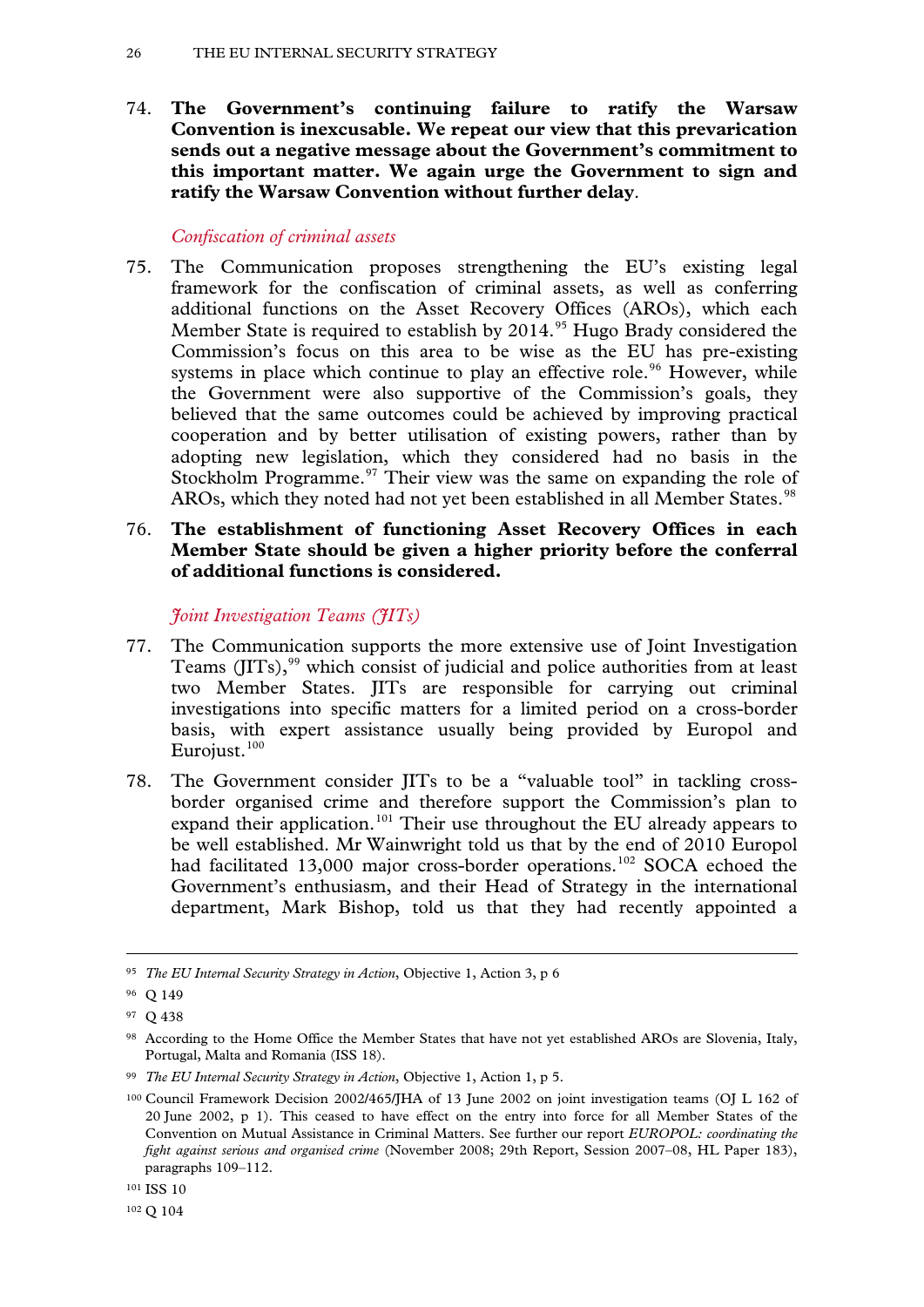74. **The Government's continuing failure to ratify the Warsaw Convention is inexcusable. We repeat our view that this prevarication sends out a negative message about the Government's commitment to this important matter. We again urge the Government to sign and ratify the Warsaw Convention without further delay**.

# *Confiscation of criminal assets*

75. The Communication proposes strengthening the EU's existing legal framework for the confiscation of criminal assets, as well as conferring additional functions on the Asset Recovery Offices (AROs), which each Member State is required to establish by 2014.<sup>[95](#page-24-0)</sup> Hugo Brady considered the Commission's focus on this area to be wise as the EU has pre-existing systems in place which continue to play an effective role.<sup>[96](#page-25-0)</sup> However, while the Government were also supportive of the Commission's goals, they believed that the same outcomes could be achieved by improving practical cooperation and by better utilisation of existing powers, rather than by adopting new legislation, which they considered had no basis in the Stockholm Programme. $97$  Their view was the same on expanding the role of AROs, which they noted had not yet been established in all Member States.<sup>[98](#page-25-2)</sup>

# 76. **The establishment of functioning Asset Recovery Offices in each Member State should be given a higher priority before the conferral of additional functions is considered.**

*Joint Investigation Teams (JITs)*

- 77. The Communication supports the more extensive use of Joint Investigation Teams (JITs), [99](#page-25-3) which consist of judicial and police authorities from at least two Member States. JITs are responsible for carrying out criminal investigations into specific matters for a limited period on a cross-border basis, with expert assistance usually being provided by Europol and Eurojust.<sup>[100](#page-25-4)</sup>
- 78. The Government consider JITs to be a "valuable tool" in tackling crossborder organised crime and therefore support the Commission's plan to expand their application.<sup>[101](#page-25-5)</sup> Their use throughout the EU already appears to be well established. Mr Wainwright told us that by the end of 2010 Europol had facilitated 13,000 major cross-border operations.<sup>[102](#page-25-6)</sup> SOCA echoed the Government's enthusiasm, and their Head of Strategy in the international department, Mark Bishop, told us that they had recently appointed a

<span id="page-25-7"></span><sup>95</sup> *The EU Internal Security Strategy in Action*, Objective 1, Action 3, p 6

<span id="page-25-0"></span><sup>96</sup> Q 149

<span id="page-25-1"></span><sup>97</sup> Q 438

<span id="page-25-2"></span><sup>98</sup> According to the Home Office the Member States that have not yet established AROs are Slovenia, Italy, Portugal, Malta and Romania (ISS 18).

<span id="page-25-3"></span><sup>99</sup> *The EU Internal Security Strategy in Action*, Objective 1, Action 1, p 5.

<span id="page-25-4"></span><sup>100</sup> Council Framework Decision 2002/465/JHA of 13 June 2002 on joint investigation teams (OJ L 162 of 20 June 2002, p 1). This ceased to have effect on the entry into force for all Member States of the Convention on Mutual Assistance in Criminal Matters. See further our report *EUROPOL: coordinating the fight against serious and organised crime* (November 2008; 29th Report, Session 2007–08, HL Paper 183), paragraphs 109–112.

<span id="page-25-5"></span><sup>101</sup> ISS 10

<span id="page-25-6"></span><sup>102</sup> Q 104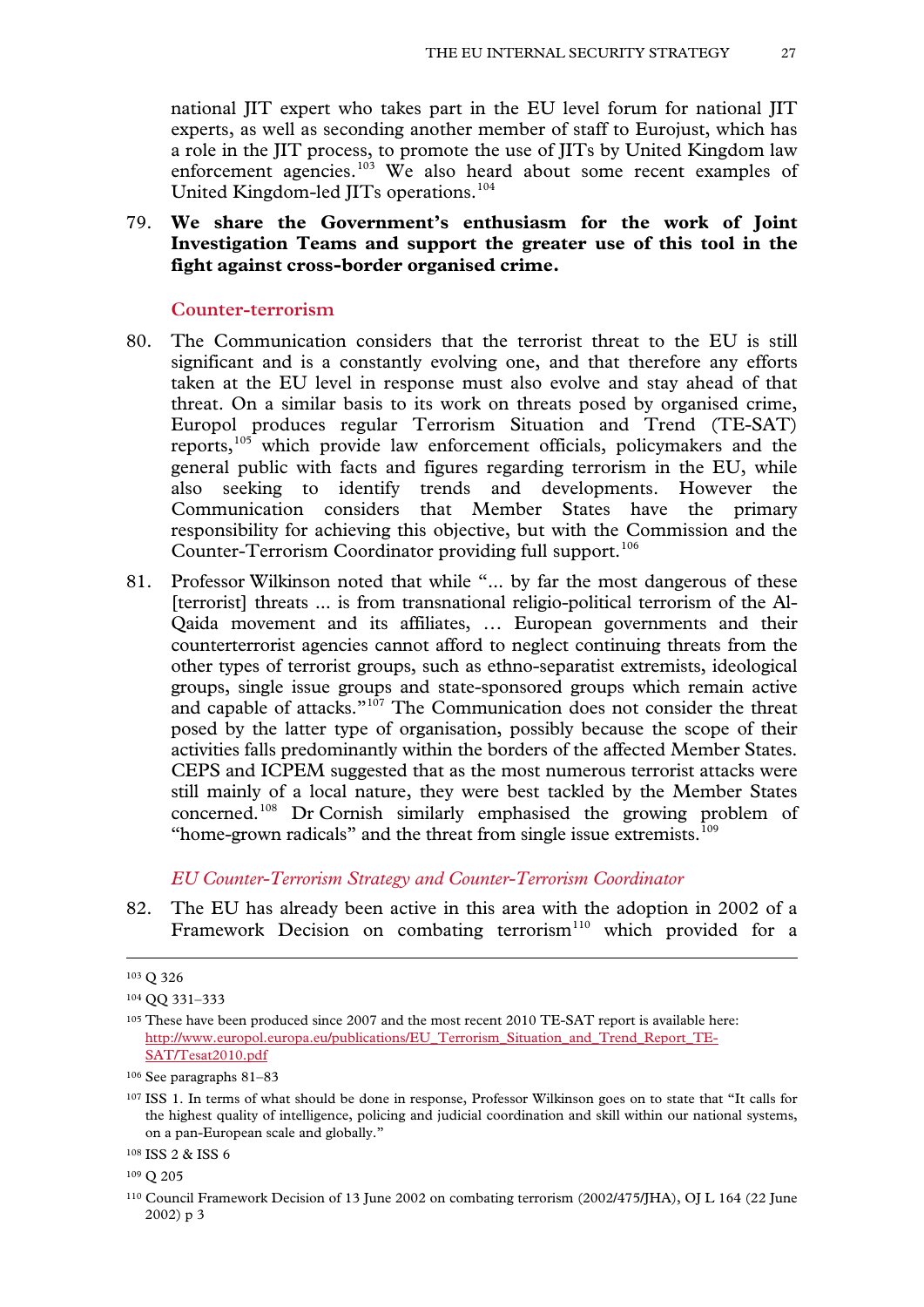national JIT expert who takes part in the EU level forum for national JIT experts, as well as seconding another member of staff to Eurojust, which has a role in the JIT process, to promote the use of JITs by United Kingdom law enforcement agencies.<sup>[103](#page-25-7)</sup> We also heard about some recent examples of United Kingdom-led JITs operations.[104](#page-26-0)

# 79. **We share the Government's enthusiasm for the work of Joint Investigation Teams and support the greater use of this tool in the fight against cross-border organised crime.**

#### **Counter-terrorism**

- 80. The Communication considers that the terrorist threat to the EU is still significant and is a constantly evolving one, and that therefore any efforts taken at the EU level in response must also evolve and stay ahead of that threat. On a similar basis to its work on threats posed by organised crime, Europol produces regular Terrorism Situation and Trend (TE-SAT) reports,[105](#page-26-1) which provide law enforcement officials, policymakers and the general public with facts and figures regarding terrorism in the EU, while also seeking to identify trends and developments. However the Communication considers that Member States have the primary responsibility for achieving this objective, but with the Commission and the Counter-Terrorism Coordinator providing full support.<sup>[106](#page-26-2)</sup>
- 81. Professor Wilkinson noted that while "... by far the most dangerous of these [terrorist] threats ... is from transnational religio-political terrorism of the Al-Qaida movement and its affiliates, … European governments and their counterterrorist agencies cannot afford to neglect continuing threats from the other types of terrorist groups, such as ethno-separatist extremists, ideological groups, single issue groups and state-sponsored groups which remain active and capable of attacks."[107](#page-26-3) The Communication does not consider the threat posed by the latter type of organisation, possibly because the scope of their activities falls predominantly within the borders of the affected Member States. CEPS and ICPEM suggested that as the most numerous terrorist attacks were still mainly of a local nature, they were best tackled by the Member States concerned.[108](#page-26-4) Dr Cornish similarly emphasised the growing problem of "home-grown radicals" and the threat from single issue extremists.<sup>[109](#page-26-5)</sup>

#### *EU Counter-Terrorism Strategy and Counter-Terrorism Coordinator*

82. The EU has already been active in this area with the adoption in 2002 of a Framework Decision on combating terrorism<sup>[110](#page-26-6)</sup> which provided for a

<sup>103</sup> Q 326

<span id="page-26-0"></span><sup>104</sup> QQ 331–333

<span id="page-26-1"></span><sup>&</sup>lt;sup>105</sup> These have been produced since 2007 and the most recent 2010 TE-SAT report is available here: http://www.europol.europa.eu/publications/EU Terrorism Situation and Trend Report TE-SAT/Tesat2010.pdf

<span id="page-26-2"></span><sup>106</sup> See paragraphs 81–83

<span id="page-26-7"></span><span id="page-26-3"></span><sup>107</sup> ISS 1. In terms of what should be done in response, Professor Wilkinson goes on to state that "It calls for the highest quality of intelligence, policing and judicial coordination and skill within our national systems, on a pan-European scale and globally."

<span id="page-26-4"></span><sup>108</sup> ISS 2 & ISS 6

<span id="page-26-5"></span><sup>109</sup> Q 205

<span id="page-26-6"></span><sup>110</sup> Council Framework Decision of 13 June 2002 on combating terrorism (2002/475/JHA), OJ L 164 (22 June 2002) p 3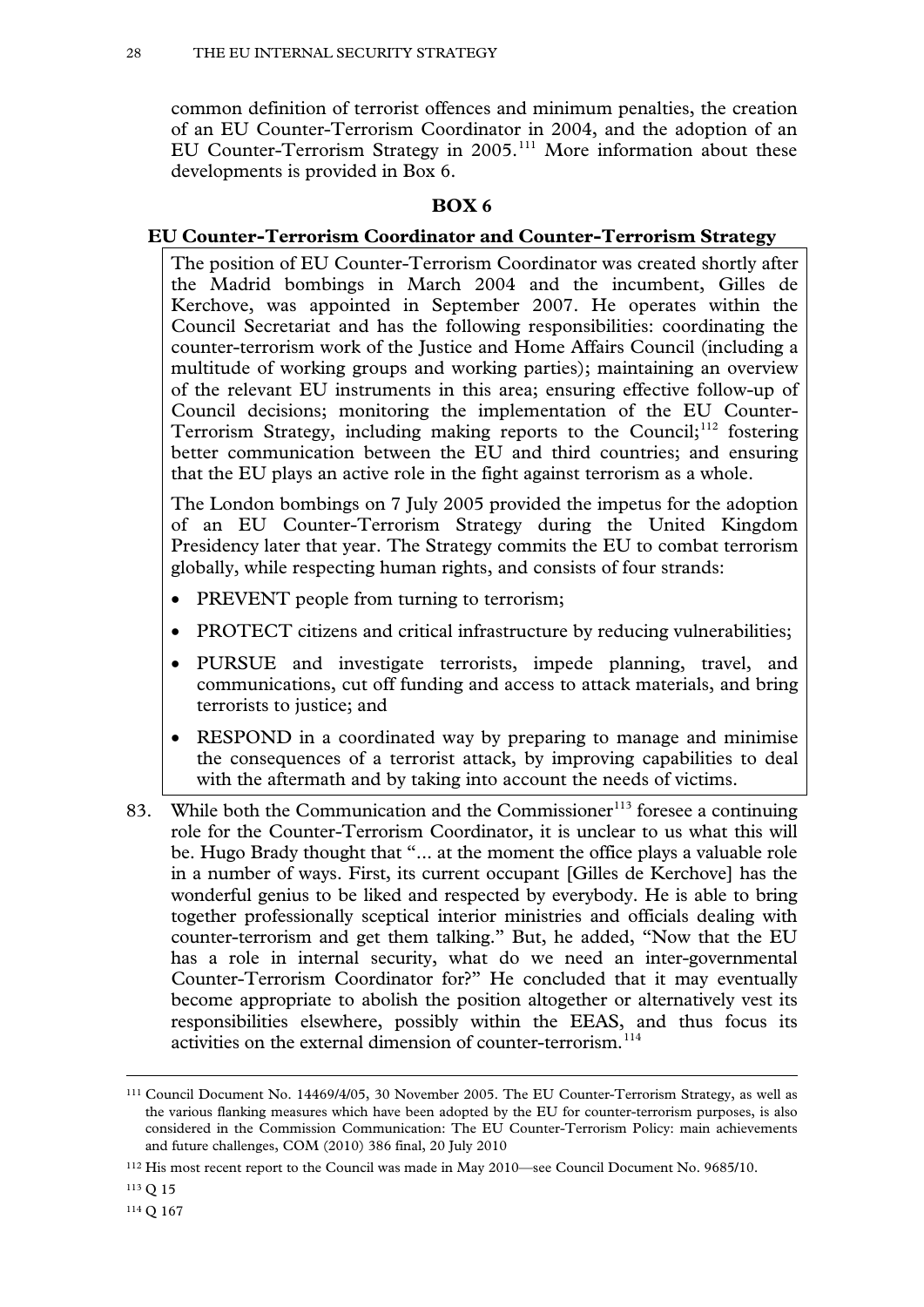common definition of terrorist offences and minimum penalties, the creation of an EU Counter-Terrorism Coordinator in 2004, and the adoption of an EU Counter-Terrorism Strategy in 2005.<sup>[111](#page-26-7)</sup> More information about these developments is provided in Box 6.

# **BOX 6**

# **EU Counter-Terrorism Coordinator and Counter-Terrorism Strategy**

The position of EU Counter-Terrorism Coordinator was created shortly after the Madrid bombings in March 2004 and the incumbent, Gilles de Kerchove, was appointed in September 2007. He operates within the Council Secretariat and has the following responsibilities: coordinating the counter-terrorism work of the Justice and Home Affairs Council (including a multitude of working groups and working parties); maintaining an overview of the relevant EU instruments in this area; ensuring effective follow-up of Council decisions; monitoring the implementation of the EU Counter-Terrorism Strategy, including making reports to the Council;<sup>[112](#page-27-0)</sup> fostering better communication between the EU and third countries; and ensuring that the EU plays an active role in the fight against terrorism as a whole.

The London bombings on 7 July 2005 provided the impetus for the adoption of an EU Counter-Terrorism Strategy during the United Kingdom Presidency later that year. The Strategy commits the EU to combat terrorism globally, while respecting human rights, and consists of four strands:

- PREVENT people from turning to terrorism;
- PROTECT citizens and critical infrastructure by reducing vulnerabilities;
- PURSUE and investigate terrorists, impede planning, travel, and communications, cut off funding and access to attack materials, and bring terrorists to justice; and
- RESPOND in a coordinated way by preparing to manage and minimise the consequences of a terrorist attack, by improving capabilities to deal with the aftermath and by taking into account the needs of victims.
- 83. While both the Communication and the Commissioner<sup>[113](#page-27-1)</sup> foresee a continuing role for the Counter-Terrorism Coordinator, it is unclear to us what this will be. Hugo Brady thought that "... at the moment the office plays a valuable role in a number of ways. First, its current occupant [Gilles de Kerchove] has the wonderful genius to be liked and respected by everybody. He is able to bring together professionally sceptical interior ministries and officials dealing with counter-terrorism and get them talking." But, he added, "Now that the EU has a role in internal security, what do we need an inter-governmental Counter-Terrorism Coordinator for?" He concluded that it may eventually become appropriate to abolish the position altogether or alternatively vest its responsibilities elsewhere, possibly within the EEAS, and thus focus its activities on the external dimension of counter-terrorism.<sup>[114](#page-27-2)</sup>

<span id="page-27-3"></span><sup>111</sup> Council Document No. 14469/4/05, 30 November 2005. The EU Counter-Terrorism Strategy, as well as the various flanking measures which have been adopted by the EU for counter-terrorism purposes, is also considered in the Commission Communication: The EU Counter-Terrorism Policy: main achievements and future challenges, COM (2010) 386 final, 20 July 2010

<span id="page-27-0"></span><sup>112</sup> His most recent report to the Council was made in May 2010—see Council Document No. 9685/10.

<span id="page-27-2"></span><span id="page-27-1"></span><sup>113</sup> Q 15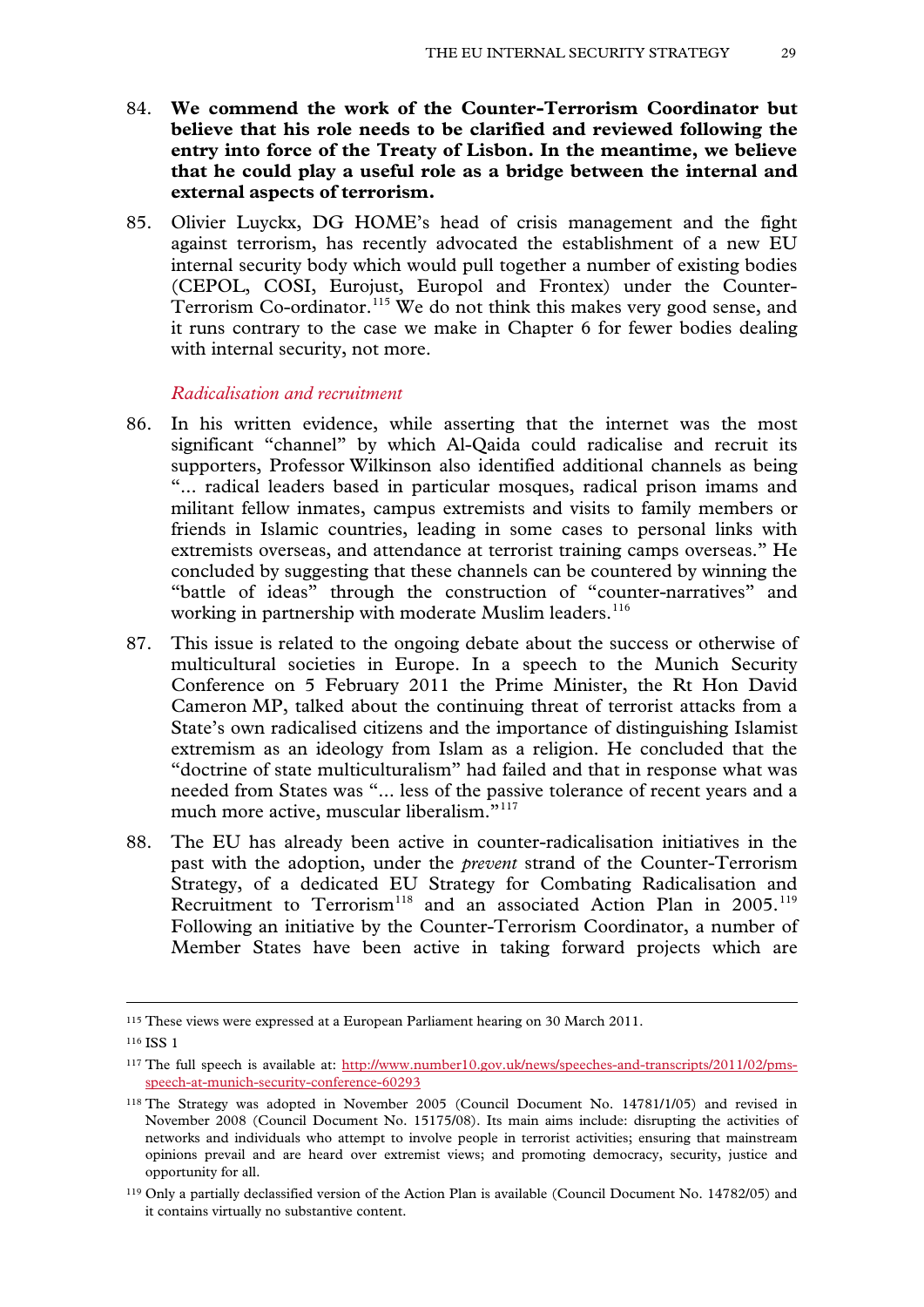- 84. **We commend the work of the Counter-Terrorism Coordinator but believe that his role needs to be clarified and reviewed following the entry into force of the Treaty of Lisbon. In the meantime, we believe that he could play a useful role as a bridge between the internal and external aspects of terrorism.**
- 85. Olivier Luyckx, DG HOME's head of crisis management and the fight against terrorism, has recently advocated the establishment of a new EU internal security body which would pull together a number of existing bodies (CEPOL, COSI, [Eurojust,](http://euobserver.com/9/%20%20http:/www.eurojust.europa.eu/) [Europol](http://euobserver.com/9/%20%20http:/www.europol.europa.eu/) and [Frontex\)](http://euobserver.com/9/%20%20http:/www.frontex.europa.eu/) under the Counter-Terrorism Co-ordinator.<sup>[115](#page-27-3)</sup> We do not think this makes very good sense, and it runs contrary to the case we make in Chapter 6 for fewer bodies dealing with internal security, not more.

*Radicalisation and recruitment*

- 86. In his written evidence, while asserting that the internet was the most significant "channel" by which Al-Qaida could radicalise and recruit its supporters, Professor Wilkinson also identified additional channels as being "... radical leaders based in particular mosques, radical prison imams and militant fellow inmates, campus extremists and visits to family members or friends in Islamic countries, leading in some cases to personal links with extremists overseas, and attendance at terrorist training camps overseas." He concluded by suggesting that these channels can be countered by winning the "battle of ideas" through the construction of "counter-narratives" and working in partnership with moderate Muslim leaders.<sup>[116](#page-28-0)</sup>
- 87. This issue is related to the ongoing debate about the success or otherwise of multicultural societies in Europe. In a speech to the Munich Security Conference on 5 February 2011 the Prime Minister, the Rt Hon David Cameron MP, talked about the continuing threat of terrorist attacks from a State's own radicalised citizens and the importance of distinguishing Islamist extremism as an ideology from Islam as a religion. He concluded that the "doctrine of state multiculturalism" had failed and that in response what was needed from States was "... less of the passive tolerance of recent years and a much more active, muscular liberalism."<sup>[117](#page-28-1)</sup>
- 88. The EU has already been active in counter-radicalisation initiatives in the past with the adoption, under the *prevent* strand of the Counter-Terrorism Strategy, of a dedicated EU Strategy for Combating Radicalisation and Recruitment to Terrorism<sup>[118](#page-28-2)</sup> and an associated Action Plan in 2005.<sup>[119](#page-28-3)</sup> Following an initiative by the Counter-Terrorism Coordinator, a number of Member States have been active in taking forward projects which are

<span id="page-28-4"></span><sup>115</sup> These views were expressed at a European Parliament hearing on 30 March 2011.

<span id="page-28-0"></span><sup>116</sup> ISS 1

<span id="page-28-1"></span><sup>&</sup>lt;sup>117</sup> The full speech is available at: [http://www.number10.gov.uk/news/speeches-and-transcripts/2011/02/pms](http://www.number10.gov.uk/news/speeches-and-transcripts/2011/02/pms-speech-at-munich-security-conference-60293)[speech-at-munich-security-conference-60293](http://www.number10.gov.uk/news/speeches-and-transcripts/2011/02/pms-speech-at-munich-security-conference-60293)

<span id="page-28-2"></span><sup>118</sup> The Strategy was adopted in November 2005 (Council Document No. 14781/1/05) and revised in November 2008 (Council Document No. 15175/08). Its main aims include: disrupting the activities of networks and individuals who attempt to involve people in terrorist activities; ensuring that mainstream opinions prevail and are heard over extremist views; and promoting democracy, security, justice and opportunity for all.

<span id="page-28-3"></span><sup>119</sup> Only a partially declassified version of the Action Plan is available (Council Document No. 14782/05) and it contains virtually no substantive content.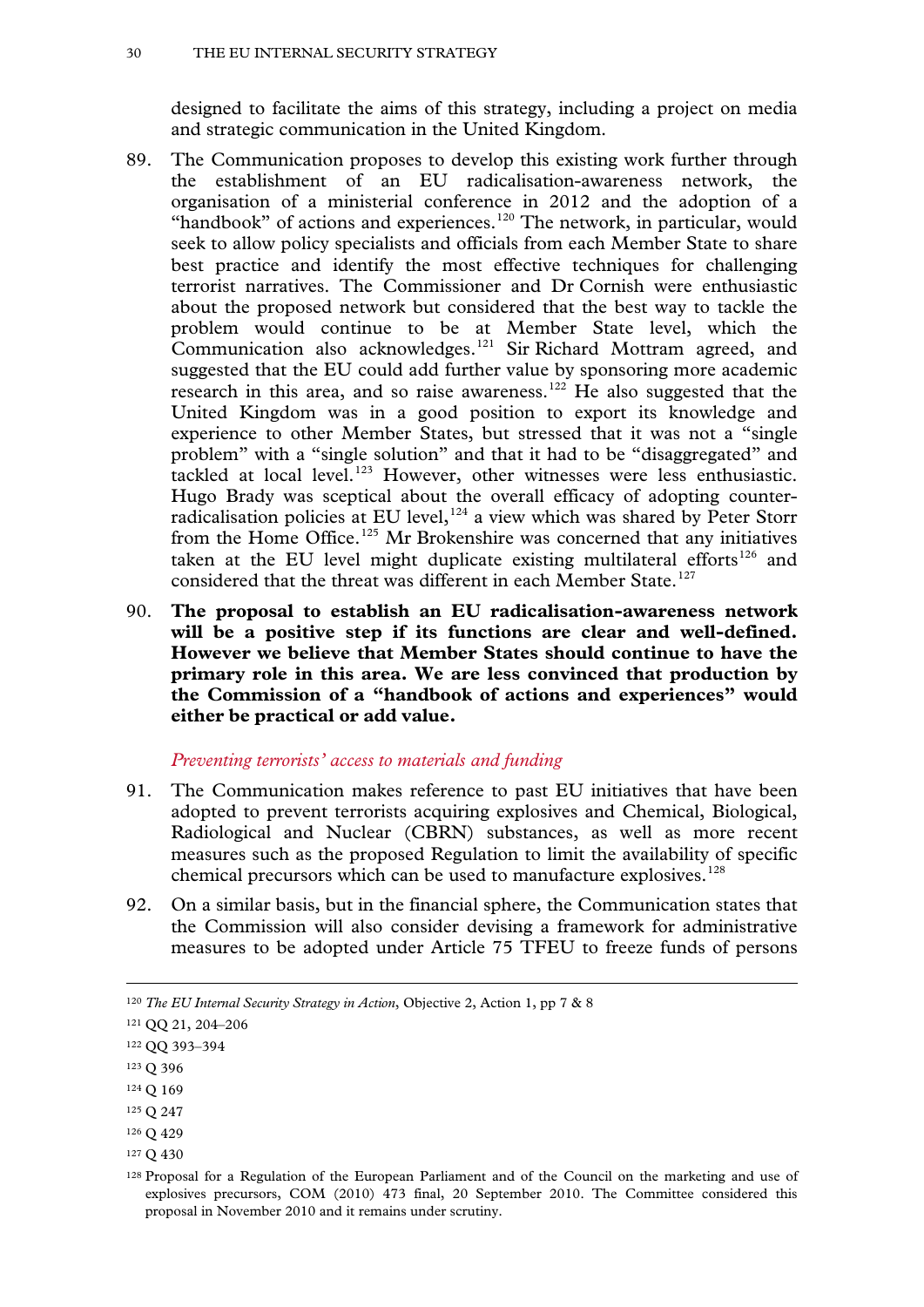designed to facilitate the aims of this strategy, including a project on media and strategic communication in the United Kingdom.

- 89. The Communication proposes to develop this existing work further through the establishment of an EU radicalisation-awareness network, the organisation of a ministerial conference in 2012 and the adoption of a "handbook" of actions and experiences.<sup>[120](#page-28-4)</sup> The network, in particular, would seek to allow policy specialists and officials from each Member State to share best practice and identify the most effective techniques for challenging terrorist narratives. The Commissioner and Dr Cornish were enthusiastic about the proposed network but considered that the best way to tackle the problem would continue to be at Member State level, which the Communication also acknowledges.[121](#page-29-0) Sir Richard Mottram agreed, and suggested that the EU could add further value by sponsoring more academic research in this area, and so raise awareness.<sup>[122](#page-29-1)</sup> He also suggested that the United Kingdom was in a good position to export its knowledge and experience to other Member States, but stressed that it was not a "single problem" with a "single solution" and that it had to be "disaggregated" and tackled at local level.<sup>[123](#page-29-2)</sup> However, other witnesses were less enthusiastic. Hugo Brady was sceptical about the overall efficacy of adopting counterradicalisation policies at EU level,  $124$  a view which was shared by Peter Storr from the Home Office.<sup>[125](#page-29-4)</sup> Mr Brokenshire was concerned that any initiatives taken at the EU level might duplicate existing multilateral efforts<sup>[126](#page-29-5)</sup> and considered that the threat was different in each Member State.<sup>[127](#page-29-6)</sup>
- 90. **The proposal to establish an EU radicalisation-awareness network will be a positive step if its functions are clear and well-defined. However we believe that Member States should continue to have the primary role in this area. We are less convinced that production by the Commission of a "handbook of actions and experiences" would either be practical or add value.**

#### *Preventing terrorists' access to materials and funding*

- 91. The Communication makes reference to past EU initiatives that have been adopted to prevent terrorists acquiring explosives and Chemical, Biological, Radiological and Nuclear (CBRN) substances, as well as more recent measures such as the proposed Regulation to limit the availability of specific chemical precursors which can be used to manufacture explosives.<sup>[128](#page-29-7)</sup>
- 92. On a similar basis, but in the financial sphere, the Communication states that the Commission will also consider devising a framework for administrative measures to be adopted under Article 75 TFEU to freeze funds of persons

- <span id="page-29-3"></span><sup>124</sup> Q 169
- <span id="page-29-4"></span><sup>125</sup> Q 247
- <span id="page-29-5"></span><sup>126</sup> Q 429
- <span id="page-29-6"></span><sup>127</sup> Q 430

<sup>120</sup> *The EU Internal Security Strategy in Action*, Objective 2, Action 1, pp 7 & 8

<span id="page-29-0"></span><sup>121</sup> QQ 21, 204–206

<span id="page-29-8"></span><span id="page-29-1"></span><sup>122</sup> QQ 393–394

<span id="page-29-2"></span><sup>123</sup> Q 396

<span id="page-29-7"></span><sup>128</sup> Proposal for a Regulation of the European Parliament and of the Council on the marketing and use of explosives precursors, COM (2010) 473 final, 20 September 2010. The Committee considered this proposal in November 2010 and it remains under scrutiny.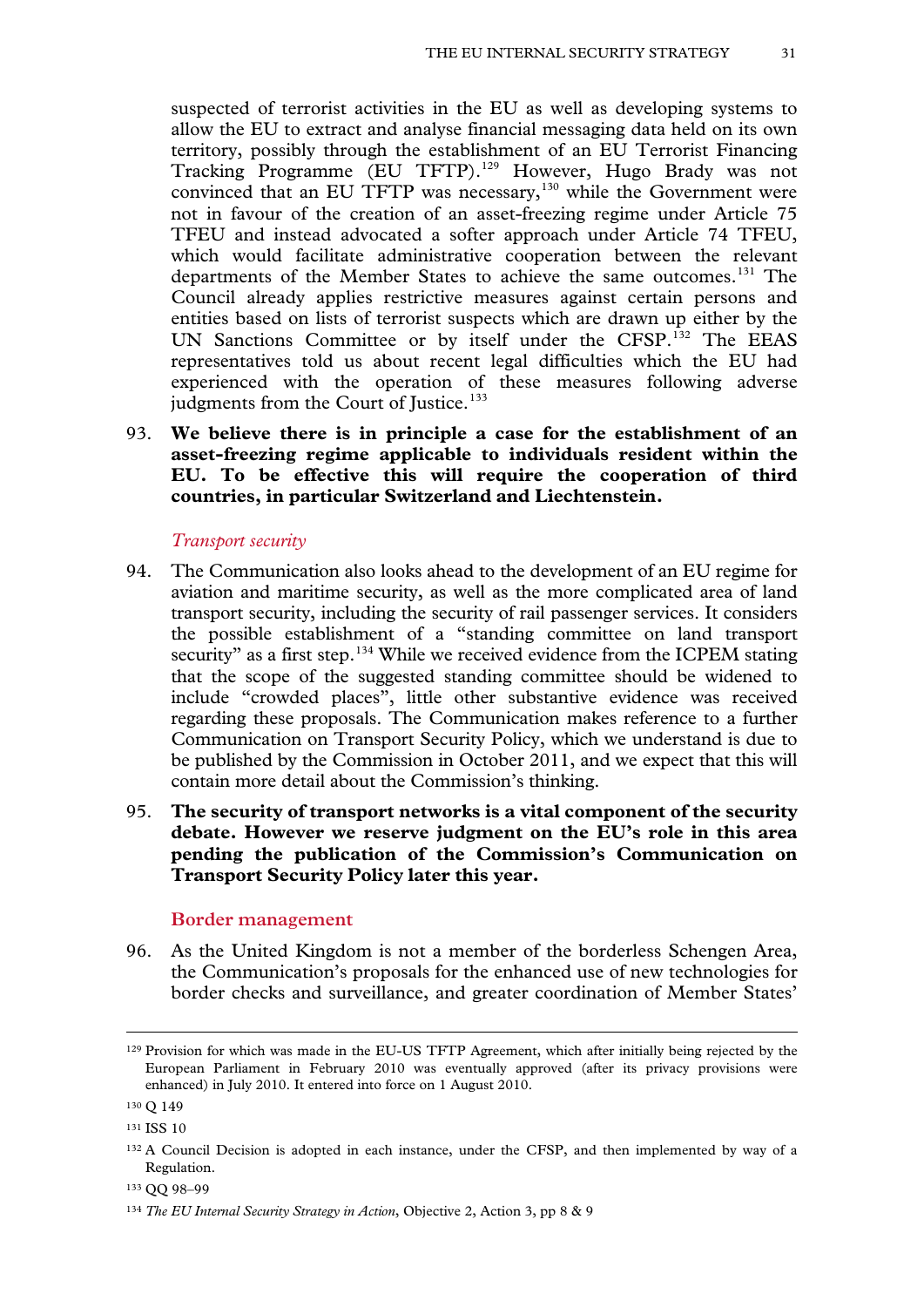suspected of terrorist activities in the EU as well as developing systems to allow the EU to extract and analyse financial messaging data held on its own territory, possibly through the establishment of an EU Terrorist Financing Tracking Programme (EU TFTP).[129](#page-29-8) However, Hugo Brady was not convinced that an EU TFTP was necessary, $130$  while the Government were not in favour of the creation of an asset-freezing regime under Article 75 TFEU and instead advocated a softer approach under Article 74 TFEU, which would facilitate administrative cooperation between the relevant departments of the Member States to achieve the same outcomes.<sup>[131](#page-30-1)</sup> The Council already applies restrictive measures against certain persons and entities based on lists of terrorist suspects which are drawn up either by the UN Sanctions Committee or by itself under the CFSP.<sup>[132](#page-30-2)</sup> The EEAS representatives told us about recent legal difficulties which the EU had experienced with the operation of these measures following adverse judgments from the Court of Justice.<sup>[133](#page-30-3)</sup>

93. **We believe there is in principle a case for the establishment of an asset-freezing regime applicable to individuals resident within the EU. To be effective this will require the cooperation of third countries, in particular Switzerland and Liechtenstein.**

#### *Transport security*

- 94. The Communication also looks ahead to the development of an EU regime for aviation and maritime security, as well as the more complicated area of land transport security, including the security of rail passenger services. It considers the possible establishment of a "standing committee on land transport security" as a first step.<sup>[134](#page-30-4)</sup> While we received evidence from the ICPEM stating that the scope of the suggested standing committee should be widened to include "crowded places", little other substantive evidence was received regarding these proposals. The Communication makes reference to a further Communication on Transport Security Policy, which we understand is due to be published by the Commission in October 2011, and we expect that this will contain more detail about the Commission's thinking.
- <span id="page-30-5"></span>95. **The security of transport networks is a vital component of the security debate. However we reserve judgment on the EU's role in this area pending the publication of the Commission's Communication on Transport Security Policy later this year.**

#### **Border management**

96. As the United Kingdom is not a member of the borderless Schengen Area, the Communication's proposals for the enhanced use of new technologies for border checks and surveillance, and greater coordination of Member States'

<sup>129</sup> Provision for which was made in the EU-US TFTP Agreement, which after initially being rejected by the European Parliament in February 2010 was eventually approved (after its privacy provisions were enhanced) in July 2010. It entered into force on 1 August 2010.

<span id="page-30-0"></span><sup>130</sup> Q 149

<span id="page-30-1"></span><sup>131</sup> ISS 10

<span id="page-30-2"></span><sup>&</sup>lt;sup>132</sup> A Council Decision is adopted in each instance, under the CFSP, and then implemented by way of a Regulation.

<span id="page-30-3"></span><sup>133</sup> QQ 98–99

<span id="page-30-4"></span><sup>134</sup> *The EU Internal Security Strategy in Action*, Objective 2, Action 3, pp 8 & 9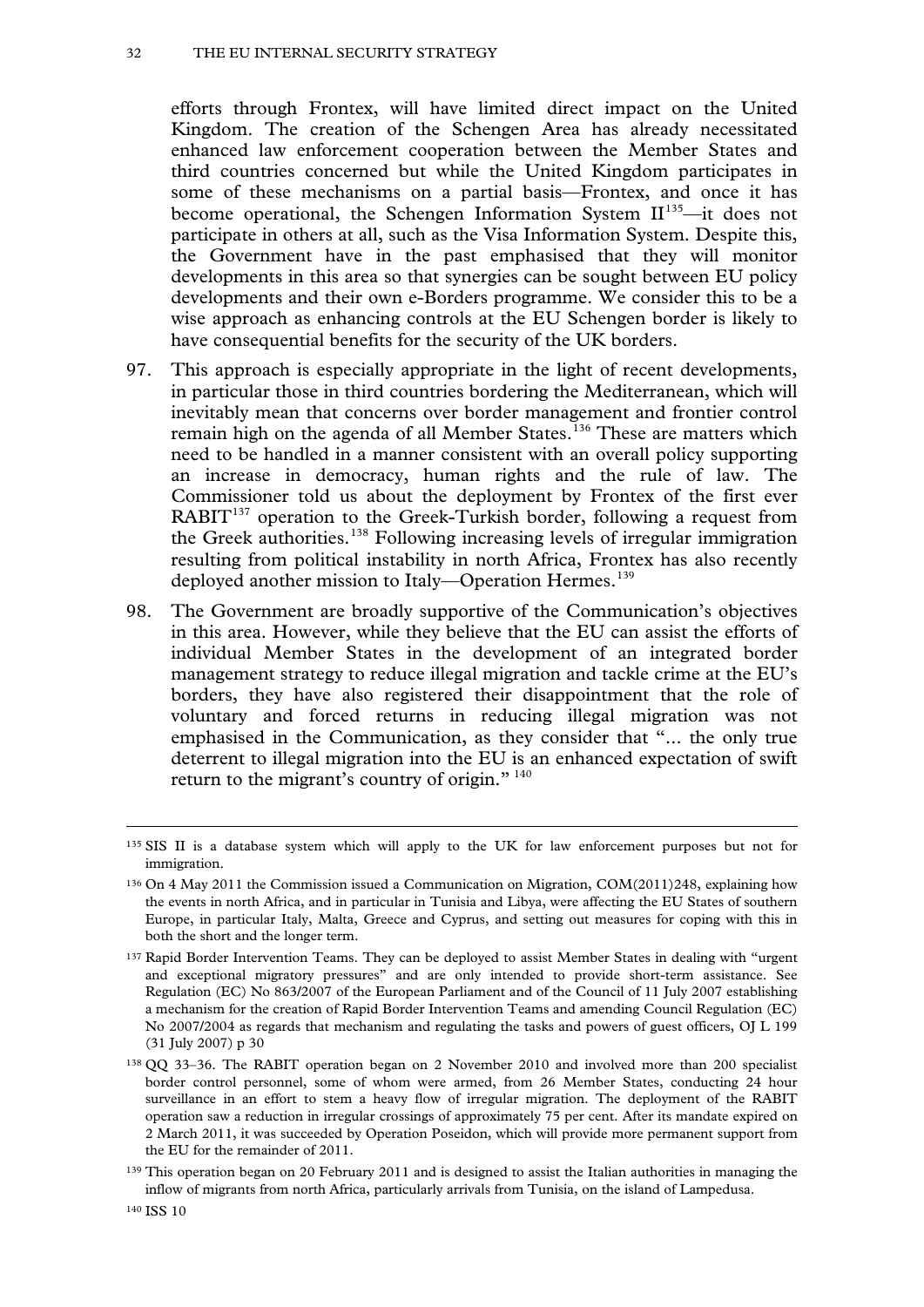#### 32 THE EU INTERNAL SECURITY STRATEGY

efforts through Frontex, will have limited direct impact on the United Kingdom. The creation of the Schengen Area has already necessitated enhanced law enforcement cooperation between the Member States and third countries concerned but while the United Kingdom participates in some of these mechanisms on a partial basis—Frontex, and once it has become operational, the Schengen Information System  $II^{135}$  $II^{135}$  $II^{135}$ —it does not participate in others at all, such as the Visa Information System. Despite this, the Government have in the past emphasised that they will monitor developments in this area so that synergies can be sought between EU policy developments and their own e-Borders programme. We consider this to be a wise approach as enhancing controls at the EU Schengen border is likely to have consequential benefits for the security of the UK borders.

- 97. This approach is especially appropriate in the light of recent developments, in particular those in third countries bordering the Mediterranean, which will inevitably mean that concerns over border management and frontier control remain high on the agenda of all Member States.<sup>[136](#page-31-0)</sup> These are matters which need to be handled in a manner consistent with an overall policy supporting an increase in democracy, human rights and the rule of law. The Commissioner told us about the deployment by Frontex of the first ever  $RABIT<sup>137</sup>$  $RABIT<sup>137</sup>$  $RABIT<sup>137</sup>$  operation to the Greek-Turkish border, following a request from the Greek authorities.<sup>[138](#page-31-2)</sup> Following increasing levels of irregular immigration resulting from political instability in north Africa, Frontex has also recently deployed another mission to Italy—Operation Hermes.<sup>[139](#page-31-3)</sup>
- 98. The Government are broadly supportive of the Communication's objectives in this area. However, while they believe that the EU can assist the efforts of individual Member States in the development of an integrated border management strategy to reduce illegal migration and tackle crime at the EU's borders, they have also registered their disappointment that the role of voluntary and forced returns in reducing illegal migration was not emphasised in the Communication, as they consider that "... the only true deterrent to illegal migration into the EU is an enhanced expectation of swift return to the migrant's country of origin."<sup>[140](#page-31-4)</sup>

<sup>135</sup> SIS II is a database system which will apply to the UK for law enforcement purposes but not for immigration.

<span id="page-31-0"></span><sup>136</sup> On 4 May 2011 the Commission issued a Communication on Migration, COM(2011)248, explaining how the events in north Africa, and in particular in Tunisia and Libya, were affecting the EU States of southern Europe, in particular Italy, Malta, Greece and Cyprus, and setting out measures for coping with this in both the short and the longer term.

<span id="page-31-5"></span><span id="page-31-1"></span><sup>137</sup> Rapid Border Intervention Teams. They can be deployed to assist Member States in dealing with "urgent and exceptional migratory pressures" and are only intended to provide short-term assistance. See Regulation (EC) No 863/2007 of the European Parliament and of the Council of 11 July 2007 establishing a mechanism for the creation of Rapid Border Intervention Teams and amending Council Regulation (EC) No 2007/2004 as regards that mechanism and regulating the tasks and powers of guest officers, OJ L 199 (31 July 2007) p 30

<span id="page-31-2"></span><sup>138</sup> QQ 33–36. The RABIT operation began on 2 November 2010 and involved more than 200 specialist border control personnel, some of whom were armed, from 26 Member States, conducting 24 hour surveillance in an effort to stem a heavy flow of irregular migration. The deployment of the RABIT operation saw a reduction in irregular crossings of approximately 75 per cent. After its mandate expired on 2 March 2011, it was succeeded by Operation Poseidon, which will provide more permanent support from the EU for the remainder of 2011.

<span id="page-31-4"></span><span id="page-31-3"></span><sup>139</sup> This operation began on 20 February 2011 and is designed to assist the Italian authorities in managing the inflow of migrants from north Africa, particularly arrivals from Tunisia, on the island of Lampedusa.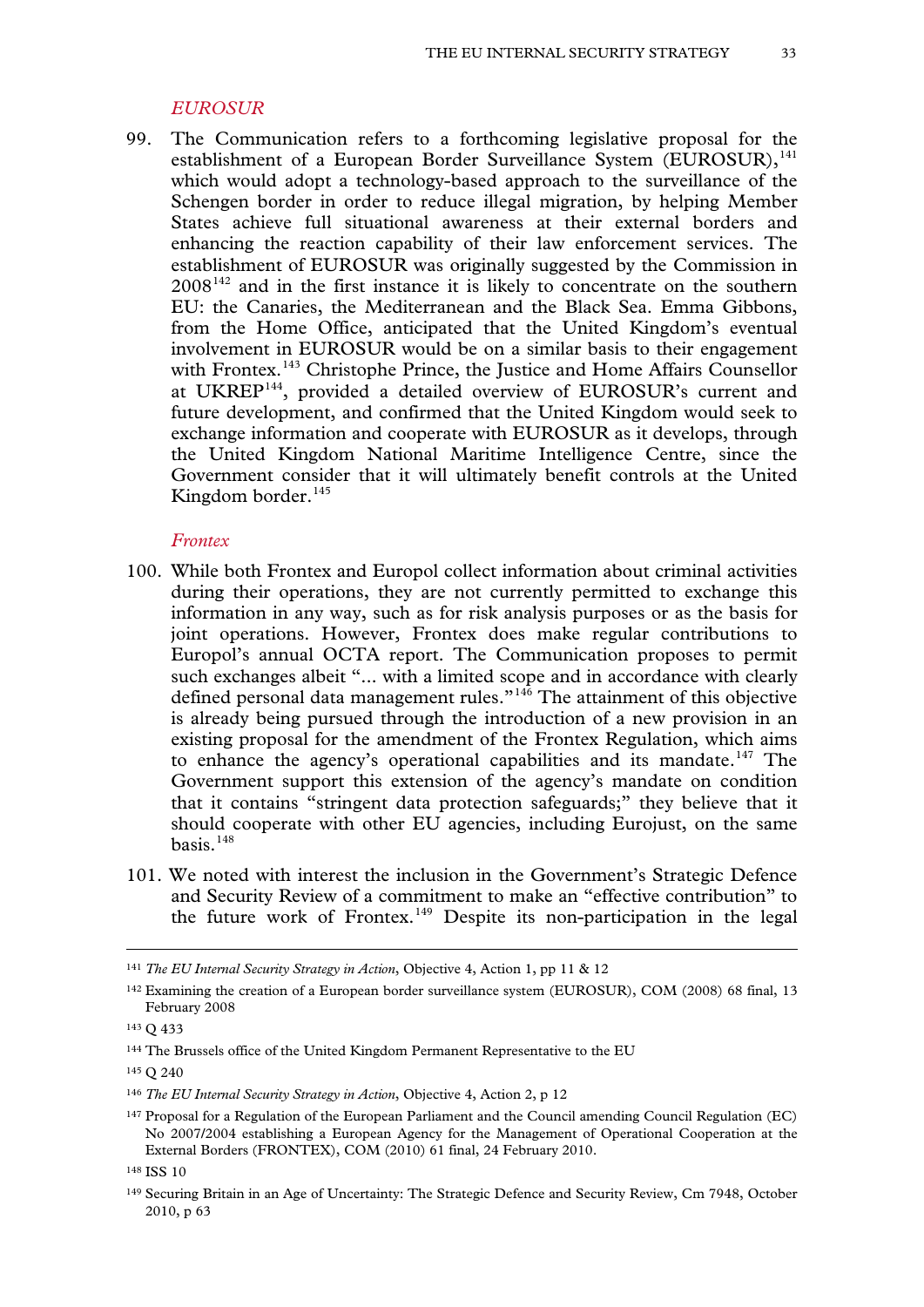#### *EUROSUR*

99. The Communication refers to a forthcoming legislative proposal for the establishment of a European Border Surveillance System  $(EUROSUR)$ ,<sup>[141](#page-31-5)</sup> which would adopt a technology-based approach to the surveillance of the Schengen border in order to reduce illegal migration, by helping Member States achieve full situational awareness at their external borders and enhancing the reaction capability of their law enforcement services. The establishment of EUROSUR was originally suggested by the Commission in  $2008<sup>142</sup>$  and in the first instance it is likely to concentrate on the southern EU: the Canaries, the Mediterranean and the Black Sea. Emma Gibbons, from the Home Office, anticipated that the United Kingdom's eventual involvement in EUROSUR would be on a similar basis to their engagement with Frontex.<sup>[143](#page-32-1)</sup> Christophe Prince, the Justice and Home Affairs Counsellor at UKREP[144](#page-32-2), provided a detailed overview of EUROSUR's current and future development, and confirmed that the United Kingdom would seek to exchange information and cooperate with EUROSUR as it develops, through the United Kingdom National Maritime Intelligence Centre, since the Government consider that it will ultimately benefit controls at the United Kingdom border.<sup>[145](#page-32-3)</sup>

#### *Frontex*

- 100. While both Frontex and Europol collect information about criminal activities during their operations, they are not currently permitted to exchange this information in any way, such as for risk analysis purposes or as the basis for joint operations. However, Frontex does make regular contributions to Europol's annual OCTA report. The Communication proposes to permit such exchanges albeit "... with a limited scope and in accordance with clearly defined personal data management rules."[146](#page-32-4) The attainment of this objective is already being pursued through the introduction of a new provision in an existing proposal for the amendment of the Frontex Regulation, which aims to enhance the agency's operational capabilities and its mandate.<sup>[147](#page-32-5)</sup> The Government support this extension of the agency's mandate on condition that it contains "stringent data protection safeguards;" they believe that it should cooperate with other EU agencies, including Eurojust, on the same basis. $148$
- 101. We noted with interest the inclusion in the Government's Strategic Defence and Security Review of a commitment to make an "effective contribution" to the future work of Frontex.[149](#page-32-7) Despite its non-participation in the legal

<sup>141</sup> *The EU Internal Security Strategy in Action*, Objective 4, Action 1, pp 11 & 12

<span id="page-32-0"></span><sup>142</sup> Examining the creation of a European border surveillance system (EUROSUR), COM (2008) 68 final, 13 February 2008

<span id="page-32-1"></span><sup>143</sup> Q 433

<span id="page-32-2"></span><sup>144</sup> The Brussels office of the United Kingdom Permanent Representative to the EU

<span id="page-32-3"></span><sup>145</sup> Q 240

<span id="page-32-4"></span><sup>146</sup> *The EU Internal Security Strategy in Action*, Objective 4, Action 2, p 12

<span id="page-32-8"></span><span id="page-32-5"></span><sup>147</sup> Proposal for a Regulation of the European Parliament and the Council amending Council Regulation (EC) No 2007/2004 establishing a European Agency for the Management of Operational Cooperation at the External Borders (FRONTEX), COM (2010) 61 final, 24 February 2010.

<span id="page-32-6"></span><sup>148</sup> ISS 10

<span id="page-32-7"></span><sup>149</sup> Securing Britain in an Age of Uncertainty: The Strategic Defence and Security Review, Cm 7948, October 2010, p 63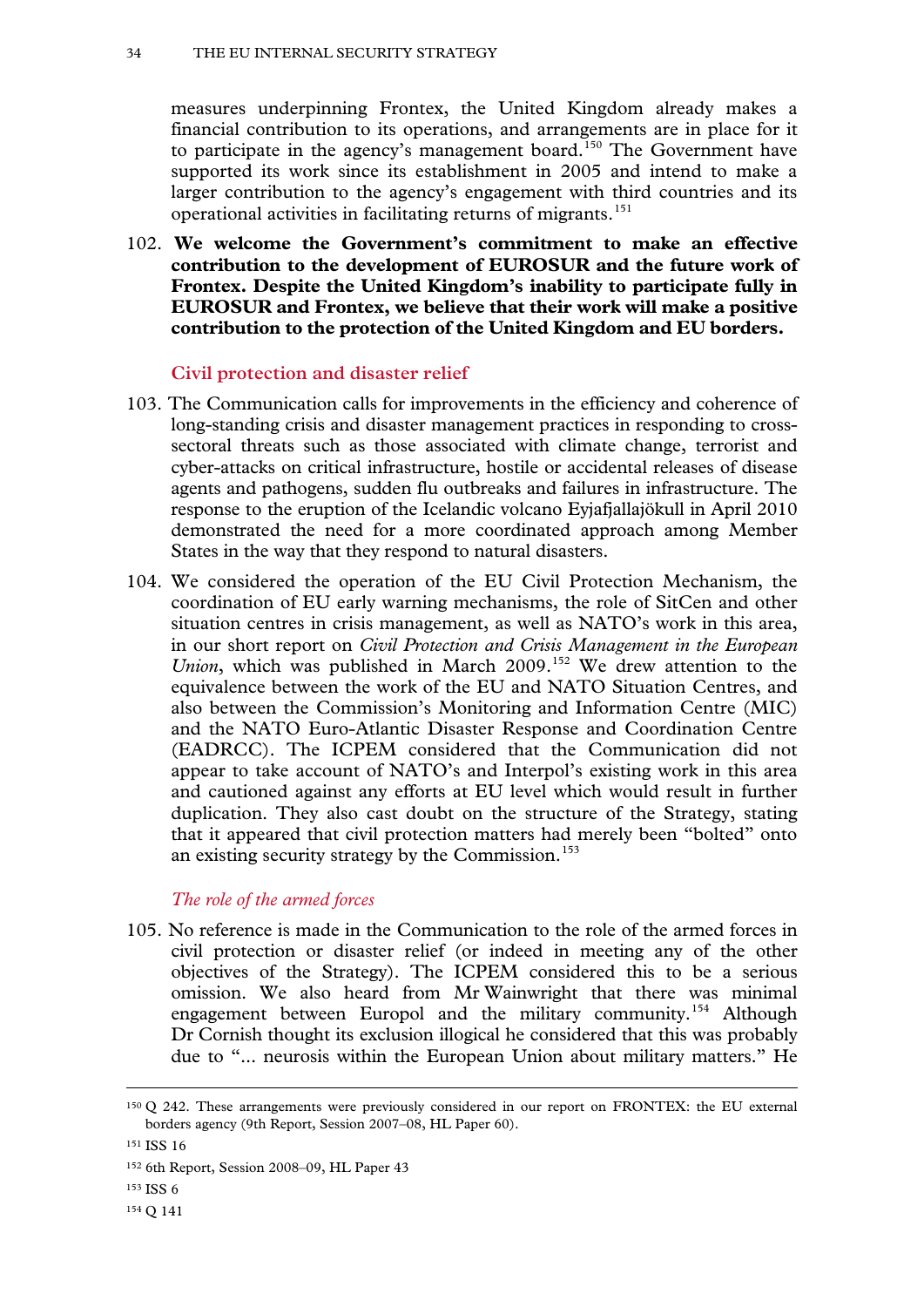measures underpinning Frontex, the United Kingdom already makes a financial contribution to its operations, and arrangements are in place for it to participate in the agency's management board.<sup>[150](#page-32-8)</sup> The Government have supported its work since its establishment in 2005 and intend to make a larger contribution to the agency's engagement with third countries and its operational activities in facilitating returns of migrants.<sup>[151](#page-33-0)</sup>

102. **We welcome the Government's commitment to make an effective contribution to the development of EUROSUR and the future work of Frontex. Despite the United Kingdom's inability to participate fully in EUROSUR and Frontex, we believe that their work will make a positive contribution to the protection of the United Kingdom and EU borders.**

#### **Civil protection and disaster relief**

- 103. The Communication calls for improvements in the efficiency and coherence of long-standing crisis and disaster management practices in responding to crosssectoral threats such as those associated with climate change, terrorist and cyber-attacks on critical infrastructure, hostile or accidental releases of disease agents and pathogens, sudden flu outbreaks and failures in infrastructure. The response to the eruption of the Icelandic volcano Eyjafjallajökull in April 2010 demonstrated the need for a more coordinated approach among Member States in the way that they respond to natural disasters.
- 104. We considered the operation of the EU Civil Protection Mechanism, the coordination of EU early warning mechanisms, the role of SitCen and other situation centres in crisis management, as well as NATO's work in this area, in our short report on *Civil Protection and Crisis Management in the European Union*, which was published in March 2009.<sup>[152](#page-33-1)</sup> We drew attention to the equivalence between the work of the EU and NATO Situation Centres, and also between the Commission's Monitoring and Information Centre (MIC) and the NATO Euro-Atlantic Disaster Response and Coordination Centre (EADRCC). The ICPEM considered that the Communication did not appear to take account of NATO's and Interpol's existing work in this area and cautioned against any efforts at EU level which would result in further duplication. They also cast doubt on the structure of the Strategy, stating that it appeared that civil protection matters had merely been "bolted" onto an existing security strategy by the Commission.<sup>[153](#page-33-2)</sup>

# *The role of the armed forces*

105. No reference is made in the Communication to the role of the armed forces in civil protection or disaster relief (or indeed in meeting any of the other objectives of the Strategy). The ICPEM considered this to be a serious omission. We also heard from Mr Wainwright that there was minimal engagement between Europol and the military community.[154](#page-33-3) Although Dr Cornish thought its exclusion illogical he considered that this was probably due to "... neurosis within the European Union about military matters." He

<sup>150</sup> Q 242. These arrangements were previously considered in our report on FRONTEX: the EU external borders agency (9th Report, Session 2007–08, HL Paper 60).

<span id="page-33-4"></span><span id="page-33-0"></span><sup>&</sup>lt;sup>151</sup> ISS 16

<span id="page-33-1"></span><sup>152</sup> 6th Report, Session 2008–09, HL Paper 43

<span id="page-33-2"></span><sup>153</sup> ISS 6

<span id="page-33-3"></span><sup>154</sup> Q 141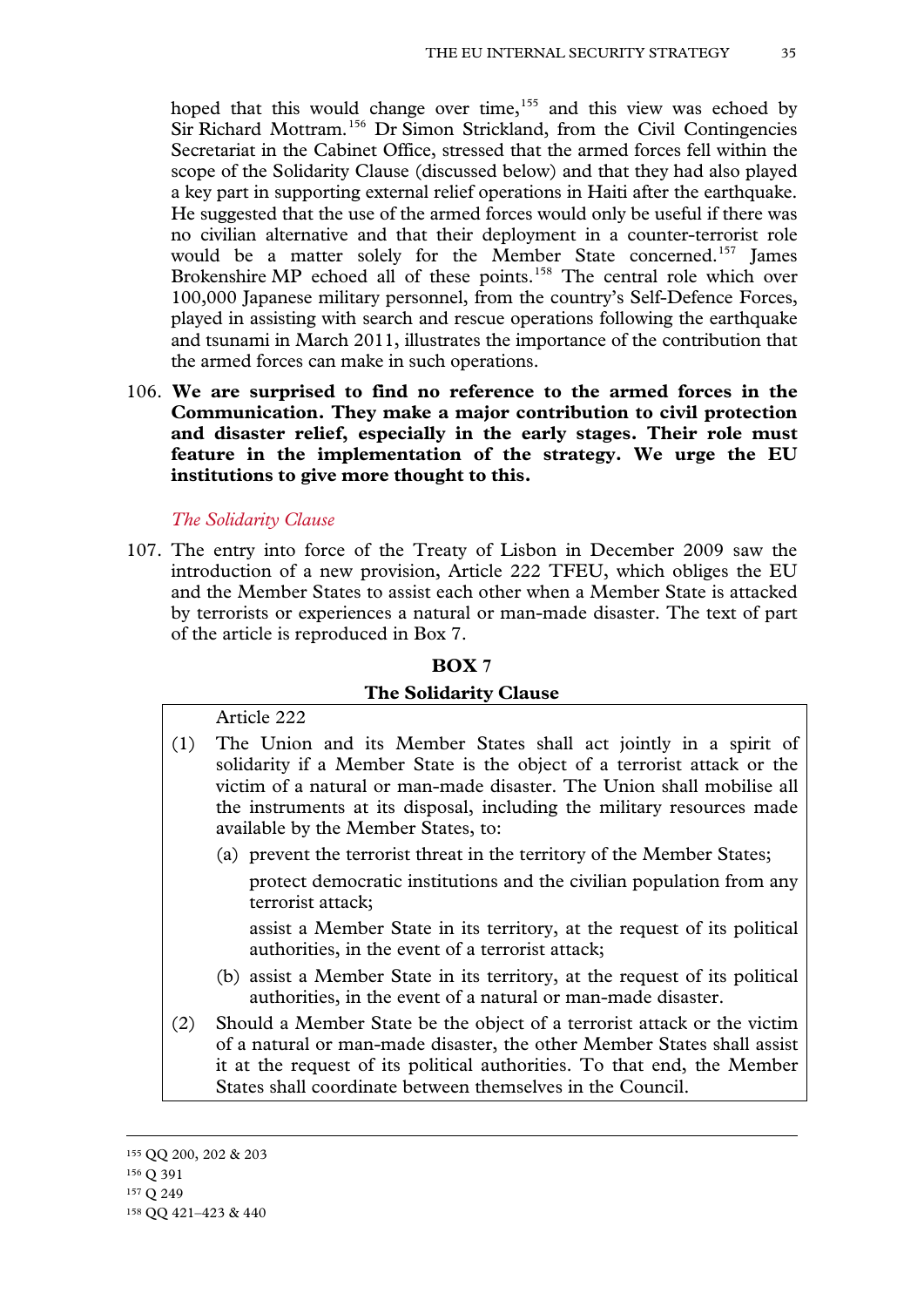hoped that this would change over time,  $155$  and this view was echoed by Sir Richard Mottram.[156](#page-34-0) Dr Simon Strickland, from the Civil Contingencies Secretariat in the Cabinet Office, stressed that the armed forces fell within the scope of the Solidarity Clause (discussed below) and that they had also played a key part in supporting external relief operations in Haiti after the earthquake. He suggested that the use of the armed forces would only be useful if there was no civilian alternative and that their deployment in a counter-terrorist role would be a matter solely for the Member State concerned.<sup>[157](#page-34-1)</sup> James Brokenshire MP echoed all of these points.<sup>[158](#page-34-2)</sup> The central role which over 100,000 Japanese military personnel, from the country's Self-Defence Forces, played in assisting with search and rescue operations following the earthquake and tsunami in March 2011, illustrates the importance of the contribution that the armed forces can make in such operations.

106. **We are surprised to find no reference to the armed forces in the Communication. They make a major contribution to civil protection and disaster relief, especially in the early stages. Their role must feature in the implementation of the strategy. We urge the EU institutions to give more thought to this.**

#### *The Solidarity Clause*

107. The entry into force of the Treaty of Lisbon in December 2009 saw the introduction of a new provision, Article 222 TFEU, which obliges the EU and the Member States to assist each other when a Member State is attacked by terrorists or experiences a natural or man-made disaster. The text of part of the article is reproduced in Box 7.

#### **BOX 7**

#### **The Solidarity Clause**

#### Article 222

- (1) The Union and its Member States shall act jointly in a spirit of solidarity if a Member State is the object of a terrorist attack or the victim of a natural or man-made disaster. The Union shall mobilise all the instruments at its disposal, including the military resources made available by the Member States, to:
	- (a) prevent the terrorist threat in the territory of the Member States;

protect democratic institutions and the civilian population from any terrorist attack;

assist a Member State in its territory, at the request of its political authorities, in the event of a terrorist attack;

- (b) assist a Member State in its territory, at the request of its political authorities, in the event of a natural or man-made disaster.
- <span id="page-34-3"></span>(2) Should a Member State be the object of a terrorist attack or the victim of a natural or man-made disaster, the other Member States shall assist it at the request of its political authorities. To that end, the Member States shall coordinate between themselves in the Council.

<sup>155</sup> QQ 200, 202 & 203

<span id="page-34-0"></span><sup>156</sup> Q 391

<span id="page-34-1"></span><sup>157</sup> Q 249

<span id="page-34-2"></span><sup>158</sup> QQ 421–423 & 440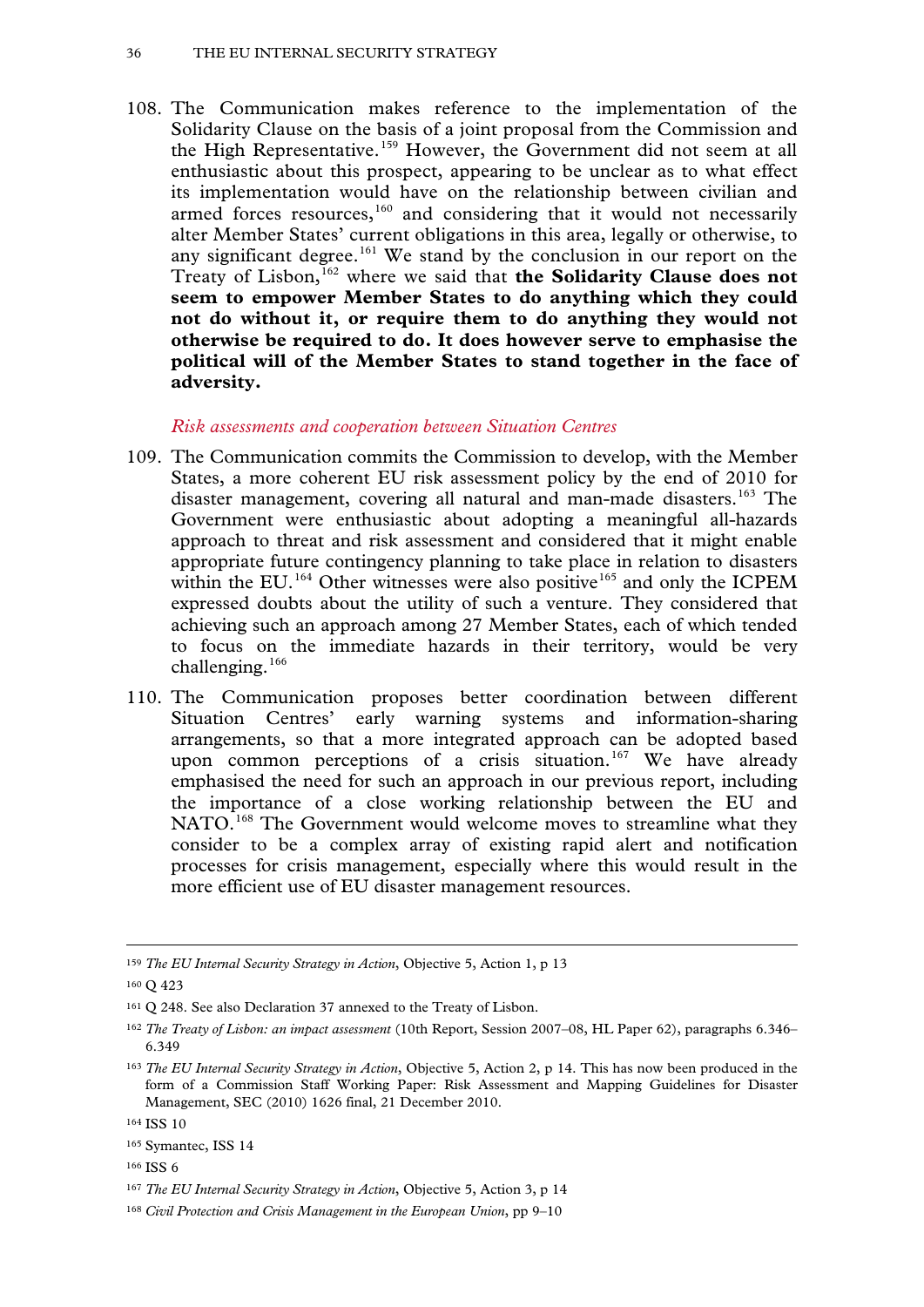108. The Communication makes reference to the implementation of the Solidarity Clause on the basis of a joint proposal from the Commission and the High Representative.<sup>[159](#page-34-3)</sup> However, the Government did not seem at all enthusiastic about this prospect, appearing to be unclear as to what effect its implementation would have on the relationship between civilian and armed forces resources,<sup>[160](#page-35-0)</sup> and considering that it would not necessarily alter Member States' current obligations in this area, legally or otherwise, to any significant degree.<sup>[161](#page-35-1)</sup> We stand by the conclusion in our report on the Treaty of Lisbon,<sup>[162](#page-35-2)</sup> where we said that **the Solidarity Clause does not seem to empower Member States to do anything which they could not do without it, or require them to do anything they would not otherwise be required to do. It does however serve to emphasise the political will of the Member States to stand together in the face of adversity.**

#### *Risk assessments and cooperation between Situation Centres*

- 109. The Communication commits the Commission to develop, with the Member States, a more coherent EU risk assessment policy by the end of 2010 for disaster management, covering all natural and man-made disasters.<sup>[163](#page-35-3)</sup> The Government were enthusiastic about adopting a meaningful all-hazards approach to threat and risk assessment and considered that it might enable appropriate future contingency planning to take place in relation to disasters within the EU.<sup>[164](#page-35-4)</sup> Other witnesses were also positive<sup>[165](#page-35-5)</sup> and only the ICPEM expressed doubts about the utility of such a venture. They considered that achieving such an approach among 27 Member States, each of which tended to focus on the immediate hazards in their territory, would be very challenging.<sup>[166](#page-35-6)</sup>
- 110. The Communication proposes better coordination between different Situation Centres' early warning systems and information-sharing arrangements, so that a more integrated approach can be adopted based upon common perceptions of a crisis situation. [167](#page-35-7) We have already emphasised the need for such an approach in our previous report, including the importance of a close working relationship between the EU and NATO.<sup>[168](#page-35-8)</sup> The Government would welcome moves to streamline what they consider to be a complex array of existing rapid alert and notification processes for crisis management, especially where this would result in the more efficient use of EU disaster management resources.

<sup>159</sup> *The EU Internal Security Strategy in Action*, Objective 5, Action 1, p 13

<span id="page-35-0"></span><sup>160</sup> Q 423

<span id="page-35-1"></span><sup>161</sup> Q 248. See also Declaration 37 annexed to the Treaty of Lisbon.

<span id="page-35-2"></span><sup>162</sup> *The Treaty of Lisbon: an impact assessment* (10th Report, Session 2007–08, HL Paper 62), paragraphs 6.346– 6.349

<span id="page-35-3"></span><sup>163</sup> *The EU Internal Security Strategy in Action*, Objective 5, Action 2, p 14. This has now been produced in the form of a Commission Staff Working Paper: Risk Assessment and Mapping Guidelines for Disaster Management, SEC (2010) 1626 final, 21 December 2010.

<span id="page-35-4"></span><sup>164</sup> ISS 10

<span id="page-35-5"></span><sup>&</sup>lt;sup>165</sup> Symantec, ISS 14

<span id="page-35-6"></span><sup>166</sup> ISS 6

<span id="page-35-7"></span><sup>167</sup> *The EU Internal Security Strategy in Action*, Objective 5, Action 3, p 14

<span id="page-35-8"></span><sup>168</sup> *Civil Protection and Crisis Management in the European Union*, pp 9–10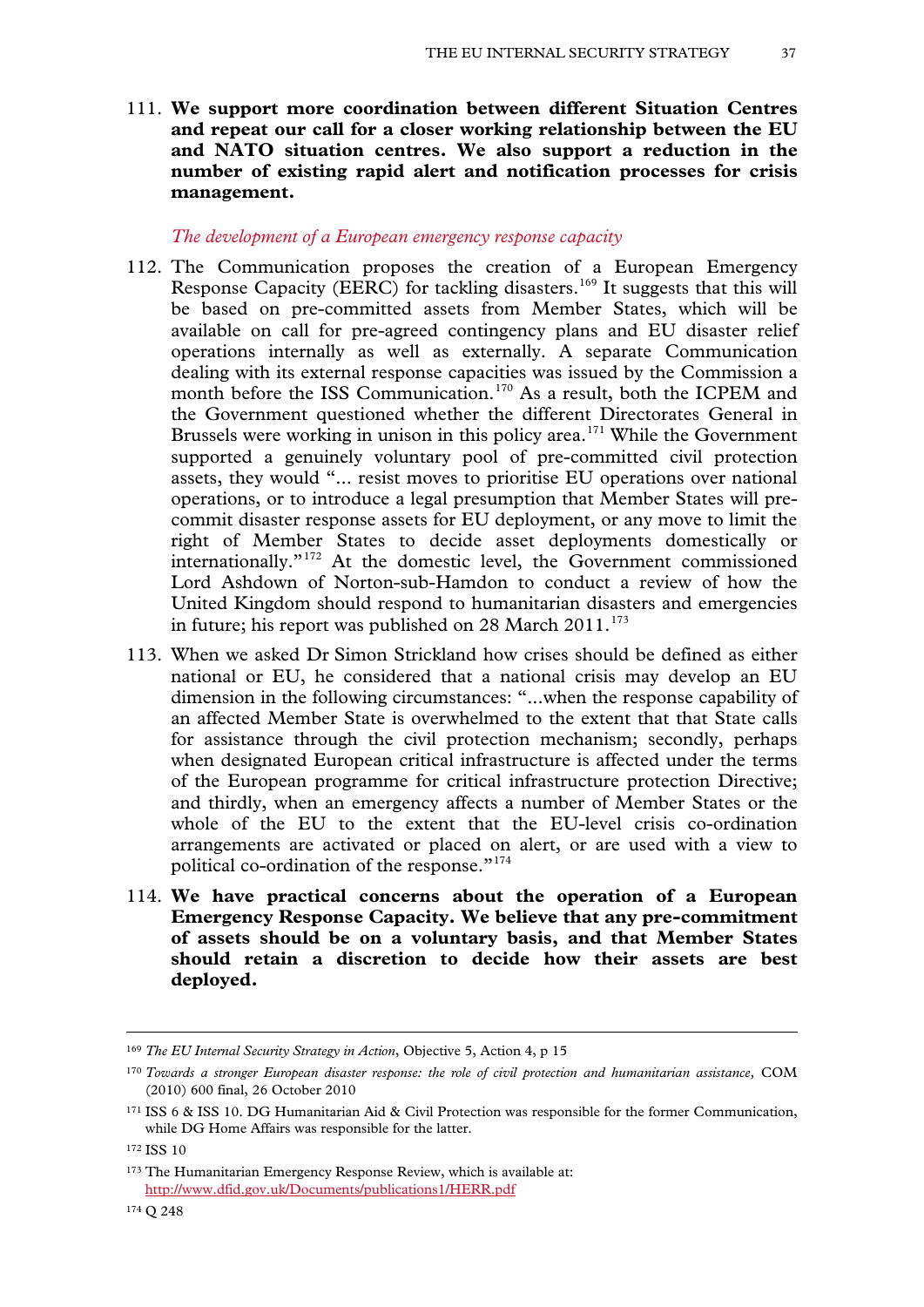111. **We support more coordination between different Situation Centres and repeat our call for a closer working relationship between the EU and NATO situation centres. We also support a reduction in the number of existing rapid alert and notification processes for crisis management.**

#### *The development of a European emergency response capacity*

- 112. The Communication proposes the creation of a European Emergency Response Capacity (EERC) for tackling disasters.<sup>[169](#page-35-0)</sup> It suggests that this will be based on pre-committed assets from Member States, which will be available on call for pre-agreed contingency plans and EU disaster relief operations internally as well as externally. A separate Communication dealing with its external response capacities was issued by the Commission a month before the ISS Communication.<sup>[170](#page-36-0)</sup> As a result, both the ICPEM and the Government questioned whether the different Directorates General in Brussels were working in unison in this policy area.<sup>[171](#page-36-1)</sup> While the Government supported a genuinely voluntary pool of pre-committed civil protection assets, they would "... resist moves to prioritise EU operations over national operations, or to introduce a legal presumption that Member States will precommit disaster response assets for EU deployment, or any move to limit the right of Member States to decide asset deployments domestically or internationally."[172](#page-36-2) At the domestic level, the Government commissioned Lord Ashdown of Norton-sub-Hamdon to conduct a review of how the United Kingdom should respond to humanitarian disasters and emergencies in future; his report was published on  $28$  March  $2011$ .<sup>[173](#page-36-3)</sup>
- 113. When we asked Dr Simon Strickland how crises should be defined as either national or EU, he considered that a national crisis may develop an EU dimension in the following circumstances: "...when the response capability of an affected Member State is overwhelmed to the extent that that State calls for assistance through the civil protection mechanism; secondly, perhaps when designated European critical infrastructure is affected under the terms of the European programme for critical infrastructure protection Directive; and thirdly, when an emergency affects a number of Member States or the whole of the EU to the extent that the EU-level crisis co-ordination arrangements are activated or placed on alert, or are used with a view to political co-ordination of the response."<sup>[174](#page-36-4)</sup>
- <span id="page-36-5"></span>114. **We have practical concerns about the operation of a European Emergency Response Capacity. We believe that any pre-commitment of assets should be on a voluntary basis, and that Member States should retain a discretion to decide how their assets are best deployed.**

<sup>169</sup> *The EU Internal Security Strategy in Action*, Objective 5, Action 4, p 15

<span id="page-36-0"></span><sup>170</sup> *Towards a stronger European disaster response: the role of civil protection and humanitarian assistance,* COM (2010) 600 final, 26 October 2010

<span id="page-36-1"></span><sup>171</sup> ISS 6 & ISS 10. DG Humanitarian Aid & Civil Protection was responsible for the former Communication, while DG Home Affairs was responsible for the latter.

<span id="page-36-2"></span><sup>172</sup> ISS 10

<span id="page-36-4"></span><span id="page-36-3"></span><sup>173</sup> The Humanitarian Emergency Response Review, which is available at: <http://www.dfid.gov.uk/Documents/publications1/HERR.pdf>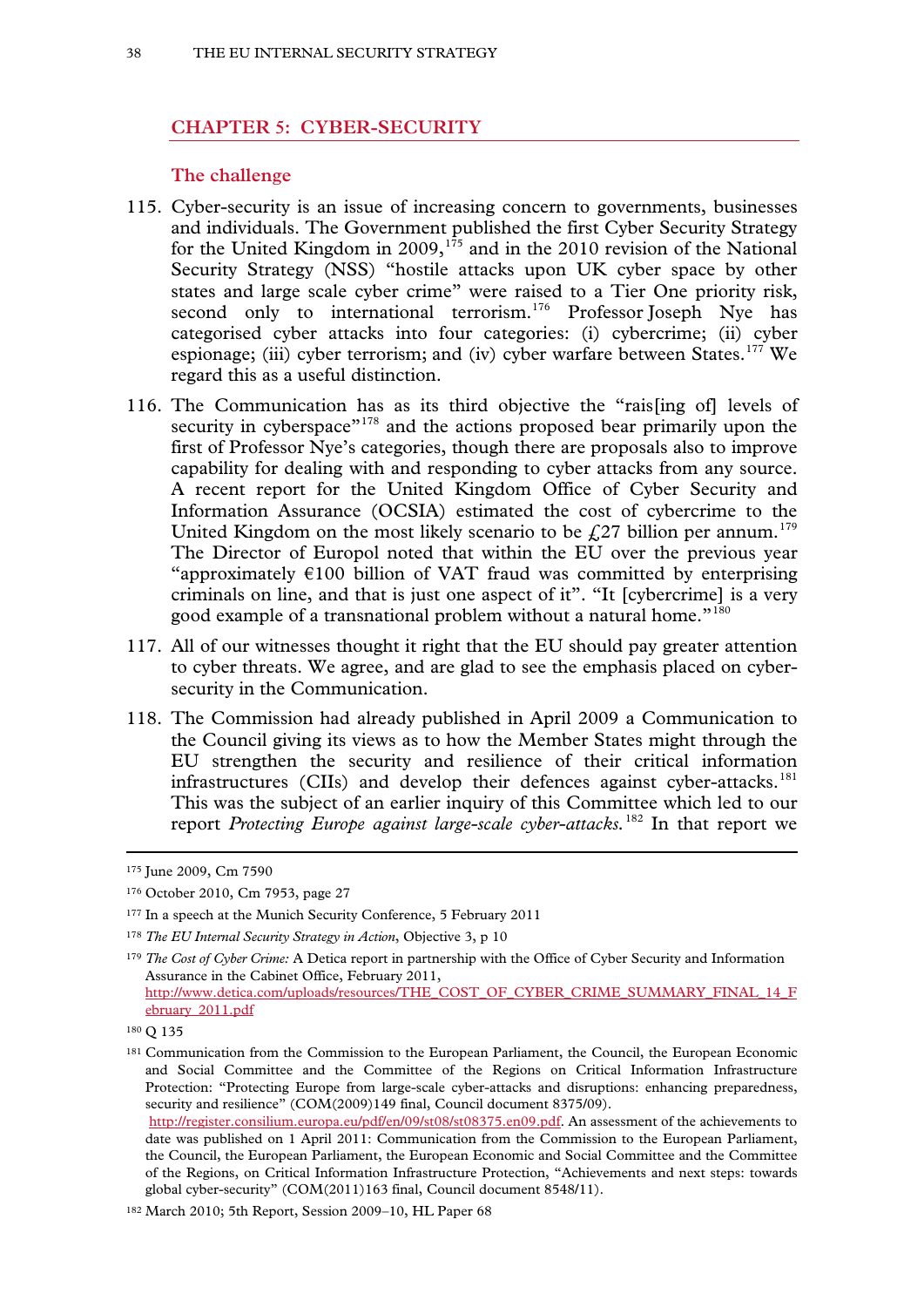### **CHAPTER 5: CYBER-SECURITY**

#### **The challenge**

- 115. Cyber-security is an issue of increasing concern to governments, businesses and individuals. The Government published the first Cyber Security Strategy for the United Kingdom in 2009,<sup>[175](#page-36-5)</sup> and in the 2010 revision of the National Security Strategy (NSS) "hostile attacks upon UK cyber space by other states and large scale cyber crime" were raised to a Tier One priority risk, second only to international terrorism.<sup>[176](#page-37-0)</sup> Professor Joseph Nye has categorised cyber attacks into four categories: (i) cybercrime; (ii) cyber espionage; (iii) cyber terrorism; and (iv) cyber warfare between States.<sup>[177](#page-37-1)</sup> We regard this as a useful distinction.
- 116. The Communication has as its third objective the "rais[ing of] levels of security in cyberspace"<sup>[178](#page-37-2)</sup> and the actions proposed bear primarily upon the first of Professor Nye's categories, though there are proposals also to improve capability for dealing with and responding to cyber attacks from any source. A recent report for the United Kingdom Office of Cyber Security and Information Assurance (OCSIA) estimated the cost of cybercrime to the United Kingdom on the most likely scenario to be  $\text{\emph{L}}27$  billion per annum.<sup>[179](#page-37-3)</sup> The Director of Europol noted that within the EU over the previous year "approximately  $\epsilon$ 100 billion of VAT fraud was committed by enterprising criminals on line, and that is just one aspect of it". "It [cybercrime] is a very good example of a transnational problem without a natural home."<sup>[180](#page-37-4)</sup>
- 117. All of our witnesses thought it right that the EU should pay greater attention to cyber threats. We agree, and are glad to see the emphasis placed on cybersecurity in the Communication.
- 118. The Commission had already published in April 2009 a Communication to the Council giving its views as to how the Member States might through the EU strengthen the security and resilience of their critical information infrastructures (CIIs) and develop their defences against cyber-attacks.<sup>[181](#page-37-5)</sup> This was the subject of an earlier inquiry of this Committee which led to our report *Protecting Europe against large-scale cyber-attacks.*[182](#page-37-6) In that report we

<sup>175</sup> June 2009, Cm 7590

<span id="page-37-0"></span><sup>176</sup> October 2010, Cm 7953, page 27

<span id="page-37-1"></span><sup>177</sup> In a speech at the Munich Security Conference, 5 February 2011

<span id="page-37-2"></span><sup>178</sup> *The EU Internal Security Strategy in Action*, Objective 3, p 10

<span id="page-37-3"></span><sup>179</sup> *The Cost of Cyber Crime:* A Detica report in partnership with the Office of Cyber Security and Information Assurance in the Cabinet Office, February 2011, [http://www.detica.com/uploads/resources/THE\\_COST\\_OF\\_CYBER\\_CRIME\\_SUMMARY\\_FINAL\\_14\\_F](http://www.detica.com/uploads/resources/THE_COST_OF_CYBER_CRIME_SUMMARY_FINAL_14_February_2011.pdf) [ebruary\\_2011.pdf](http://www.detica.com/uploads/resources/THE_COST_OF_CYBER_CRIME_SUMMARY_FINAL_14_February_2011.pdf) 

<span id="page-37-4"></span><sup>180</sup> Q 135

<span id="page-37-5"></span><sup>&</sup>lt;sup>181</sup> Communication from the Commission to the European Parliament, the Council, the European Economic and Social Committee and the Committee of the Regions on Critical Information Infrastructure Protection: "Protecting Europe from large-scale cyber-attacks and disruptions: enhancing preparedness, security and resilience" (COM(2009)149 final, Council document 8375/09).

<span id="page-37-7"></span>[http://register.consilium.europa.eu/pdf/en/09/st08/st08375.en09.pdf.](http://register.consilium.europa.eu/pdf/en/09/st08/st08375.en09.pdf) An assessment of the achievements to date was published on 1 April 2011: Communication from the Commission to the European Parliament, the Council, the European Parliament, the European Economic and Social Committee and the Committee of the Regions, on Critical Information Infrastructure Protection, "Achievements and next steps: towards global cyber-security" (COM(2011)163 final, Council document 8548/11).

<span id="page-37-6"></span><sup>182</sup> March 2010; 5th Report, Session 2009–10, HL Paper 68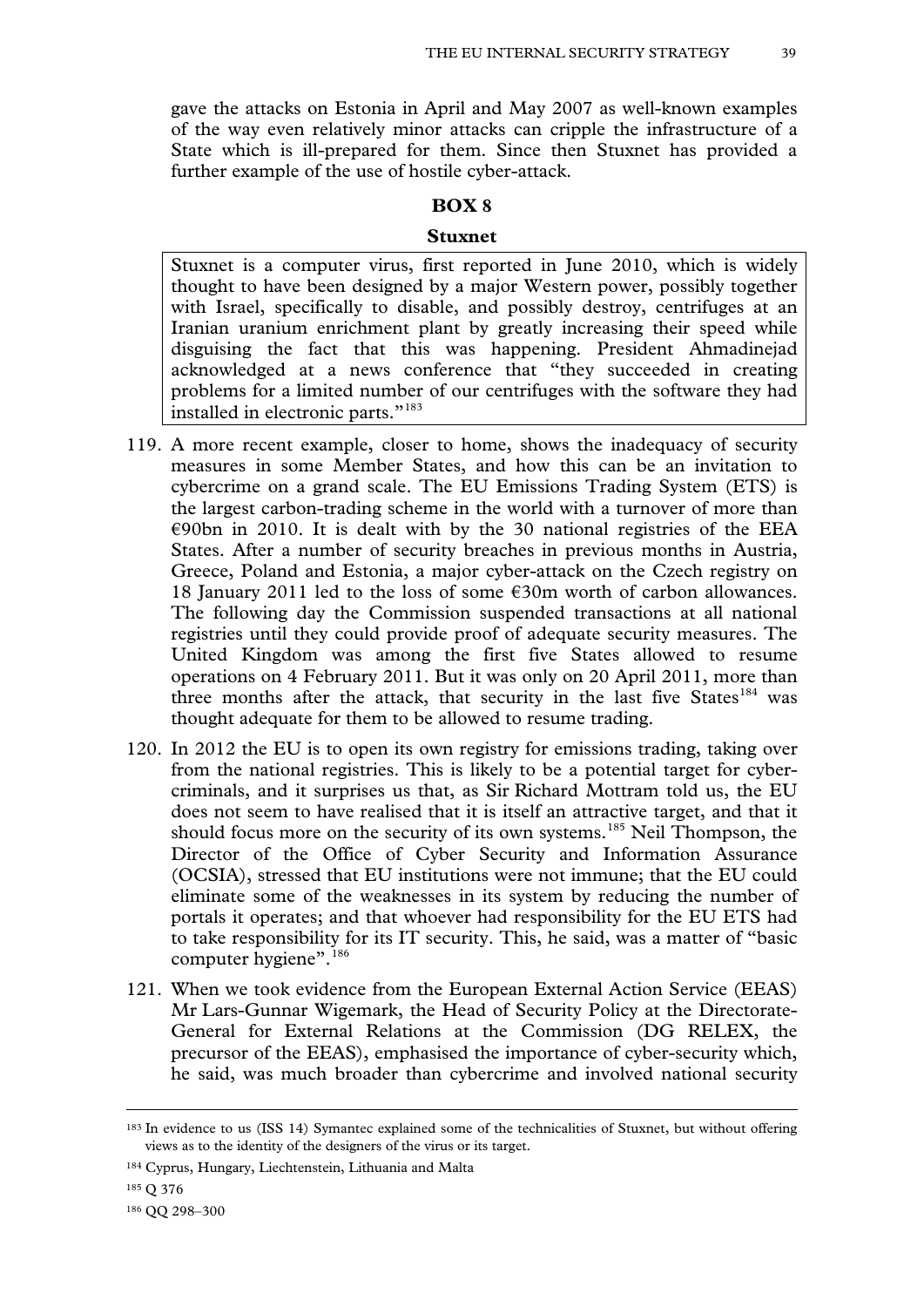gave the attacks on Estonia in April and May 2007 as well-known examples of the way even relatively minor attacks can cripple the infrastructure of a State which is ill-prepared for them. Since then Stuxnet has provided a further example of the use of hostile cyber-attack.

### **BOX 8**

#### **Stuxnet**

Stuxnet is a computer virus, first reported in June 2010, which is widely thought to have been designed by a major Western power, possibly together with Israel, specifically to disable, and possibly destroy, centrifuges at an Iranian uranium enrichment plant by greatly increasing their speed while disguising the fact that this was happening. President Ahmadinejad acknowledged at a news conference that "they succeeded in creating problems for a limited number of our centrifuges with the software they had installed in electronic parts."[183](#page-37-7)

- 119. A more recent example, closer to home, shows the inadequacy of security measures in some Member States, and how this can be an invitation to cybercrime on a grand scale. The EU Emissions Trading System (ETS) is the largest carbon-trading scheme in the world with a turnover of more than  $\epsilon$ 90bn in 2010. It is dealt with by the 30 national registries of the EEA States. After a number of security breaches in previous months in Austria, Greece, Poland and Estonia, a major cyber-attack on the Czech registry on 18 January 2011 led to the loss of some  $\epsilon$ 30m worth of carbon allowances. The following day the Commission suspended transactions at all national registries until they could provide proof of adequate security measures. The United Kingdom was among the first five States allowed to resume operations on 4 February 2011. But it was only on 20 April 2011, more than three months after the attack, that security in the last five States<sup>[184](#page-38-0)</sup> was thought adequate for them to be allowed to resume trading.
- 120. In 2012 the EU is to open its own registry for emissions trading, taking over from the national registries. This is likely to be a potential target for cybercriminals, and it surprises us that, as Sir Richard Mottram told us, the EU does not seem to have realised that it is itself an attractive target, and that it should focus more on the security of its own systems.<sup>[185](#page-38-1)</sup> Neil Thompson, the Director of the Office of Cyber Security and Information Assurance (OCSIA), stressed that EU institutions were not immune; that the EU could eliminate some of the weaknesses in its system by reducing the number of portals it operates; and that whoever had responsibility for the EU ETS had to take responsibility for its IT security. This, he said, was a matter of "basic computer hygiene".<sup>[186](#page-38-2)</sup>
- <span id="page-38-3"></span>121. When we took evidence from the European External Action Service (EEAS) Mr Lars-Gunnar Wigemark, the Head of Security Policy at the Directorate-General for External Relations at the Commission (DG RELEX, the precursor of the EEAS), emphasised the importance of cyber-security which, he said, was much broader than cybercrime and involved national security

<sup>183</sup> In evidence to us (ISS 14) Symantec explained some of the technicalities of Stuxnet, but without offering views as to the identity of the designers of the virus or its target.

<span id="page-38-0"></span><sup>184</sup> Cyprus, Hungary, Liechtenstein, Lithuania and Malta

<span id="page-38-1"></span><sup>185</sup> Q 376

<span id="page-38-2"></span><sup>186</sup> QQ 298–300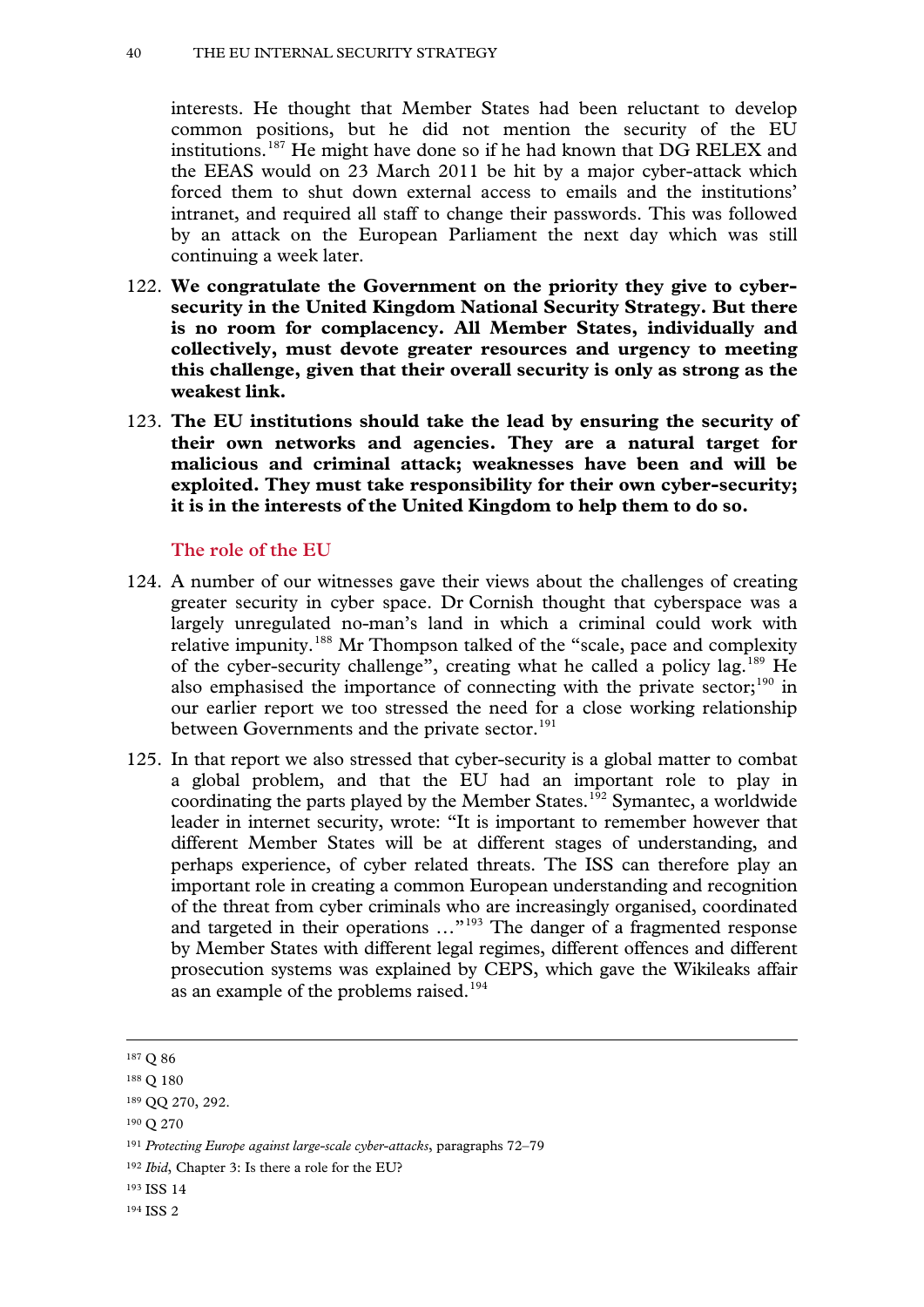interests. He thought that Member States had been reluctant to develop common positions, but he did not mention the security of the EU institutions.[187](#page-38-3) He might have done so if he had known that DG RELEX and the EEAS would on 23 March 2011 be hit by a major cyber-attack which forced them to shut down external access to emails and the institutions' intranet, and required all staff to change their passwords. This was followed by an attack on the European Parliament the next day which was still continuing a week later.

- 122. **We congratulate the Government on the priority they give to cybersecurity in the United Kingdom National Security Strategy. But there is no room for complacency. All Member States, individually and collectively, must devote greater resources and urgency to meeting this challenge, given that their overall security is only as strong as the weakest link.**
- 123. **The EU institutions should take the lead by ensuring the security of their own networks and agencies. They are a natural target for malicious and criminal attack; weaknesses have been and will be exploited. They must take responsibility for their own cyber-security; it is in the interests of the United Kingdom to help them to do so.**

# **The role of the EU**

- 124. A number of our witnesses gave their views about the challenges of creating greater security in cyber space. Dr Cornish thought that cyberspace was a largely unregulated no-man's land in which a criminal could work with relative impunity.<sup>[188](#page-39-0)</sup> Mr Thompson talked of the "scale, pace and complexity of the cyber-security challenge", creating what he called a policy lag.[189](#page-39-1) He also emphasised the importance of connecting with the private sector; $190$  in our earlier report we too stressed the need for a close working relationship between Governments and the private sector.<sup>[191](#page-39-3)</sup>
- 125. In that report we also stressed that cyber-security is a global matter to combat a global problem, and that the EU had an important role to play in coordinating the parts played by the Member States.<sup>[192](#page-39-4)</sup> Symantec, a worldwide leader in internet security, wrote: "It is important to remember however that different Member States will be at different stages of understanding, and perhaps experience, of cyber related threats. The ISS can therefore play an important role in creating a common European understanding and recognition of the threat from cyber criminals who are increasingly organised, coordinated and targeted in their operations …"[193](#page-39-5) The danger of a fragmented response by Member States with different legal regimes, different offences and different prosecution systems was explained by CEPS, which gave the Wikileaks affair as an example of the problems raised.<sup>[194](#page-39-6)</sup>

-

<span id="page-39-7"></span><span id="page-39-2"></span><sup>190</sup> Q 270

<sup>187</sup> Q 86

<span id="page-39-0"></span><sup>188</sup> Q 180

<span id="page-39-1"></span><sup>189</sup> QQ 270, 292.

<span id="page-39-3"></span><sup>191</sup> *Protecting Europe against large-scale cyber-attacks*, paragraphs 72–79

<span id="page-39-4"></span><sup>192</sup> *Ibid*, Chapter 3: Is there a role for the EU?

<span id="page-39-5"></span><sup>193</sup> ISS 14

<span id="page-39-6"></span><sup>194</sup> ISS 2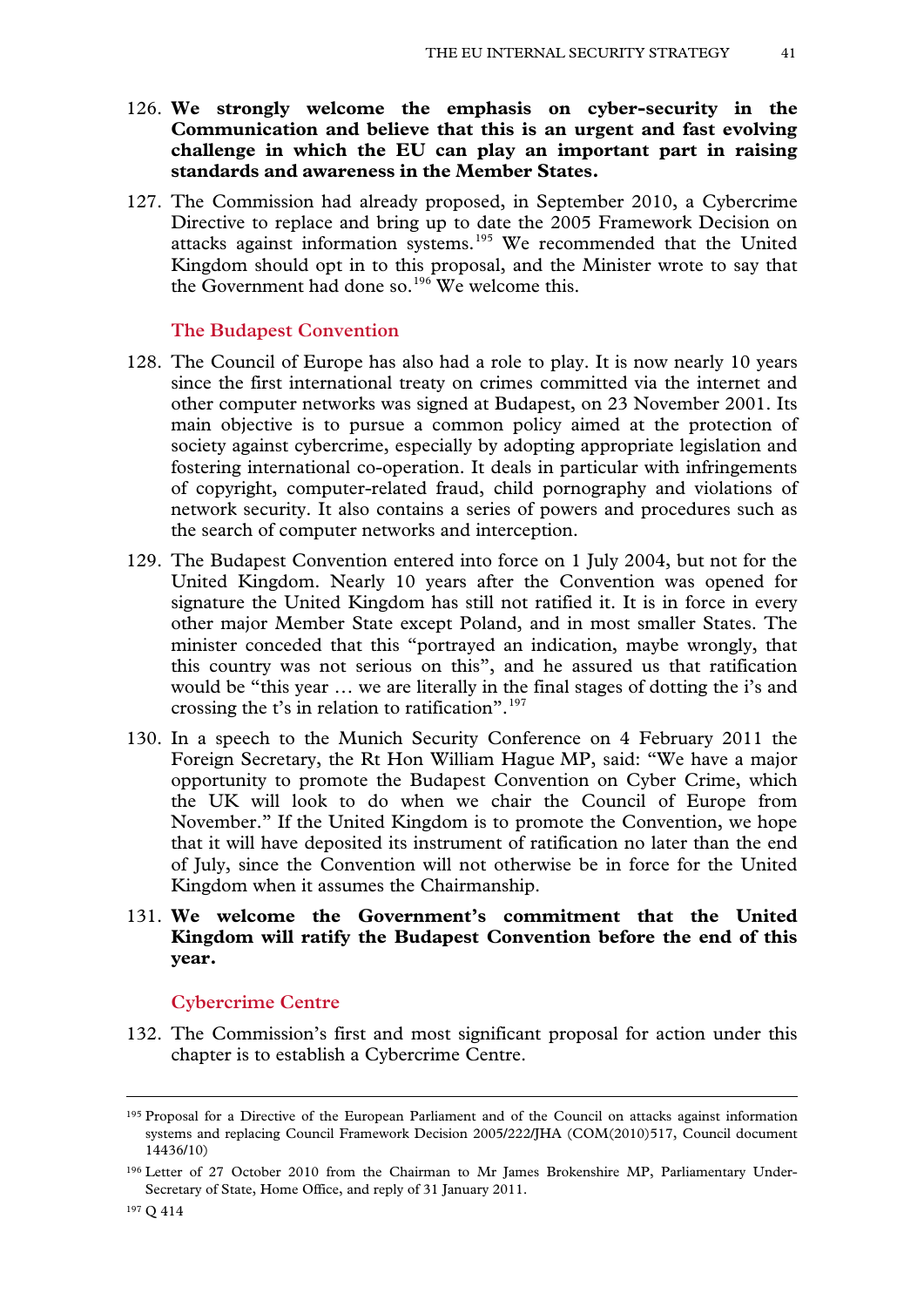- 126. **We strongly welcome the emphasis on cyber-security in the Communication and believe that this is an urgent and fast evolving challenge in which the EU can play an important part in raising standards and awareness in the Member States.**
- 127. The Commission had already proposed, in September 2010, a Cybercrime Directive to replace and bring up to date the 2005 Framework Decision on attacks against information systems.[195](#page-39-7) We recommended that the United Kingdom should opt in to this proposal, and the Minister wrote to say that the Government had done so.<sup>[196](#page-40-0)</sup> We welcome this.

### **The Budapest Convention**

- 128. The Council of Europe has also had a role to play. It is now nearly 10 years since the first international treaty on crimes committed via the internet and other computer networks was signed at Budapest, on 23 November 2001. Its main objective is to pursue a common policy aimed at the protection of society against cybercrime, especially by adopting appropriate legislation and fostering international co-operation. It deals in particular with infringements of copyright, computer-related fraud, child pornography and violations of network security. It also contains a series of powers and procedures such as the search of computer networks and interception.
- 129. The Budapest Convention entered into force on 1 July 2004, but not for the United Kingdom. Nearly 10 years after the Convention was opened for signature the United Kingdom has still not ratified it. It is in force in every other major Member State except Poland, and in most smaller States. The minister conceded that this "portrayed an indication, maybe wrongly, that this country was not serious on this", and he assured us that ratification would be "this year … we are literally in the final stages of dotting the i's and crossing the t's in relation to ratification".<sup>[197](#page-40-1)</sup>
- 130. In a speech to the Munich Security Conference on 4 February 2011 the Foreign Secretary, the Rt Hon William Hague MP, said: "We have a major opportunity to promote the Budapest Convention on Cyber Crime, which the UK will look to do when we chair the Council of Europe from November." If the United Kingdom is to promote the Convention, we hope that it will have deposited its instrument of ratification no later than the end of July, since the Convention will not otherwise be in force for the United Kingdom when it assumes the Chairmanship.

# 131. **We welcome the Government's commitment that the United Kingdom will ratify the Budapest Convention before the end of this year.**

#### **Cybercrime Centre**

<span id="page-40-2"></span>132. The Commission's first and most significant proposal for action under this chapter is to establish a Cybercrime Centre.

<sup>195</sup> Proposal for a Directive of the European Parliament and of the Council on attacks against information systems and replacing Council Framework Decision 2005/222/JHA (COM(2010)517, Council document 14436/10)

<span id="page-40-1"></span><span id="page-40-0"></span><sup>196</sup> Letter of 27 October 2010 from the Chairman to Mr James Brokenshire MP, Parliamentary Under-Secretary of State, Home Office, and reply of 31 January 2011.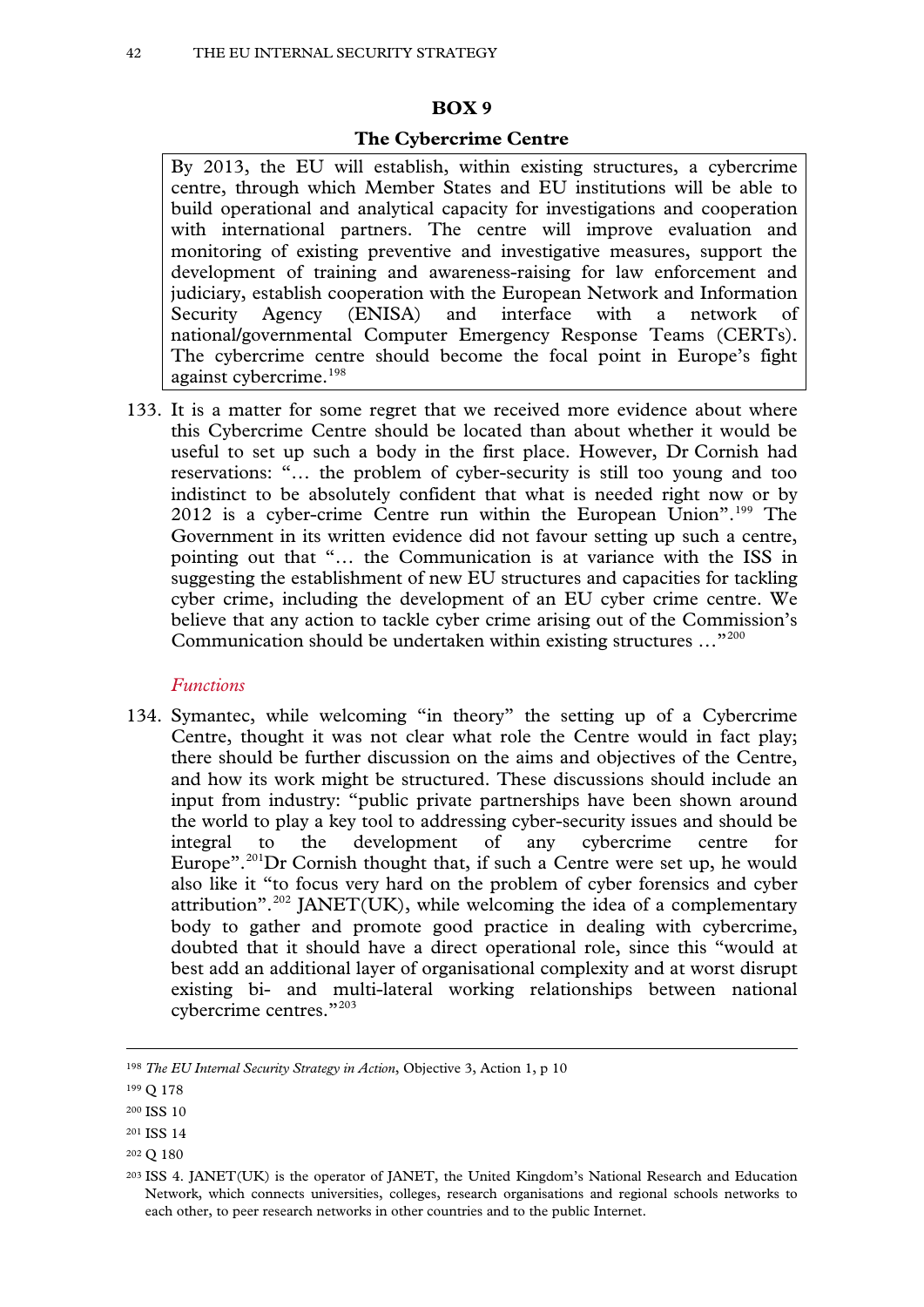#### **BOX 9**

#### **The Cybercrime Centre**

By 2013, the EU will establish, within existing structures, a cybercrime centre, through which Member States and EU institutions will be able to build operational and analytical capacity for investigations and cooperation with international partners. The centre will improve evaluation and monitoring of existing preventive and investigative measures, support the development of training and awareness-raising for law enforcement and judiciary, establish cooperation with the European Network and Information Security Agency (ENISA) and interface with a network of national/governmental Computer Emergency Response Teams (CERTs). The cybercrime centre should become the focal point in Europe's fight against cybercrime.<sup>[198](#page-40-2)</sup>

133. It is a matter for some regret that we received more evidence about where this Cybercrime Centre should be located than about whether it would be useful to set up such a body in the first place. However, Dr Cornish had reservations: "… the problem of cyber-security is still too young and too indistinct to be absolutely confident that what is needed right now or by 2012 is a cyber-crime Centre run within the European Union".<sup>[199](#page-41-0)</sup> The Government in its written evidence did not favour setting up such a centre, pointing out that "… the Communication is at variance with the ISS in suggesting the establishment of new EU structures and capacities for tackling cyber crime, including the development of an EU cyber crime centre. We believe that any action to tackle cyber crime arising out of the Commission's Communication should be undertaken within existing structures …"[200](#page-41-1)

### *Functions*

134. Symantec, while welcoming "in theory" the setting up of a Cybercrime Centre, thought it was not clear what role the Centre would in fact play; there should be further discussion on the aims and objectives of the Centre, and how its work might be structured. These discussions should include an input from industry: "public private partnerships have been shown around the world to play a key tool to addressing cyber-security issues and should be integral to the development of any cybercrime centre for Europe".<sup>[201](#page-41-2)</sup>Dr Cornish thought that, if such a Centre were set up, he would also like it "to focus very hard on the problem of cyber forensics and cyber attribution".<sup>[202](#page-41-3)</sup> JANET(UK), while welcoming the idea of a complementary body to gather and promote good practice in dealing with cybercrime, doubted that it should have a direct operational role, since this "would at best add an additional layer of organisational complexity and at worst disrupt existing bi- and multi-lateral working relationships between national cybercrime centres."[203](#page-41-4)

<span id="page-41-5"></span><sup>198</sup> *The EU Internal Security Strategy in Action*, Objective 3, Action 1, p 10

<span id="page-41-0"></span><sup>199</sup> Q 178

<span id="page-41-1"></span><sup>200</sup> ISS 10

<span id="page-41-2"></span><sup>201</sup> ISS 14

<span id="page-41-3"></span><sup>202</sup> Q 180

<span id="page-41-4"></span><sup>203</sup> ISS 4. JANET(UK) is the operator of JANET, the United Kingdom's National Research and Education Network, which connects universities, colleges, research organisations and regional schools networks to each other, to peer research networks in other countries and to the public Internet.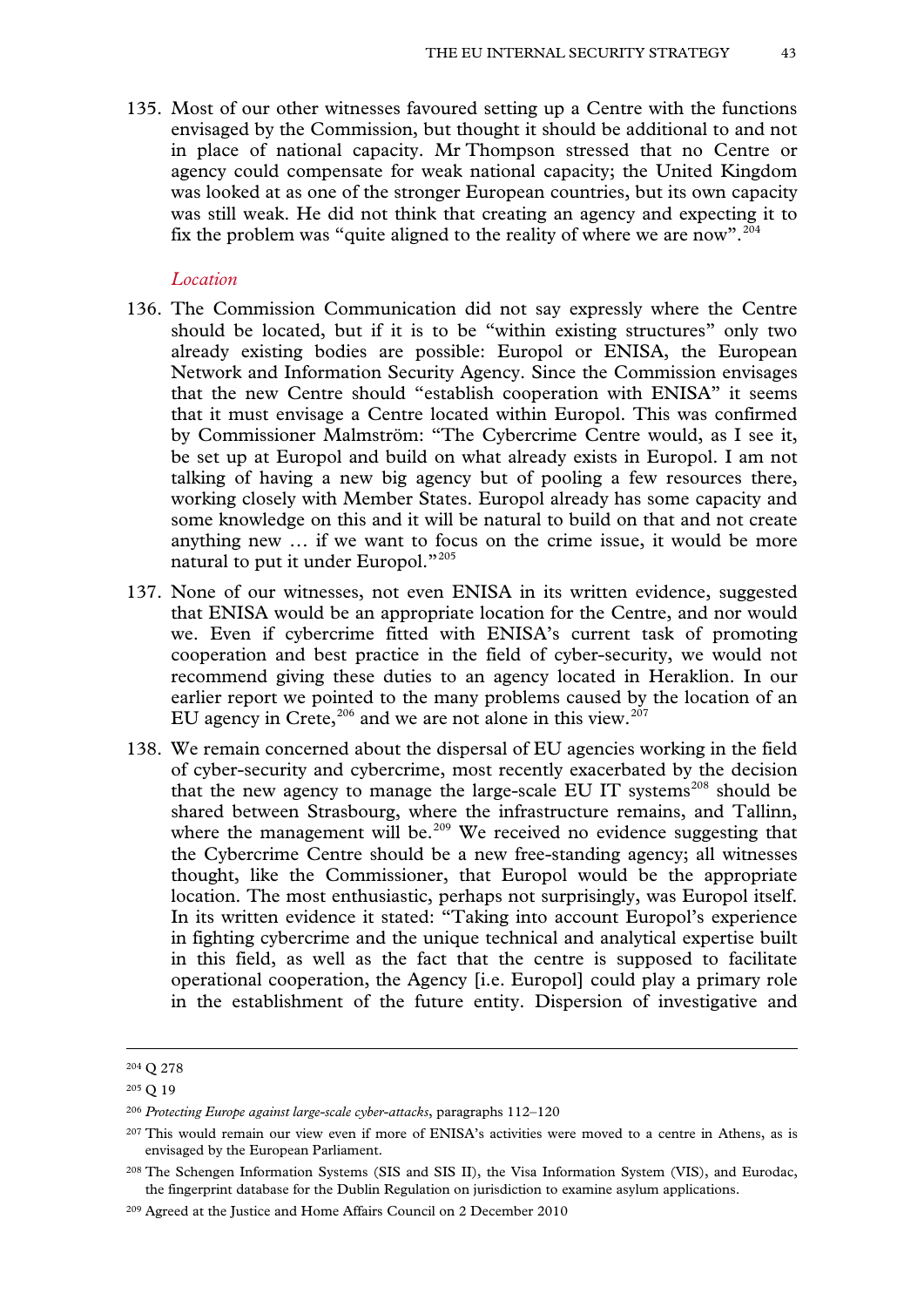135. Most of our other witnesses favoured setting up a Centre with the functions envisaged by the Commission, but thought it should be additional to and not in place of national capacity. Mr Thompson stressed that no Centre or agency could compensate for weak national capacity; the United Kingdom was looked at as one of the stronger European countries, but its own capacity was still weak. He did not think that creating an agency and expecting it to fix the problem was "quite aligned to the reality of where we are now".<sup>[204](#page-41-5)</sup>

#### *Location*

- 136. The Commission Communication did not say expressly where the Centre should be located, but if it is to be "within existing structures" only two already existing bodies are possible: Europol or ENISA, the European Network and Information Security Agency. Since the Commission envisages that the new Centre should "establish cooperation with ENISA" it seems that it must envisage a Centre located within Europol. This was confirmed by Commissioner Malmström: "The Cybercrime Centre would, as I see it, be set up at Europol and build on what already exists in Europol. I am not talking of having a new big agency but of pooling a few resources there, working closely with Member States. Europol already has some capacity and some knowledge on this and it will be natural to build on that and not create anything new … if we want to focus on the crime issue, it would be more natural to put it under Europol."<sup>[205](#page-42-0)</sup>
- 137. None of our witnesses, not even ENISA in its written evidence, suggested that ENISA would be an appropriate location for the Centre, and nor would we. Even if cybercrime fitted with ENISA's current task of promoting cooperation and best practice in the field of cyber-security, we would not recommend giving these duties to an agency located in Heraklion. In our earlier report we pointed to the many problems caused by the location of an EU agency in Crete, $206$  and we are not alone in this view. $207$
- 138. We remain concerned about the dispersal of EU agencies working in the field of cyber-security and cybercrime, most recently exacerbated by the decision that the new agency to manage the large-scale EU IT systems<sup>[208](#page-42-3)</sup> should be shared between Strasbourg, where the infrastructure remains, and Tallinn, where the management will be.<sup>[209](#page-42-4)</sup> We received no evidence suggesting that the Cybercrime Centre should be a new free-standing agency; all witnesses thought, like the Commissioner, that Europol would be the appropriate location. The most enthusiastic, perhaps not surprisingly, was Europol itself. In its written evidence it stated: "Taking into account Europol's experience in fighting cybercrime and the unique technical and analytical expertise built in this field, as well as the fact that the centre is supposed to facilitate operational cooperation, the Agency [i.e. Europol] could play a primary role in the establishment of the future entity. Dispersion of investigative and

<span id="page-42-5"></span><sup>204</sup> Q 278

<span id="page-42-0"></span><sup>205</sup> Q 19

<span id="page-42-1"></span><sup>206</sup> *Protecting Europe against large-scale cyber-attacks*, paragraphs 112–120

<span id="page-42-2"></span><sup>207</sup> This would remain our view even if more of ENISA's activities were moved to a centre in Athens, as is envisaged by the European Parliament.

<span id="page-42-3"></span><sup>208</sup> The Schengen Information Systems (SIS and SIS II), the Visa Information System (VIS), and Eurodac, the fingerprint database for the Dublin Regulation on jurisdiction to examine asylum applications.

<span id="page-42-4"></span><sup>209</sup> Agreed at the Justice and Home Affairs Council on 2 December 2010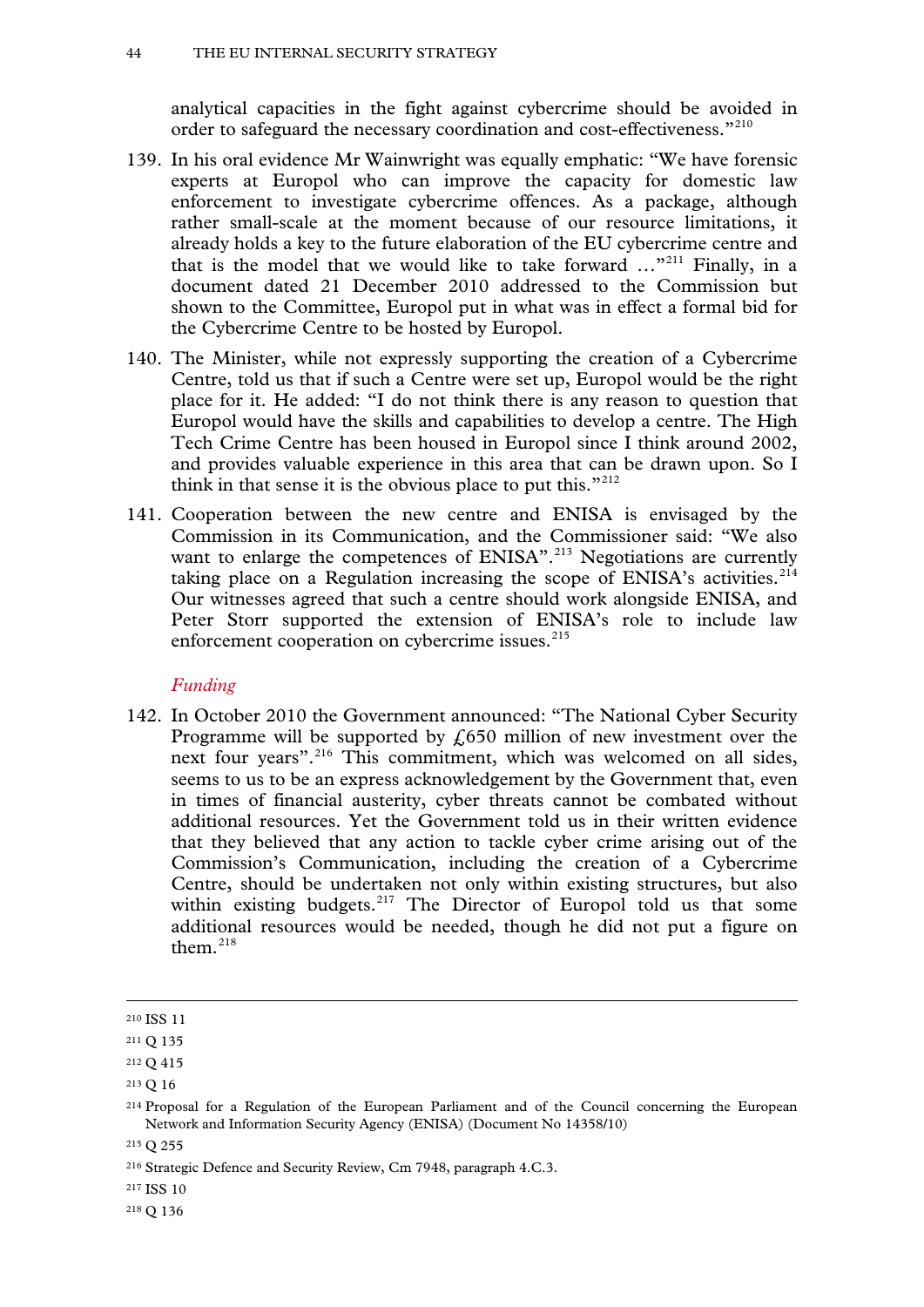analytical capacities in the fight against cybercrime should be avoided in order to safeguard the necessary coordination and cost-effectiveness."[210](#page-42-5)

- 139. In his oral evidence Mr Wainwright was equally emphatic: "We have forensic experts at Europol who can improve the capacity for domestic law enforcement to investigate cybercrime offences. As a package, although rather small-scale at the moment because of our resource limitations, it already holds a key to the future elaboration of the EU cybercrime centre and that is the model that we would like to take forward …"[211](#page-43-0) Finally, in a document dated 21 December 2010 addressed to the Commission but shown to the Committee, Europol put in what was in effect a formal bid for the Cybercrime Centre to be hosted by Europol.
- 140. The Minister, while not expressly supporting the creation of a Cybercrime Centre, told us that if such a Centre were set up, Europol would be the right place for it. He added: "I do not think there is any reason to question that Europol would have the skills and capabilities to develop a centre. The High Tech Crime Centre has been housed in Europol since I think around 2002, and provides valuable experience in this area that can be drawn upon. So I think in that sense it is the obvious place to put this." $212$
- 141. Cooperation between the new centre and ENISA is envisaged by the Commission in its Communication, and the Commissioner said: "We also want to enlarge the competences of ENISA".<sup>[213](#page-43-2)</sup> Negotiations are currently taking place on a Regulation increasing the scope of ENISA's activities.<sup>[214](#page-43-3)</sup> Our witnesses agreed that such a centre should work alongside ENISA, and Peter Storr supported the extension of ENISA's role to include law enforcement cooperation on cybercrime issues.<sup>[215](#page-43-4)</sup>

#### *Funding*

142. In October 2010 the Government announced: "The National Cyber Security Programme will be supported by  $f(650)$  million of new investment over the next four years".<sup>[216](#page-43-5)</sup> This commitment, which was welcomed on all sides, seems to us to be an express acknowledgement by the Government that, even in times of financial austerity, cyber threats cannot be combated without additional resources. Yet the Government told us in their written evidence that they believed that any action to tackle cyber crime arising out of the Commission's Communication, including the creation of a Cybercrime Centre, should be undertaken not only within existing structures, but also within existing budgets.<sup>[217](#page-43-6)</sup> The Director of Europol told us that some additional resources would be needed, though he did not put a figure on them $218$ 

-

<span id="page-43-4"></span><sup>215</sup> Q 255

<span id="page-43-7"></span><sup>218</sup> Q 136

<sup>210</sup> ISS 11

<span id="page-43-0"></span><sup>211</sup> Q 135

<span id="page-43-1"></span><sup>212</sup> Q 415

<span id="page-43-2"></span><sup>213</sup> Q 16

<span id="page-43-8"></span><span id="page-43-3"></span><sup>214</sup> Proposal for a Regulation of the European Parliament and of the Council concerning the European Network and Information Security Agency (ENISA) (Document No 14358/10)

<span id="page-43-5"></span><sup>216</sup> Strategic Defence and Security Review, Cm 7948, paragraph 4.C.3.

<span id="page-43-6"></span><sup>217</sup> ISS 10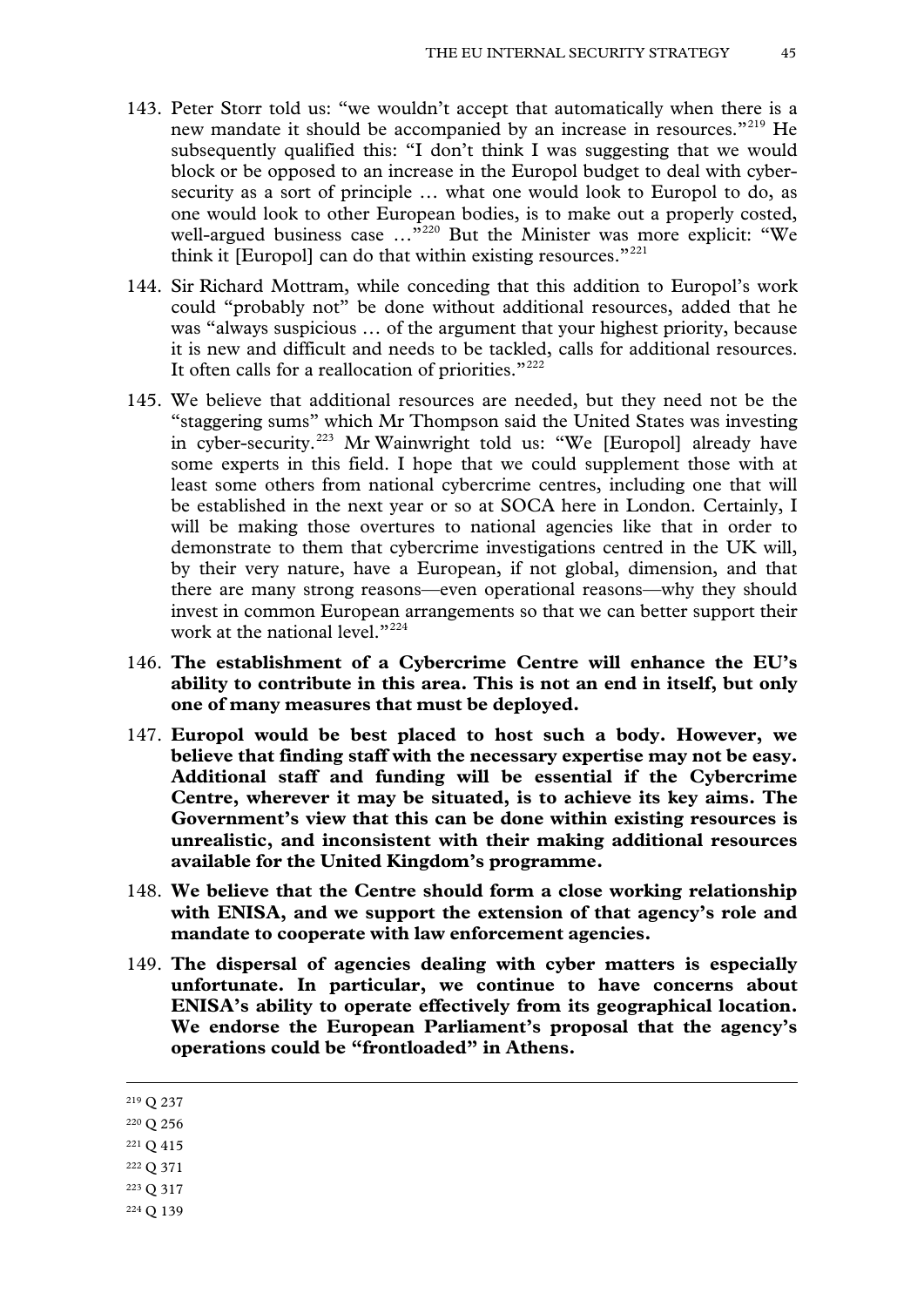- 143. Peter Storr told us: "we wouldn't accept that automatically when there is a new mandate it should be accompanied by an increase in resources."<sup>[219](#page-43-8)</sup> He subsequently qualified this: "I don't think I was suggesting that we would block or be opposed to an increase in the Europol budget to deal with cybersecurity as a sort of principle … what one would look to Europol to do, as one would look to other European bodies, is to make out a properly costed, well-argued business case ..."<sup>[220](#page-44-0)</sup> But the Minister was more explicit: "We think it [Europol] can do that within existing resources. $1221$  $1221$
- 144. Sir Richard Mottram, while conceding that this addition to Europol's work could "probably not" be done without additional resources, added that he was "always suspicious … of the argument that your highest priority, because it is new and difficult and needs to be tackled, calls for additional resources. It often calls for a reallocation of priorities."<sup>[222](#page-44-2)</sup>
- 145. We believe that additional resources are needed, but they need not be the "staggering sums" which Mr Thompson said the United States was investing in cyber-security.<sup>[223](#page-44-3)</sup> Mr Wainwright told us: "We [Europol] already have some experts in this field. I hope that we could supplement those with at least some others from national cybercrime centres, including one that will be established in the next year or so at SOCA here in London. Certainly, I will be making those overtures to national agencies like that in order to demonstrate to them that cybercrime investigations centred in the UK will, by their very nature, have a European, if not global, dimension, and that there are many strong reasons—even operational reasons—why they should invest in common European arrangements so that we can better support their work at the national level."<sup>[224](#page-44-4)</sup>
- 146. **The establishment of a Cybercrime Centre will enhance the EU's ability to contribute in this area. This is not an end in itself, but only one of many measures that must be deployed.**
- 147. **Europol would be best placed to host such a body. However, we believe that finding staff with the necessary expertise may not be easy. Additional staff and funding will be essential if the Cybercrime Centre, wherever it may be situated, is to achieve its key aims. The Government's view that this can be done within existing resources is unrealistic, and inconsistent with their making additional resources available for the United Kingdom's programme.**
- 148. **We believe that the Centre should form a close working relationship with ENISA, and we support the extension of that agency's role and mandate to cooperate with law enforcement agencies.**
- 149. **The dispersal of agencies dealing with cyber matters is especially unfortunate. In particular, we continue to have concerns about ENISA's ability to operate effectively from its geographical location. We endorse the European Parliament's proposal that the agency's operations could be "frontloaded" in Athens.**

- <span id="page-44-2"></span><sup>222</sup> Q 371
- <span id="page-44-3"></span><sup>223</sup> Q 317
- <span id="page-44-4"></span><sup>224</sup> Q 139

<span id="page-44-5"></span><sup>219</sup> Q 237

<span id="page-44-0"></span><sup>220</sup> Q 256

<span id="page-44-1"></span><sup>221</sup> Q 415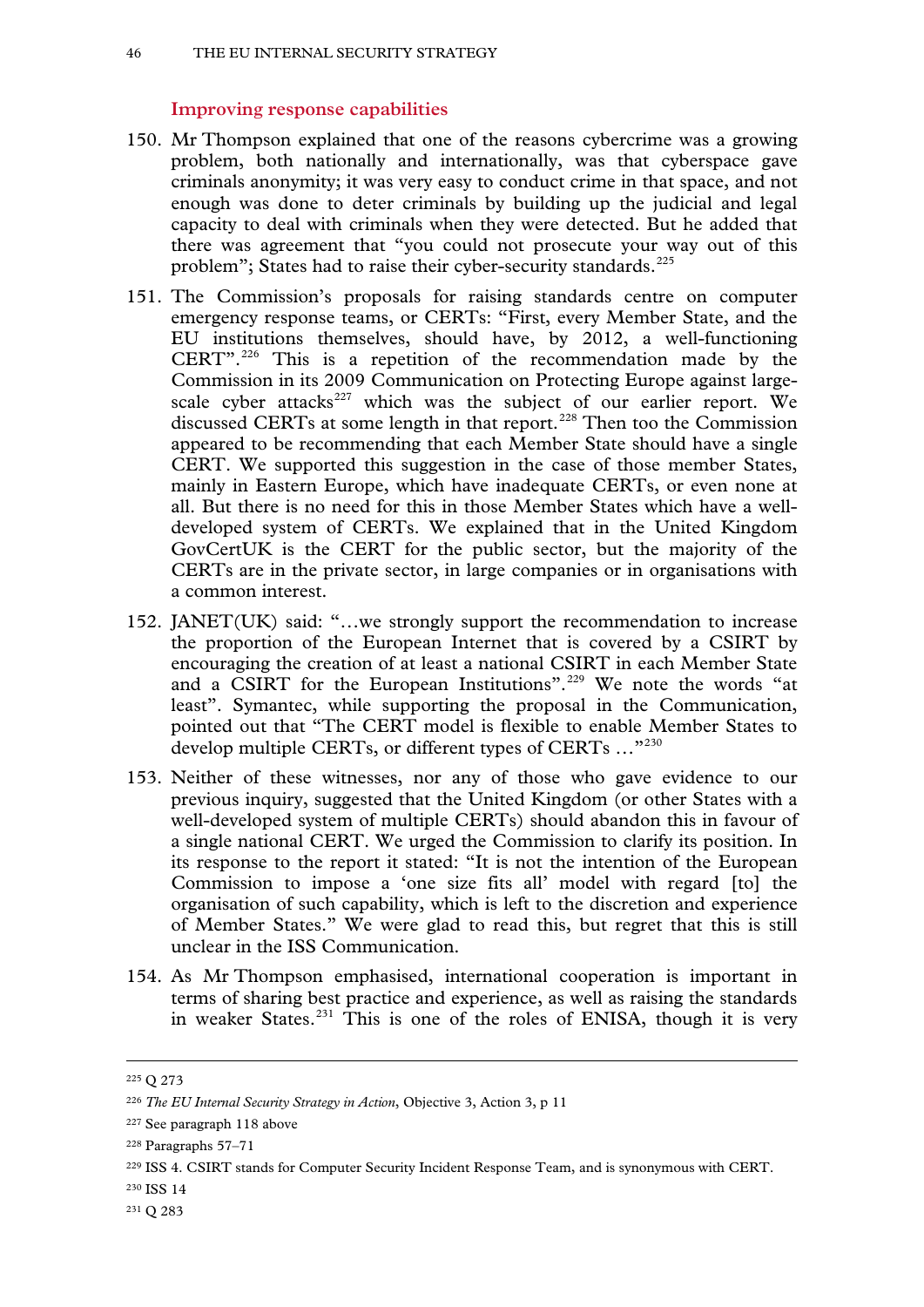## **Improving response capabilities**

- 150. Mr Thompson explained that one of the reasons cybercrime was a growing problem, both nationally and internationally, was that cyberspace gave criminals anonymity; it was very easy to conduct crime in that space, and not enough was done to deter criminals by building up the judicial and legal capacity to deal with criminals when they were detected. But he added that there was agreement that "you could not prosecute your way out of this problem"; States had to raise their cyber-security standards. $^{225}$  $^{225}$  $^{225}$
- 151. The Commission's proposals for raising standards centre on computer emergency response teams, or CERTs: "First, every Member State, and the EU institutions themselves, should have, by 2012, a well-functioning CERT".[226](#page-45-0) This is a repetition of the recommendation made by the Commission in its 2009 Communication on Protecting Europe against large-scale cyber attacks<sup>[227](#page-45-1)</sup> which was the subject of our earlier report. We discussed CERTs at some length in that report.<sup>[228](#page-45-2)</sup> Then too the Commission appeared to be recommending that each Member State should have a single CERT. We supported this suggestion in the case of those member States, mainly in Eastern Europe, which have inadequate CERTs, or even none at all. But there is no need for this in those Member States which have a welldeveloped system of CERTs. We explained that in the United Kingdom GovCertUK is the CERT for the public sector, but the majority of the CERTs are in the private sector, in large companies or in organisations with a common interest.
- 152. JANET(UK) said: "…we strongly support the recommendation to increase the proportion of the European Internet that is covered by a CSIRT by encouraging the creation of at least a national CSIRT in each Member State and a CSIRT for the European Institutions".<sup>[229](#page-45-3)</sup> We note the words "at least". Symantec, while supporting the proposal in the Communication, pointed out that "The CERT model is flexible to enable Member States to develop multiple CERTs, or different types of CERTs …"[230](#page-45-4)
- 153. Neither of these witnesses, nor any of those who gave evidence to our previous inquiry, suggested that the United Kingdom (or other States with a well-developed system of multiple CERTs) should abandon this in favour of a single national CERT. We urged the Commission to clarify its position. In its response to the report it stated: "It is not the intention of the European Commission to impose a 'one size fits all' model with regard [to] the organisation of such capability, which is left to the discretion and experience of Member States." We were glad to read this, but regret that this is still unclear in the ISS Communication.
- 154. As Mr Thompson emphasised, international cooperation is important in terms of sharing best practice and experience, as well as raising the standards in weaker States.<sup>[231](#page-45-5)</sup> This is one of the roles of ENISA, though it is very

<span id="page-45-6"></span><sup>225</sup> Q 273

<span id="page-45-0"></span><sup>226</sup> *The EU Internal Security Strategy in Action*, Objective 3, Action 3, p 11

<span id="page-45-1"></span><sup>227</sup> See paragraph 118 above

<span id="page-45-2"></span><sup>228</sup> Paragraphs 57–71

<span id="page-45-3"></span><sup>229</sup> ISS 4. CSIRT stands for Computer Security Incident Response Team, and is synonymous with CERT.

<span id="page-45-4"></span><sup>230</sup> ISS 14

<span id="page-45-5"></span><sup>231</sup> Q 283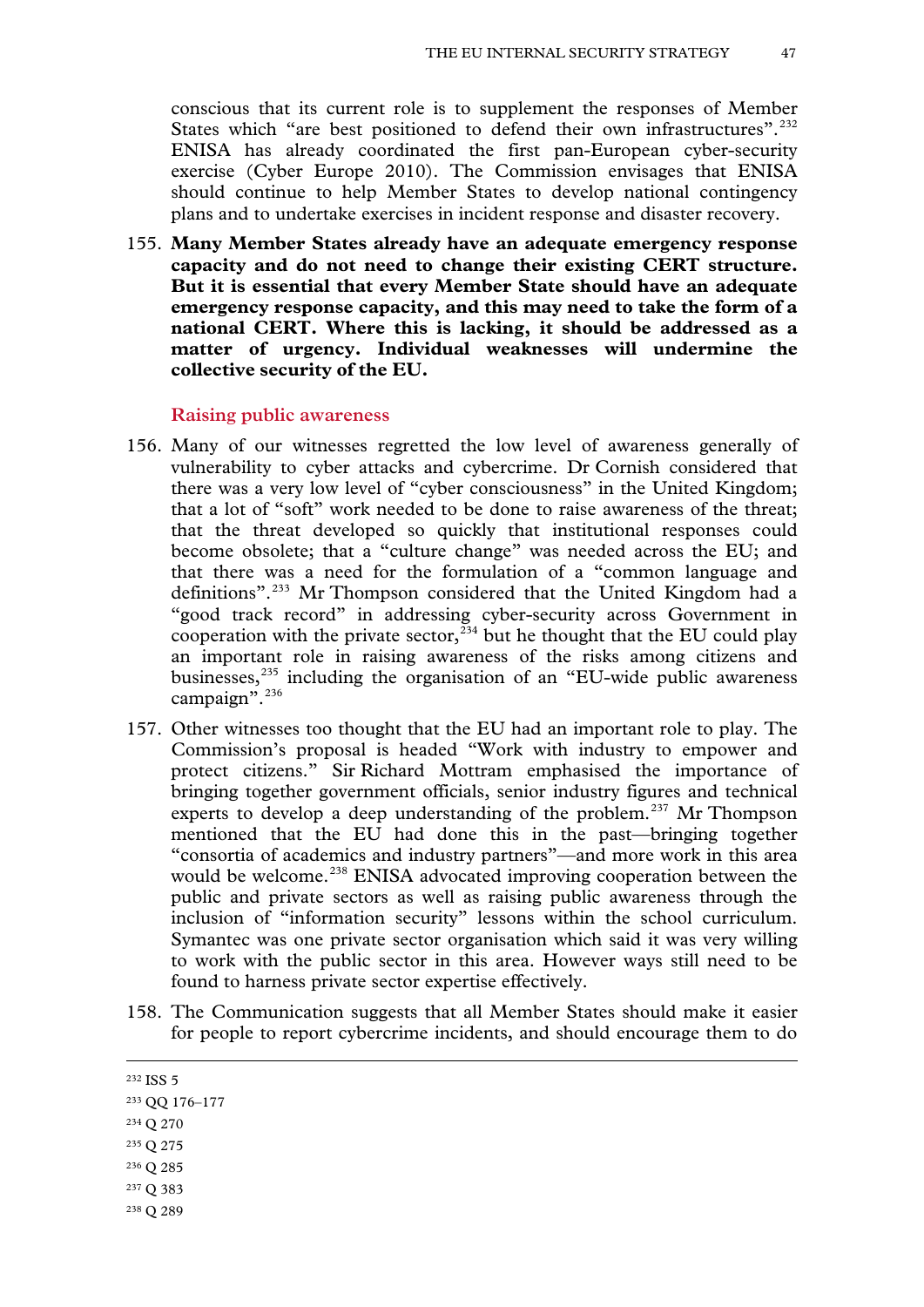conscious that its current role is to supplement the responses of Member States which "are best positioned to defend their own infrastructures".<sup>[232](#page-45-6)</sup> ENISA has already coordinated the first pan-European cyber-security exercise (Cyber Europe 2010). The Commission envisages that ENISA should continue to help Member States to develop national contingency plans and to undertake exercises in incident response and disaster recovery.

155. **Many Member States already have an adequate emergency response capacity and do not need to change their existing CERT structure. But it is essential that every Member State should have an adequate emergency response capacity, and this may need to take the form of a national CERT. Where this is lacking, it should be addressed as a matter of urgency. Individual weaknesses will undermine the collective security of the EU.**

### **Raising public awareness**

- 156. Many of our witnesses regretted the low level of awareness generally of vulnerability to cyber attacks and cybercrime. Dr Cornish considered that there was a very low level of "cyber consciousness" in the United Kingdom; that a lot of "soft" work needed to be done to raise awareness of the threat; that the threat developed so quickly that institutional responses could become obsolete; that a "culture change" was needed across the EU; and that there was a need for the formulation of a "common language and definitions".[233](#page-46-0) Mr Thompson considered that the United Kingdom had a "good track record" in addressing cyber-security across Government in cooperation with the private sector,  $^{234}$  $^{234}$  $^{234}$  but he thought that the EU could play an important role in raising awareness of the risks among citizens and businesses, $^{235}$  including the organisation of an "EU-wide public awareness campaign". $^{236}$  $^{236}$  $^{236}$
- 157. Other witnesses too thought that the EU had an important role to play. The Commission's proposal is headed "Work with industry to empower and protect citizens." Sir Richard Mottram emphasised the importance of bringing together government officials, senior industry figures and technical experts to develop a deep understanding of the problem.<sup>[237](#page-46-4)</sup> Mr Thompson mentioned that the EU had done this in the past—bringing together "consortia of academics and industry partners"—and more work in this area would be welcome.<sup>[238](#page-46-5)</sup> ENISA advocated improving cooperation between the public and private sectors as well as raising public awareness through the inclusion of "information security" lessons within the school curriculum. Symantec was one private sector organisation which said it was very willing to work with the public sector in this area. However ways still need to be found to harness private sector expertise effectively.
- 158. The Communication suggests that all Member States should make it easier for people to report cybercrime incidents, and should encourage them to do

- <span id="page-46-4"></span><sup>237</sup> Q 383
- <span id="page-46-5"></span><sup>238</sup> Q 289

<span id="page-46-6"></span><sup>232</sup> ISS 5

<span id="page-46-0"></span><sup>233</sup> QQ 176–177

<span id="page-46-1"></span><sup>234</sup> Q 270

<span id="page-46-2"></span><sup>235</sup> Q 275

<span id="page-46-3"></span><sup>236</sup> Q 285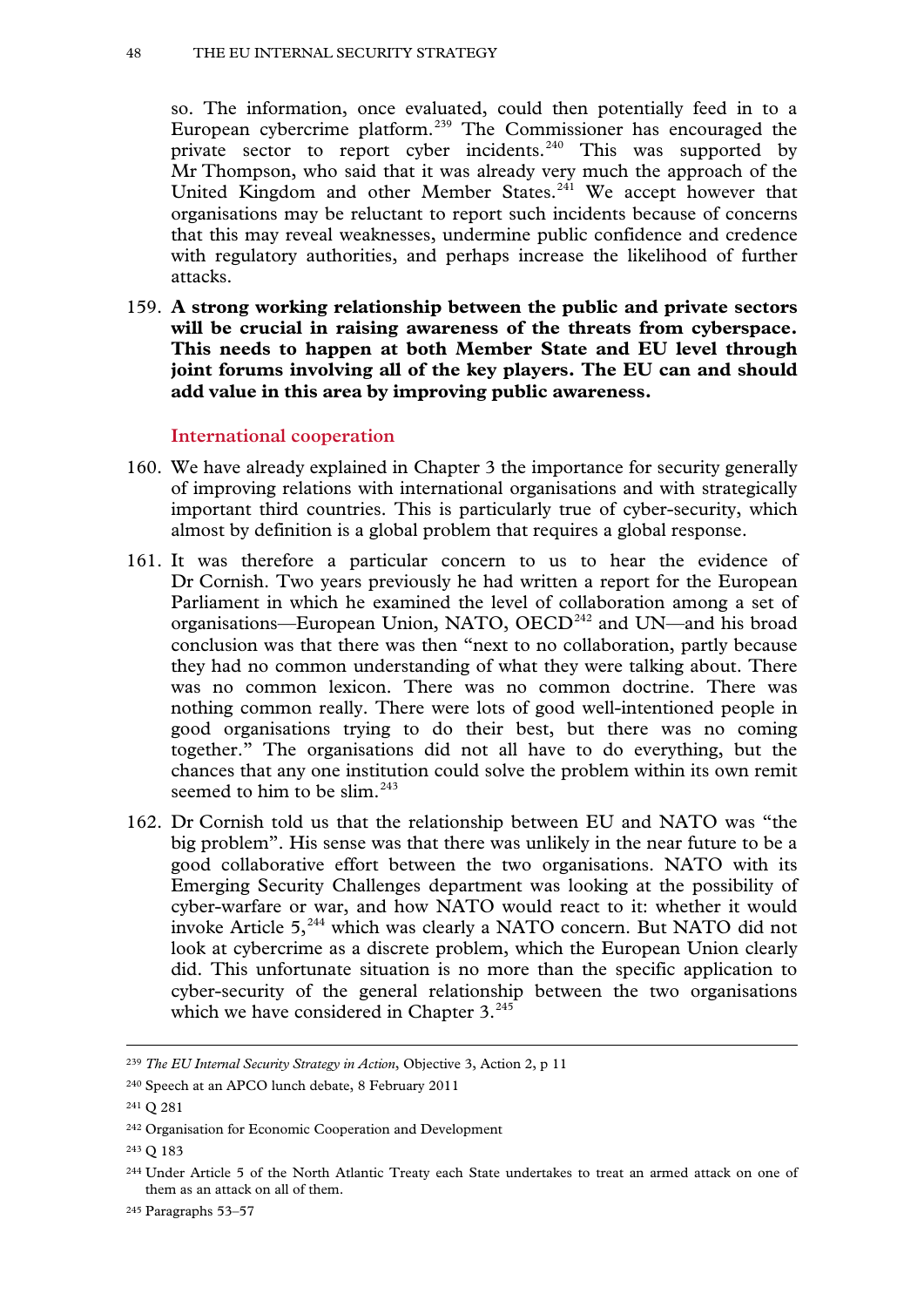so. The information, once evaluated, could then potentially feed in to a European cybercrime platform.[239](#page-46-6) The Commissioner has encouraged the private sector to report cyber incidents.<sup>[240](#page-47-0)</sup> This was supported by Mr Thompson, who said that it was already very much the approach of the United Kingdom and other Member States.<sup>[241](#page-47-1)</sup> We accept however that organisations may be reluctant to report such incidents because of concerns that this may reveal weaknesses, undermine public confidence and credence with regulatory authorities, and perhaps increase the likelihood of further attacks.

159. **A strong working relationship between the public and private sectors will be crucial in raising awareness of the threats from cyberspace. This needs to happen at both Member State and EU level through joint forums involving all of the key players. The EU can and should add value in this area by improving public awareness.**

## **International cooperation**

- 160. We have already explained in Chapter 3 the importance for security generally of improving relations with international organisations and with strategically important third countries. This is particularly true of cyber-security, which almost by definition is a global problem that requires a global response.
- 161. It was therefore a particular concern to us to hear the evidence of Dr Cornish. Two years previously he had written a report for the European Parliament in which he examined the level of collaboration among a set of organisations—European Union, NATO, OECD<sup>[242](#page-47-2)</sup> and UN—and his broad conclusion was that there was then "next to no collaboration, partly because they had no common understanding of what they were talking about. There was no common lexicon. There was no common doctrine. There was nothing common really. There were lots of good well-intentioned people in good organisations trying to do their best, but there was no coming together." The organisations did not all have to do everything, but the chances that any one institution could solve the problem within its own remit seemed to him to be slim.<sup>[243](#page-47-3)</sup>
- 162. Dr Cornish told us that the relationship between EU and NATO was "the big problem". His sense was that there was unlikely in the near future to be a good collaborative effort between the two organisations. NATO with its Emerging Security Challenges department was looking at the possibility of cyber-warfare or war, and how NATO would react to it: whether it would invoke Article 5<sup>[244](#page-47-4)</sup> which was clearly a NATO concern. But NATO did not look at cybercrime as a discrete problem, which the European Union clearly did. This unfortunate situation is no more than the specific application to cyber-security of the general relationship between the two organisations which we have considered in Chapter 3.<sup>[245](#page-47-5)</sup>

<sup>239</sup> *The EU Internal Security Strategy in Action*, Objective 3, Action 2, p 11

<span id="page-47-0"></span><sup>240</sup> Speech at an APCO lunch debate, 8 February 2011

<span id="page-47-1"></span><sup>241</sup> Q 281

<span id="page-47-2"></span><sup>242</sup> Organisation for Economic Cooperation and Development

<span id="page-47-3"></span><sup>243</sup> Q 183

<span id="page-47-6"></span><span id="page-47-4"></span><sup>244</sup> Under Article 5 of the North Atlantic Treaty each State undertakes to treat an armed attack on one of them as an attack on all of them.

<span id="page-47-5"></span><sup>245</sup> Paragraphs 53–57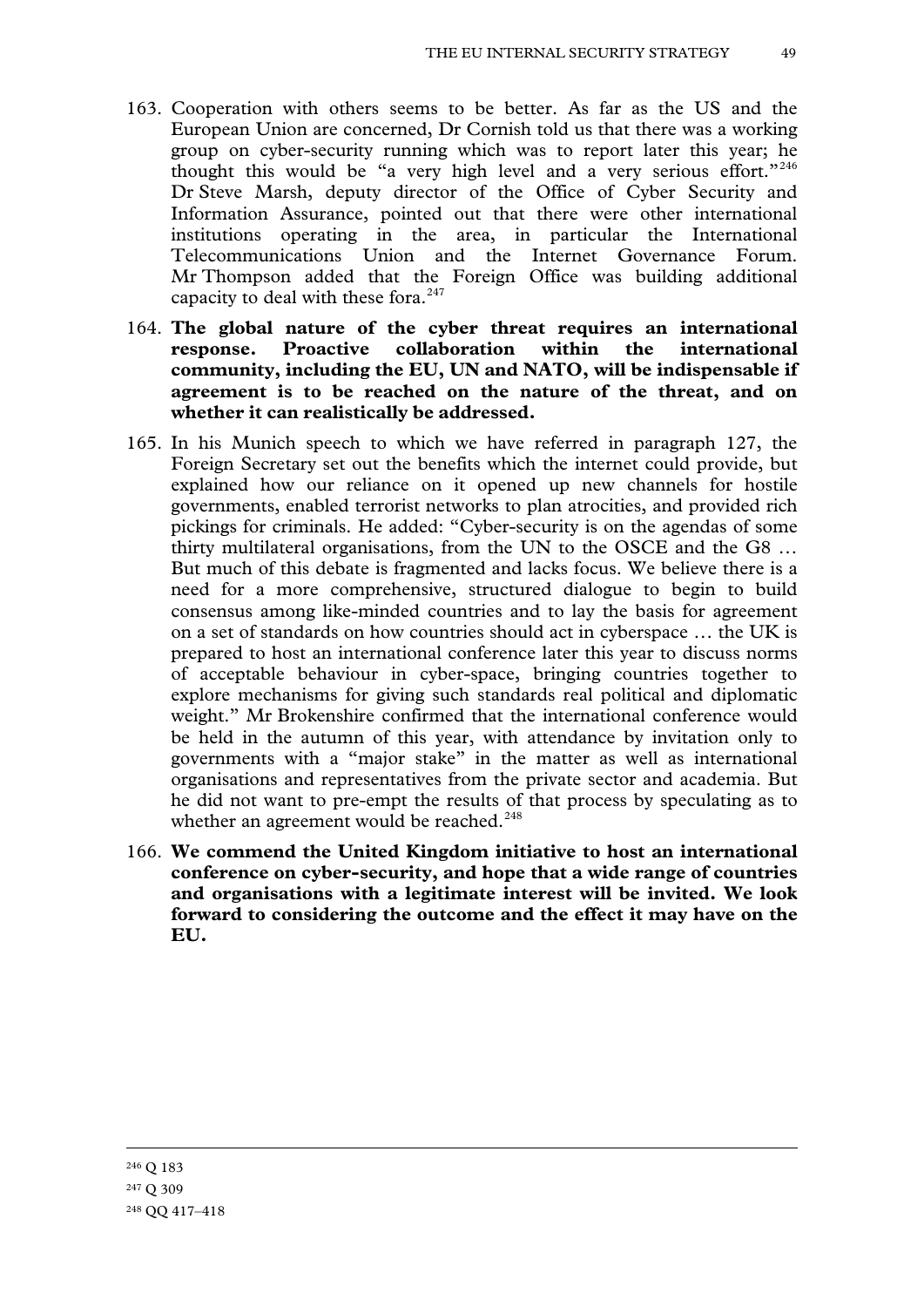- 163. Cooperation with others seems to be better. As far as the US and the European Union are concerned, Dr Cornish told us that there was a working group on cyber-security running which was to report later this year; he thought this would be "a very high level and a very serious effort."<sup>[246](#page-47-6)</sup> Dr Steve Marsh, deputy director of the Office of Cyber Security and Information Assurance, pointed out that there were other international institutions operating in the area, in particular the International Telecommunications Union and the Internet Governance Forum. Mr Thompson added that the Foreign Office was building additional capacity to deal with these fora.<sup>[247](#page-48-0)</sup>
- 164. **The global nature of the cyber threat requires an international response. Proactive collaboration within the international community, including the EU, UN and NATO, will be indispensable if agreement is to be reached on the nature of the threat, and on whether it can realistically be addressed.**
- 165. In his Munich speech to which we have referred in paragraph 127, the Foreign Secretary set out the benefits which the internet could provide, but explained how our reliance on it opened up new channels for hostile governments, enabled terrorist networks to plan atrocities, and provided rich pickings for criminals. He added: "Cyber-security is on the agendas of some thirty multilateral organisations, from the UN to the OSCE and the G8 … But much of this debate is fragmented and lacks focus. We believe there is a need for a more comprehensive, structured dialogue to begin to build consensus among like-minded countries and to lay the basis for agreement on a set of standards on how countries should act in cyberspace … the UK is prepared to host an international conference later this year to discuss norms of acceptable behaviour in cyber-space, bringing countries together to explore mechanisms for giving such standards real political and diplomatic weight." Mr Brokenshire confirmed that the international conference would be held in the autumn of this year, with attendance by invitation only to governments with a "major stake" in the matter as well as international organisations and representatives from the private sector and academia. But he did not want to pre-empt the results of that process by speculating as to whether an agreement would be reached.<sup>[248](#page-48-1)</sup>
- <span id="page-48-2"></span><span id="page-48-1"></span><span id="page-48-0"></span>166. **We commend the United Kingdom initiative to host an international conference on cyber-security, and hope that a wide range of countries and organisations with a legitimate interest will be invited. We look forward to considering the outcome and the effect it may have on the EU.**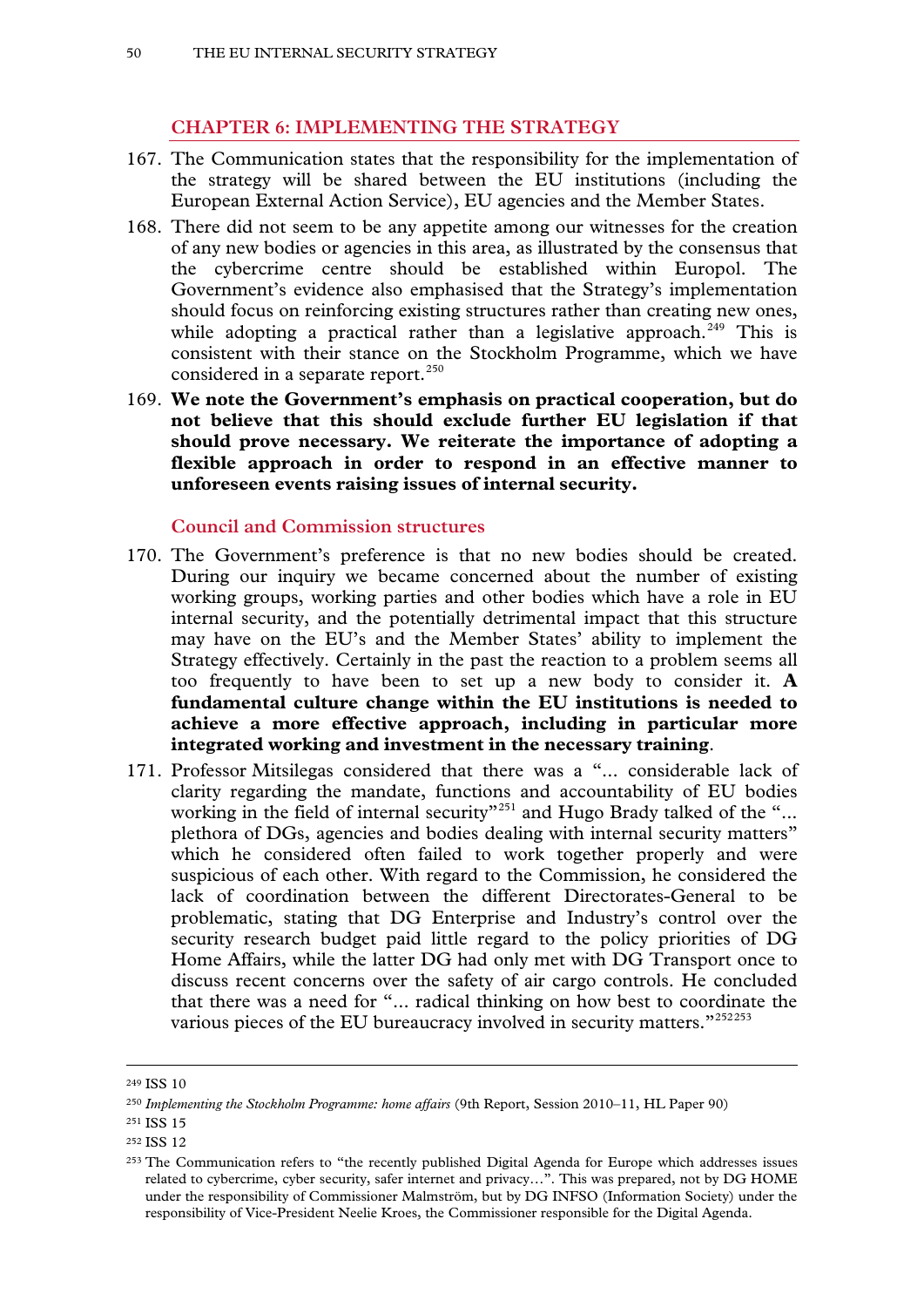# **CHAPTER 6: IMPLEMENTING THE STRATEGY**

- 167. The Communication states that the responsibility for the implementation of the strategy will be shared between the EU institutions (including the European External Action Service), EU agencies and the Member States.
- 168. There did not seem to be any appetite among our witnesses for the creation of any new bodies or agencies in this area, as illustrated by the consensus that the cybercrime centre should be established within Europol. The Government's evidence also emphasised that the Strategy's implementation should focus on reinforcing existing structures rather than creating new ones, while adopting a practical rather than a legislative approach.<sup>[249](#page-48-2)</sup> This is consistent with their stance on the Stockholm Programme, which we have considered in a separate report.<sup>[250](#page-49-0)</sup>
- 169. **We note the Government's emphasis on practical cooperation, but do not believe that this should exclude further EU legislation if that should prove necessary. We reiterate the importance of adopting a flexible approach in order to respond in an effective manner to unforeseen events raising issues of internal security.**

### **Council and Commission structures**

- 170. The Government's preference is that no new bodies should be created. During our inquiry we became concerned about the number of existing working groups, working parties and other bodies which have a role in EU internal security, and the potentially detrimental impact that this structure may have on the EU's and the Member States' ability to implement the Strategy effectively. Certainly in the past the reaction to a problem seems all too frequently to have been to set up a new body to consider it. **A fundamental culture change within the EU institutions is needed to achieve a more effective approach, including in particular more integrated working and investment in the necessary training**.
- 171. Professor Mitsilegas considered that there was a "... considerable lack of clarity regarding the mandate, functions and accountability of EU bodies working in the field of internal security"<sup>[251](#page-49-1)</sup> and Hugo Brady talked of the "... plethora of DGs, agencies and bodies dealing with internal security matters" which he considered often failed to work together properly and were suspicious of each other. With regard to the Commission, he considered the lack of coordination between the different Directorates-General to be problematic, stating that DG Enterprise and Industry's control over the security research budget paid little regard to the policy priorities of DG Home Affairs, while the latter DG had only met with DG Transport once to discuss recent concerns over the safety of air cargo controls. He concluded that there was a need for "... radical thinking on how best to coordinate the various pieces of the EU bureaucracy involved in security matters."<sup>[252](#page-49-2)[253](#page-49-3)</sup>

<sup>249</sup> ISS 10

<span id="page-49-0"></span><sup>250</sup> *Implementing the Stockholm Programme: home affairs* (9th Report, Session 2010–11, HL Paper 90)

<span id="page-49-1"></span><sup>251</sup> ISS 15

<span id="page-49-2"></span><sup>252</sup> ISS 12

<span id="page-49-4"></span><span id="page-49-3"></span><sup>253</sup> The Communication refers to "the recently published Digital Agenda for Europe which addresses issues related to cybercrime, cyber security, safer internet and privacy…". This was prepared, not by DG HOME under the responsibility of Commissioner Malmström, but by DG INFSO (Information Society) under the responsibility of Vice-President Neelie Kroes, the Commissioner responsible for the Digital Agenda.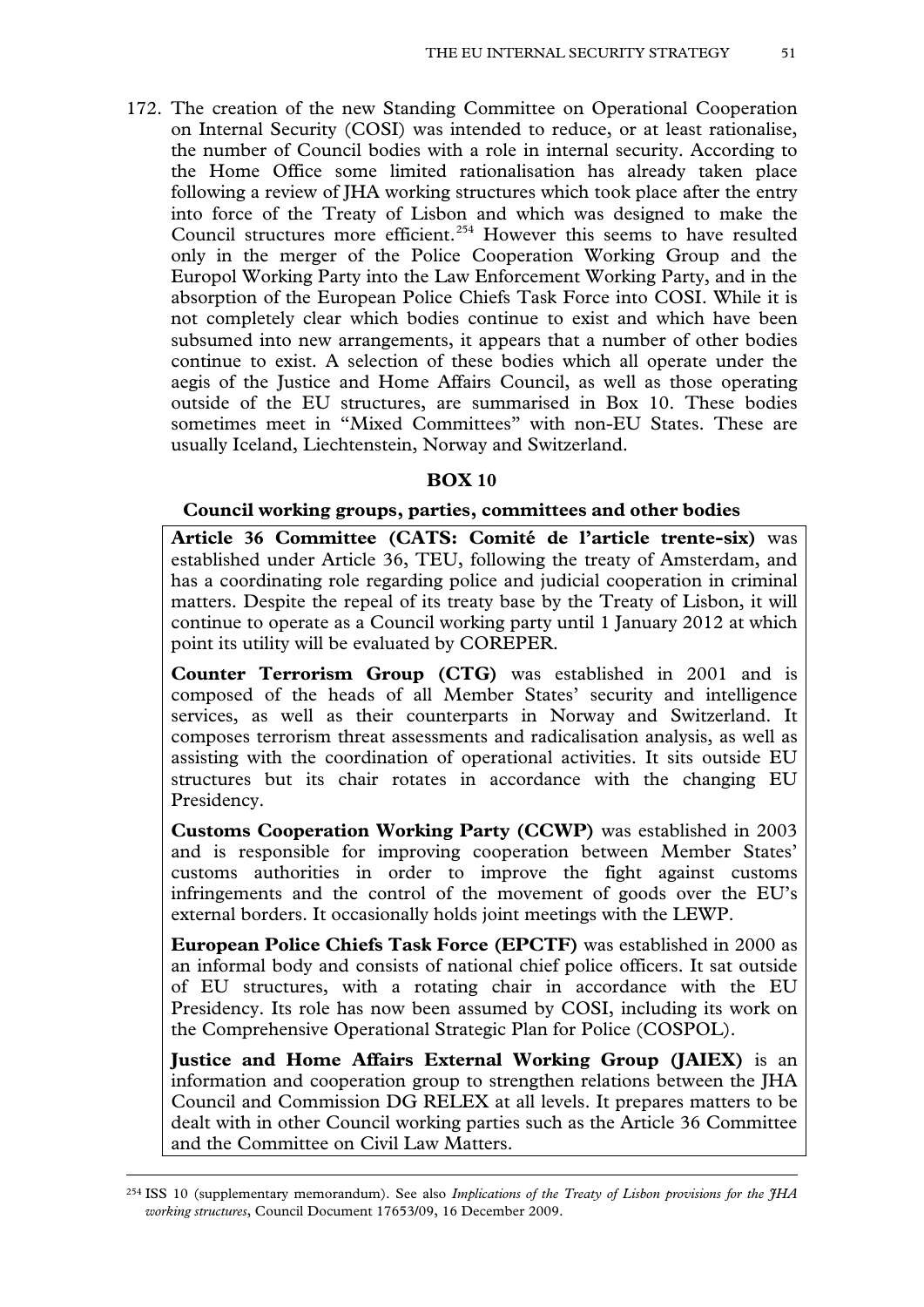172. The creation of the new Standing Committee on Operational Cooperation on Internal Security (COSI) was intended to reduce, or at least rationalise, the number of Council bodies with a role in internal security. According to the Home Office some limited rationalisation has already taken place following a review of JHA working structures which took place after the entry into force of the Treaty of Lisbon and which was designed to make the Council structures more efficient.<sup>[254](#page-49-4)</sup> However this seems to have resulted only in the merger of the Police Cooperation Working Group and the Europol Working Party into the Law Enforcement Working Party, and in the absorption of the European Police Chiefs Task Force into COSI. While it is not completely clear which bodies continue to exist and which have been subsumed into new arrangements, it appears that a number of other bodies continue to exist. A selection of these bodies which all operate under the aegis of the Justice and Home Affairs Council, as well as those operating outside of the EU structures, are summarised in Box 10. These bodies sometimes meet in "Mixed Committees" with non-EU States. These are usually Iceland, Liechtenstein, Norway and Switzerland.

## **BOX 10**

### **Council working groups, parties, committees and other bodies**

**Article 36 Committee (CATS: Comité de l'article trente-six)** was established under Article 36, TEU, following the treaty of Amsterdam, and has a coordinating role regarding police and judicial cooperation in criminal matters. Despite the repeal of its treaty base by the Treaty of Lisbon, it will continue to operate as a Council working party until 1 January 2012 at which point its utility will be evaluated by COREPER.

**Counter Terrorism Group (CTG)** was established in 2001 and is composed of the heads of all Member States' security and intelligence services, as well as their counterparts in Norway and Switzerland. It composes terrorism threat assessments and radicalisation analysis, as well as assisting with the coordination of operational activities. It sits outside EU structures but its chair rotates in accordance with the changing EU Presidency.

**Customs Cooperation Working Party (CCWP)** was established in 2003 and is responsible for improving cooperation between Member States' customs authorities in order to improve the fight against customs infringements and the control of the movement of goods over the EU's external borders. It occasionally holds joint meetings with the LEWP.

**European Police Chiefs Task Force (EPCTF)** was established in 2000 as an informal body and consists of national chief police officers. It sat outside of EU structures, with a rotating chair in accordance with the EU Presidency. Its role has now been assumed by COSI, including its work on the Comprehensive Operational Strategic Plan for Police (COSPOL).

**Justice and Home Affairs External Working Group (JAIEX)** is an information and cooperation group to strengthen relations between the JHA Council and Commission DG RELEX at all levels. It prepares matters to be dealt with in other Council working parties such as the Article 36 Committee and the Committee on Civil Law Matters.

<span id="page-50-0"></span><sup>254</sup> ISS 10 (supplementary memorandum). See also *Implications of the Treaty of Lisbon provisions for the JHA working structures*, Council Document 17653/09, 16 December 2009.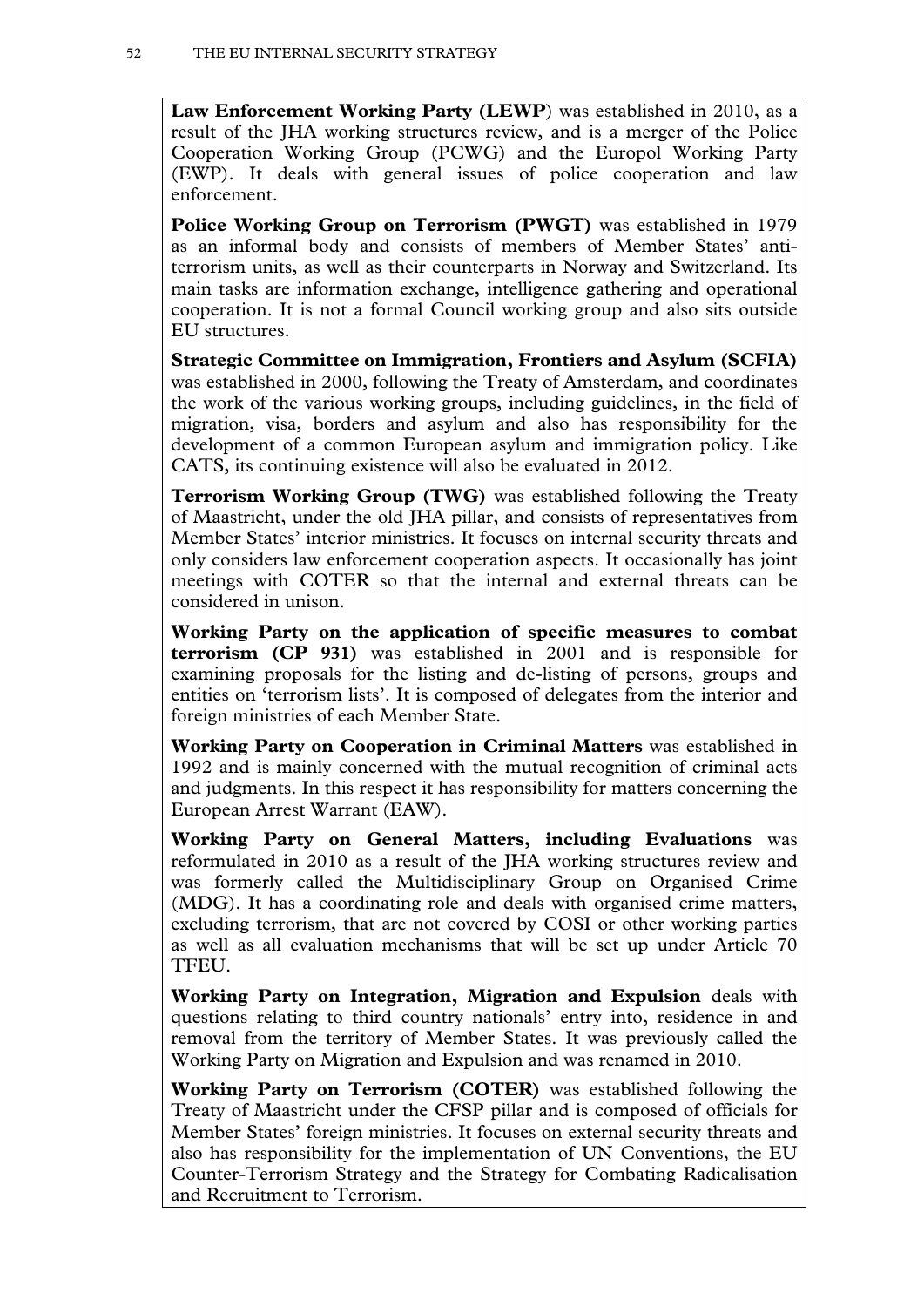**Law Enforcement Working Party (LEWP**) was established in 2010, as a result of the JHA working structures review, and is a merger of the Police Cooperation Working Group (PCWG) and the Europol Working Party (EWP). It deals with general issues of police cooperation and law enforcement.

**Police Working Group on Terrorism (PWGT)** was established in 1979 as an informal body and consists of members of Member States' antiterrorism units, as well as their counterparts in Norway and Switzerland. Its main tasks are information exchange, intelligence gathering and operational cooperation. It is not a formal Council working group and also sits outside EU structures.

**Strategic Committee on Immigration, Frontiers and Asylum (SCFIA)** was established in 2000, following the Treaty of Amsterdam, and coordinates the work of the various working groups, including guidelines, in the field of migration, visa, borders and asylum and also has responsibility for the development of a common European asylum and immigration policy. Like CATS, its continuing existence will also be evaluated in 2012.

**Terrorism Working Group (TWG)** was established following the Treaty of Maastricht, under the old JHA pillar, and consists of representatives from Member States' interior ministries. It focuses on internal security threats and only considers law enforcement cooperation aspects. It occasionally has joint meetings with COTER so that the internal and external threats can be considered in unison.

**Working Party on the application of specific measures to combat terrorism (CP 931)** was established in 2001 and is responsible for examining proposals for the listing and de-listing of persons, groups and entities on 'terrorism lists'. It is composed of delegates from the interior and foreign ministries of each Member State.

**Working Party on Cooperation in Criminal Matters** was established in 1992 and is mainly concerned with the mutual recognition of criminal acts and judgments. In this respect it has responsibility for matters concerning the European Arrest Warrant (EAW).

**Working Party on General Matters, including Evaluations** was reformulated in 2010 as a result of the JHA working structures review and was formerly called the Multidisciplinary Group on Organised Crime (MDG). It has a coordinating role and deals with organised crime matters, excluding terrorism, that are not covered by COSI or other working parties as well as all evaluation mechanisms that will be set up under Article 70 TFEU.

**Working Party on Integration, Migration and Expulsion** deals with questions relating to third country nationals' entry into, residence in and removal from the territory of Member States. It was previously called the Working Party on Migration and Expulsion and was renamed in 2010.

**Working Party on Terrorism (COTER)** was established following the Treaty of Maastricht under the CFSP pillar and is composed of officials for Member States' foreign ministries. It focuses on external security threats and also has responsibility for the implementation of UN Conventions, the EU Counter-Terrorism Strategy and the Strategy for Combating Radicalisation and Recruitment to Terrorism.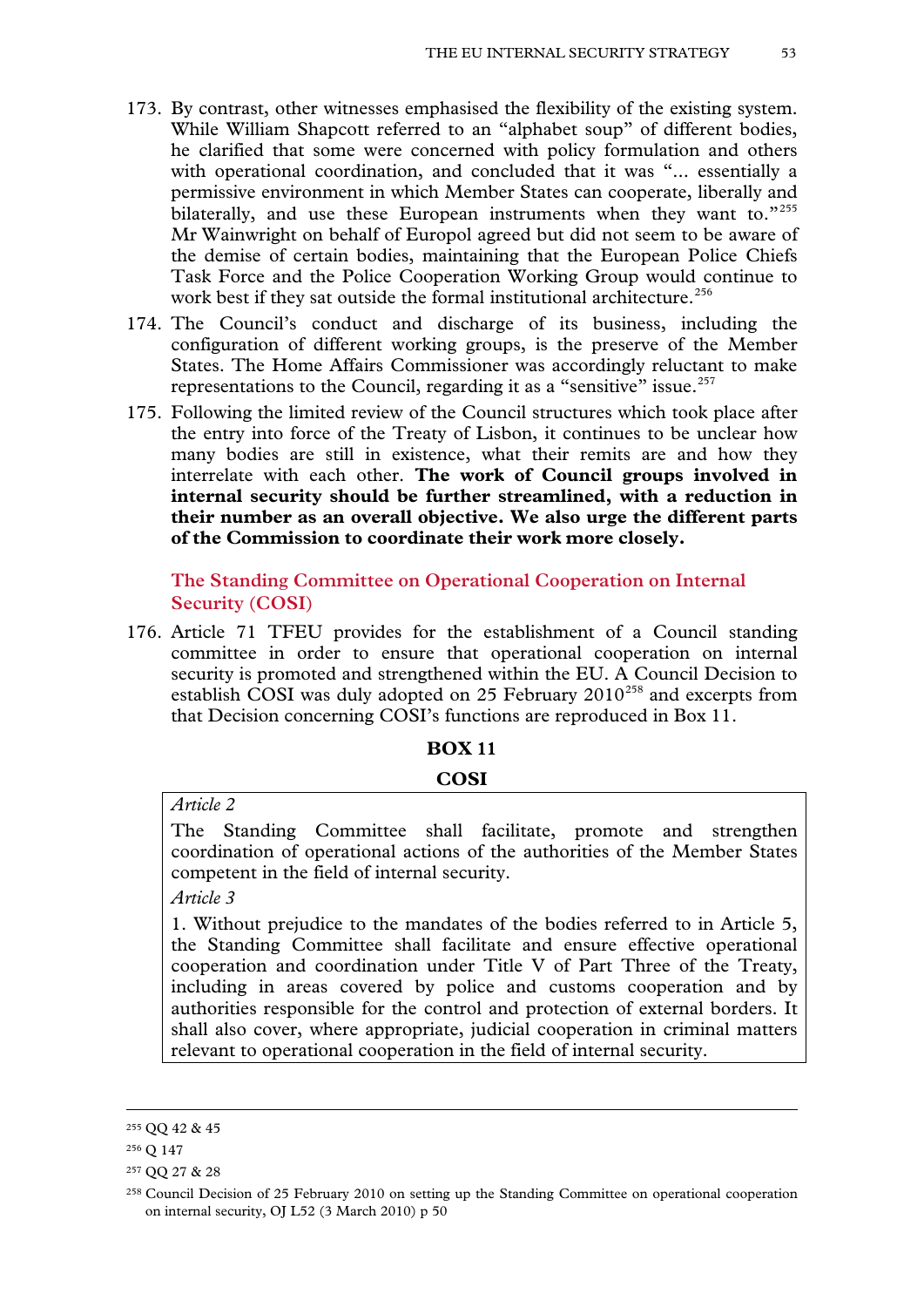- 173. By contrast, other witnesses emphasised the flexibility of the existing system. While William Shapcott referred to an "alphabet soup" of different bodies, he clarified that some were concerned with policy formulation and others with operational coordination, and concluded that it was "... essentially a permissive environment in which Member States can cooperate, liberally and bilaterally, and use these European instruments when they want to."[255](#page-50-0) Mr Wainwright on behalf of Europol agreed but did not seem to be aware of the demise of certain bodies, maintaining that the European Police Chiefs Task Force and the Police Cooperation Working Group would continue to work best if they sat outside the formal institutional architecture.<sup>[256](#page-52-0)</sup>
- 174. The Council's conduct and discharge of its business, including the configuration of different working groups, is the preserve of the Member States. The Home Affairs Commissioner was accordingly reluctant to make representations to the Council, regarding it as a "sensitive" issue.<sup>[257](#page-52-1)</sup>
- 175. Following the limited review of the Council structures which took place after the entry into force of the Treaty of Lisbon, it continues to be unclear how many bodies are still in existence, what their remits are and how they interrelate with each other. **The work of Council groups involved in internal security should be further streamlined, with a reduction in their number as an overall objective. We also urge the different parts of the Commission to coordinate their work more closely.**

**The Standing Committee on Operational Cooperation on Internal Security (COSI)**

176. Article 71 TFEU provides for the establishment of a Council standing committee in order to ensure that operational cooperation on internal security is promoted and strengthened within the EU. A Council Decision to establish COSI was duly adopted on 25 February  $2010^{258}$  $2010^{258}$  $2010^{258}$  and excerpts from that Decision concerning COSI's functions are reproduced in Box 11.

# **BOX 11**

#### **COSI**

*Article 2*

The Standing Committee shall facilitate, promote and strengthen coordination of operational actions of the authorities of the Member States competent in the field of internal security.

*Article 3*

1. Without prejudice to the mandates of the bodies referred to in Article 5, the Standing Committee shall facilitate and ensure effective operational cooperation and coordination under Title V of Part Three of the Treaty, including in areas covered by police and customs cooperation and by authorities responsible for the control and protection of external borders. It shall also cover, where appropriate, judicial cooperation in criminal matters relevant to operational cooperation in the field of internal security.

<span id="page-52-3"></span><sup>255</sup> QQ 42 & 45

<span id="page-52-0"></span><sup>256</sup> Q 147

<span id="page-52-1"></span><sup>257</sup> QQ 27 & 28

<span id="page-52-2"></span><sup>258</sup> Council Decision of 25 February 2010 on setting up the Standing Committee on operational cooperation on internal security, OJ L52 (3 March 2010) p 50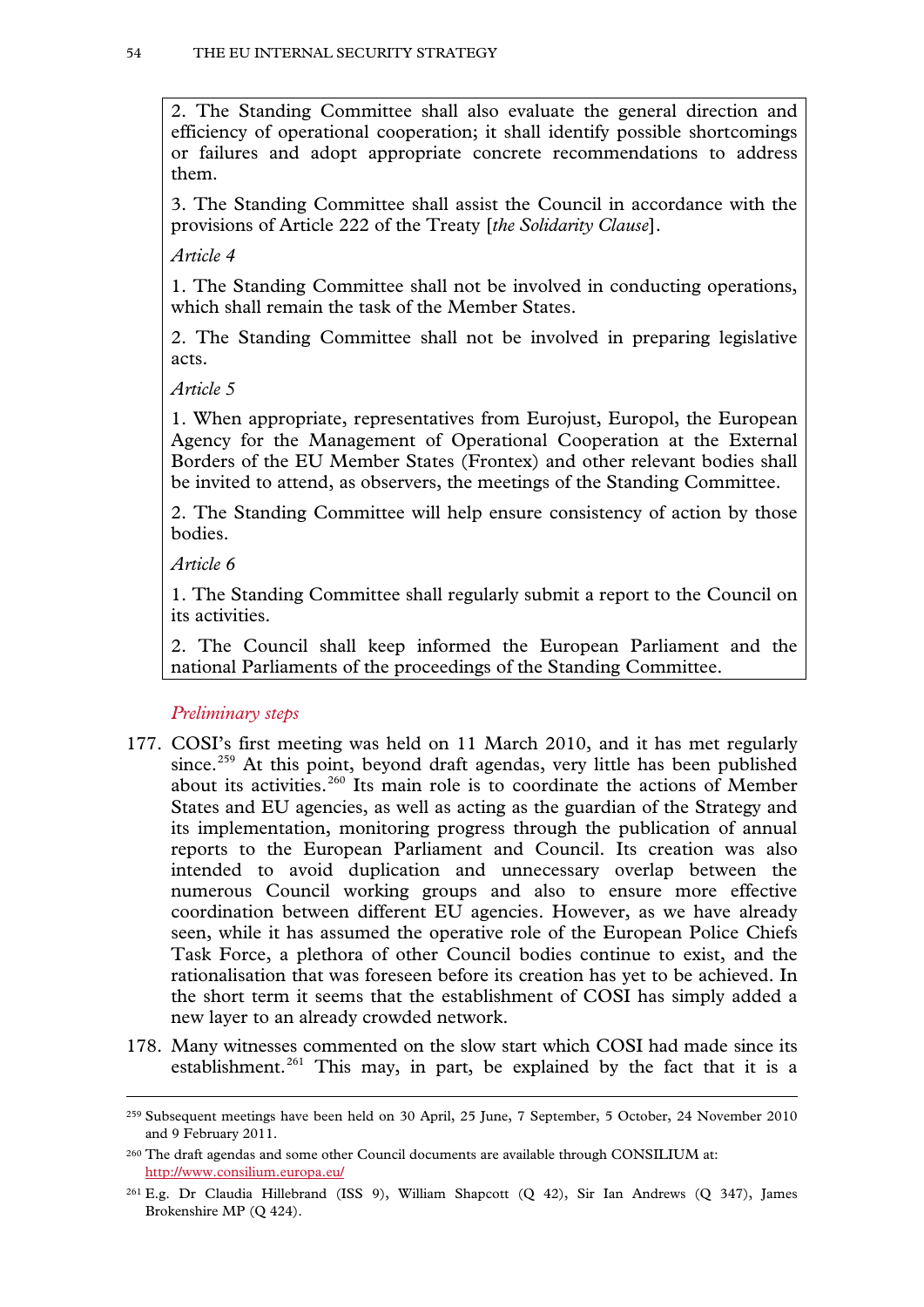2. The Standing Committee shall also evaluate the general direction and efficiency of operational cooperation; it shall identify possible shortcomings or failures and adopt appropriate concrete recommendations to address them.

3. The Standing Committee shall assist the Council in accordance with the provisions of Article 222 of the Treaty [*the Solidarity Clause*].

*Article 4*

1. The Standing Committee shall not be involved in conducting operations, which shall remain the task of the Member States.

2. The Standing Committee shall not be involved in preparing legislative acts.

*Article 5*

1. When appropriate, representatives from Eurojust, Europol, the European Agency for the Management of Operational Cooperation at the External Borders of the EU Member States (Frontex) and other relevant bodies shall be invited to attend, as observers, the meetings of the Standing Committee.

2. The Standing Committee will help ensure consistency of action by those bodies.

*Article 6*

<span id="page-53-2"></span>-

1. The Standing Committee shall regularly submit a report to the Council on its activities.

2. The Council shall keep informed the European Parliament and the national Parliaments of the proceedings of the Standing Committee.

*Preliminary steps*

- 177. COSI's first meeting was held on 11 March 2010, and it has met regularly since.<sup>[259](#page-52-3)</sup> At this point, beyond draft agendas, very little has been published about its activities.<sup>[260](#page-53-0)</sup> Its main role is to coordinate the actions of Member States and EU agencies, as well as acting as the guardian of the Strategy and its implementation, monitoring progress through the publication of annual reports to the European Parliament and Council. Its creation was also intended to avoid duplication and unnecessary overlap between the numerous Council working groups and also to ensure more effective coordination between different EU agencies. However, as we have already seen, while it has assumed the operative role of the European Police Chiefs Task Force, a plethora of other Council bodies continue to exist, and the rationalisation that was foreseen before its creation has yet to be achieved. In the short term it seems that the establishment of COSI has simply added a new layer to an already crowded network.
- 178. Many witnesses commented on the slow start which COSI had made since its establishment.<sup>[261](#page-53-1)</sup> This may, in part, be explained by the fact that it is a

<sup>259</sup> Subsequent meetings have been held on 30 April, 25 June, 7 September, 5 October, 24 November 2010 and 9 February 2011.

<span id="page-53-0"></span><sup>260</sup> The draft agendas and some other Council documents are available through CONSILIUM at: <http://www.consilium.europa.eu/>

<span id="page-53-1"></span><sup>261</sup> E.g. Dr Claudia Hillebrand (ISS 9), William Shapcott (Q 42), Sir Ian Andrews (Q 347), James Brokenshire MP (Q 424).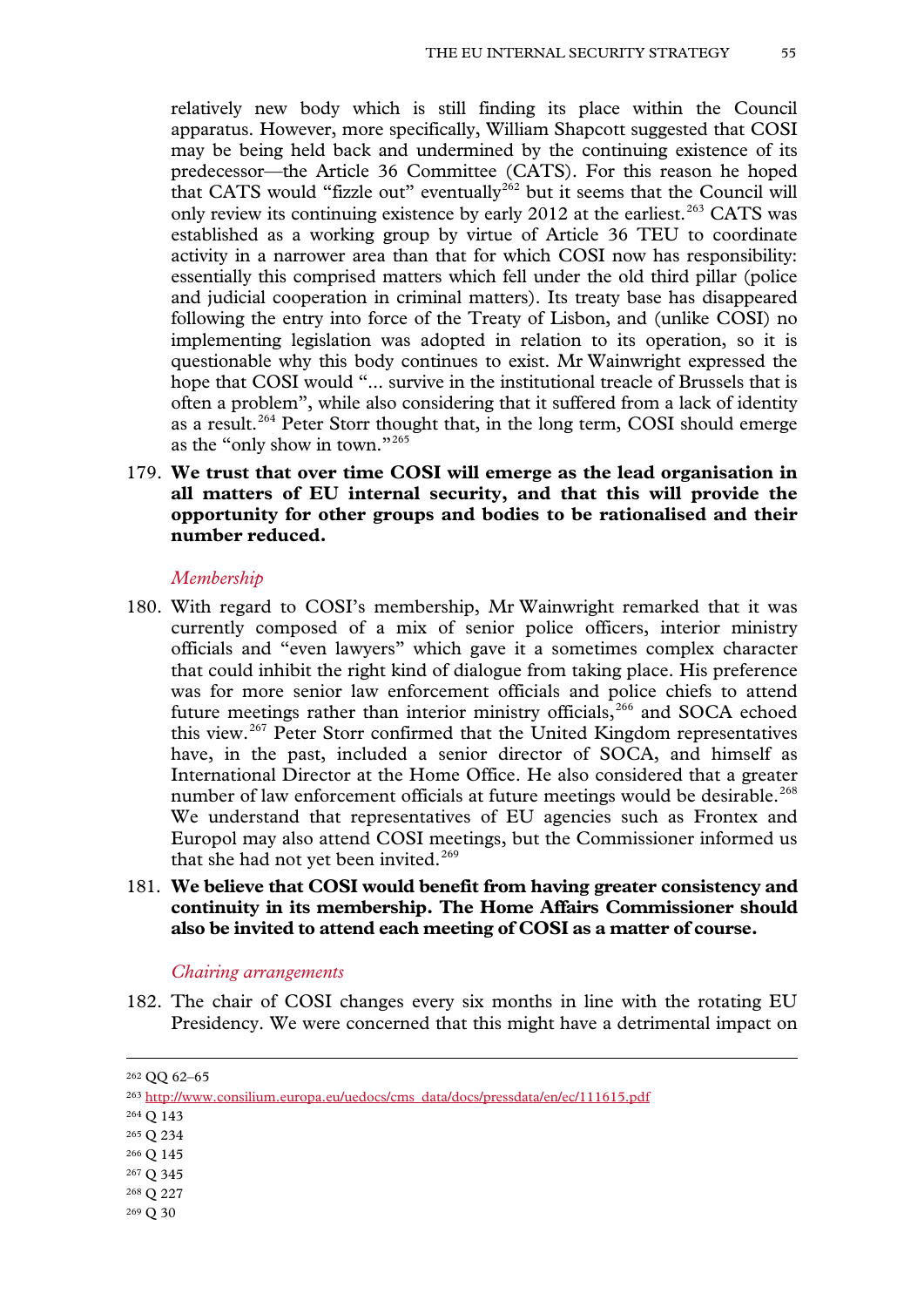relatively new body which is still finding its place within the Council apparatus. However, more specifically, William Shapcott suggested that COSI may be being held back and undermined by the continuing existence of its predecessor—the Article 36 Committee (CATS). For this reason he hoped that CATS would "fizzle out" eventually<sup>[262](#page-53-2)</sup> but it seems that the Council will only review its continuing existence by early  $2012$  at the earliest.<sup>[263](#page-54-0)</sup> CATS was established as a working group by virtue of Article 36 TEU to coordinate activity in a narrower area than that for which COSI now has responsibility: essentially this comprised matters which fell under the old third pillar (police and judicial cooperation in criminal matters). Its treaty base has disappeared following the entry into force of the Treaty of Lisbon, and (unlike COSI) no implementing legislation was adopted in relation to its operation, so it is questionable why this body continues to exist. Mr Wainwright expressed the hope that COSI would "... survive in the institutional treacle of Brussels that is often a problem", while also considering that it suffered from a lack of identity as a result.<sup>[264](#page-54-1)</sup> Peter Storr thought that, in the long term, COSI should emerge as the "only show in town."[265](#page-54-2)

# 179. **We trust that over time COSI will emerge as the lead organisation in all matters of EU internal security, and that this will provide the opportunity for other groups and bodies to be rationalised and their number reduced.**

#### *Membership*

- 180. With regard to COSI's membership, Mr Wainwright remarked that it was currently composed of a mix of senior police officers, interior ministry officials and "even lawyers" which gave it a sometimes complex character that could inhibit the right kind of dialogue from taking place. His preference was for more senior law enforcement officials and police chiefs to attend future meetings rather than interior ministry officials, $266$  and SOCA echoed this view.[267](#page-54-4) Peter Storr confirmed that the United Kingdom representatives have, in the past, included a senior director of SOCA, and himself as International Director at the Home Office. He also considered that a greater number of law enforcement officials at future meetings would be desirable.<sup>[268](#page-54-5)</sup> We understand that representatives of EU agencies such as Frontex and Europol may also attend COSI meetings, but the Commissioner informed us that she had not yet been invited.<sup>[269](#page-54-6)</sup>
- 181. **We believe that COSI would benefit from having greater consistency and continuity in its membership. The Home Affairs Commissioner should also be invited to attend each meeting of COSI as a matter of course.**

#### *Chairing arrangements*

182. The chair of COSI changes every six months in line with the rotating EU Presidency. We were concerned that this might have a detrimental impact on

<span id="page-54-1"></span><sup>264</sup> Q 143

- <span id="page-54-3"></span><sup>266</sup> Q 145
- <span id="page-54-4"></span><sup>267</sup> Q 345
- <span id="page-54-5"></span><sup>268</sup> Q 227
- <span id="page-54-6"></span><sup>269</sup> Q 30

<span id="page-54-7"></span><sup>262</sup> QQ 62–65

<span id="page-54-0"></span><sup>263</sup> [http://www.consilium.europa.eu/uedocs/cms\\_data/docs/pressdata/en/ec/111615.pdf](http://www.consilium.europa.eu/uedocs/cms_data/docs/pressdata/en/ec/111615.pdf) 

<span id="page-54-2"></span><sup>265</sup> Q 234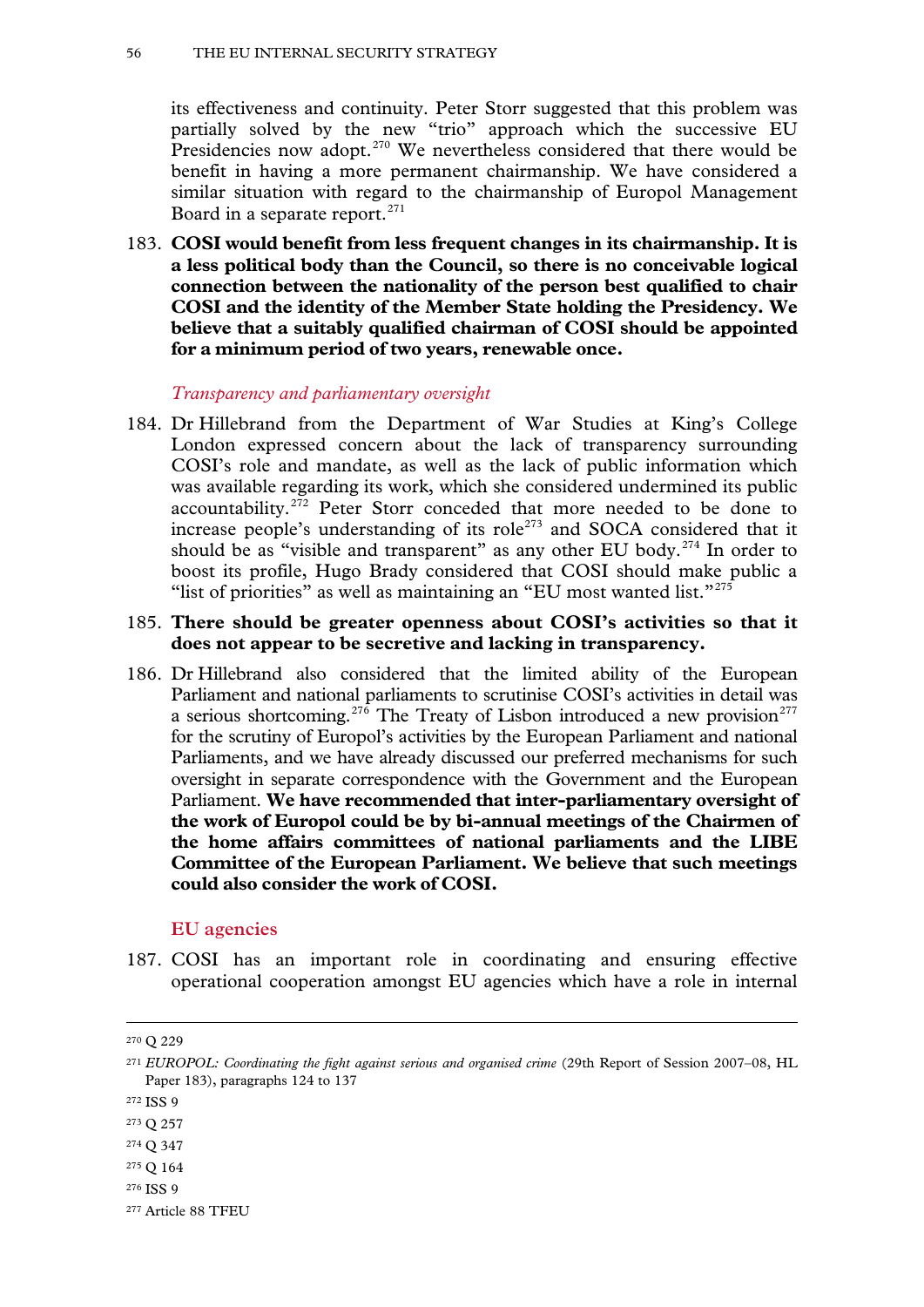its effectiveness and continuity. Peter Storr suggested that this problem was partially solved by the new "trio" approach which the successive EU Presidencies now adopt.<sup>[270](#page-54-7)</sup> We nevertheless considered that there would be benefit in having a more permanent chairmanship. We have considered a similar situation with regard to the chairmanship of Europol Management Board in a separate report.<sup>[271](#page-55-0)</sup>

183. **COSI would benefit from less frequent changes in its chairmanship. It is a less political body than the Council, so there is no conceivable logical connection between the nationality of the person best qualified to chair COSI and the identity of the Member State holding the Presidency. We believe that a suitably qualified chairman of COSI should be appointed for a minimum period of two years, renewable once.**

*Transparency and parliamentary oversight*

184. Dr Hillebrand from the Department of War Studies at King's College London expressed concern about the lack of transparency surrounding COSI's role and mandate, as well as the lack of public information which was available regarding its work, which she considered undermined its public accountability.<sup>[272](#page-55-1)</sup> Peter Storr conceded that more needed to be done to increase people's understanding of its role<sup> $273$ </sup> and SOCA considered that it should be as "visible and transparent" as any other EU body.<sup>[274](#page-55-3)</sup> In order to boost its profile, Hugo Brady considered that COSI should make public a "list of priorities" as well as maintaining an "EU most wanted list."<sup>[275](#page-55-4)</sup>

# 185. **There should be greater openness about COSI's activities so that it does not appear to be secretive and lacking in transparency.**

186. Dr Hillebrand also considered that the limited ability of the European Parliament and national parliaments to scrutinise COSI's activities in detail was a serious shortcoming.<sup>[276](#page-55-5)</sup> The Treaty of Lisbon introduced a new provision<sup>[277](#page-55-6)</sup> for the scrutiny of Europol's activities by the European Parliament and national Parliaments, and we have already discussed our preferred mechanisms for such oversight in separate correspondence with the Government and the European Parliament. **We have recommended that inter-parliamentary oversight of the work of Europol could be by bi-annual meetings of the Chairmen of the home affairs committees of national parliaments and the LIBE Committee of the European Parliament. We believe that such meetings could also consider the work of COSI.**

# **EU agencies**

<span id="page-55-7"></span>187. COSI has an important role in coordinating and ensuring effective operational cooperation amongst EU agencies which have a role in internal

- <span id="page-55-3"></span><sup>274</sup> Q 347
- <span id="page-55-4"></span><sup>275</sup> Q 164
- <span id="page-55-5"></span><sup>276</sup> ISS 9

<sup>270</sup> Q 229

<span id="page-55-0"></span><sup>271</sup> *EUROPOL: Coordinating the fight against serious and organised crime* (29th Report of Session 2007–08, HL Paper 183), paragraphs 124 to 137

<span id="page-55-1"></span><sup>272</sup> ISS 9

<span id="page-55-2"></span><sup>273</sup> Q 257

<span id="page-55-6"></span><sup>277</sup> Article 88 TFEU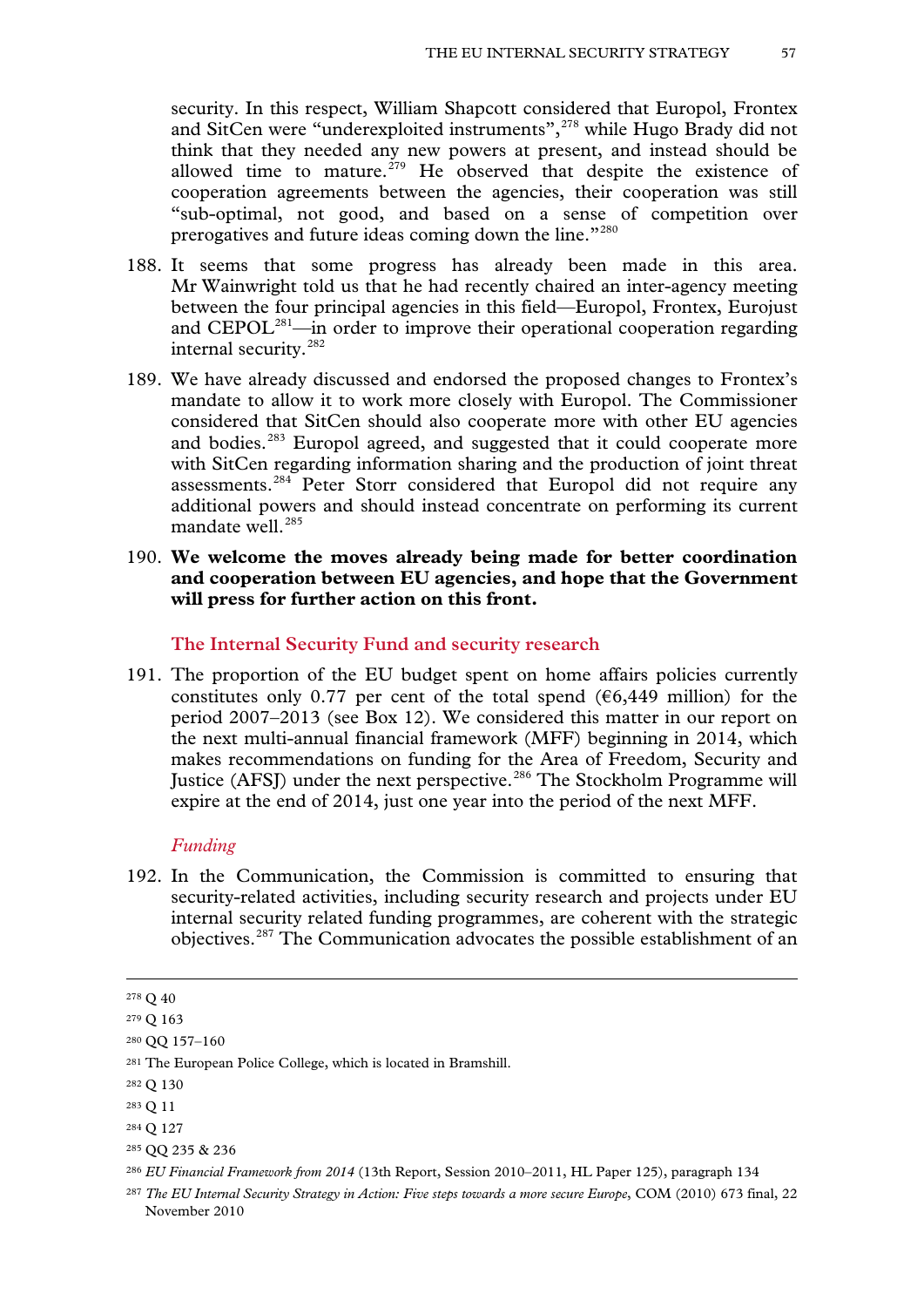security. In this respect, William Shapcott considered that Europol, Frontex and SitCen were "underexploited instruments",<sup>[278](#page-55-7)</sup> while Hugo Brady did not think that they needed any new powers at present, and instead should be allowed time to mature.<sup> $279$ </sup> He observed that despite the existence of cooperation agreements between the agencies, their cooperation was still "sub-optimal, not good, and based on a sense of competition over prerogatives and future ideas coming down the line."<sup>[280](#page-56-1)</sup>

- 188. It seems that some progress has already been made in this area. Mr Wainwright told us that he had recently chaired an inter-agency meeting between the four principal agencies in this field—Europol, Frontex, Eurojust and CEPOL<sup>281</sup>—in order to improve their operational cooperation regarding internal security.[282](#page-56-3)
- 189. We have already discussed and endorsed the proposed changes to Frontex's mandate to allow it to work more closely with Europol. The Commissioner considered that SitCen should also cooperate more with other EU agencies and bodies.<sup>[283](#page-56-4)</sup> Europol agreed, and suggested that it could cooperate more with SitCen regarding information sharing and the production of joint threat assessments.<sup>[284](#page-56-5)</sup> Peter Storr considered that Europol did not require any additional powers and should instead concentrate on performing its current mandate well.<sup>[285](#page-56-6)</sup>
- 190. **We welcome the moves already being made for better coordination and cooperation between EU agencies, and hope that the Government will press for further action on this front.**

### **The Internal Security Fund and security research**

191. The proportion of the EU budget spent on home affairs policies currently constitutes only 0.77 per cent of the total spend ( $\epsilon$ 6,449 million) for the period 2007–2013 (see Box 12). We considered this matter in our report on the next multi-annual financial framework (MFF) beginning in 2014, which makes recommendations on funding for the Area of Freedom, Security and Justice (AFSJ) under the next perspective.<sup>[286](#page-56-7)</sup> The Stockholm Programme will expire at the end of 2014, just one year into the period of the next MFF.

## *Funding*

192. In the Communication, the Commission is committed to ensuring that security-related activities, including security research and projects under EU internal security related funding programmes, are coherent with the strategic objectives.[287](#page-56-8) The Communication advocates the possible establishment of an

<sup>278</sup> Q 40

<span id="page-56-0"></span><sup>279</sup> Q 163

<span id="page-56-1"></span><sup>280</sup> QQ 157–160

<span id="page-56-9"></span><span id="page-56-2"></span><sup>281</sup> The European Police College, which is located in Bramshill.

<span id="page-56-3"></span><sup>282</sup> Q 130

<span id="page-56-4"></span><sup>283</sup> Q 11

<span id="page-56-5"></span><sup>284</sup> Q 127

<span id="page-56-6"></span><sup>285</sup> QQ 235 & 236

<span id="page-56-7"></span><sup>286</sup> *EU Financial Framework from 2014* (13th Report, Session 2010–2011, HL Paper 125), paragraph 134

<span id="page-56-8"></span><sup>&</sup>lt;sup>287</sup> The EU Internal Security Strategy in Action: Five steps towards a more secure Europe, COM (2010) 673 final, 22 November 2010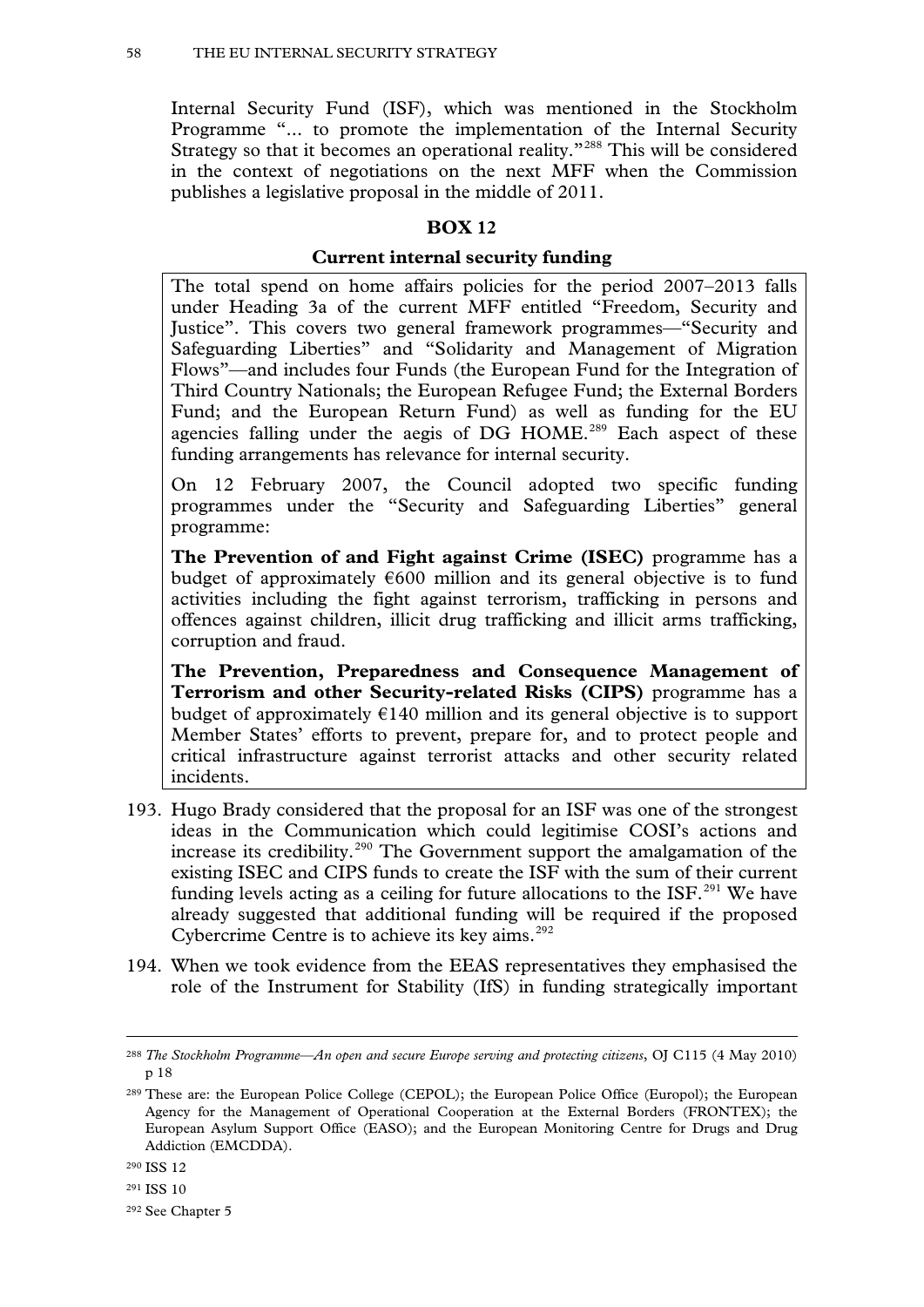Internal Security Fund (ISF), which was mentioned in the Stockholm Programme "... to promote the implementation of the Internal Security Strategy so that it becomes an operational reality."[288](#page-56-9) This will be considered in the context of negotiations on the next MFF when the Commission publishes a legislative proposal in the middle of 2011.

## **BOX 12**

### **Current internal security funding**

The total spend on home affairs policies for the period 2007–2013 falls under Heading 3a of the current MFF entitled "Freedom, Security and Justice". This covers two general framework programmes—"Security and Safeguarding Liberties" and "Solidarity and Management of Migration Flows"—and includes four Funds (the European Fund for the Integration of Third Country Nationals; the European Refugee Fund; the External Borders Fund; and the European Return Fund) as well as funding for the EU agencies falling under the aegis of  $DG$  HOME.<sup>[289](#page-57-0)</sup> Each aspect of these funding arrangements has relevance for internal security.

On 12 February 2007, the Council adopted two specific funding programmes under the "Security and Safeguarding Liberties" general programme:

**The Prevention of and Fight against Crime (ISEC)** programme has a budget of approximately  $\epsilon$ 600 million and its general objective is to fund activities including the fight against terrorism, trafficking in persons and offences against children, illicit drug trafficking and illicit arms trafficking, corruption and fraud.

**The Prevention, Preparedness and Consequence Management of Terrorism and other Security-related Risks (CIPS)** programme has a budget of approximately  $E(140)$  million and its general objective is to support Member States' efforts to prevent, prepare for, and to protect people and critical infrastructure against terrorist attacks and other security related incidents.

- 193. Hugo Brady considered that the proposal for an ISF was one of the strongest ideas in the Communication which could legitimise COSI's actions and increase its credibility.<sup>[290](#page-57-1)</sup> The Government support the amalgamation of the existing ISEC and CIPS funds to create the ISF with the sum of their current funding levels acting as a ceiling for future allocations to the  $ISF<sup>291</sup>$  $ISF<sup>291</sup>$  $ISF<sup>291</sup>$  We have already suggested that additional funding will be required if the proposed Cybercrime Centre is to achieve its key aims.<sup>[292](#page-57-3)</sup>
- 194. When we took evidence from the EEAS representatives they emphasised the role of the Instrument for Stability (IfS) in funding strategically important

<span id="page-57-4"></span><sup>288</sup> *The Stockholm Programme—An open and secure Europe serving and protecting citizens*, OJ C115 (4 May 2010) p 18

<span id="page-57-0"></span><sup>289</sup> These are: the European Police College (CEPOL); the European Police Office (Europol); the European Agency for the Management of Operational Cooperation at the External Borders (FRONTEX); the European Asylum Support Office (EASO); and the European Monitoring Centre for Drugs and Drug Addiction (EMCDDA).

<span id="page-57-1"></span><sup>290</sup> ISS 12

<span id="page-57-2"></span><sup>291</sup> ISS 10

<span id="page-57-3"></span><sup>292</sup> See Chapter 5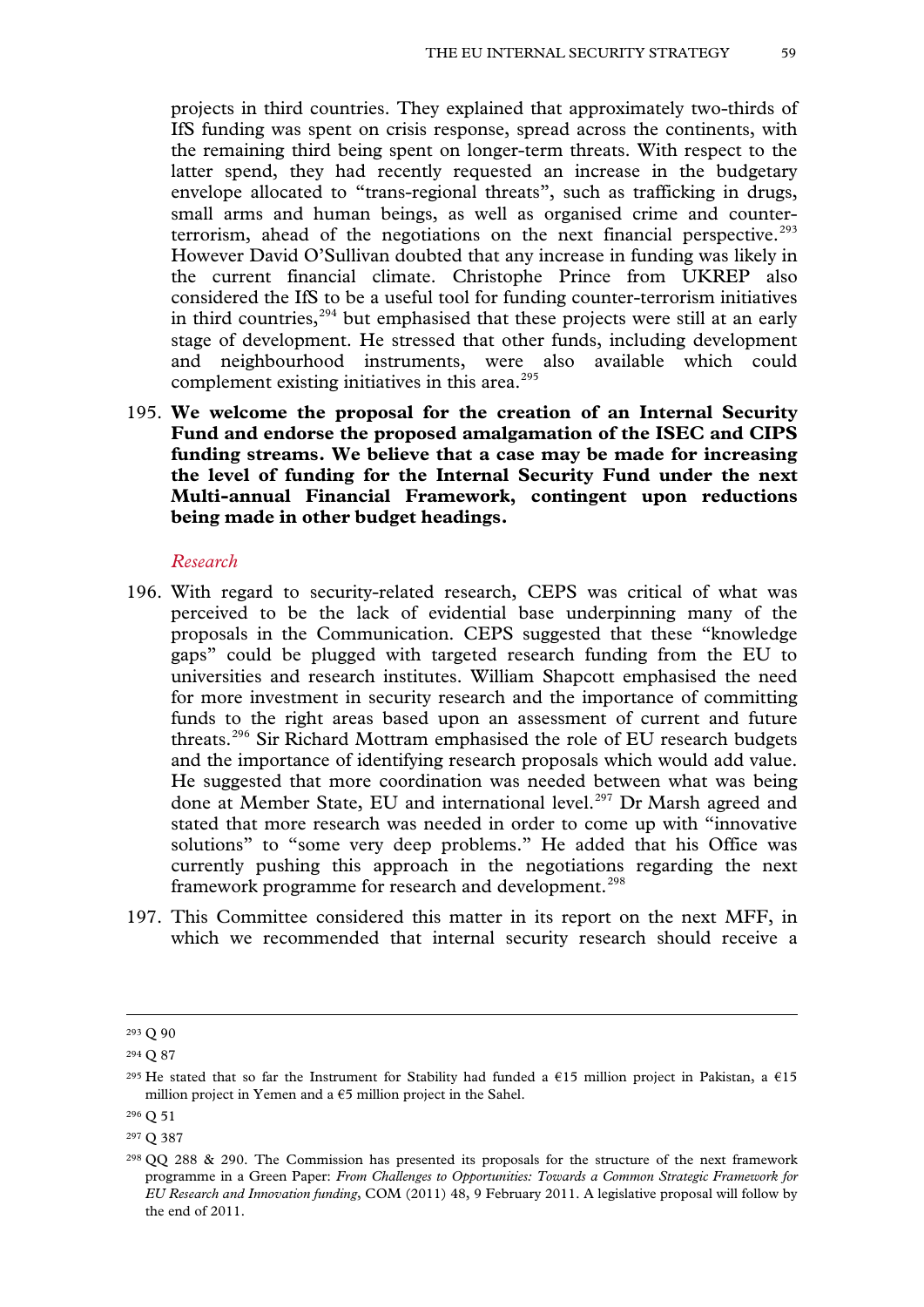projects in third countries. They explained that approximately two-thirds of IfS funding was spent on crisis response, spread across the continents, with the remaining third being spent on longer-term threats. With respect to the latter spend, they had recently requested an increase in the budgetary envelope allocated to "trans-regional threats", such as trafficking in drugs, small arms and human beings, as well as organised crime and counter-terrorism, ahead of the negotiations on the next financial perspective.<sup>[293](#page-57-4)</sup> However David O'Sullivan doubted that any increase in funding was likely in the current financial climate. Christophe Prince from UKREP also considered the IfS to be a useful tool for funding counter-terrorism initiatives in third countries, $294$  but emphasised that these projects were still at an early stage of development. He stressed that other funds, including development and neighbourhood instruments, were also available which could complement existing initiatives in this area. $295$ 

195. **We welcome the proposal for the creation of an Internal Security Fund and endorse the proposed amalgamation of the ISEC and CIPS funding streams. We believe that a case may be made for increasing the level of funding for the Internal Security Fund under the next Multi-annual Financial Framework, contingent upon reductions being made in other budget headings.**

#### *Research*

- 196. With regard to security-related research, CEPS was critical of what was perceived to be the lack of evidential base underpinning many of the proposals in the Communication. CEPS suggested that these "knowledge gaps" could be plugged with targeted research funding from the EU to universities and research institutes. William Shapcott emphasised the need for more investment in security research and the importance of committing funds to the right areas based upon an assessment of current and future threats.[296](#page-58-2) Sir Richard Mottram emphasised the role of EU research budgets and the importance of identifying research proposals which would add value. He suggested that more coordination was needed between what was being done at Member State, EU and international level.<sup>[297](#page-58-3)</sup> Dr Marsh agreed and stated that more research was needed in order to come up with "innovative solutions" to "some very deep problems." He added that his Office was currently pushing this approach in the negotiations regarding the next framework programme for research and development.<sup>[298](#page-58-4)</sup>
- 197. This Committee considered this matter in its report on the next MFF, in which we recommended that internal security research should receive a

<sup>293</sup> Q 90

<span id="page-58-0"></span><sup>294</sup> Q 87

<span id="page-58-1"></span><sup>&</sup>lt;sup>295</sup> He stated that so far the Instrument for Stability had funded a €15 million project in Pakistan, a €15 million project in Yemen and a  $\epsilon$ 5 million project in the Sahel.

<span id="page-58-2"></span><sup>296</sup> Q 51

<span id="page-58-3"></span><sup>297</sup> Q 387

<span id="page-58-5"></span><span id="page-58-4"></span> $298$  QQ 288 & 290. The Commission has presented its proposals for the structure of the next framework programme in a Green Paper: *From Challenges to Opportunities: Towards a Common Strategic Framework for EU Research and Innovation funding*, COM (2011) 48, 9 February 2011. A legislative proposal will follow by the end of 2011.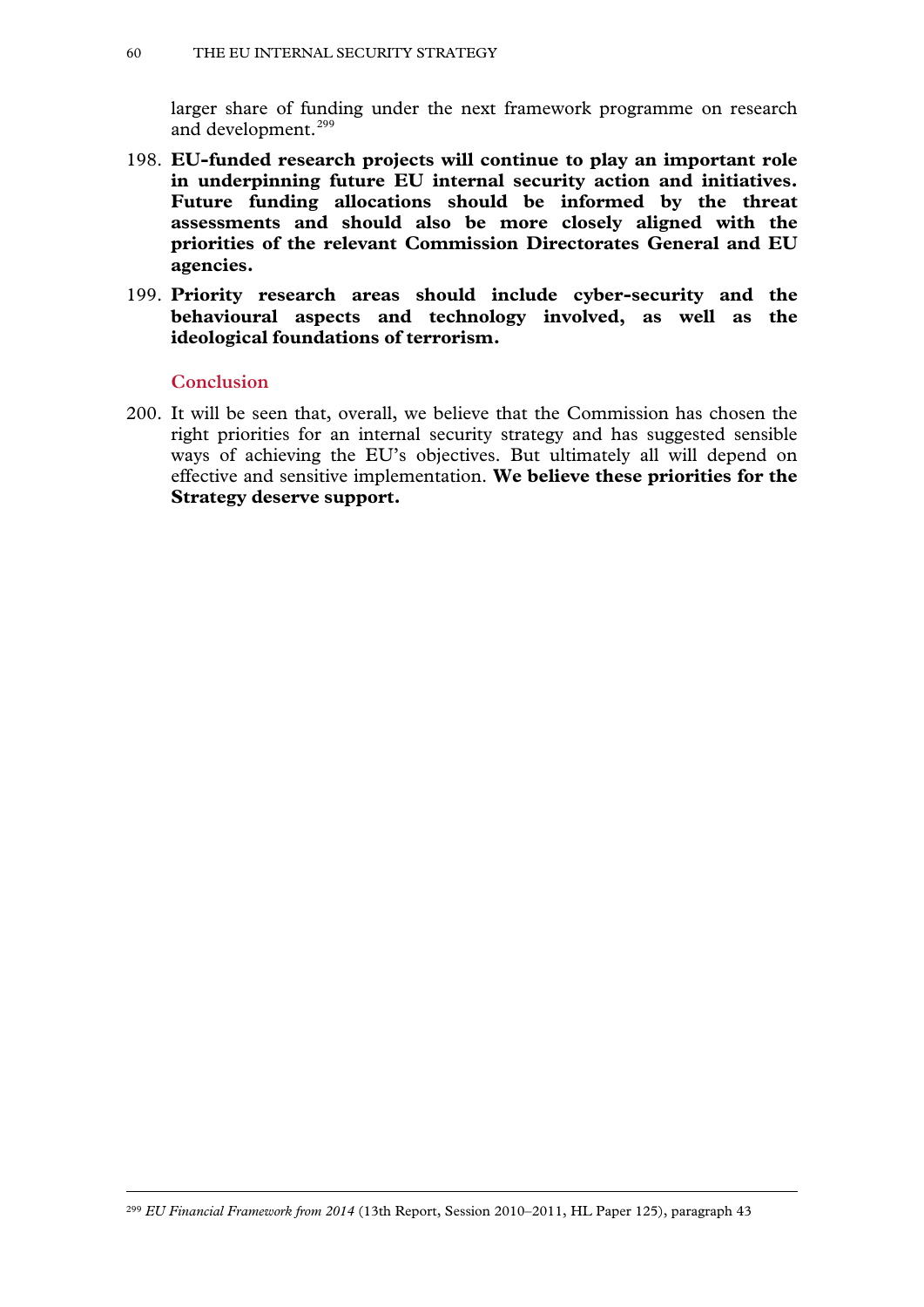larger share of funding under the next framework programme on research and development.<sup>[299](#page-58-5)</sup>

- 198. **EU-funded research projects will continue to play an important role in underpinning future EU internal security action and initiatives. Future funding allocations should be informed by the threat assessments and should also be more closely aligned with the priorities of the relevant Commission Directorates General and EU agencies.**
- 199. **Priority research areas should include cyber-security and the behavioural aspects and technology involved, as well as the ideological foundations of terrorism.**

### **Conclusion**

-

200. It will be seen that, overall, we believe that the Commission has chosen the right priorities for an internal security strategy and has suggested sensible ways of achieving the EU's objectives. But ultimately all will depend on effective and sensitive implementation. **We believe these priorities for the Strategy deserve support.**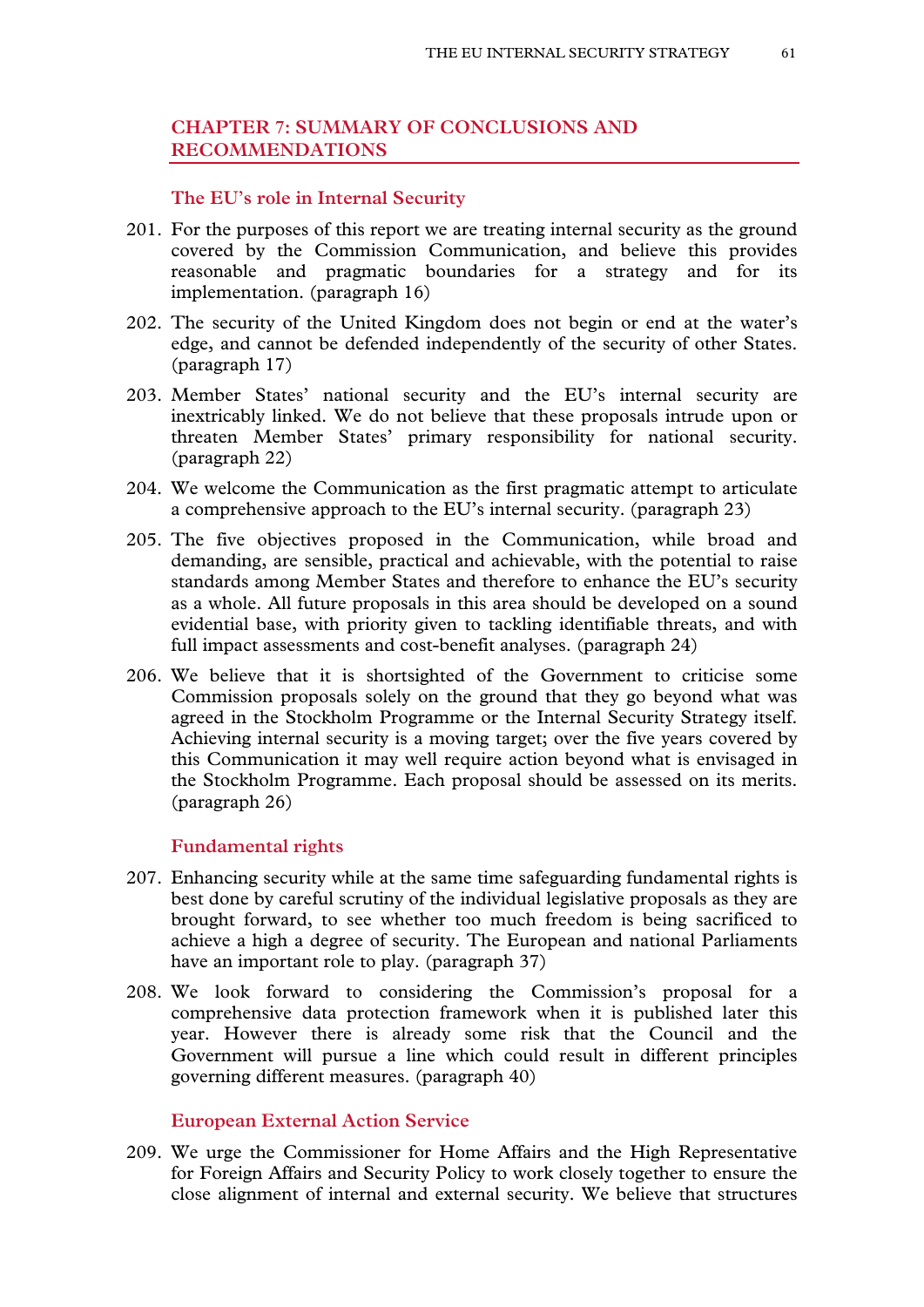# **CHAPTER 7: SUMMARY OF CONCLUSIONS AND RECOMMENDATIONS**

### **The EU's role in Internal Security**

- 201. For the purposes of this report we are treating internal security as the ground covered by the Commission Communication, and believe this provides reasonable and pragmatic boundaries for a strategy and for its implementation. (paragraph 16)
- 202. The security of the United Kingdom does not begin or end at the water's edge, and cannot be defended independently of the security of other States. (paragraph 17)
- 203. Member States' national security and the EU's internal security are inextricably linked. We do not believe that these proposals intrude upon or threaten Member States' primary responsibility for national security. (paragraph 22)
- 204. We welcome the Communication as the first pragmatic attempt to articulate a comprehensive approach to the EU's internal security. (paragraph 23)
- 205. The five objectives proposed in the Communication, while broad and demanding, are sensible, practical and achievable, with the potential to raise standards among Member States and therefore to enhance the EU's security as a whole. All future proposals in this area should be developed on a sound evidential base, with priority given to tackling identifiable threats, and with full impact assessments and cost-benefit analyses. (paragraph 24)
- 206. We believe that it is shortsighted of the Government to criticise some Commission proposals solely on the ground that they go beyond what was agreed in the Stockholm Programme or the Internal Security Strategy itself. Achieving internal security is a moving target; over the five years covered by this Communication it may well require action beyond what is envisaged in the Stockholm Programme. Each proposal should be assessed on its merits. (paragraph 26)

### **Fundamental rights**

- 207. Enhancing security while at the same time safeguarding fundamental rights is best done by careful scrutiny of the individual legislative proposals as they are brought forward, to see whether too much freedom is being sacrificed to achieve a high a degree of security. The European and national Parliaments have an important role to play. (paragraph 37)
- 208. We look forward to considering the Commission's proposal for a comprehensive data protection framework when it is published later this year. However there is already some risk that the Council and the Government will pursue a line which could result in different principles governing different measures. (paragraph 40)

### **European External Action Service**

209. We urge the Commissioner for Home Affairs and the High Representative for Foreign Affairs and Security Policy to work closely together to ensure the close alignment of internal and external security. We believe that structures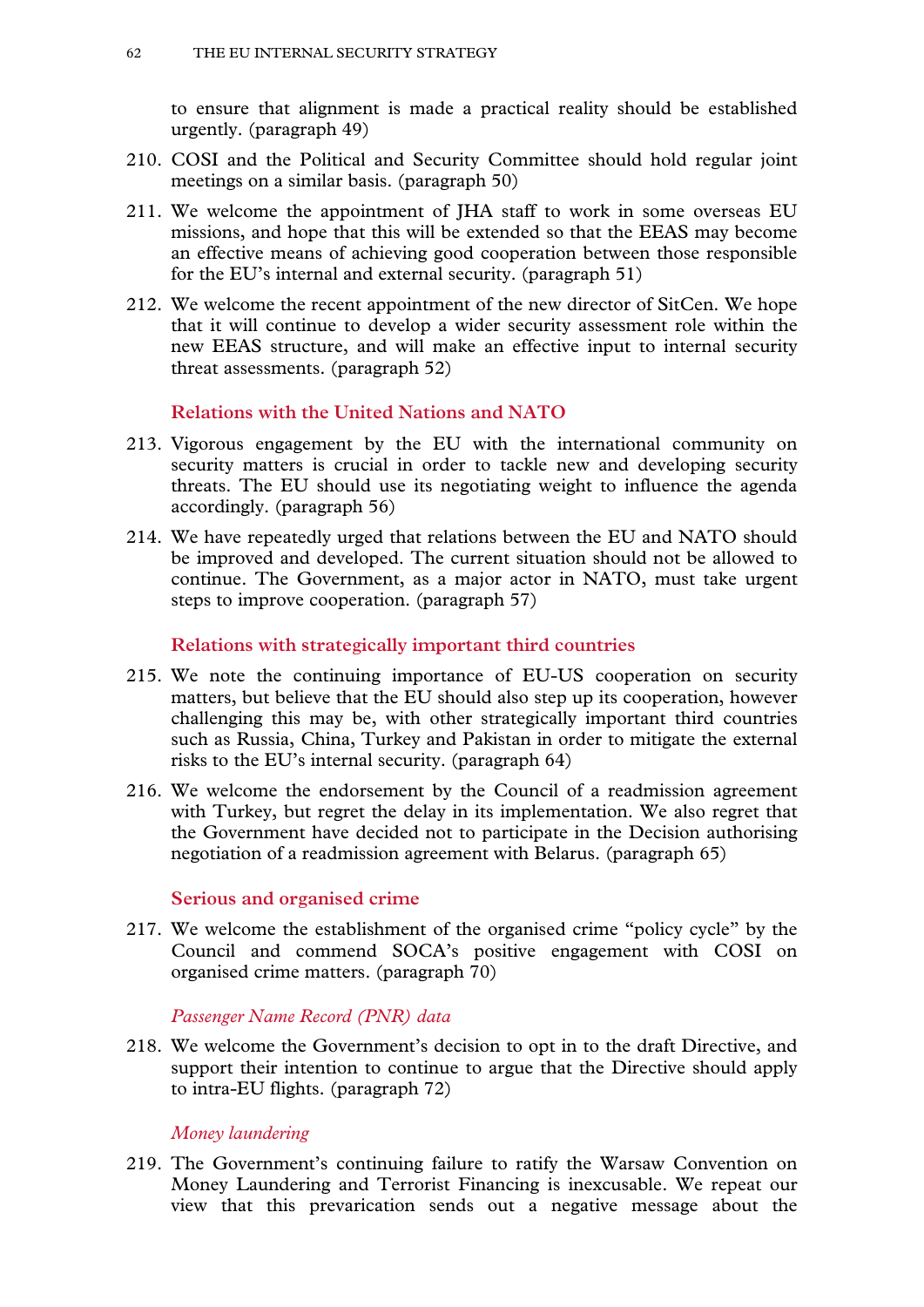to ensure that alignment is made a practical reality should be established urgently. (paragraph 49)

- 210. COSI and the Political and Security Committee should hold regular joint meetings on a similar basis. (paragraph 50)
- 211. We welcome the appointment of JHA staff to work in some overseas EU missions, and hope that this will be extended so that the EEAS may become an effective means of achieving good cooperation between those responsible for the EU's internal and external security. (paragraph 51)
- 212. We welcome the recent appointment of the new director of SitCen. We hope that it will continue to develop a wider security assessment role within the new EEAS structure, and will make an effective input to internal security threat assessments. (paragraph 52)

## **Relations with the United Nations and NATO**

- 213. Vigorous engagement by the EU with the international community on security matters is crucial in order to tackle new and developing security threats. The EU should use its negotiating weight to influence the agenda accordingly. (paragraph 56)
- 214. We have repeatedly urged that relations between the EU and NATO should be improved and developed. The current situation should not be allowed to continue. The Government, as a major actor in NATO, must take urgent steps to improve cooperation. (paragraph 57)

## **Relations with strategically important third countries**

- 215. We note the continuing importance of EU-US cooperation on security matters, but believe that the EU should also step up its cooperation, however challenging this may be, with other strategically important third countries such as Russia, China, Turkey and Pakistan in order to mitigate the external risks to the EU's internal security. (paragraph 64)
- 216. We welcome the endorsement by the Council of a readmission agreement with Turkey, but regret the delay in its implementation. We also regret that the Government have decided not to participate in the Decision authorising negotiation of a readmission agreement with Belarus. (paragraph 65)

## **Serious and organised crime**

217. We welcome the establishment of the organised crime "policy cycle" by the Council and commend SOCA's positive engagement with COSI on organised crime matters. (paragraph 70)

*Passenger Name Record (PNR) data*

218. We welcome the Government's decision to opt in to the draft Directive, and support their intention to continue to argue that the Directive should apply to intra-EU flights. (paragraph 72)

### *Money laundering*

219. The Government's continuing failure to ratify the Warsaw Convention on Money Laundering and Terrorist Financing is inexcusable. We repeat our view that this prevarication sends out a negative message about the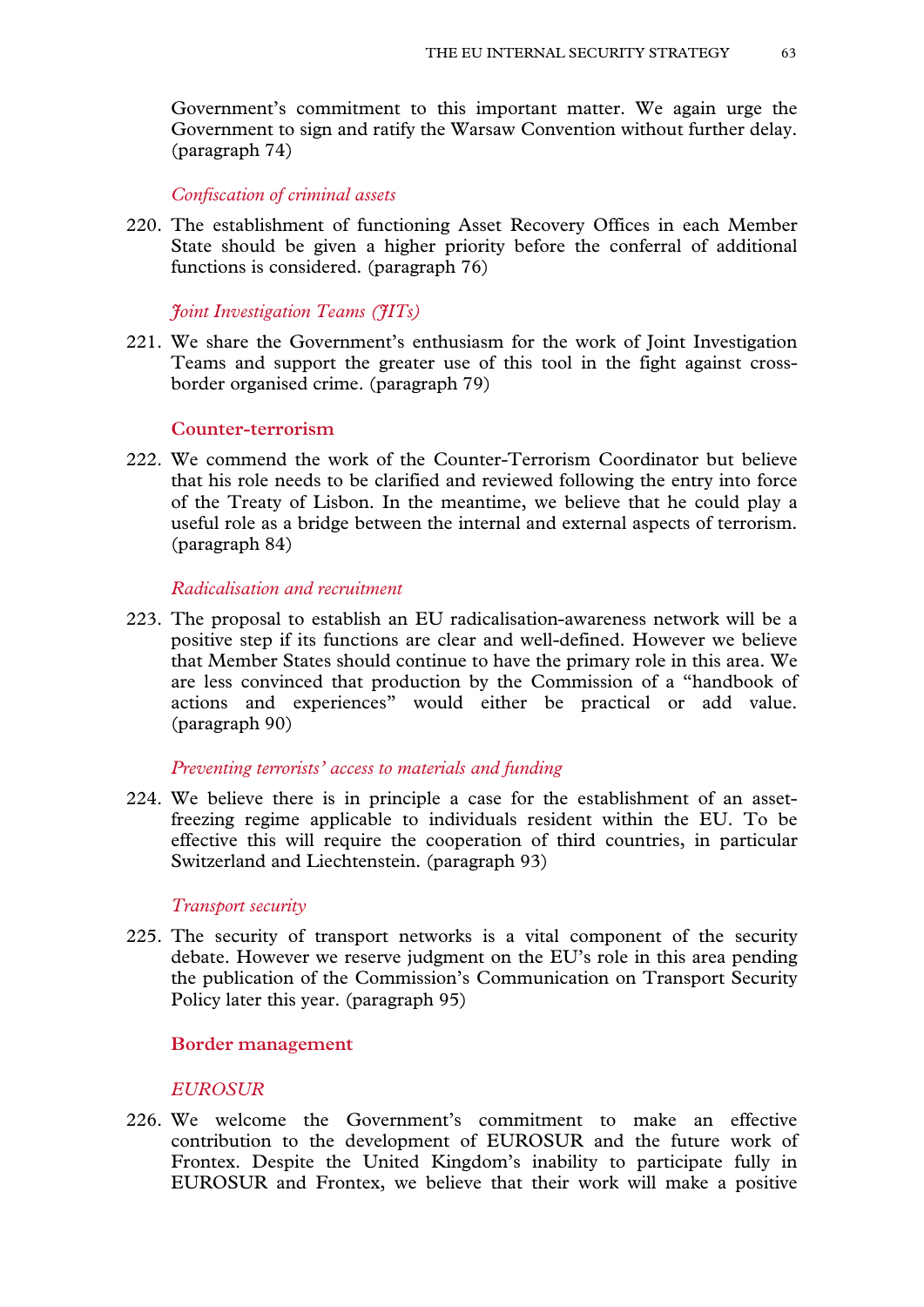Government's commitment to this important matter. We again urge the Government to sign and ratify the Warsaw Convention without further delay. (paragraph 74)

*Confiscation of criminal assets*

220. The establishment of functioning Asset Recovery Offices in each Member State should be given a higher priority before the conferral of additional functions is considered. (paragraph 76)

*Joint Investigation Teams (JITs)*

221. We share the Government's enthusiasm for the work of Joint Investigation Teams and support the greater use of this tool in the fight against crossborder organised crime. (paragraph 79)

### **Counter-terrorism**

222. We commend the work of the Counter-Terrorism Coordinator but believe that his role needs to be clarified and reviewed following the entry into force of the Treaty of Lisbon. In the meantime, we believe that he could play a useful role as a bridge between the internal and external aspects of terrorism. (paragraph 84)

### *Radicalisation and recruitment*

223. The proposal to establish an EU radicalisation-awareness network will be a positive step if its functions are clear and well-defined. However we believe that Member States should continue to have the primary role in this area. We are less convinced that production by the Commission of a "handbook of actions and experiences" would either be practical or add value. (paragraph 90)

### *Preventing terrorists' access to materials and funding*

224. We believe there is in principle a case for the establishment of an assetfreezing regime applicable to individuals resident within the EU. To be effective this will require the cooperation of third countries, in particular Switzerland and Liechtenstein. (paragraph 93)

### *Transport security*

225. The security of transport networks is a vital component of the security debate. However we reserve judgment on the EU's role in this area pending the publication of the Commission's Communication on Transport Security Policy later this year. (paragraph 95)

### **Border management**

### *EUROSUR*

226. We welcome the Government's commitment to make an effective contribution to the development of EUROSUR and the future work of Frontex. Despite the United Kingdom's inability to participate fully in EUROSUR and Frontex, we believe that their work will make a positive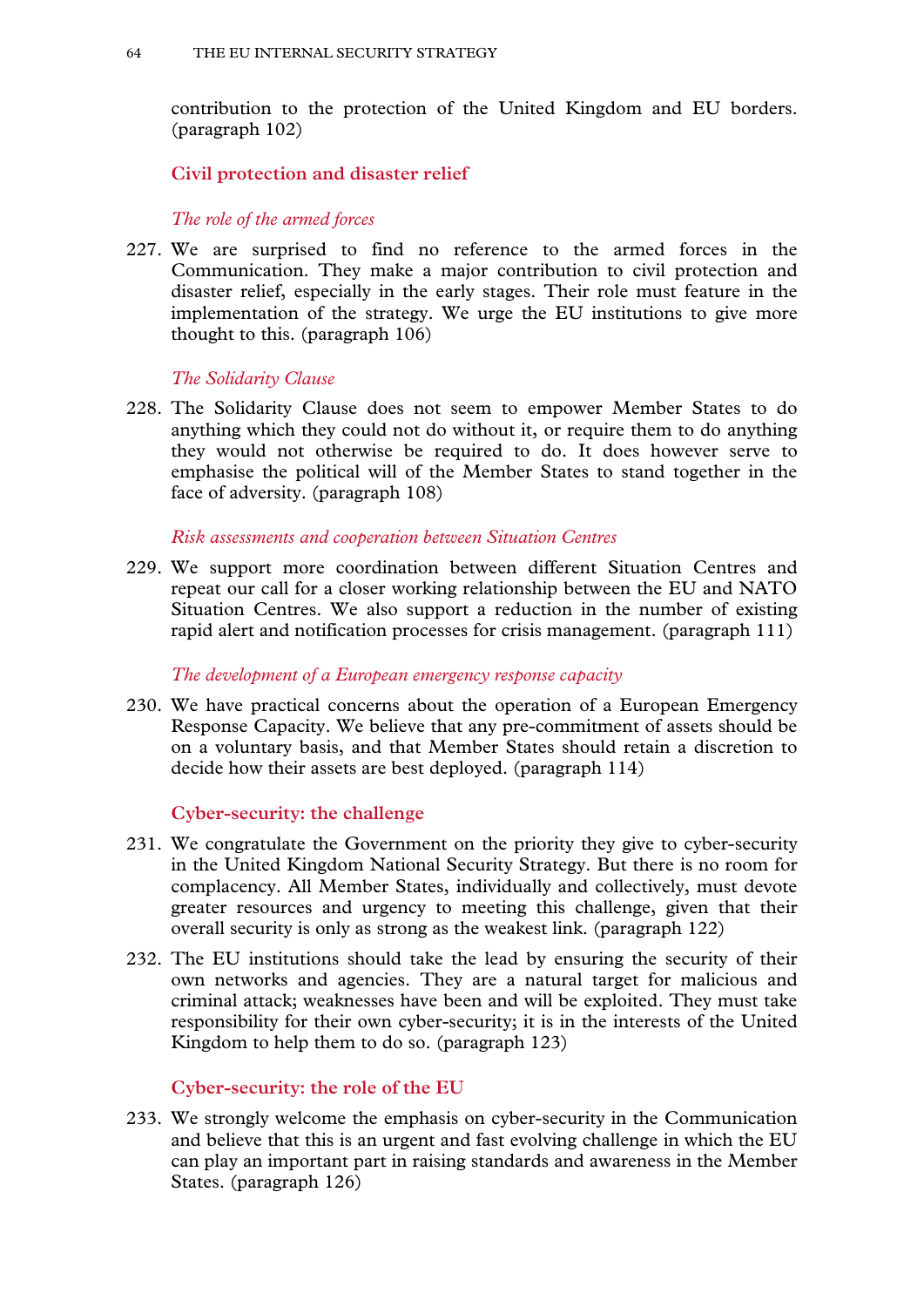contribution to the protection of the United Kingdom and EU borders. (paragraph 102)

**Civil protection and disaster relief**

*The role of the armed forces*

227. We are surprised to find no reference to the armed forces in the Communication. They make a major contribution to civil protection and disaster relief, especially in the early stages. Their role must feature in the implementation of the strategy. We urge the EU institutions to give more thought to this. (paragraph 106)

# *The Solidarity Clause*

228. The Solidarity Clause does not seem to empower Member States to do anything which they could not do without it, or require them to do anything they would not otherwise be required to do. It does however serve to emphasise the political will of the Member States to stand together in the face of adversity. (paragraph 108)

### *Risk assessments and cooperation between Situation Centres*

229. We support more coordination between different Situation Centres and repeat our call for a closer working relationship between the EU and NATO Situation Centres. We also support a reduction in the number of existing rapid alert and notification processes for crisis management. (paragraph 111)

### *The development of a European emergency response capacity*

230. We have practical concerns about the operation of a European Emergency Response Capacity. We believe that any pre-commitment of assets should be on a voluntary basis, and that Member States should retain a discretion to decide how their assets are best deployed. (paragraph 114)

# **Cyber-security: the challenge**

- 231. We congratulate the Government on the priority they give to cyber-security in the United Kingdom National Security Strategy. But there is no room for complacency. All Member States, individually and collectively, must devote greater resources and urgency to meeting this challenge, given that their overall security is only as strong as the weakest link. (paragraph 122)
- 232. The EU institutions should take the lead by ensuring the security of their own networks and agencies. They are a natural target for malicious and criminal attack; weaknesses have been and will be exploited. They must take responsibility for their own cyber-security; it is in the interests of the United Kingdom to help them to do so. (paragraph 123)

# **Cyber-security: the role of the EU**

233. We strongly welcome the emphasis on cyber-security in the Communication and believe that this is an urgent and fast evolving challenge in which the EU can play an important part in raising standards and awareness in the Member States. (paragraph 126)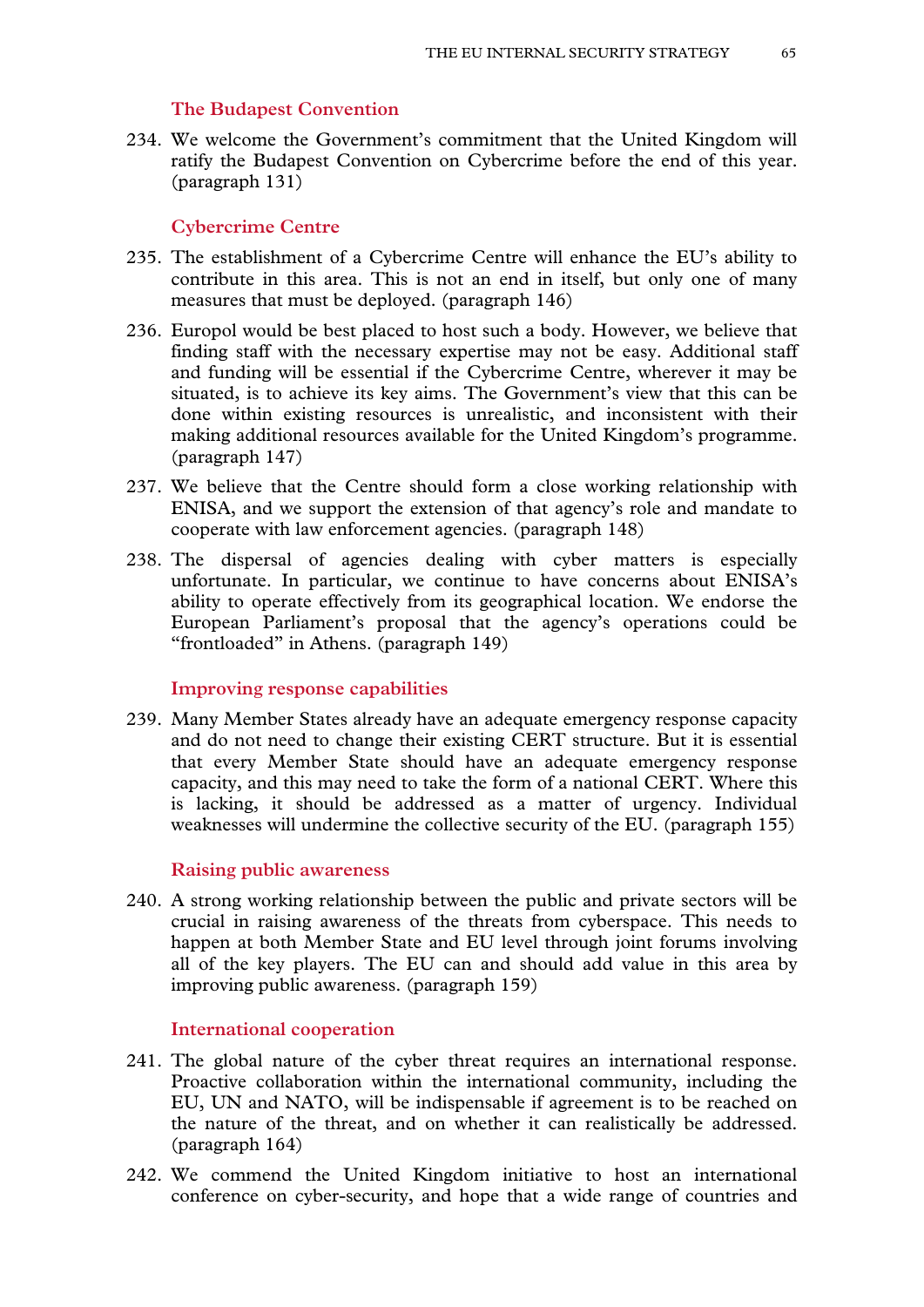#### **The Budapest Convention**

234. We welcome the Government's commitment that the United Kingdom will ratify the Budapest Convention on Cybercrime before the end of this year. (paragraph 131)

#### **Cybercrime Centre**

- 235. The establishment of a Cybercrime Centre will enhance the EU's ability to contribute in this area. This is not an end in itself, but only one of many measures that must be deployed. (paragraph 146)
- 236. Europol would be best placed to host such a body. However, we believe that finding staff with the necessary expertise may not be easy. Additional staff and funding will be essential if the Cybercrime Centre, wherever it may be situated, is to achieve its key aims. The Government's view that this can be done within existing resources is unrealistic, and inconsistent with their making additional resources available for the United Kingdom's programme. (paragraph 147)
- 237. We believe that the Centre should form a close working relationship with ENISA, and we support the extension of that agency's role and mandate to cooperate with law enforcement agencies. (paragraph 148)
- 238. The dispersal of agencies dealing with cyber matters is especially unfortunate. In particular, we continue to have concerns about ENISA's ability to operate effectively from its geographical location. We endorse the European Parliament's proposal that the agency's operations could be "frontloaded" in Athens. (paragraph 149)

### **Improving response capabilities**

239. Many Member States already have an adequate emergency response capacity and do not need to change their existing CERT structure. But it is essential that every Member State should have an adequate emergency response capacity, and this may need to take the form of a national CERT. Where this is lacking, it should be addressed as a matter of urgency. Individual weaknesses will undermine the collective security of the EU. (paragraph 155)

#### **Raising public awareness**

240. A strong working relationship between the public and private sectors will be crucial in raising awareness of the threats from cyberspace. This needs to happen at both Member State and EU level through joint forums involving all of the key players. The EU can and should add value in this area by improving public awareness. (paragraph 159)

### **International cooperation**

- 241. The global nature of the cyber threat requires an international response. Proactive collaboration within the international community, including the EU, UN and NATO, will be indispensable if agreement is to be reached on the nature of the threat, and on whether it can realistically be addressed. (paragraph 164)
- 242. We commend the United Kingdom initiative to host an international conference on cyber-security, and hope that a wide range of countries and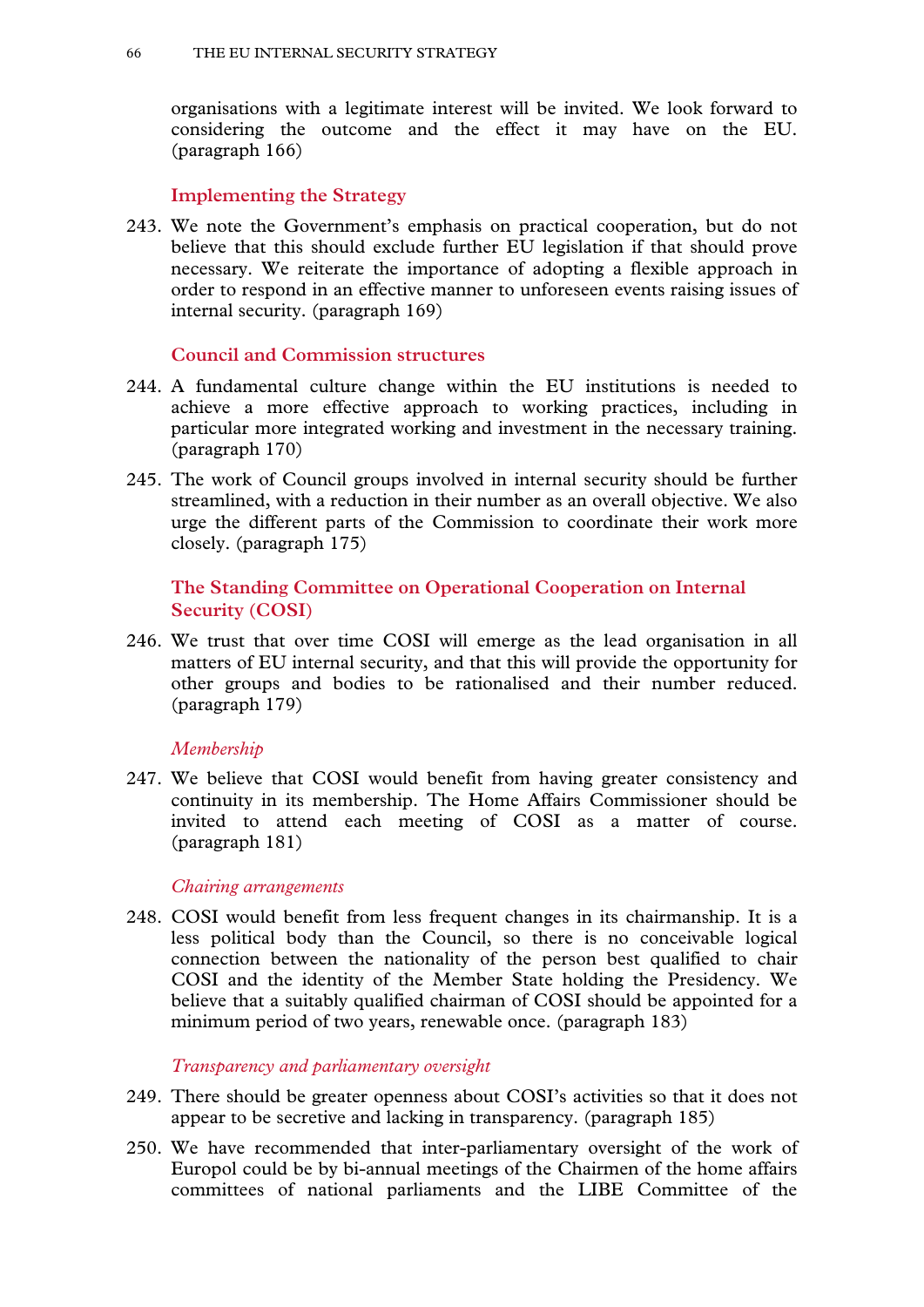organisations with a legitimate interest will be invited. We look forward to considering the outcome and the effect it may have on the EU. (paragraph 166)

## **Implementing the Strategy**

243. We note the Government's emphasis on practical cooperation, but do not believe that this should exclude further EU legislation if that should prove necessary. We reiterate the importance of adopting a flexible approach in order to respond in an effective manner to unforeseen events raising issues of internal security. (paragraph 169)

## **Council and Commission structures**

- 244. A fundamental culture change within the EU institutions is needed to achieve a more effective approach to working practices, including in particular more integrated working and investment in the necessary training. (paragraph 170)
- 245. The work of Council groups involved in internal security should be further streamlined, with a reduction in their number as an overall objective. We also urge the different parts of the Commission to coordinate their work more closely. (paragraph 175)

# **The Standing Committee on Operational Cooperation on Internal Security (COSI)**

246. We trust that over time COSI will emerge as the lead organisation in all matters of EU internal security, and that this will provide the opportunity for other groups and bodies to be rationalised and their number reduced. (paragraph 179)

### *Membership*

247. We believe that COSI would benefit from having greater consistency and continuity in its membership. The Home Affairs Commissioner should be invited to attend each meeting of COSI as a matter of course. (paragraph 181)

### *Chairing arrangements*

248. COSI would benefit from less frequent changes in its chairmanship. It is a less political body than the Council, so there is no conceivable logical connection between the nationality of the person best qualified to chair COSI and the identity of the Member State holding the Presidency. We believe that a suitably qualified chairman of COSI should be appointed for a minimum period of two years, renewable once. (paragraph 183)

# *Transparency and parliamentary oversight*

- 249. There should be greater openness about COSI's activities so that it does not appear to be secretive and lacking in transparency. (paragraph 185)
- 250. We have recommended that inter-parliamentary oversight of the work of Europol could be by bi-annual meetings of the Chairmen of the home affairs committees of national parliaments and the LIBE Committee of the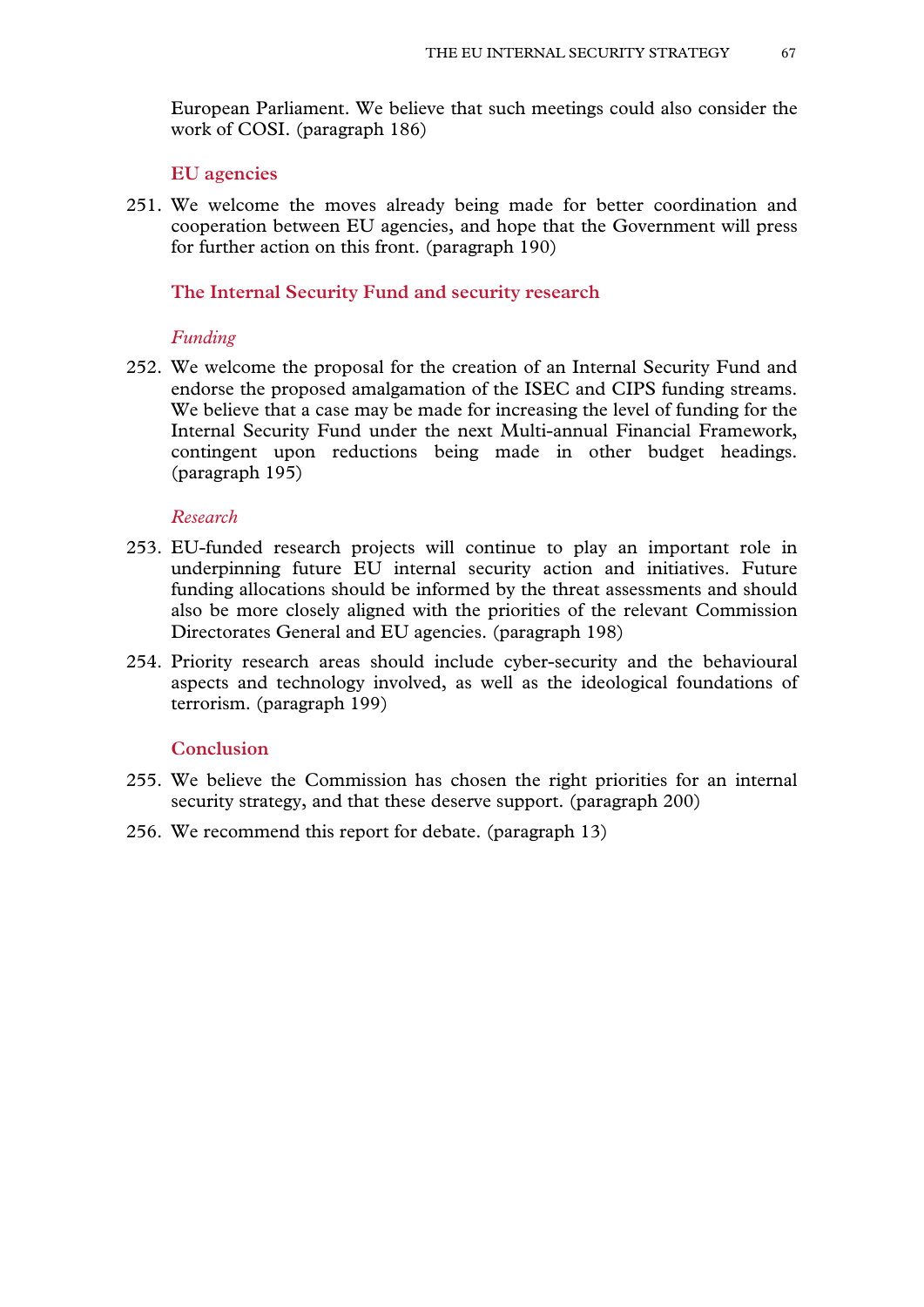European Parliament. We believe that such meetings could also consider the work of COSI. (paragraph 186)

#### **EU agencies**

251. We welcome the moves already being made for better coordination and cooperation between EU agencies, and hope that the Government will press for further action on this front. (paragraph 190)

### **The Internal Security Fund and security research**

#### *Funding*

252. We welcome the proposal for the creation of an Internal Security Fund and endorse the proposed amalgamation of the ISEC and CIPS funding streams. We believe that a case may be made for increasing the level of funding for the Internal Security Fund under the next Multi-annual Financial Framework, contingent upon reductions being made in other budget headings. (paragraph 195)

### *Research*

- 253. EU-funded research projects will continue to play an important role in underpinning future EU internal security action and initiatives. Future funding allocations should be informed by the threat assessments and should also be more closely aligned with the priorities of the relevant Commission Directorates General and EU agencies. (paragraph 198)
- 254. Priority research areas should include cyber-security and the behavioural aspects and technology involved, as well as the ideological foundations of terrorism. (paragraph 199)

### **Conclusion**

- 255. We believe the Commission has chosen the right priorities for an internal security strategy, and that these deserve support. (paragraph 200)
- 256. We recommend this report for debate. (paragraph 13)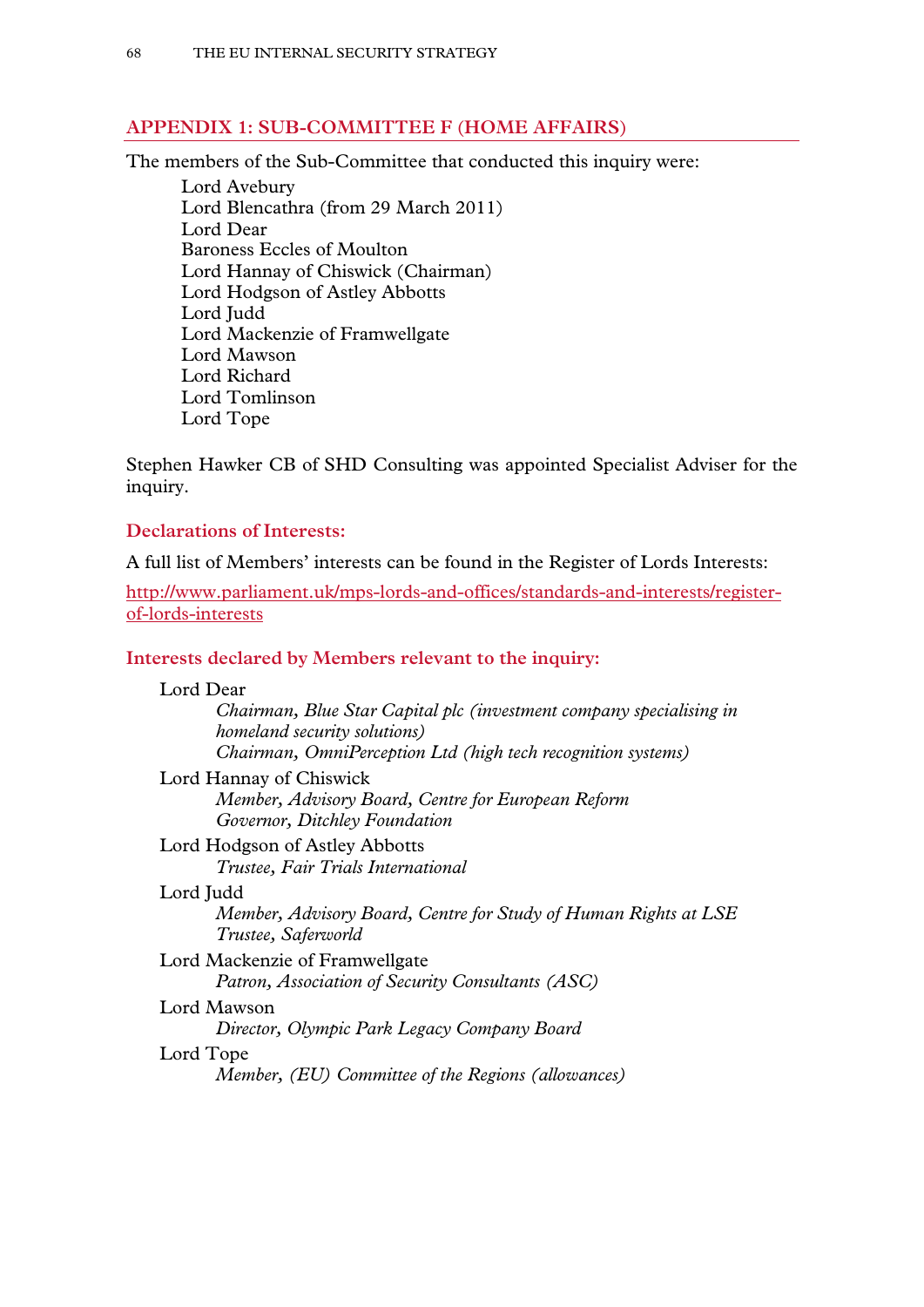# **APPENDIX 1: SUB-COMMITTEE F (HOME AFFAIRS)**

The members of the Sub-Committee that conducted this inquiry were:

Lord Avebury Lord Blencathra (from 29 March 2011) Lord Dear Baroness Eccles of Moulton Lord Hannay of Chiswick (Chairman) Lord Hodgson of Astley Abbotts Lord Judd Lord Mackenzie of Framwellgate Lord Mawson Lord Richard Lord Tomlinson Lord Tope

Stephen Hawker CB of SHD Consulting was appointed Specialist Adviser for the inquiry.

# **Declarations of Interests:**

A full list of Members' interests can be found in the Register of Lords Interests:

[http://www.parliament.uk/mps-lords-and-offices/standards-and-interests/register](http://www.parliament.uk/mps-lords-and-offices/standards-and-interests/register-of-lords-interests)[of-lords-interests](http://www.parliament.uk/mps-lords-and-offices/standards-and-interests/register-of-lords-interests)

# **Interests declared by Members relevant to the inquiry:**

| Lord Dear                                                                              |
|----------------------------------------------------------------------------------------|
| Chairman, Blue Star Capital plc (investment company specialising in                    |
| homeland security solutions)                                                           |
| Chairman, OmniPerception Ltd (high tech recognition systems)                           |
| Lord Hannay of Chiswick                                                                |
| Member, Advisory Board, Centre for European Reform                                     |
| Governor, Ditchley Foundation                                                          |
| Lord Hodgson of Astley Abbotts                                                         |
| Trustee, Fair Trials International                                                     |
| Lord Judd                                                                              |
| Member, Advisory Board, Centre for Study of Human Rights at LSE<br>Trustee, Saferworld |
| Lord Mackenzie of Framwellgate                                                         |
| Patron, Association of Security Consultants (ASC)                                      |
| Lord Mawson                                                                            |
| Director, Olympic Park Legacy Company Board                                            |
| Lord Tope                                                                              |
| Member, (EU) Committee of the Regions (allowances)                                     |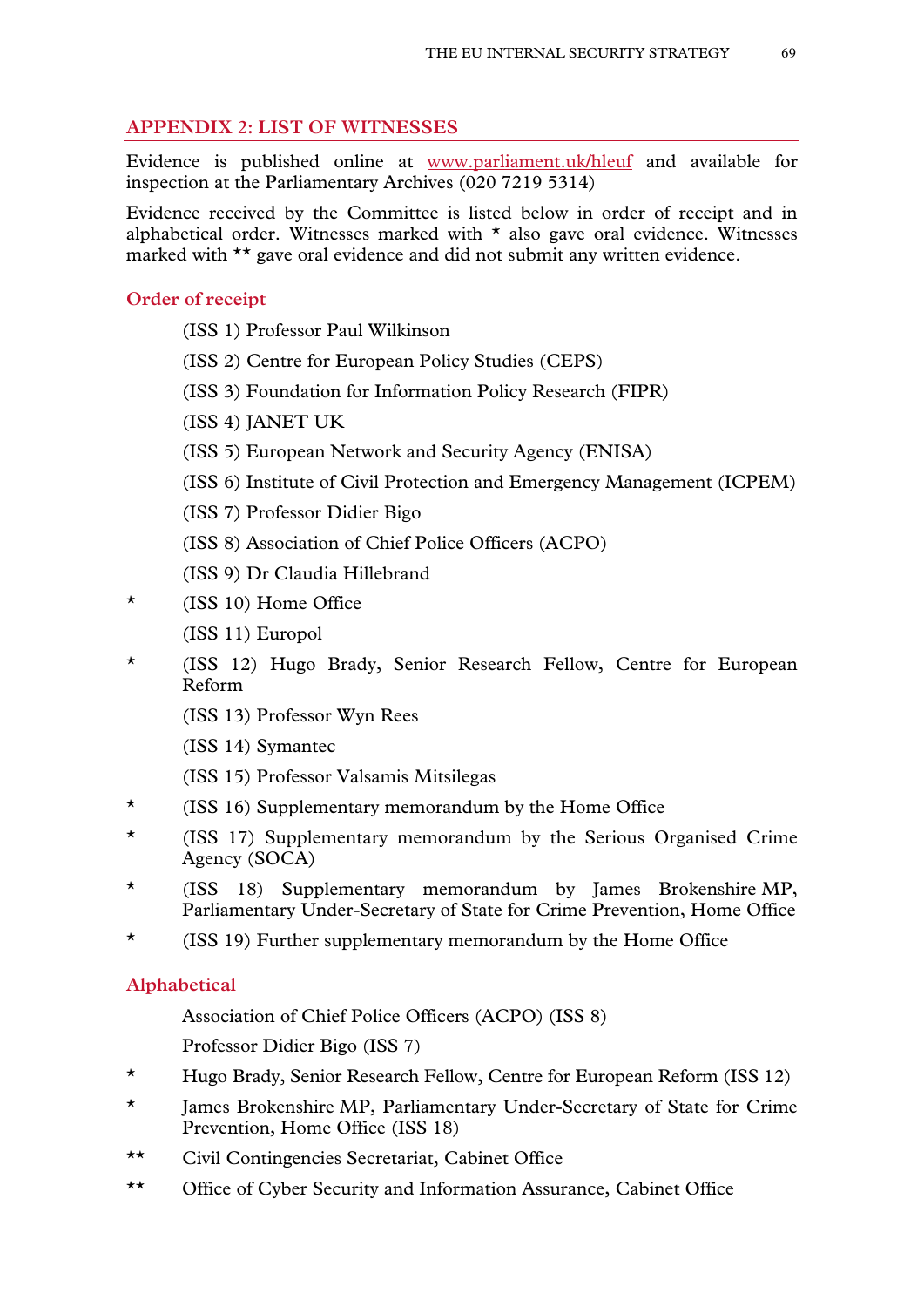# **APPENDIX 2: LIST OF WITNESSES**

Evidence is published online at [www.parliament.uk/hleuf](http://www.parliament.uk/hleuf) and available for inspection at the Parliamentary Archives (020 7219 5314)

Evidence received by the Committee is listed below in order of receipt and in alphabetical order. Witnesses marked with  $\star$  also gave oral evidence. Witnesses marked with \*\* gave oral evidence and did not submit any written evidence.

## **Order of receipt**

- (ISS 1) Professor Paul Wilkinson
- (ISS 2) Centre for European Policy Studies (CEPS)
- (ISS 3) Foundation for Information Policy Research (FIPR)
- (ISS 4) JANET UK
- (ISS 5) European Network and Security Agency (ENISA)
- (ISS 6) Institute of Civil Protection and Emergency Management (ICPEM)
- (ISS 7) Professor Didier Bigo
- (ISS 8) Association of Chief Police Officers (ACPO)
- (ISS 9) Dr Claudia Hillebrand
- \* (ISS 10) Home Office
	- (ISS 11) Europol
- \* (ISS 12) Hugo Brady, Senior Research Fellow, Centre for European Reform
	- (ISS 13) Professor Wyn Rees
	- (ISS 14) Symantec
	- (ISS 15) Professor Valsamis Mitsilegas
- \* (ISS 16) Supplementary memorandum by the Home Office
- \* (ISS 17) Supplementary memorandum by the Serious Organised Crime Agency (SOCA)
- \* (ISS 18) Supplementary memorandum by James Brokenshire MP, Parliamentary Under-Secretary of State for Crime Prevention, Home Office
- \* (ISS 19) Further supplementary memorandum by the Home Office

## **Alphabetical**

- Association of Chief Police Officers (ACPO) (ISS 8)
- Professor Didier Bigo (ISS 7)
- \* Hugo Brady, Senior Research Fellow, Centre for European Reform (ISS 12)
- \* James Brokenshire MP, Parliamentary Under-Secretary of State for Crime Prevention, Home Office (ISS 18)
- \*\* Civil Contingencies Secretariat, Cabinet Office
- \*\* Office of Cyber Security and Information Assurance, Cabinet Office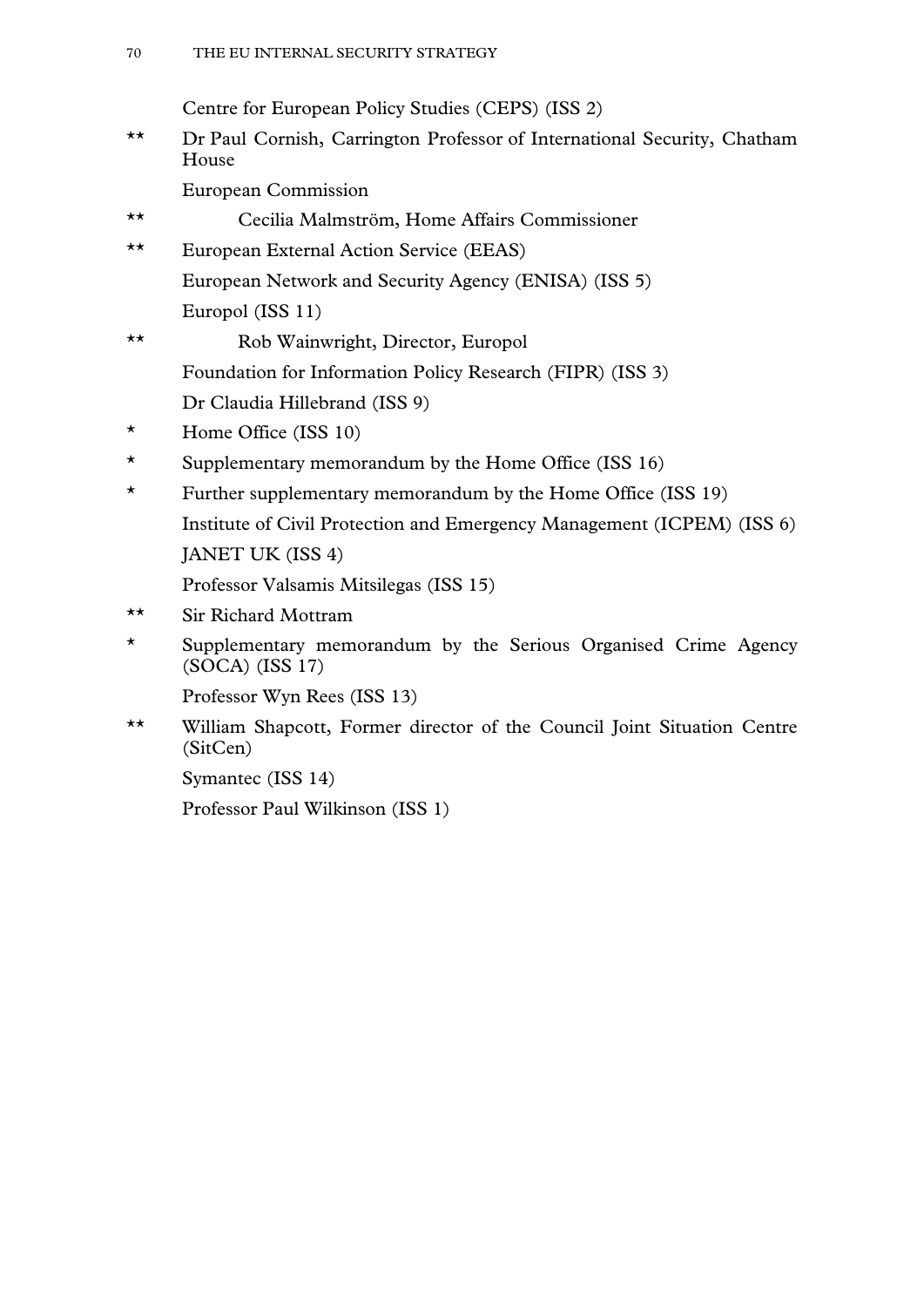Centre for European Policy Studies (CEPS) (ISS 2)

\*\* Dr Paul Cornish, Carrington Professor of International Security, Chatham House

European Commission

- \*\* Cecilia Malmström, Home Affairs Commissioner
- \*\* European External Action Service (EEAS) European Network and Security Agency (ENISA) (ISS 5) Europol (ISS 11)
- \*\* Rob Wainwright, Director, Europol Foundation for Information Policy Research (FIPR) (ISS 3) Dr Claudia Hillebrand (ISS 9)
- \* Home Office (ISS 10)
- \* Supplementary memorandum by the Home Office (ISS 16)
- \* Further supplementary memorandum by the Home Office (ISS 19) Institute of Civil Protection and Emergency Management (ICPEM) (ISS 6) JANET UK (ISS 4)

Professor Valsamis Mitsilegas (ISS 15)

- \*\* Sir Richard Mottram
- \* Supplementary memorandum by the Serious Organised Crime Agency (SOCA) (ISS 17)

Professor Wyn Rees (ISS 13)

\*\* William Shapcott, Former director of the Council Joint Situation Centre (SitCen)

Symantec (ISS 14)

Professor Paul Wilkinson (ISS 1)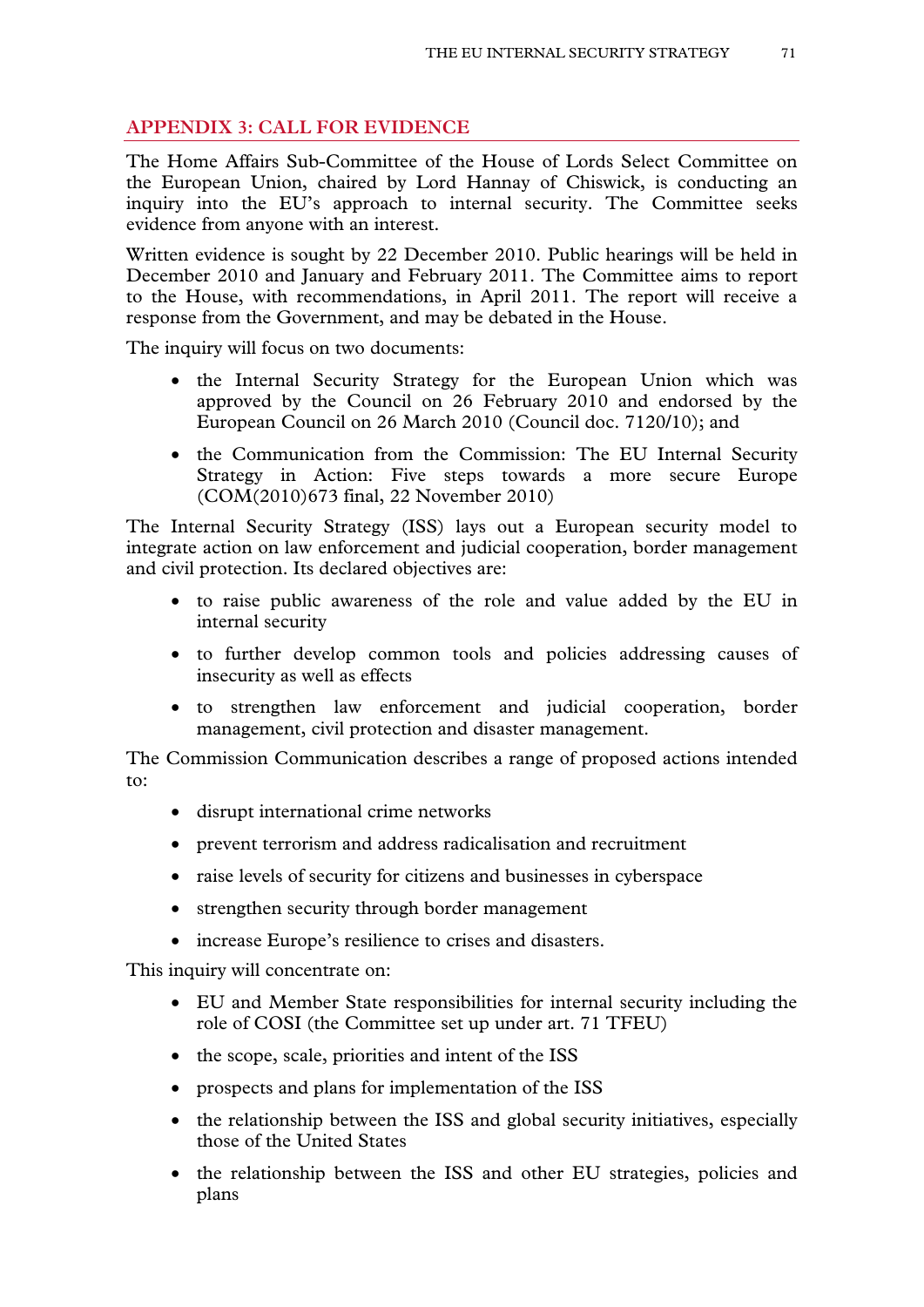# **APPENDIX 3: CALL FOR EVIDENCE**

The Home Affairs Sub-Committee of the House of Lords Select Committee on the European Union, chaired by Lord Hannay of Chiswick, is conducting an inquiry into the EU's approach to internal security. The Committee seeks evidence from anyone with an interest.

Written evidence is sought by 22 December 2010. Public hearings will be held in December 2010 and January and February 2011. The Committee aims to report to the House, with recommendations, in April 2011. The report will receive a response from the Government, and may be debated in the House.

The inquiry will focus on two documents:

- the Internal Security Strategy for the European Union which was approved by the Council on 26 February 2010 and endorsed by the European Council on 26 March 2010 (Council doc. 7120/10); and
- the Communication from the Commission: The EU Internal Security Strategy in Action: Five steps towards a more secure Europe (COM(2010)673 final, 22 November 2010)

The Internal Security Strategy (ISS) lays out a European security model to integrate action on law enforcement and judicial cooperation, border management and civil protection. Its declared objectives are:

- to raise public awareness of the role and value added by the EU in internal security
- to further develop common tools and policies addressing causes of insecurity as well as effects
- to strengthen law enforcement and judicial cooperation, border management, civil protection and disaster management.

The Commission Communication describes a range of proposed actions intended to:

- disrupt international crime networks
- prevent terrorism and address radicalisation and recruitment
- raise levels of security for citizens and businesses in cyberspace
- strengthen security through border management
- increase Europe's resilience to crises and disasters.

This inquiry will concentrate on:

- EU and Member State responsibilities for internal security including the role of COSI (the Committee set up under art. 71 TFEU)
- the scope, scale, priorities and intent of the ISS
- prospects and plans for implementation of the ISS
- the relationship between the ISS and global security initiatives, especially those of the United States
- the relationship between the ISS and other EU strategies, policies and plans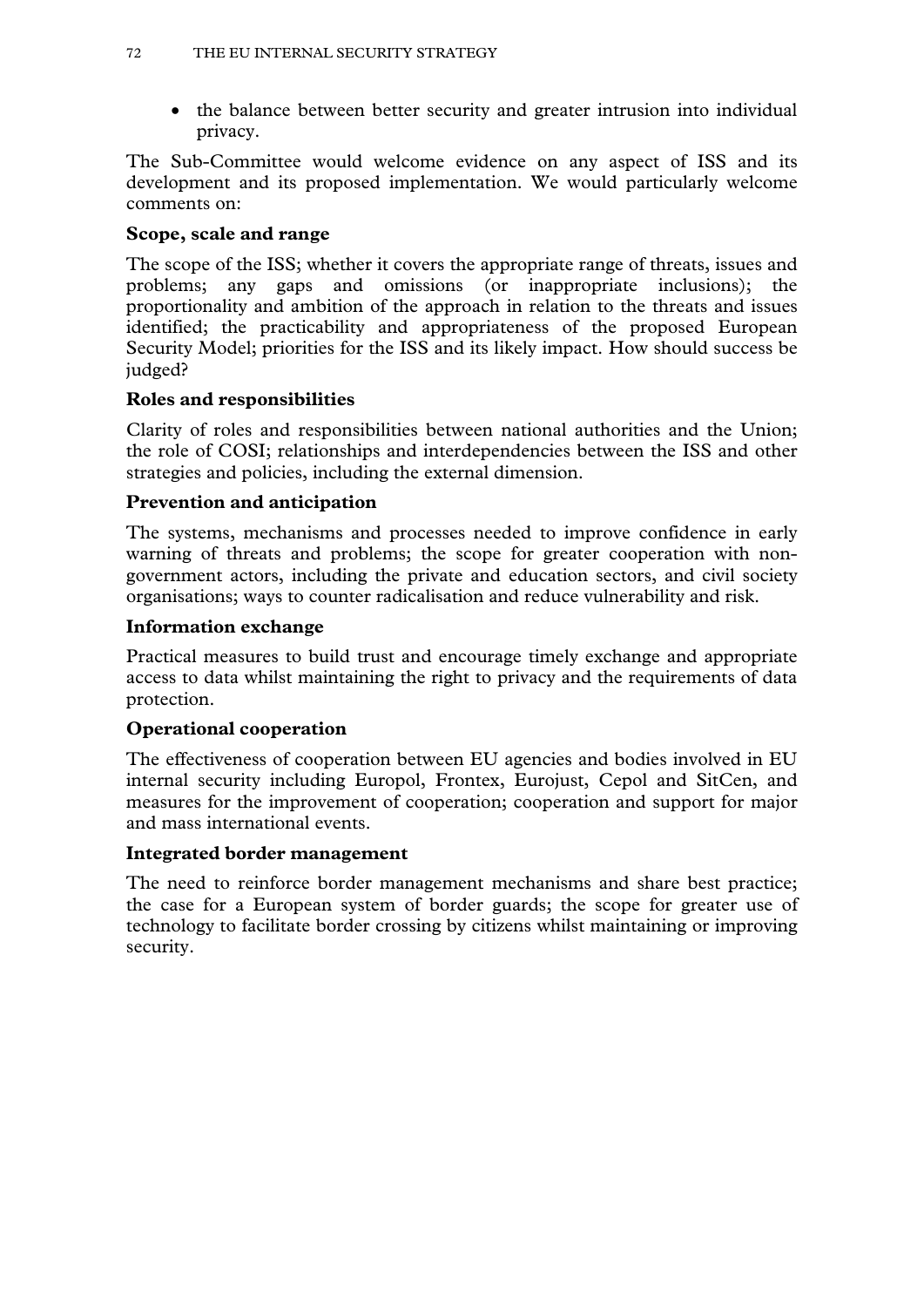• the balance between better security and greater intrusion into individual privacy.

The Sub-Committee would welcome evidence on any aspect of ISS and its development and its proposed implementation. We would particularly welcome comments on:

# **Scope, scale and range**

The scope of the ISS; whether it covers the appropriate range of threats, issues and problems; any gaps and omissions (or inappropriate inclusions); the proportionality and ambition of the approach in relation to the threats and issues identified; the practicability and appropriateness of the proposed European Security Model; priorities for the ISS and its likely impact. How should success be judged?

# **Roles and responsibilities**

Clarity of roles and responsibilities between national authorities and the Union; the role of COSI; relationships and interdependencies between the ISS and other strategies and policies, including the external dimension.

# **Prevention and anticipation**

The systems, mechanisms and processes needed to improve confidence in early warning of threats and problems; the scope for greater cooperation with nongovernment actors, including the private and education sectors, and civil society organisations; ways to counter radicalisation and reduce vulnerability and risk.

# **Information exchange**

Practical measures to build trust and encourage timely exchange and appropriate access to data whilst maintaining the right to privacy and the requirements of data protection.

# **Operational cooperation**

The effectiveness of cooperation between EU agencies and bodies involved in EU internal security including Europol, Frontex, Eurojust, Cepol and SitCen, and measures for the improvement of cooperation; cooperation and support for major and mass international events.

# **Integrated border management**

The need to reinforce border management mechanisms and share best practice; the case for a European system of border guards; the scope for greater use of technology to facilitate border crossing by citizens whilst maintaining or improving security.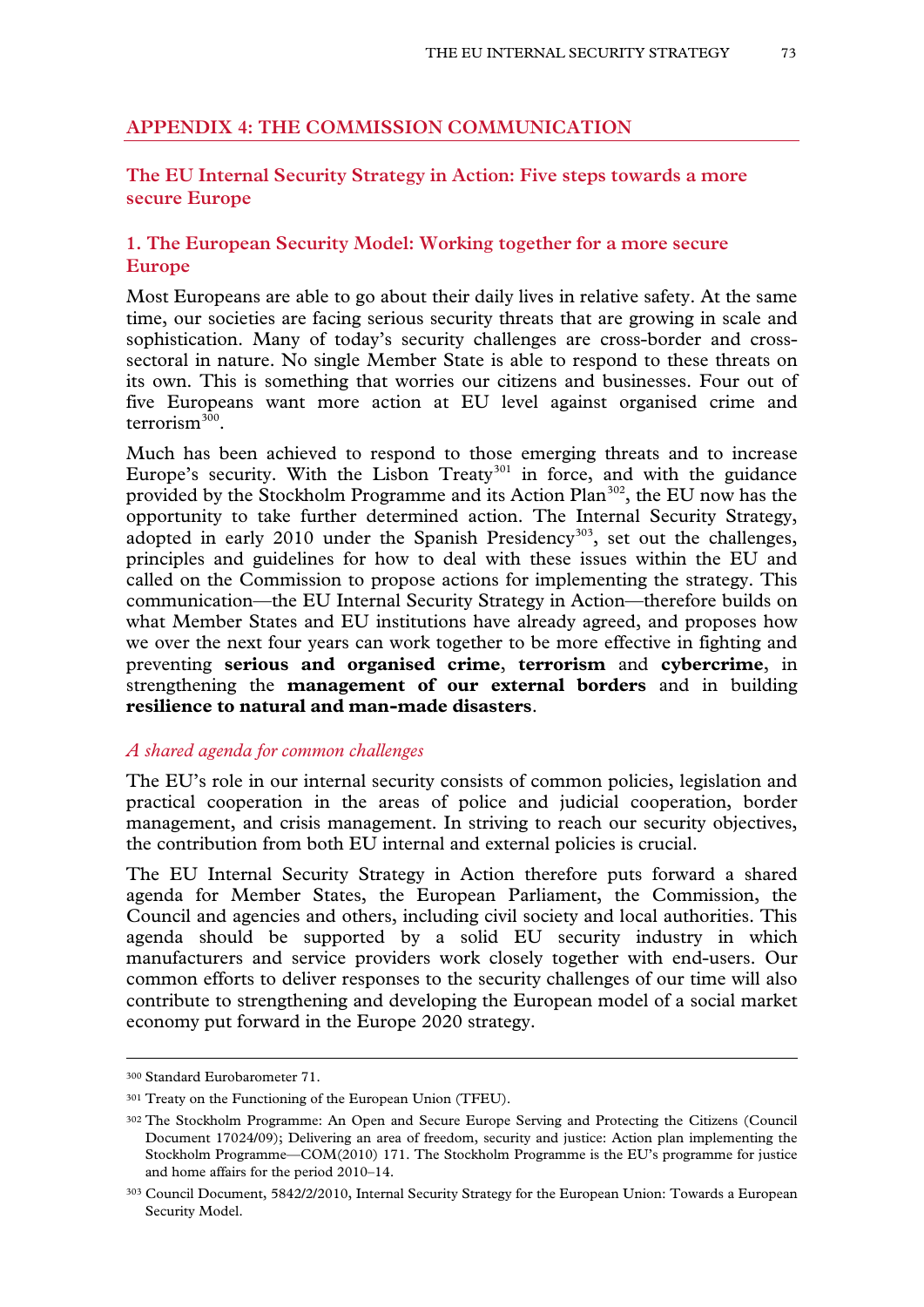### **APPENDIX 4: THE COMMISSION COMMUNICATION**

## **The EU Internal Security Strategy in Action: Five steps towards a more secure Europe**

## **1. The European Security Model: Working together for a more secure Europe**

Most Europeans are able to go about their daily lives in relative safety. At the same time, our societies are facing serious security threats that are growing in scale and sophistication. Many of today's security challenges are cross-border and crosssectoral in nature. No single Member State is able to respond to these threats on its own. This is something that worries our citizens and businesses. Four out of five Europeans want more action at EU level against organised crime and terrorism $3\overline{0}0$ 

Much has been achieved to respond to those emerging threats and to increase Europe's security. With the Lisbon Treaty<sup>[301](#page-72-0)</sup> in force, and with the guidance provided by the Stockholm Programme and its Action Plan<sup>302</sup>, the EU now has the opportunity to take further determined action. The Internal Security Strategy, adopted in early 2010 under the Spanish Presidency<sup>[303](#page-72-2)</sup>, set out the challenges, principles and guidelines for how to deal with these issues within the EU and called on the Commission to propose actions for implementing the strategy. This communication—the EU Internal Security Strategy in Action—therefore builds on what Member States and EU institutions have already agreed, and proposes how we over the next four years can work together to be more effective in fighting and preventing **serious and organised crime**, **terrorism** and **cybercrime**, in strengthening the **management of our external borders** and in building **resilience to natural and man-made disasters**.

#### *A shared agenda for common challenges*

The EU's role in our internal security consists of common policies, legislation and practical cooperation in the areas of police and judicial cooperation, border management, and crisis management. In striving to reach our security objectives, the contribution from both EU internal and external policies is crucial.

The EU Internal Security Strategy in Action therefore puts forward a shared agenda for Member States, the European Parliament, the Commission, the Council and agencies and others, including civil society and local authorities. This agenda should be supported by a solid EU security industry in which manufacturers and service providers work closely together with end-users. Our common efforts to deliver responses to the security challenges of our time will also contribute to strengthening and developing the European model of a social market economy put forward in the Europe 2020 strategy.

<sup>300</sup> Standard Eurobarometer 71.

<span id="page-72-0"></span><sup>301</sup> Treaty on the Functioning of the European Union (TFEU).

<span id="page-72-3"></span><span id="page-72-1"></span><sup>302</sup> The Stockholm Programme: An Open and Secure Europe Serving and Protecting the Citizens (Council Document 17024/09); Delivering an area of freedom, security and justice: Action plan implementing the Stockholm Programme—COM(2010) 171. The Stockholm Programme is the EU's programme for justice and home affairs for the period 2010–14.

<span id="page-72-2"></span><sup>303</sup> Council Document, 5842/2/2010, Internal Security Strategy for the European Union: Towards a European Security Model.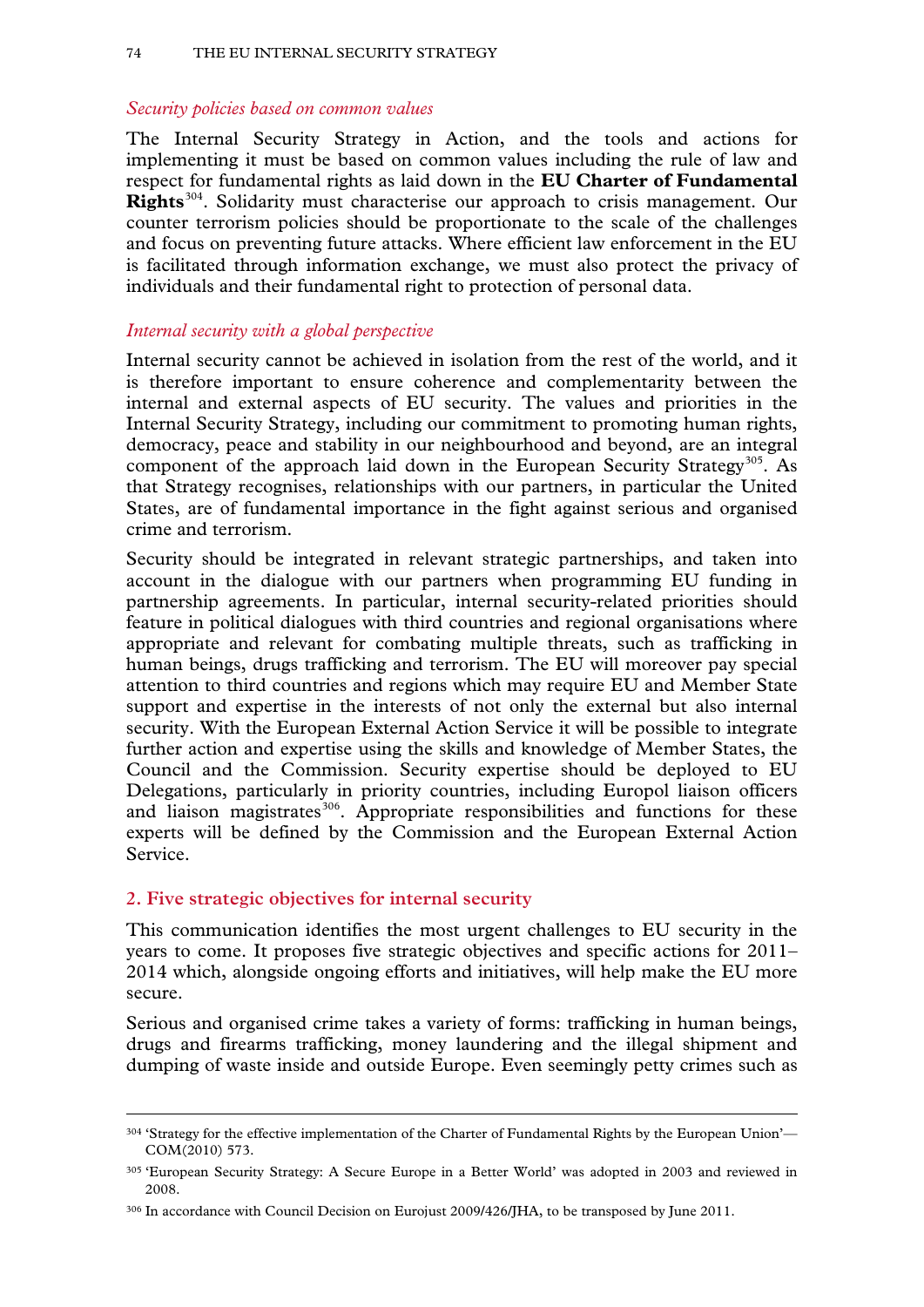#### *Security policies based on common values*

The Internal Security Strategy in Action, and the tools and actions for implementing it must be based on common values including the rule of law and respect for fundamental rights as laid down in the **EU Charter of Fundamental Rights**[304.](#page-72-3) Solidarity must characterise our approach to crisis management. Our counter terrorism policies should be proportionate to the scale of the challenges and focus on preventing future attacks. Where efficient law enforcement in the EU is facilitated through information exchange, we must also protect the privacy of individuals and their fundamental right to protection of personal data.

## *Internal security with a global perspective*

Internal security cannot be achieved in isolation from the rest of the world, and it is therefore important to ensure coherence and complementarity between the internal and external aspects of EU security. The values and priorities in the Internal Security Strategy, including our commitment to promoting human rights, democracy, peace and stability in our neighbourhood and beyond, are an integral component of the approach laid down in the European Security Strategy<sup>305</sup>. As that Strategy recognises, relationships with our partners, in particular the United States, are of fundamental importance in the fight against serious and organised crime and terrorism.

Security should be integrated in relevant strategic partnerships, and taken into account in the dialogue with our partners when programming EU funding in partnership agreements. In particular, internal security-related priorities should feature in political dialogues with third countries and regional organisations where appropriate and relevant for combating multiple threats, such as trafficking in human beings, drugs trafficking and terrorism. The EU will moreover pay special attention to third countries and regions which may require EU and Member State support and expertise in the interests of not only the external but also internal security. With the European External Action Service it will be possible to integrate further action and expertise using the skills and knowledge of Member States, the Council and the Commission. Security expertise should be deployed to EU Delegations, particularly in priority countries, including Europol liaison officers and liaison magistrates<sup>[306](#page-73-1)</sup>. Appropriate responsibilities and functions for these experts will be defined by the Commission and the European External Action Service.

## **2. Five strategic objectives for internal security**

-

This communication identifies the most urgent challenges to EU security in the years to come. It proposes five strategic objectives and specific actions for 2011– 2014 which, alongside ongoing efforts and initiatives, will help make the EU more secure.

Serious and organised crime takes a variety of forms: trafficking in human beings, drugs and firearms trafficking, money laundering and the illegal shipment and dumping of waste inside and outside Europe. Even seemingly petty crimes such as

<sup>304 &#</sup>x27;Strategy for the effective implementation of the Charter of Fundamental Rights by the European Union'— COM(2010) 573.

<span id="page-73-2"></span><span id="page-73-0"></span><sup>305 &#</sup>x27;European Security Strategy: A Secure Europe in a Better World' was adopted in 2003 and reviewed in 2008.

<span id="page-73-1"></span><sup>306</sup> In accordance with Council Decision on Eurojust 2009/426/JHA, to be transposed by June 2011.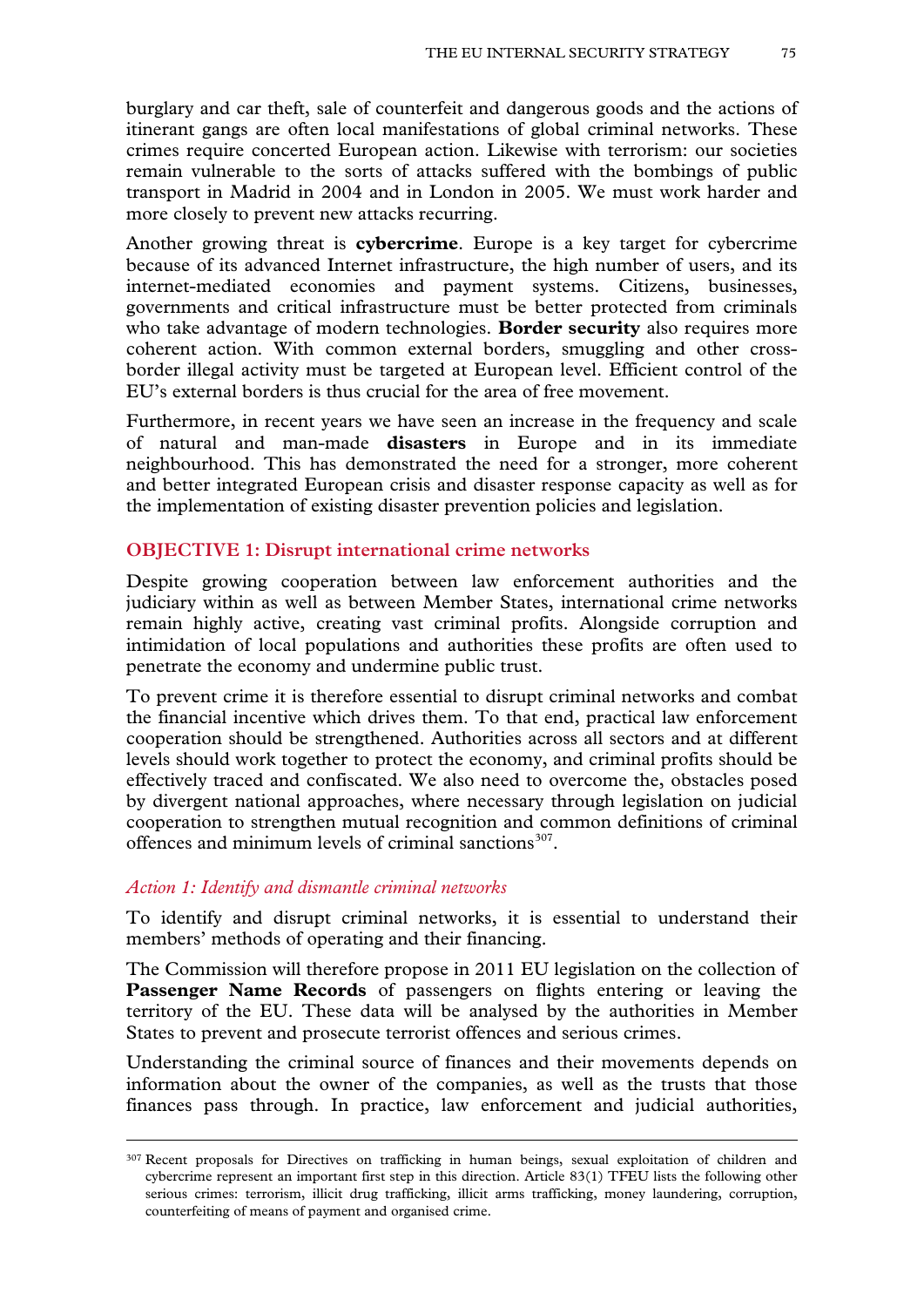burglary and car theft, sale of counterfeit and dangerous goods and the actions of itinerant gangs are often local manifestations of global criminal networks. These crimes require concerted European action. Likewise with terrorism: our societies remain vulnerable to the sorts of attacks suffered with the bombings of public transport in Madrid in 2004 and in London in 2005. We must work harder and more closely to prevent new attacks recurring.

Another growing threat is **cybercrime**. Europe is a key target for cybercrime because of its advanced Internet infrastructure, the high number of users, and its internet-mediated economies and payment systems. Citizens, businesses, governments and critical infrastructure must be better protected from criminals who take advantage of modern technologies. **Border security** also requires more coherent action. With common external borders, smuggling and other crossborder illegal activity must be targeted at European level. Efficient control of the EU's external borders is thus crucial for the area of free movement.

Furthermore, in recent years we have seen an increase in the frequency and scale of natural and man-made **disasters** in Europe and in its immediate neighbourhood. This has demonstrated the need for a stronger, more coherent and better integrated European crisis and disaster response capacity as well as for the implementation of existing disaster prevention policies and legislation.

## **OBJECTIVE 1: Disrupt international crime networks**

Despite growing cooperation between law enforcement authorities and the judiciary within as well as between Member States, international crime networks remain highly active, creating vast criminal profits. Alongside corruption and intimidation of local populations and authorities these profits are often used to penetrate the economy and undermine public trust.

To prevent crime it is therefore essential to disrupt criminal networks and combat the financial incentive which drives them. To that end, practical law enforcement cooperation should be strengthened. Authorities across all sectors and at different levels should work together to protect the economy, and criminal profits should be effectively traced and confiscated. We also need to overcome the, obstacles posed by divergent national approaches, where necessary through legislation on judicial cooperation to strengthen mutual recognition and common definitions of criminal offences and minimum levels of criminal sanctions $307$ .

#### *Action 1: Identify and dismantle criminal networks*

-

To identify and disrupt criminal networks, it is essential to understand their members' methods of operating and their financing.

The Commission will therefore propose in 2011 EU legislation on the collection of Passenger Name Records of passengers on flights entering or leaving the territory of the EU. These data will be analysed by the authorities in Member States to prevent and prosecute terrorist offences and serious crimes.

Understanding the criminal source of finances and their movements depends on information about the owner of the companies, as well as the trusts that those finances pass through. In practice, law enforcement and judicial authorities,

<span id="page-74-0"></span><sup>307</sup> Recent proposals for Directives on trafficking in human beings, sexual exploitation of children and cybercrime represent an important first step in this direction. Article 83(1) TFEU lists the following other serious crimes: terrorism, illicit drug trafficking, illicit arms trafficking, money laundering, corruption, counterfeiting of means of payment and organised crime.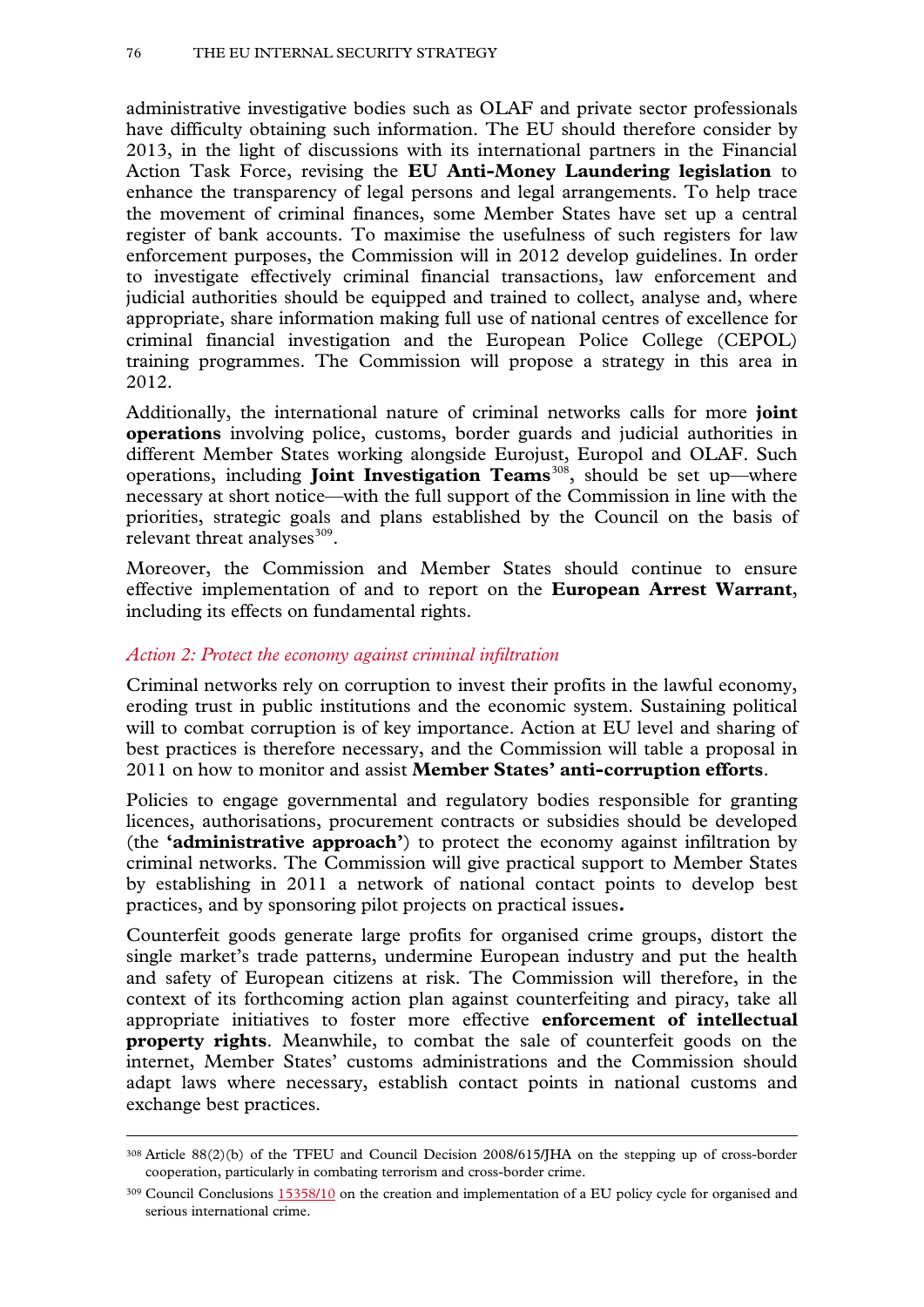administrative investigative bodies such as OLAF and private sector professionals have difficulty obtaining such information. The EU should therefore consider by 2013, in the light of discussions with its international partners in the Financial Action Task Force, revising the **EU Anti-Money Laundering legislation** to enhance the transparency of legal persons and legal arrangements. To help trace the movement of criminal finances, some Member States have set up a central register of bank accounts. To maximise the usefulness of such registers for law enforcement purposes, the Commission will in 2012 develop guidelines. In order to investigate effectively criminal financial transactions, law enforcement and judicial authorities should be equipped and trained to collect, analyse and, where appropriate, share information making full use of national centres of excellence for criminal financial investigation and the European Police College (CEPOL) training programmes. The Commission will propose a strategy in this area in 2012.

Additionally, the international nature of criminal networks calls for more **joint operations** involving police, customs, border guards and judicial authorities in different Member States working alongside Eurojust, Europol and OLAF. Such operations, including **Joint Investigation Teams**[308,](#page-74-0) should be set up—where necessary at short notice—with the full support of the Commission in line with the priorities, strategic goals and plans established by the Council on the basis of relevant threat analyses $309$ .

Moreover, the Commission and Member States should continue to ensure effective implementation of and to report on the **European Arrest Warrant**, including its effects on fundamental rights.

## *Action 2: Protect the economy against criminal infiltration*

-

Criminal networks rely on corruption to invest their profits in the lawful economy, eroding trust in public institutions and the economic system. Sustaining political will to combat corruption is of key importance. Action at EU level and sharing of best practices is therefore necessary, and the Commission will table a proposal in 2011 on how to monitor and assist **Member States' anti-corruption efforts**.

Policies to engage governmental and regulatory bodies responsible for granting licences, authorisations, procurement contracts or subsidies should be developed (the **'administrative approach'**) to protect the economy against infiltration by criminal networks. The Commission will give practical support to Member States by establishing in 2011 a network of national contact points to develop best practices, and by sponsoring pilot projects on practical issues**.**

<span id="page-75-1"></span>Counterfeit goods generate large profits for organised crime groups, distort the single market's trade patterns, undermine European industry and put the health and safety of European citizens at risk. The Commission will therefore, in the context of its forthcoming action plan against counterfeiting and piracy, take all appropriate initiatives to foster more effective **enforcement of intellectual property rights**. Meanwhile, to combat the sale of counterfeit goods on the internet, Member States' customs administrations and the Commission should adapt laws where necessary, establish contact points in national customs and exchange best practices.

<sup>308</sup> Article 88(2)(b) of the TFEU and Council Decision 2008/615/JHA on the stepping up of cross-border cooperation, particularly in combating terrorism and cross-border crime.

<span id="page-75-0"></span><sup>&</sup>lt;sup>309</sup> Council Conclusions [15358/10](http://www.cc.cec/home/dgserv/sg/sgvista/i/sgv2/repo/repo.cfm?institution=CONS&doc_to_browse=CSST/2010/15358&refresh_session=YES) on the creation and implementation of a EU policy cycle for organised and serious international crime.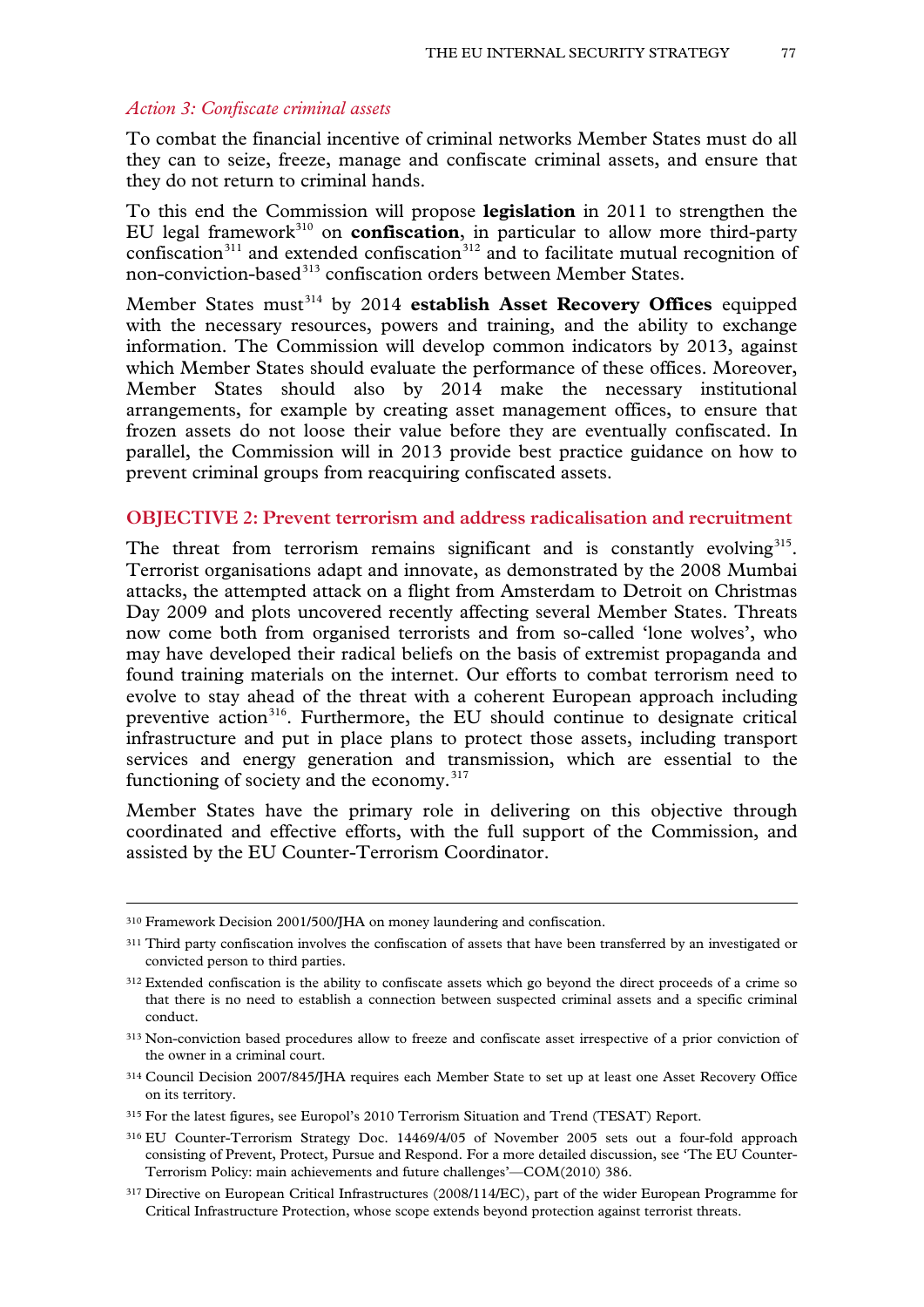#### *Action 3: Confiscate criminal assets*

To combat the financial incentive of criminal networks Member States must do all they can to seize, freeze, manage and confiscate criminal assets, and ensure that they do not return to criminal hands.

To this end the Commission will propose **legislation** in 2011 to strengthen the EU legal framework[310](#page-75-1) on **confiscation**, in particular to allow more third-party confiscation<sup>[311](#page-76-0)</sup> and extended confiscation<sup>[312](#page-76-1)</sup> and to facilitate mutual recognition of non-conviction-based<sup>[313](#page-76-2)</sup> confiscation orders between Member States.

Member States must<sup>[314](#page-76-3)</sup> by 2014 **establish Asset Recovery Offices** equipped with the necessary resources, powers and training, and the ability to exchange information. The Commission will develop common indicators by 2013, against which Member States should evaluate the performance of these offices. Moreover, Member States should also by 2014 make the necessary institutional arrangements, for example by creating asset management offices, to ensure that frozen assets do not loose their value before they are eventually confiscated. In parallel, the Commission will in 2013 provide best practice guidance on how to prevent criminal groups from reacquiring confiscated assets.

### **OBJECTIVE 2: Prevent terrorism and address radicalisation and recruitment**

The threat from terrorism remains significant and is constantly evolving $315$ . Terrorist organisations adapt and innovate, as demonstrated by the 2008 Mumbai attacks, the attempted attack on a flight from Amsterdam to Detroit on Christmas Day 2009 and plots uncovered recently affecting several Member States. Threats now come both from organised terrorists and from so-called 'lone wolves', who may have developed their radical beliefs on the basis of extremist propaganda and found training materials on the internet. Our efforts to combat terrorism need to evolve to stay ahead of the threat with a coherent European approach including preventive action<sup>316</sup>. Furthermore, the EU should continue to designate critical infrastructure and put in place plans to protect those assets, including transport services and energy generation and transmission, which are essential to the functioning of society and the economy. $317$ 

Member States have the primary role in delivering on this objective through coordinated and effective efforts, with the full support of the Commission, and assisted by the EU Counter-Terrorism Coordinator.

<sup>310</sup> Framework Decision 2001/500/JHA on money laundering and confiscation.

<span id="page-76-0"></span><sup>&</sup>lt;sup>311</sup> Third party confiscation involves the confiscation of assets that have been transferred by an investigated or convicted person to third parties.

<span id="page-76-1"></span><sup>&</sup>lt;sup>312</sup> Extended confiscation is the ability to confiscate assets which go beyond the direct proceeds of a crime so that there is no need to establish a connection between suspected criminal assets and a specific criminal conduct.

<span id="page-76-2"></span><sup>313</sup> Non-conviction based procedures allow to freeze and confiscate asset irrespective of a prior conviction of the owner in a criminal court.

<span id="page-76-3"></span><sup>314</sup> Council Decision 2007/845/JHA requires each Member State to set up at least one Asset Recovery Office on its territory.

<span id="page-76-4"></span><sup>315</sup> For the latest figures, see Europol's 2010 Terrorism Situation and Trend (TESAT) Report.

<span id="page-76-7"></span><span id="page-76-5"></span><sup>316</sup> EU Counter-Terrorism Strategy Doc. 14469/4/05 of November 2005 sets out a four-fold approach consisting of Prevent, Protect, Pursue and Respond. For a more detailed discussion, see 'The EU Counter-Terrorism Policy: main achievements and future challenges'—COM(2010) 386.

<span id="page-76-6"></span><sup>317</sup> Directive on European Critical Infrastructures (2008/114/EC), part of the wider European Programme for Critical Infrastructure Protection, whose scope extends beyond protection against terrorist threats.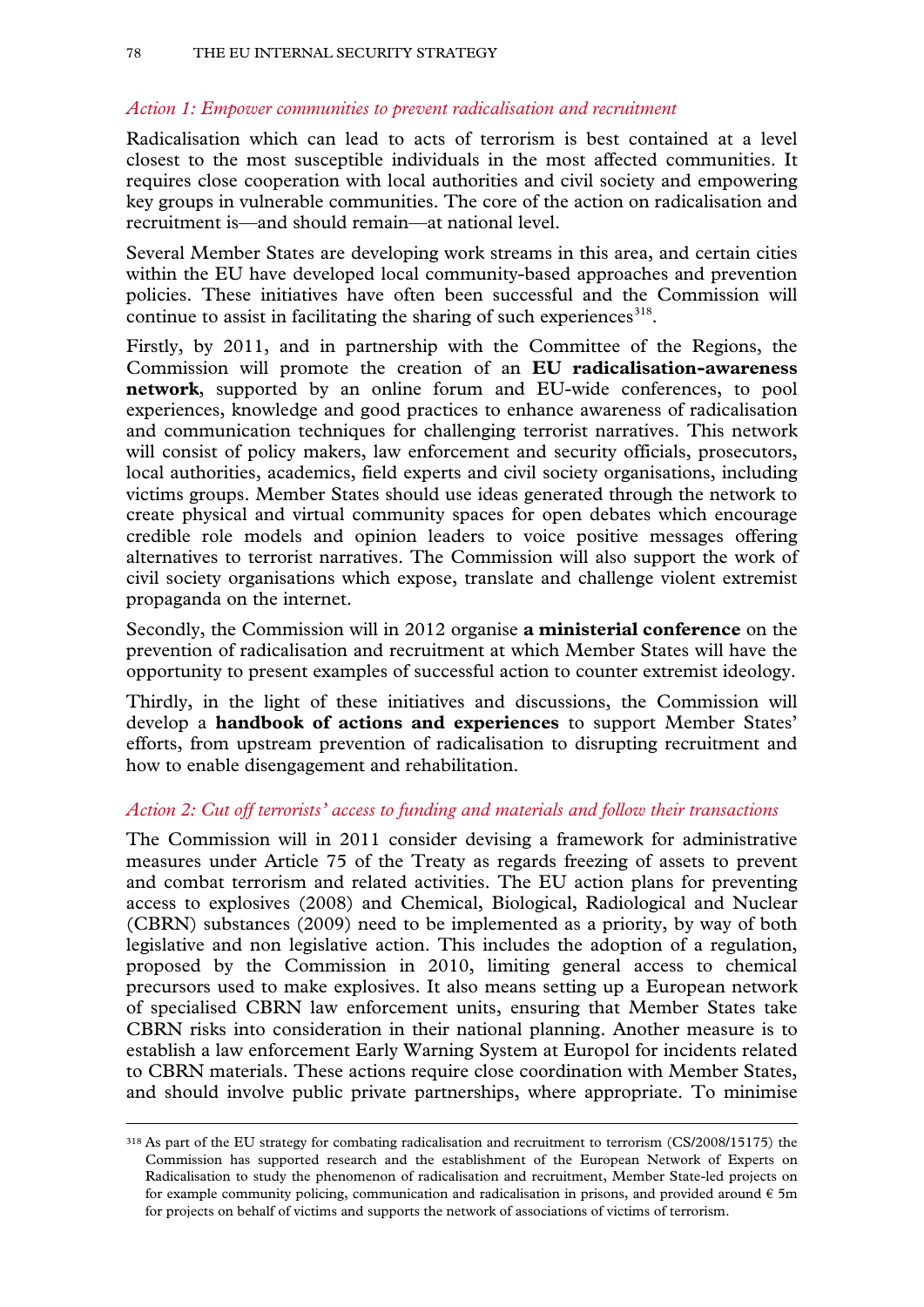## *Action 1: Empower communities to prevent radicalisation and recruitment*

Radicalisation which can lead to acts of terrorism is best contained at a level closest to the most susceptible individuals in the most affected communities. It requires close cooperation with local authorities and civil society and empowering key groups in vulnerable communities. The core of the action on radicalisation and recruitment is—and should remain—at national level.

Several Member States are developing work streams in this area, and certain cities within the EU have developed local community-based approaches and prevention policies. These initiatives have often been successful and the Commission will continue to assist in facilitating the sharing of such experiences  $218$ .

Firstly, by 2011, and in partnership with the Committee of the Regions, the Commission will promote the creation of an **EU radicalisation-awareness network**, supported by an online forum and EU-wide conferences, to pool experiences, knowledge and good practices to enhance awareness of radicalisation and communication techniques for challenging terrorist narratives. This network will consist of policy makers, law enforcement and security officials, prosecutors, local authorities, academics, field experts and civil society organisations, including victims groups. Member States should use ideas generated through the network to create physical and virtual community spaces for open debates which encourage credible role models and opinion leaders to voice positive messages offering alternatives to terrorist narratives. The Commission will also support the work of civil society organisations which expose, translate and challenge violent extremist propaganda on the internet.

Secondly, the Commission will in 2012 organise **a ministerial conference** on the prevention of radicalisation and recruitment at which Member States will have the opportunity to present examples of successful action to counter extremist ideology.

Thirdly, in the light of these initiatives and discussions, the Commission will develop a **handbook of actions and experiences** to support Member States' efforts, from upstream prevention of radicalisation to disrupting recruitment and how to enable disengagement and rehabilitation.

## *Action 2: Cut off terrorists' access to funding and materials and follow their transactions*

The Commission will in 2011 consider devising a framework for administrative measures under Article 75 of the Treaty as regards freezing of assets to prevent and combat terrorism and related activities. The EU action plans for preventing access to explosives (2008) and Chemical, Biological, Radiological and Nuclear (CBRN) substances (2009) need to be implemented as a priority, by way of both legislative and non legislative action. This includes the adoption of a regulation, proposed by the Commission in 2010, limiting general access to chemical precursors used to make explosives. It also means setting up a European network of specialised CBRN law enforcement units, ensuring that Member States take CBRN risks into consideration in their national planning. Another measure is to establish a law enforcement Early Warning System at Europol for incidents related to CBRN materials. These actions require close coordination with Member States, and should involve public private partnerships, where appropriate. To minimise

<span id="page-77-0"></span><sup>318</sup> As part of the EU strategy for combating radicalisation and recruitment to terrorism (CS/2008/15175) the Commission has supported research and the establishment of the European Network of Experts on Radicalisation to study the phenomenon of radicalisation and recruitment, Member State-led projects on for example community policing, communication and radicalisation in prisons, and provided around  $\epsilon$  5m for projects on behalf of victims and supports the network of associations of victims of terrorism.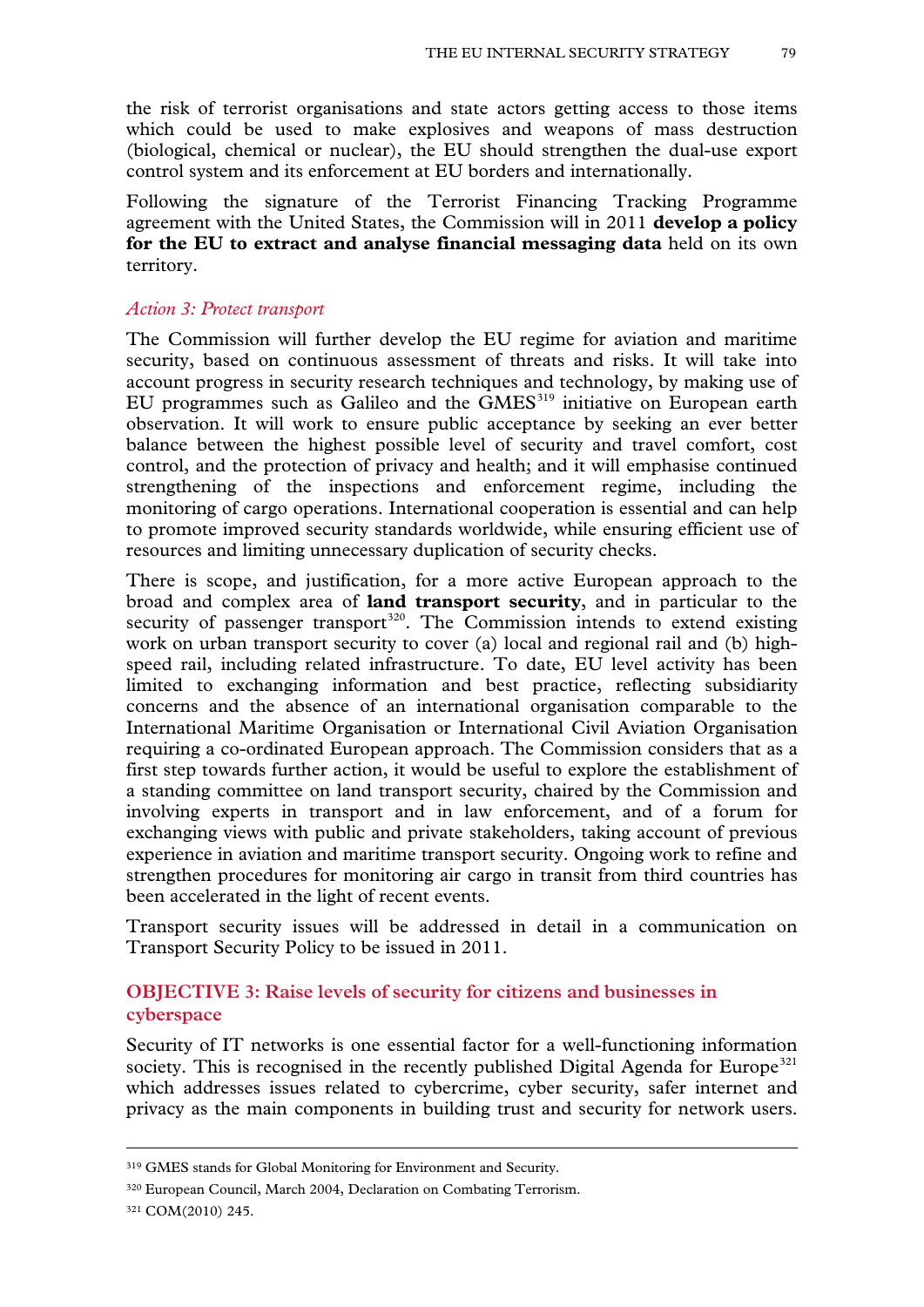the risk of terrorist organisations and state actors getting access to those items which could be used to make explosives and weapons of mass destruction (biological, chemical or nuclear), the EU should strengthen the dual-use export control system and its enforcement at EU borders and internationally.

Following the signature of the Terrorist Financing Tracking Programme agreement with the United States, the Commission will in 2011 **develop a policy for the EU to extract and analyse financial messaging data** held on its own territory.

#### *Action 3: Protect transport*

The Commission will further develop the EU regime for aviation and maritime security, based on continuous assessment of threats and risks. It will take into account progress in security research techniques and technology, by making use of EU programmes such as Galileo and the  $GMES<sup>319</sup>$  $GMES<sup>319</sup>$  $GMES<sup>319</sup>$  initiative on European earth observation. It will work to ensure public acceptance by seeking an ever better balance between the highest possible level of security and travel comfort, cost control, and the protection of privacy and health; and it will emphasise continued strengthening of the inspections and enforcement regime, including the monitoring of cargo operations. International cooperation is essential and can help to promote improved security standards worldwide, while ensuring efficient use of resources and limiting unnecessary duplication of security checks.

There is scope, and justification, for a more active European approach to the broad and complex area of **land transport security**, and in particular to the security of passenger transport<sup>[320](#page-78-0)</sup>. The Commission intends to extend existing work on urban transport security to cover (a) local and regional rail and (b) highspeed rail, including related infrastructure. To date, EU level activity has been limited to exchanging information and best practice, reflecting subsidiarity concerns and the absence of an international organisation comparable to the International Maritime Organisation or International Civil Aviation Organisation requiring a co-ordinated European approach. The Commission considers that as a first step towards further action, it would be useful to explore the establishment of a standing committee on land transport security, chaired by the Commission and involving experts in transport and in law enforcement, and of a forum for exchanging views with public and private stakeholders, taking account of previous experience in aviation and maritime transport security. Ongoing work to refine and strengthen procedures for monitoring air cargo in transit from third countries has been accelerated in the light of recent events.

Transport security issues will be addressed in detail in a communication on Transport Security Policy to be issued in 2011.

# **OBJECTIVE 3: Raise levels of security for citizens and businesses in cyberspace**

Security of IT networks is one essential factor for a well-functioning information society. This is recognised in the recently published Digital Agenda for Europe<sup>[321](#page-78-1)</sup> which addresses issues related to cybercrime, cyber security, safer internet and privacy as the main components in building trust and security for network users.

<span id="page-78-1"></span><sup>321</sup> COM(2010) 245.

<sup>319</sup> GMES stands for Global Monitoring for Environment and Security.

<span id="page-78-0"></span><sup>320</sup> European Council, March 2004, Declaration on Combating Terrorism.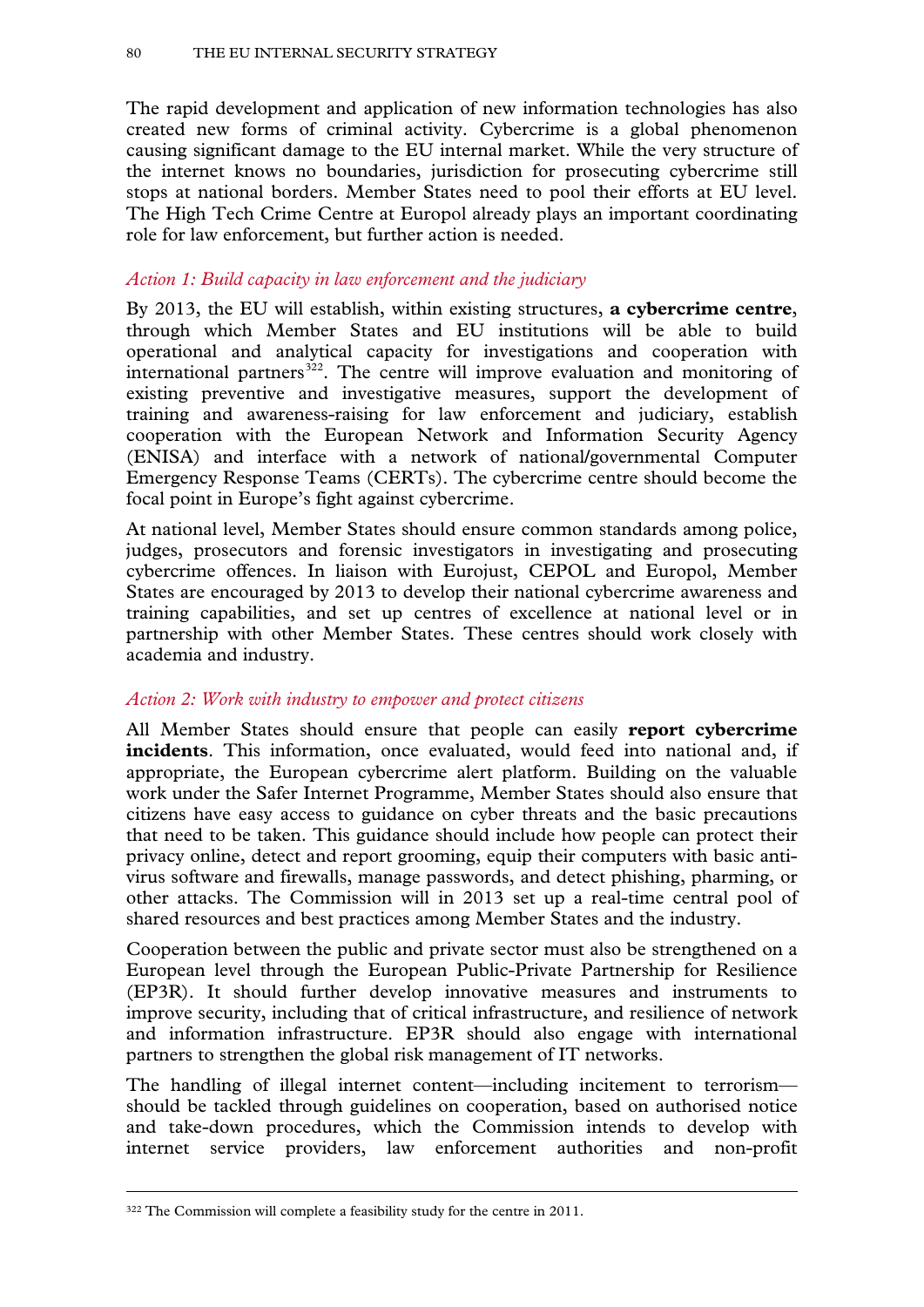The rapid development and application of new information technologies has also created new forms of criminal activity. Cybercrime is a global phenomenon causing significant damage to the EU internal market. While the very structure of the internet knows no boundaries, jurisdiction for prosecuting cybercrime still stops at national borders. Member States need to pool their efforts at EU level. The High Tech Crime Centre at Europol already plays an important coordinating role for law enforcement, but further action is needed.

## *Action 1: Build capacity in law enforcement and the judiciary*

By 2013, the EU will establish, within existing structures, **a cybercrime centre**, through which Member States and EU institutions will be able to build operational and analytical capacity for investigations and cooperation with international partners<sup>[322](#page-78-1)</sup>. The centre will improve evaluation and monitoring of existing preventive and investigative measures, support the development of training and awareness-raising for law enforcement and judiciary, establish cooperation with the European Network and Information Security Agency (ENISA) and interface with a network of national/governmental Computer Emergency Response Teams (CERTs). The cybercrime centre should become the focal point in Europe's fight against cybercrime.

At national level, Member States should ensure common standards among police, judges, prosecutors and forensic investigators in investigating and prosecuting cybercrime offences. In liaison with Eurojust, CEPOL and Europol, Member States are encouraged by 2013 to develop their national cybercrime awareness and training capabilities, and set up centres of excellence at national level or in partnership with other Member States. These centres should work closely with academia and industry.

## *Action 2: Work with industry to empower and protect citizens*

All Member States should ensure that people can easily **report cybercrime incidents**. This information, once evaluated, would feed into national and, if appropriate, the European cybercrime alert platform. Building on the valuable work under the Safer Internet Programme, Member States should also ensure that citizens have easy access to guidance on cyber threats and the basic precautions that need to be taken. This guidance should include how people can protect their privacy online, detect and report grooming, equip their computers with basic antivirus software and firewalls, manage passwords, and detect phishing, pharming, or other attacks. The Commission will in 2013 set up a real-time central pool of shared resources and best practices among Member States and the industry.

Cooperation between the public and private sector must also be strengthened on a European level through the European Public-Private Partnership for Resilience (EP3R). It should further develop innovative measures and instruments to improve security, including that of critical infrastructure, and resilience of network and information infrastructure. EP3R should also engage with international partners to strengthen the global risk management of IT networks.

<span id="page-79-0"></span>The handling of illegal internet content—including incitement to terrorism should be tackled through guidelines on cooperation, based on authorised notice and take-down procedures, which the Commission intends to develop with internet service providers, law enforcement authorities and non-profit

<sup>322</sup> The Commission will complete a feasibility study for the centre in 2011.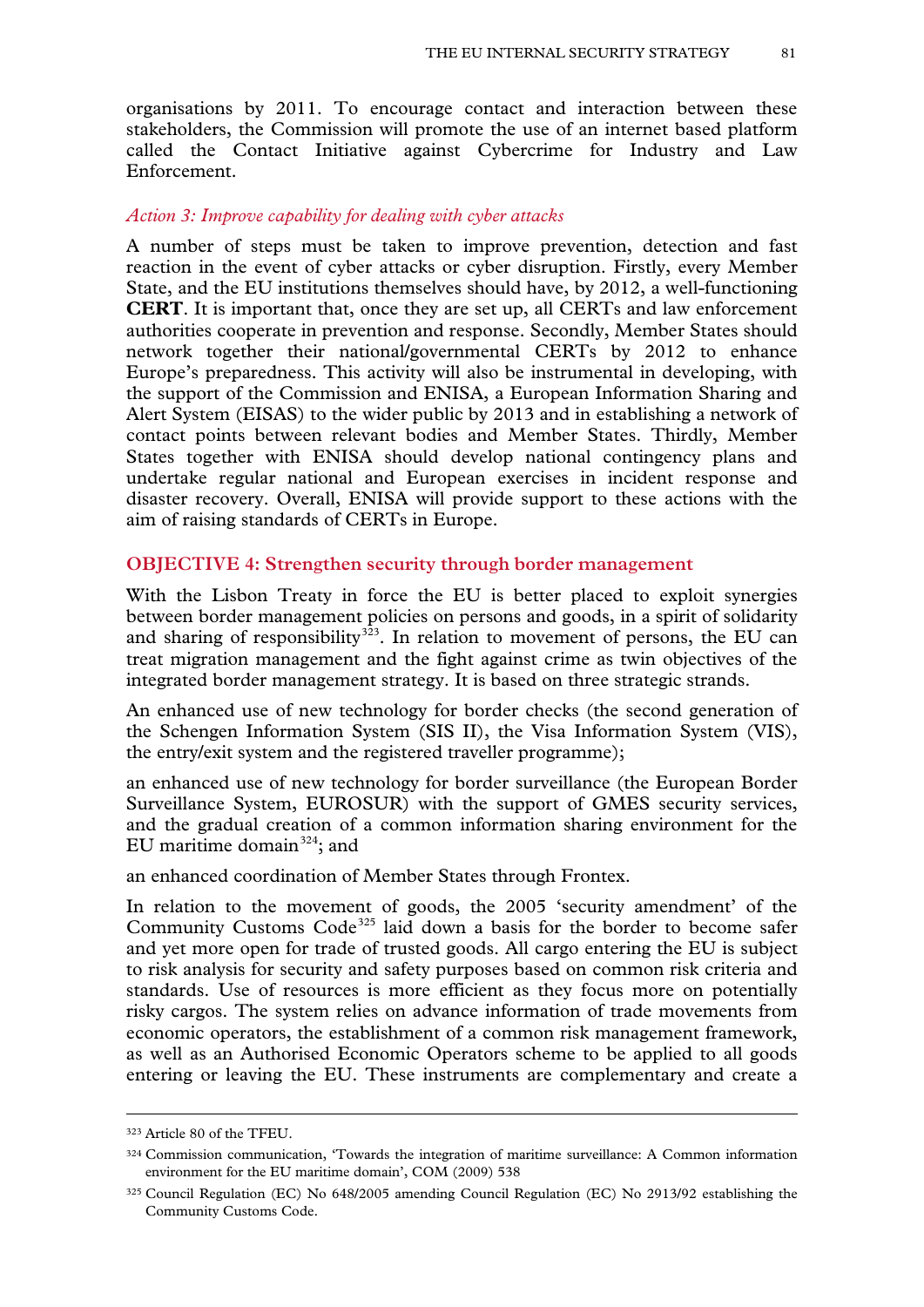organisations by 2011. To encourage contact and interaction between these stakeholders, the Commission will promote the use of an internet based platform called the Contact Initiative against Cybercrime for Industry and Law Enforcement.

### *Action 3: Improve capability for dealing with cyber attacks*

A number of steps must be taken to improve prevention, detection and fast reaction in the event of cyber attacks or cyber disruption. Firstly, every Member State, and the EU institutions themselves should have, by 2012, a well-functioning **CERT**. It is important that, once they are set up, all CERTs and law enforcement authorities cooperate in prevention and response. Secondly, Member States should network together their national/governmental CERTs by 2012 to enhance Europe's preparedness. This activity will also be instrumental in developing, with the support of the Commission and ENISA, a European Information Sharing and Alert System (EISAS) to the wider public by 2013 and in establishing a network of contact points between relevant bodies and Member States. Thirdly, Member States together with ENISA should develop national contingency plans and undertake regular national and European exercises in incident response and disaster recovery. Overall, ENISA will provide support to these actions with the aim of raising standards of CERTs in Europe.

## **OBJECTIVE 4: Strengthen security through border management**

With the Lisbon Treaty in force the EU is better placed to exploit synergies between border management policies on persons and goods, in a spirit of solidarity and sharing of responsibility<sup>323</sup>. In relation to movement of persons, the EU can treat migration management and the fight against crime as twin objectives of the integrated border management strategy. It is based on three strategic strands.

An enhanced use of new technology for border checks (the second generation of the Schengen Information System (SIS II), the Visa Information System (VIS), the entry/exit system and the registered traveller programme);

an enhanced use of new technology for border surveillance (the European Border Surveillance System, EUROSUR) with the support of GMES security services, and the gradual creation of a common information sharing environment for the EU maritime domain $324$ ; and

an enhanced coordination of Member States through Frontex.

In relation to the movement of goods, the 2005 'security amendment' of the Community Customs Code<sup>[325](#page-80-1)</sup> laid down a basis for the border to become safer and yet more open for trade of trusted goods. All cargo entering the EU is subject to risk analysis for security and safety purposes based on common risk criteria and standards. Use of resources is more efficient as they focus more on potentially risky cargos. The system relies on advance information of trade movements from economic operators, the establishment of a common risk management framework, as well as an Authorised Economic Operators scheme to be applied to all goods entering or leaving the EU. These instruments are complementary and create a

<span id="page-80-2"></span><sup>323</sup> Article 80 of the TFEU.

<span id="page-80-0"></span><sup>324</sup> Commission communication, 'Towards the integration of maritime surveillance: A Common information environment for the EU maritime domain', COM (2009) 538

<span id="page-80-1"></span><sup>325</sup> Council Regulation (EC) No 648/2005 amending Council Regulation (EC) No 2913/92 establishing the Community Customs Code.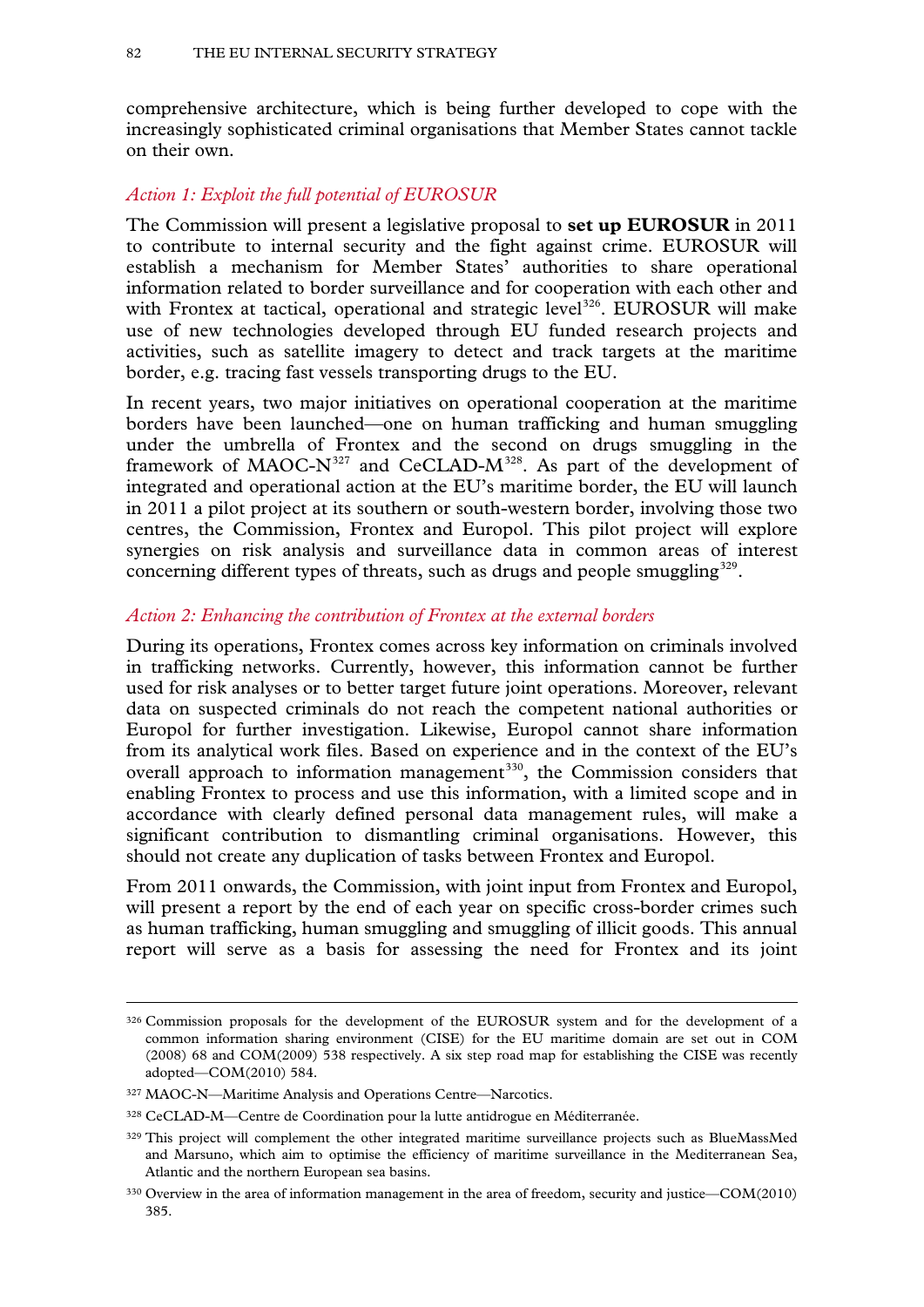comprehensive architecture, which is being further developed to cope with the increasingly sophisticated criminal organisations that Member States cannot tackle on their own.

## *Action 1: Exploit the full potential of EUROSUR*

The Commission will present a legislative proposal to **set up EUROSUR** in 2011 to contribute to internal security and the fight against crime. EUROSUR will establish a mechanism for Member States' authorities to share operational information related to border surveillance and for cooperation with each other and with Frontex at tactical, operational and strategic level<sup>[326](#page-80-2)</sup>. EUROSUR will make use of new technologies developed through EU funded research projects and activities, such as satellite imagery to detect and track targets at the maritime border, e.g. tracing fast vessels transporting drugs to the EU.

In recent years, two major initiatives on operational cooperation at the maritime borders have been launched—one on human trafficking and human smuggling under the umbrella of Frontex and the second on drugs smuggling in the framework of MAOC- $N^{327}$  $N^{327}$  $N^{327}$  and CeCLAD- $M^{328}$ . As part of the development of integrated and operational action at the EU's maritime border, the EU will launch in 2011 a pilot project at its southern or south-western border, involving those two centres, the Commission, Frontex and Europol. This pilot project will explore synergies on risk analysis and surveillance data in common areas of interest concerning different types of threats, such as drugs and people smuggling<sup>[329](#page-81-2)</sup>.

## *Action 2: Enhancing the contribution of Frontex at the external borders*

During its operations, Frontex comes across key information on criminals involved in trafficking networks. Currently, however, this information cannot be further used for risk analyses or to better target future joint operations. Moreover, relevant data on suspected criminals do not reach the competent national authorities or Europol for further investigation. Likewise, Europol cannot share information from its analytical work files. Based on experience and in the context of the EU's overall approach to information management<sup>[330](#page-81-3)</sup>, the Commission considers that enabling Frontex to process and use this information, with a limited scope and in accordance with clearly defined personal data management rules, will make a significant contribution to dismantling criminal organisations. However, this should not create any duplication of tasks between Frontex and Europol.

From 2011 onwards, the Commission, with joint input from Frontex and Europol, will present a report by the end of each year on specific cross-border crimes such as human trafficking, human smuggling and smuggling of illicit goods. This annual report will serve as a basis for assessing the need for Frontex and its joint

<sup>326</sup> Commission proposals for the development of the EUROSUR system and for the development of a common information sharing environment (CISE) for the EU maritime domain are set out in COM (2008) 68 and COM(2009) 538 respectively. A six step road map for establishing the CISE was recently adopted—COM(2010) 584.

<span id="page-81-0"></span><sup>327</sup> MAOC-N—Maritime Analysis and Operations Centre—Narcotics.

<span id="page-81-1"></span><sup>328</sup> CeCLAD-M—Centre de Coordination pour la lutte antidrogue en Méditerranée.

<span id="page-81-4"></span><span id="page-81-2"></span><sup>&</sup>lt;sup>329</sup> This project will complement the other integrated maritime surveillance projects such as BlueMassMed and Marsuno, which aim to optimise the efficiency of maritime surveillance in the Mediterranean Sea, Atlantic and the northern European sea basins.

<span id="page-81-3"></span><sup>330</sup> Overview in the area of information management in the area of freedom, security and justice—COM(2010) 385.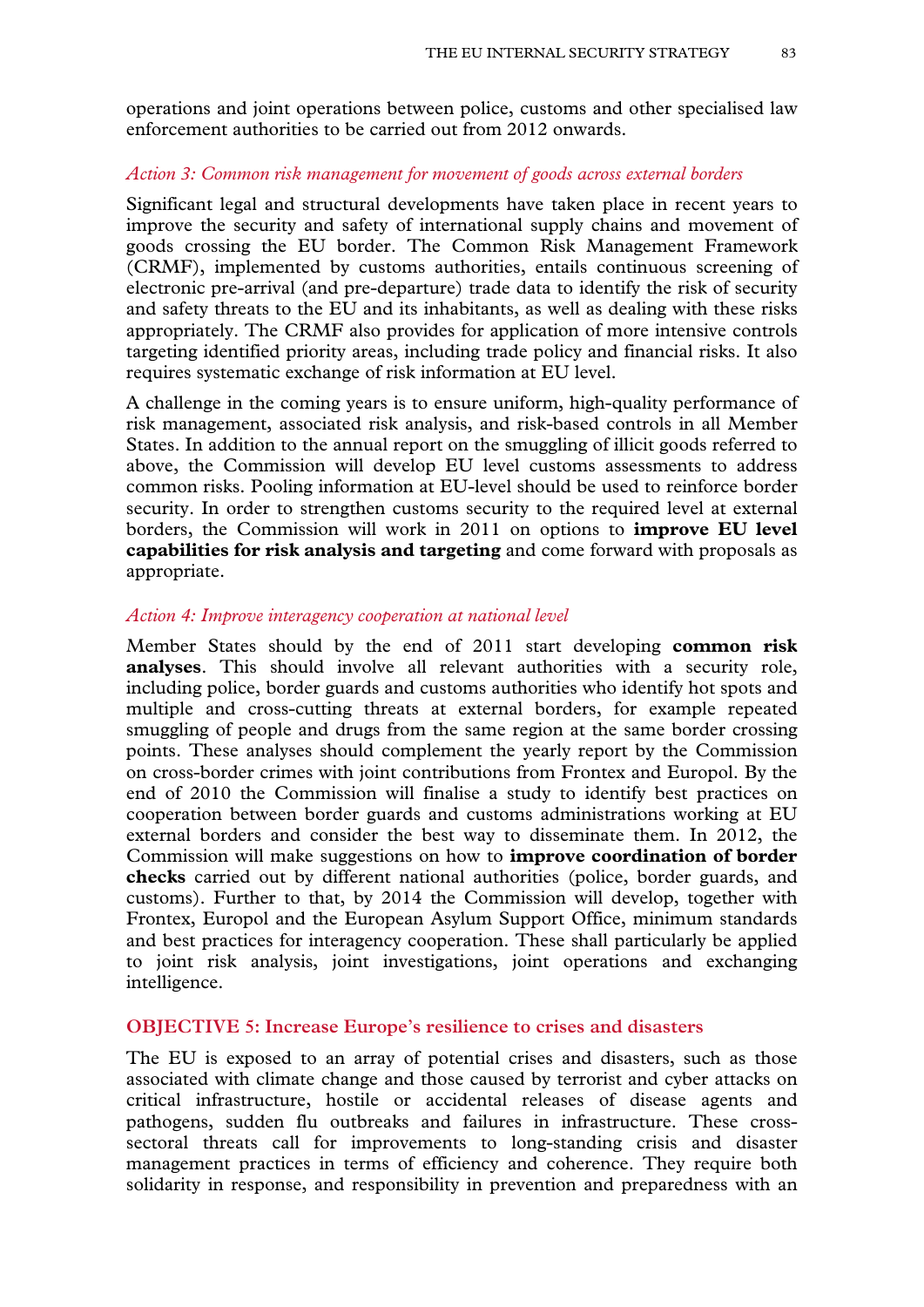operations and joint operations between police, customs and other specialised law enforcement authorities to be carried out from 2012 onwards.

## *Action 3: Common risk management for movement of goods across external borders*

Significant legal and structural developments have taken place in recent years to improve the security and safety of international supply chains and movement of goods crossing the EU border. The Common Risk Management Framework (CRMF), implemented by customs authorities, entails continuous screening of electronic pre-arrival (and pre-departure) trade data to identify the risk of security and safety threats to the EU and its inhabitants, as well as dealing with these risks appropriately. The CRMF also provides for application of more intensive controls targeting identified priority areas, including trade policy and financial risks. It also requires systematic exchange of risk information at EU level.

A challenge in the coming years is to ensure uniform, high-quality performance of risk management, associated risk analysis, and risk-based controls in all Member States. In addition to the annual report on the smuggling of illicit goods referred to above, the Commission will develop EU level customs assessments to address common risks. Pooling information at EU-level should be used to reinforce border security. In order to strengthen customs security to the required level at external borders, the Commission will work in 2011 on options to **improve EU level capabilities for risk analysis and targeting** and come forward with proposals as appropriate.

## *Action 4: Improve interagency cooperation at national level*

Member States should by the end of 2011 start developing **common risk analyses**. This should involve all relevant authorities with a security role, including police, border guards and customs authorities who identify hot spots and multiple and cross-cutting threats at external borders, for example repeated smuggling of people and drugs from the same region at the same border crossing points. These analyses should complement the yearly report by the Commission on cross-border crimes with joint contributions from Frontex and Europol. By the end of 2010 the Commission will finalise a study to identify best practices on cooperation between border guards and customs administrations working at EU external borders and consider the best way to disseminate them. In 2012, the Commission will make suggestions on how to **improve coordination of border checks** carried out by different national authorities (police, border guards, and customs). Further to that, by 2014 the Commission will develop, together with Frontex, Europol and the European Asylum Support Office, minimum standards and best practices for interagency cooperation. These shall particularly be applied to joint risk analysis, joint investigations, joint operations and exchanging intelligence.

## **OBJECTIVE 5: Increase Europe's resilience to crises and disasters**

The EU is exposed to an array of potential crises and disasters, such as those associated with climate change and those caused by terrorist and cyber attacks on critical infrastructure, hostile or accidental releases of disease agents and pathogens, sudden flu outbreaks and failures in infrastructure. These crosssectoral threats call for improvements to long-standing crisis and disaster management practices in terms of efficiency and coherence. They require both solidarity in response, and responsibility in prevention and preparedness with an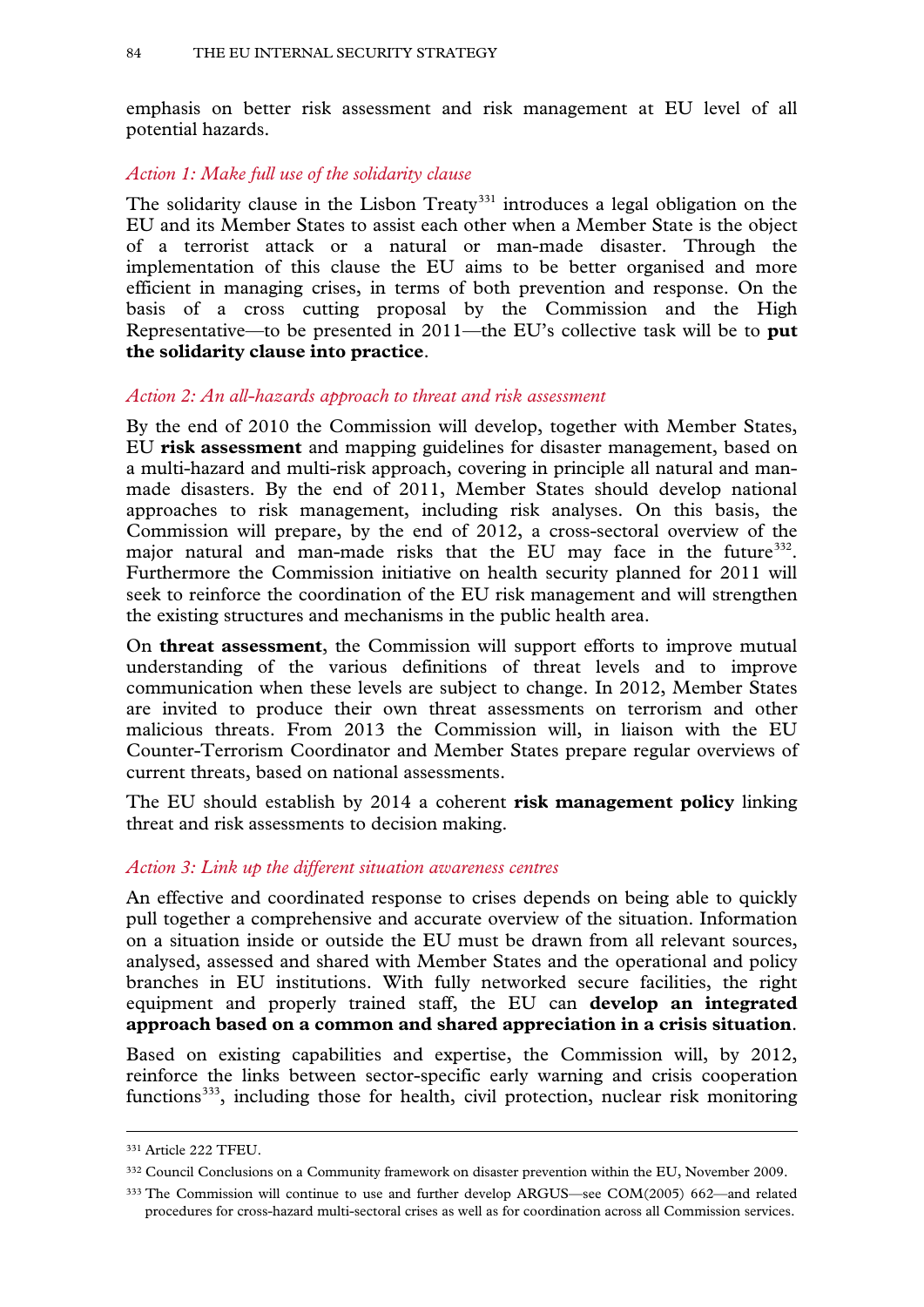emphasis on better risk assessment and risk management at EU level of all potential hazards.

## *Action 1: Make full use of the solidarity clause*

The solidarity clause in the Lisbon Treaty<sup>[331](#page-81-4)</sup> introduces a legal obligation on the EU and its Member States to assist each other when a Member State is the object of a terrorist attack or a natural or man-made disaster. Through the implementation of this clause the EU aims to be better organised and more efficient in managing crises, in terms of both prevention and response. On the basis of a cross cutting proposal by the Commission and the High Representative—to be presented in 2011—the EU's collective task will be to **put the solidarity clause into practice**.

## *Action 2: An all-hazards approach to threat and risk assessment*

By the end of 2010 the Commission will develop, together with Member States, EU **risk assessment** and mapping guidelines for disaster management, based on a multi-hazard and multi-risk approach, covering in principle all natural and manmade disasters. By the end of 2011, Member States should develop national approaches to risk management, including risk analyses. On this basis, the Commission will prepare, by the end of 2012, a cross-sectoral overview of the major natural and man-made risks that the EU may face in the future<sup>[332](#page-83-0)</sup>. Furthermore the Commission initiative on health security planned for 2011 will seek to reinforce the coordination of the EU risk management and will strengthen the existing structures and mechanisms in the public health area.

On **threat assessment**, the Commission will support efforts to improve mutual understanding of the various definitions of threat levels and to improve communication when these levels are subject to change. In 2012, Member States are invited to produce their own threat assessments on terrorism and other malicious threats. From 2013 the Commission will, in liaison with the EU Counter-Terrorism Coordinator and Member States prepare regular overviews of current threats, based on national assessments.

The EU should establish by 2014 a coherent **risk management policy** linking threat and risk assessments to decision making.

## *Action 3: Link up the different situation awareness centres*

An effective and coordinated response to crises depends on being able to quickly pull together a comprehensive and accurate overview of the situation. Information on a situation inside or outside the EU must be drawn from all relevant sources, analysed, assessed and shared with Member States and the operational and policy branches in EU institutions. With fully networked secure facilities, the right equipment and properly trained staff, the EU can **develop an integrated approach based on a common and shared appreciation in a crisis situation**.

Based on existing capabilities and expertise, the Commission will, by 2012, reinforce the links between sector-specific early warning and crisis cooperation functions<sup>333</sup>, including those for health, civil protection, nuclear risk monitoring

<span id="page-83-2"></span><sup>331</sup> Article 222 TFEU.

<span id="page-83-0"></span><sup>332</sup> Council Conclusions on a Community framework on disaster prevention within the EU, November 2009.

<span id="page-83-1"></span><sup>333</sup> The Commission will continue to use and further develop ARGUS—see COM(2005) 662—and related procedures for cross-hazard multi-sectoral crises as well as for coordination across all Commission services.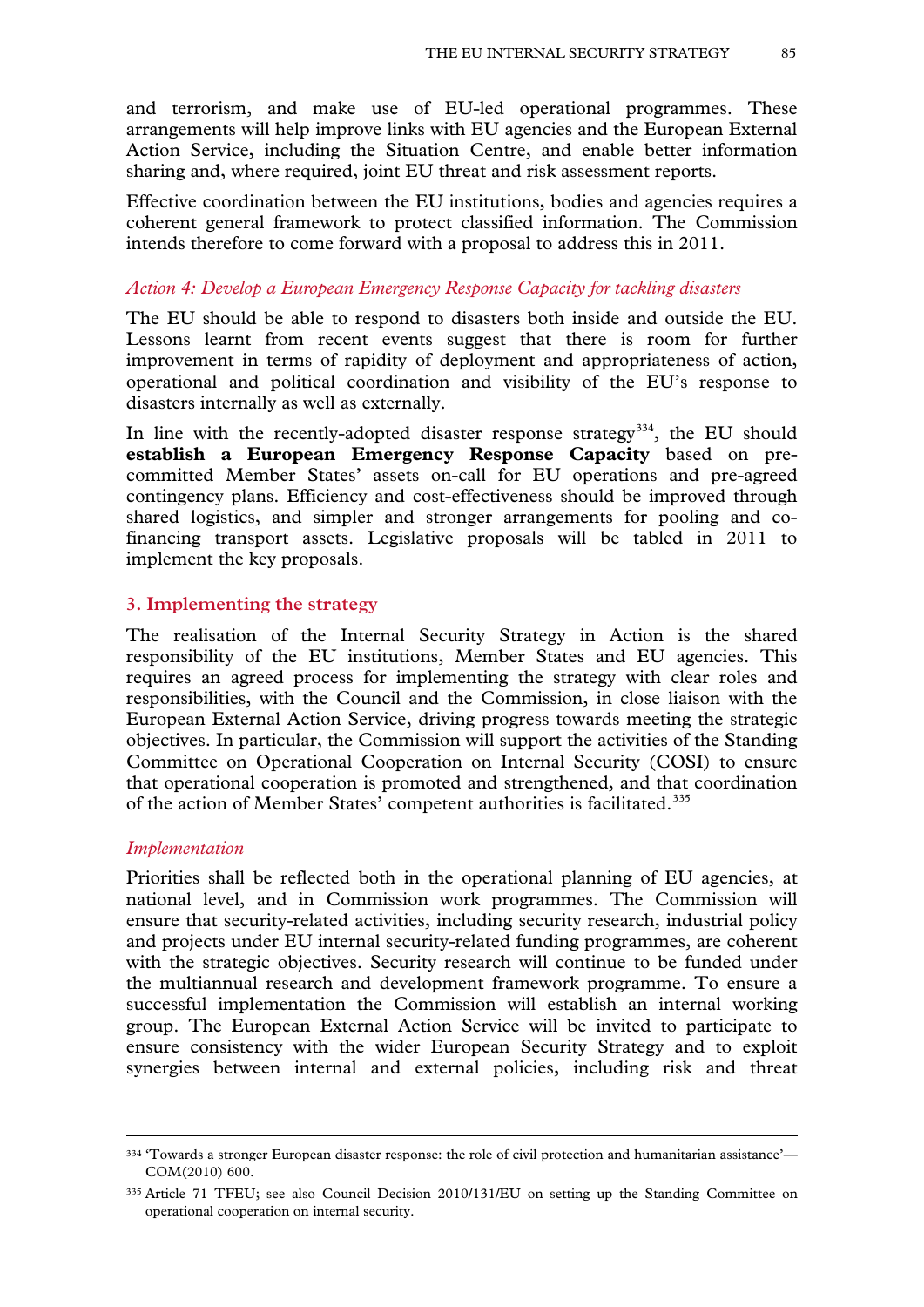and terrorism, and make use of EU-led operational programmes. These arrangements will help improve links with EU agencies and the European External Action Service, including the Situation Centre, and enable better information sharing and, where required, joint EU threat and risk assessment reports.

Effective coordination between the EU institutions, bodies and agencies requires a coherent general framework to protect classified information. The Commission intends therefore to come forward with a proposal to address this in 2011.

## *Action 4: Develop a European Emergency Response Capacity for tackling disasters*

The EU should be able to respond to disasters both inside and outside the EU. Lessons learnt from recent events suggest that there is room for further improvement in terms of rapidity of deployment and appropriateness of action, operational and political coordination and visibility of the EU's response to disasters internally as well as externally.

In line with the recently-adopted disaster response strategy<sup>[334](#page-83-2)</sup>, the EU should **establish a European Emergency Response Capacity** based on precommitted Member States' assets on-call for EU operations and pre-agreed contingency plans. Efficiency and cost-effectiveness should be improved through shared logistics, and simpler and stronger arrangements for pooling and cofinancing transport assets. Legislative proposals will be tabled in 2011 to implement the key proposals.

## **3. Implementing the strategy**

The realisation of the Internal Security Strategy in Action is the shared responsibility of the EU institutions, Member States and EU agencies. This requires an agreed process for implementing the strategy with clear roles and responsibilities, with the Council and the Commission, in close liaison with the European External Action Service, driving progress towards meeting the strategic objectives. In particular, the Commission will support the activities of the Standing Committee on Operational Cooperation on Internal Security (COSI) to ensure that operational cooperation is promoted and strengthened, and that coordination of the action of Member States' competent authorities is facilitated.<sup>[335](#page-84-0)</sup>

## *Implementation*

-

Priorities shall be reflected both in the operational planning of EU agencies, at national level, and in Commission work programmes. The Commission will ensure that security-related activities, including security research, industrial policy and projects under EU internal security-related funding programmes, are coherent with the strategic objectives. Security research will continue to be funded under the multiannual research and development framework programme. To ensure a successful implementation the Commission will establish an internal working group. The European External Action Service will be invited to participate to ensure consistency with the wider European Security Strategy and to exploit synergies between internal and external policies, including risk and threat

<sup>334</sup> 'Towards a stronger European disaster response: the role of civil protection and humanitarian assistance'— COM(2010) 600.

<span id="page-84-0"></span><sup>&</sup>lt;sup>335</sup> Article 71 TFEU; see also Council Decision 2010/131/EU on setting up the Standing Committee on operational cooperation on internal security.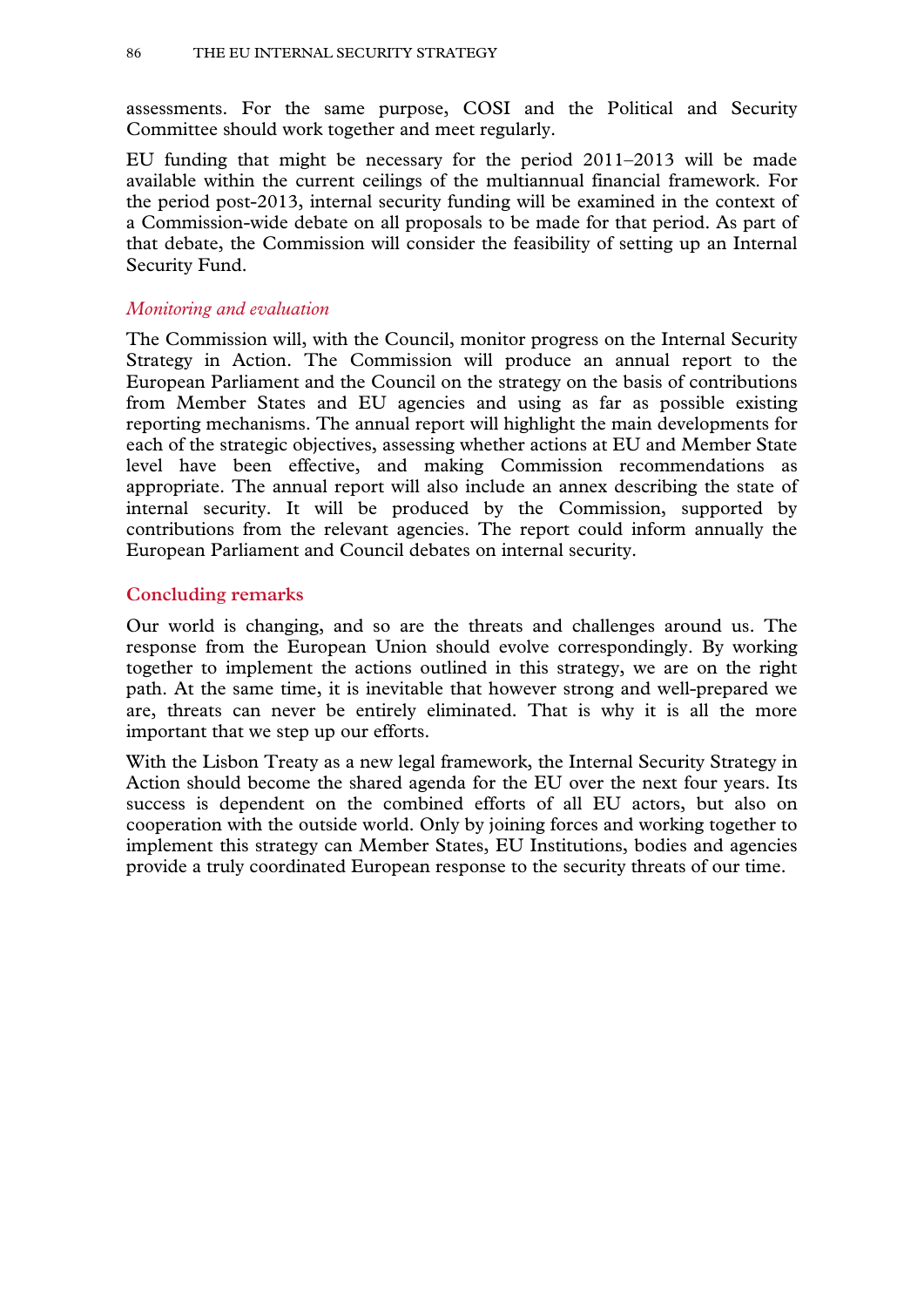assessments. For the same purpose, COSI and the Political and Security Committee should work together and meet regularly.

EU funding that might be necessary for the period 2011–2013 will be made available within the current ceilings of the multiannual financial framework. For the period post-2013, internal security funding will be examined in the context of a Commission-wide debate on all proposals to be made for that period. As part of that debate, the Commission will consider the feasibility of setting up an Internal Security Fund.

### *Monitoring and evaluation*

The Commission will, with the Council, monitor progress on the Internal Security Strategy in Action. The Commission will produce an annual report to the European Parliament and the Council on the strategy on the basis of contributions from Member States and EU agencies and using as far as possible existing reporting mechanisms. The annual report will highlight the main developments for each of the strategic objectives, assessing whether actions at EU and Member State level have been effective, and making Commission recommendations as appropriate. The annual report will also include an annex describing the state of internal security. It will be produced by the Commission, supported by contributions from the relevant agencies. The report could inform annually the European Parliament and Council debates on internal security.

## **Concluding remarks**

Our world is changing, and so are the threats and challenges around us. The response from the European Union should evolve correspondingly. By working together to implement the actions outlined in this strategy, we are on the right path. At the same time, it is inevitable that however strong and well-prepared we are, threats can never be entirely eliminated. That is why it is all the more important that we step up our efforts.

With the Lisbon Treaty as a new legal framework, the Internal Security Strategy in Action should become the shared agenda for the EU over the next four years. Its success is dependent on the combined efforts of all EU actors, but also on cooperation with the outside world. Only by joining forces and working together to implement this strategy can Member States, EU Institutions, bodies and agencies provide a truly coordinated European response to the security threats of our time.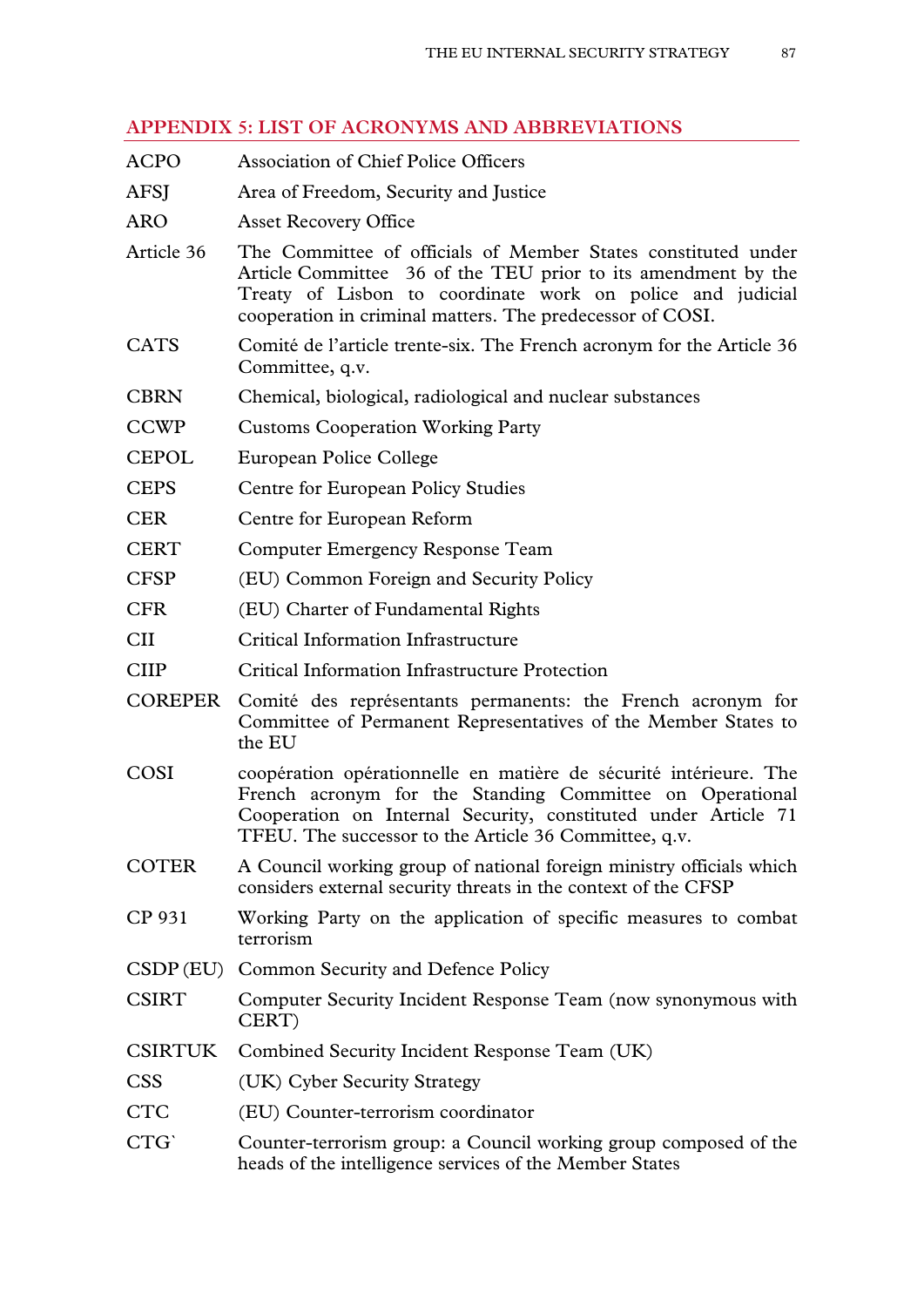# **APPENDIX 5: LIST OF ACRONYMS AND ABBREVIATIONS**

ACPO Association of Chief Police Officers AFSJ Area of Freedom, Security and Justice ARO Asset Recovery Office Article 36 The Committee of officials of Member States constituted under Article Committee 36 of the TEU prior to its amendment by the Treaty of Lisbon to coordinate work on police and judicial cooperation in criminal matters. The predecessor of COSI. CATS Comité de l'article trente-six. The French acronym for the Article 36 Committee, q.v. CBRN Chemical, biological, radiological and nuclear substances CCWP Customs Cooperation Working Party CEPOL European Police College CEPS Centre for European Policy Studies CER Centre for European Reform CERT Computer Emergency Response Team CFSP (EU) Common Foreign and Security Policy CFR (EU) Charter of Fundamental Rights CII Critical Information Infrastructure CIIP Critical Information Infrastructure Protection COREPER Comité des représentants permanents: the French acronym for Committee of Permanent Representatives of the Member States to the EU COSI coopération opérationnelle en matière de sécurité intérieure. The French acronym for the Standing Committee on Operational Cooperation on Internal Security, constituted under Article 71 TFEU. The successor to the Article 36 Committee, q.v. COTER A Council working group of national foreign ministry officials which considers external security threats in the context of the CFSP CP 931 Working Party on the application of specific measures to combat terrorism CSDP(EU) Common Security and Defence Policy CSIRT Computer Security Incident Response Team (now synonymous with CERT) CSIRTUK Combined Security Incident Response Team (UK) CSS (UK) Cyber Security Strategy CTC (EU) Counter-terrorism coordinator CTG` Counter-terrorism group: a Council working group composed of the heads of the intelligence services of the Member States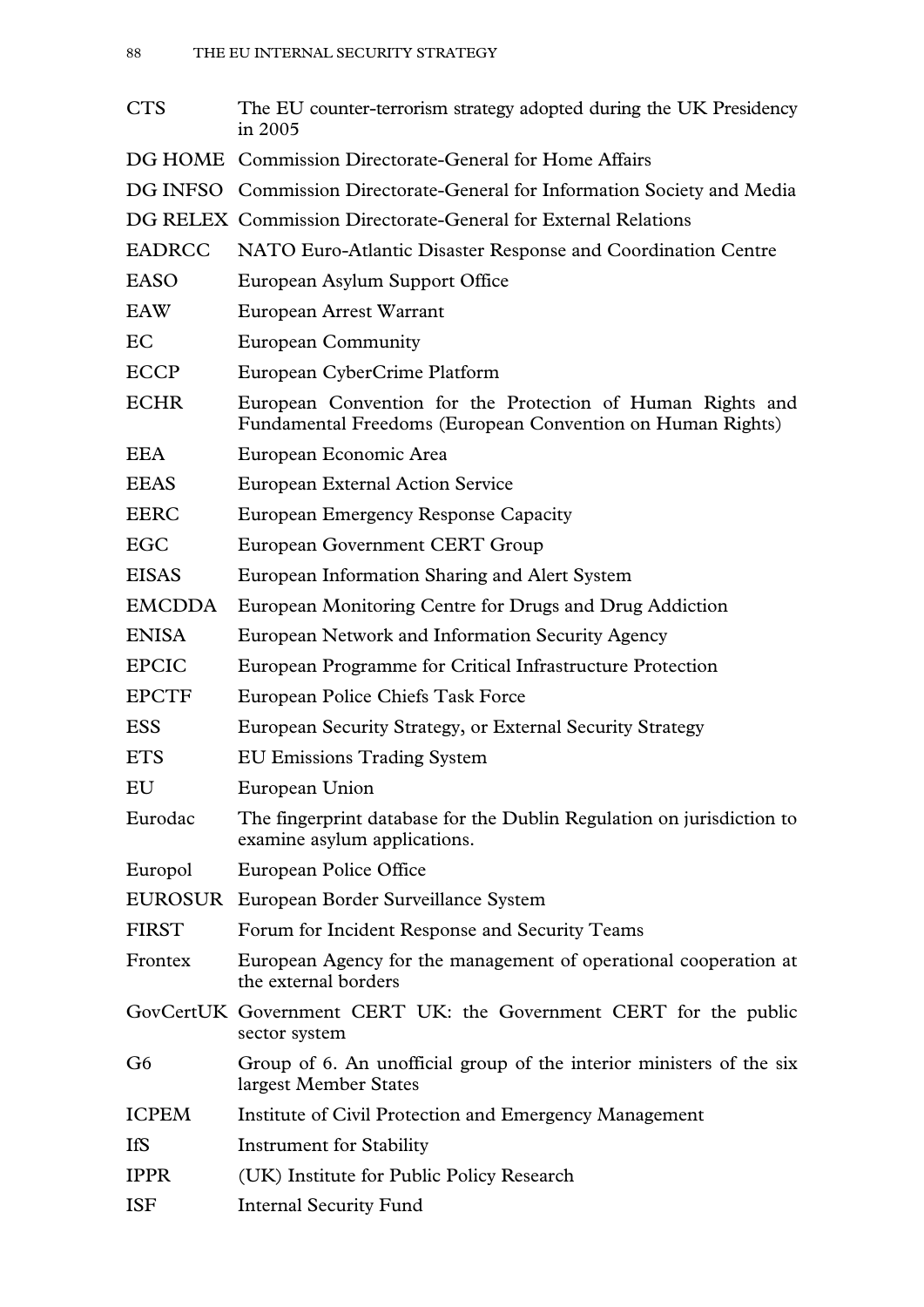| <b>CTS</b>     | The EU counter-terrorism strategy adopted during the UK Presidency<br>in 2005                                            |
|----------------|--------------------------------------------------------------------------------------------------------------------------|
|                | DG HOME Commission Directorate-General for Home Affairs                                                                  |
|                | DG INFSO Commission Directorate-General for Information Society and Media                                                |
|                | DG RELEX Commission Directorate-General for External Relations                                                           |
| <b>EADRCC</b>  | NATO Euro-Atlantic Disaster Response and Coordination Centre                                                             |
| <b>EASO</b>    | European Asylum Support Office                                                                                           |
| EAW            | European Arrest Warrant                                                                                                  |
| EC             | <b>European Community</b>                                                                                                |
| <b>ECCP</b>    | European CyberCrime Platform                                                                                             |
| <b>ECHR</b>    | European Convention for the Protection of Human Rights and<br>Fundamental Freedoms (European Convention on Human Rights) |
| <b>EEA</b>     | European Economic Area                                                                                                   |
| <b>EEAS</b>    | <b>European External Action Service</b>                                                                                  |
| <b>EERC</b>    | <b>European Emergency Response Capacity</b>                                                                              |
| EGC            | European Government CERT Group                                                                                           |
| <b>EISAS</b>   | European Information Sharing and Alert System                                                                            |
| <b>EMCDDA</b>  | European Monitoring Centre for Drugs and Drug Addiction                                                                  |
| <b>ENISA</b>   | European Network and Information Security Agency                                                                         |
| <b>EPCIC</b>   | European Programme for Critical Infrastructure Protection                                                                |
| <b>EPCTF</b>   | European Police Chiefs Task Force                                                                                        |
| <b>ESS</b>     | European Security Strategy, or External Security Strategy                                                                |
| <b>ETS</b>     | <b>EU Emissions Trading System</b>                                                                                       |
| EU             | European Union                                                                                                           |
| Eurodac        | The fingerprint database for the Dublin Regulation on jurisdiction to<br>examine asylum applications.                    |
| Europol        | European Police Office                                                                                                   |
|                | EUROSUR European Border Surveillance System                                                                              |
| <b>FIRST</b>   | Forum for Incident Response and Security Teams                                                                           |
| Frontex        | European Agency for the management of operational cooperation at<br>the external borders                                 |
|                | GovCertUK Government CERT UK: the Government CERT for the public<br>sector system                                        |
| G <sub>6</sub> | Group of 6. An unofficial group of the interior ministers of the six<br>largest Member States                            |
| <b>ICPEM</b>   | Institute of Civil Protection and Emergency Management                                                                   |
| <b>IfS</b>     | <b>Instrument for Stability</b>                                                                                          |
| <b>IPPR</b>    | (UK) Institute for Public Policy Research                                                                                |
| <b>ISF</b>     | <b>Internal Security Fund</b>                                                                                            |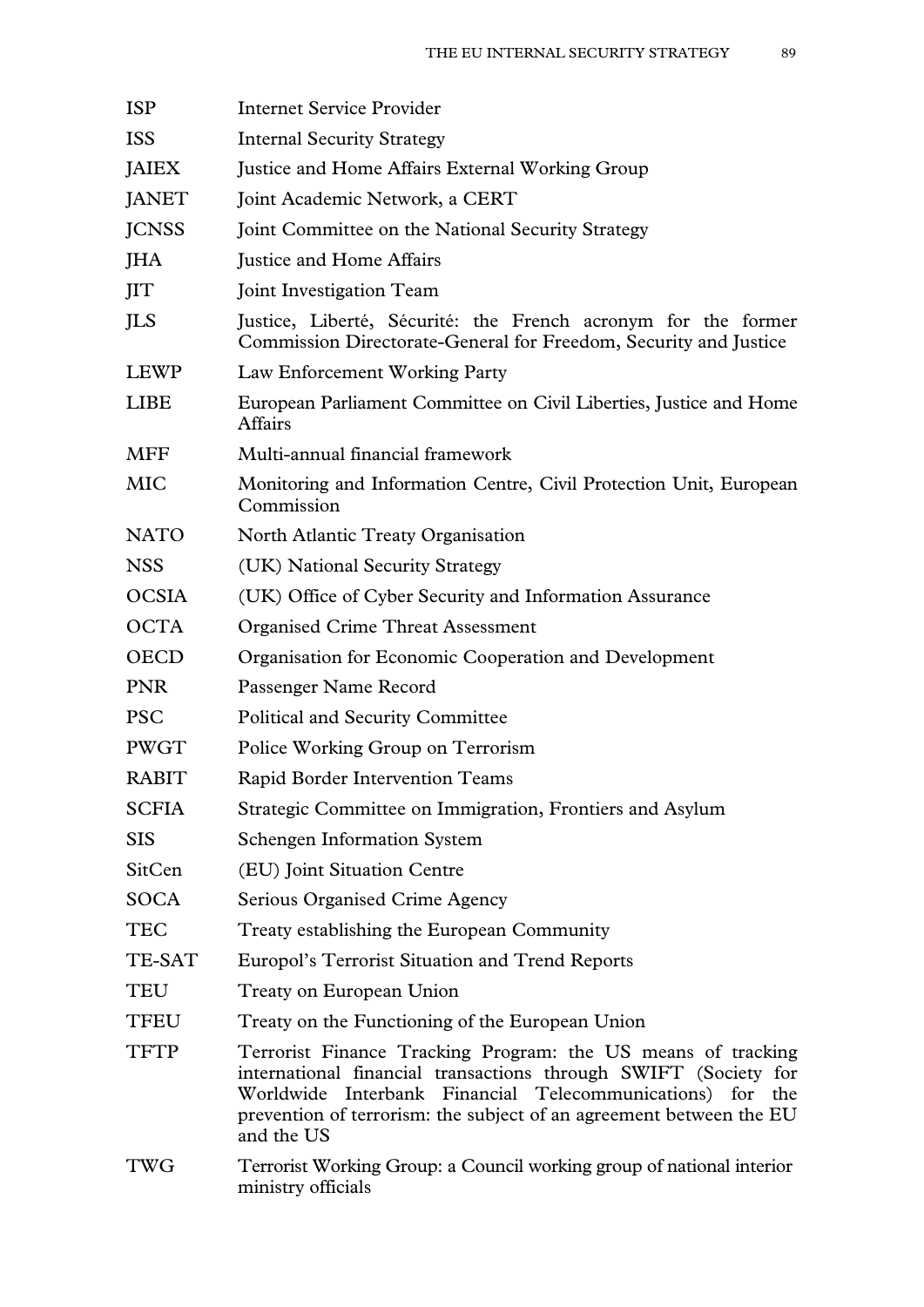| <b>ISP</b>   | <b>Internet Service Provider</b>                                                                                                                                                                                                                                                     |
|--------------|--------------------------------------------------------------------------------------------------------------------------------------------------------------------------------------------------------------------------------------------------------------------------------------|
| <b>ISS</b>   | <b>Internal Security Strategy</b>                                                                                                                                                                                                                                                    |
| <b>JAIEX</b> | Justice and Home Affairs External Working Group                                                                                                                                                                                                                                      |
| <b>JANET</b> | Joint Academic Network, a CERT                                                                                                                                                                                                                                                       |
| <b>JCNSS</b> | Joint Committee on the National Security Strategy                                                                                                                                                                                                                                    |
| <b>JHA</b>   | Justice and Home Affairs                                                                                                                                                                                                                                                             |
| <b>JIT</b>   | <b>Joint Investigation Team</b>                                                                                                                                                                                                                                                      |
| JLS          | Justice, Liberté, Sécurité: the French acronym for the former<br>Commission Directorate-General for Freedom, Security and Justice                                                                                                                                                    |
| LEWP         | Law Enforcement Working Party                                                                                                                                                                                                                                                        |
| <b>LIBE</b>  | European Parliament Committee on Civil Liberties, Justice and Home<br><b>Affairs</b>                                                                                                                                                                                                 |
| <b>MFF</b>   | Multi-annual financial framework                                                                                                                                                                                                                                                     |
| <b>MIC</b>   | Monitoring and Information Centre, Civil Protection Unit, European<br>Commission                                                                                                                                                                                                     |
| <b>NATO</b>  | North Atlantic Treaty Organisation                                                                                                                                                                                                                                                   |
| <b>NSS</b>   | (UK) National Security Strategy                                                                                                                                                                                                                                                      |
| <b>OCSIA</b> | (UK) Office of Cyber Security and Information Assurance                                                                                                                                                                                                                              |
| <b>OCTA</b>  | <b>Organised Crime Threat Assessment</b>                                                                                                                                                                                                                                             |
| <b>OECD</b>  | Organisation for Economic Cooperation and Development                                                                                                                                                                                                                                |
| <b>PNR</b>   | Passenger Name Record                                                                                                                                                                                                                                                                |
| <b>PSC</b>   | <b>Political and Security Committee</b>                                                                                                                                                                                                                                              |
| <b>PWGT</b>  | Police Working Group on Terrorism                                                                                                                                                                                                                                                    |
| <b>RABIT</b> | Rapid Border Intervention Teams                                                                                                                                                                                                                                                      |
| <b>SCFIA</b> | Strategic Committee on Immigration, Frontiers and Asylum                                                                                                                                                                                                                             |
| <b>SIS</b>   | <b>Schengen Information System</b>                                                                                                                                                                                                                                                   |
| SitCen       | (EU) Joint Situation Centre                                                                                                                                                                                                                                                          |
| <b>SOCA</b>  | Serious Organised Crime Agency                                                                                                                                                                                                                                                       |
| <b>TEC</b>   | Treaty establishing the European Community                                                                                                                                                                                                                                           |
| TE-SAT       | Europol's Terrorist Situation and Trend Reports                                                                                                                                                                                                                                      |
| <b>TEU</b>   | Treaty on European Union                                                                                                                                                                                                                                                             |
| <b>TFEU</b>  | Treaty on the Functioning of the European Union                                                                                                                                                                                                                                      |
| <b>TFTP</b>  | Terrorist Finance Tracking Program: the US means of tracking<br>international financial transactions through SWIFT (Society for<br>Worldwide Interbank Financial Telecommunications)<br>for the<br>prevention of terrorism: the subject of an agreement between the EU<br>and the US |
| <b>TWG</b>   | Terrorist Working Group: a Council working group of national interior<br>ministry officials                                                                                                                                                                                          |